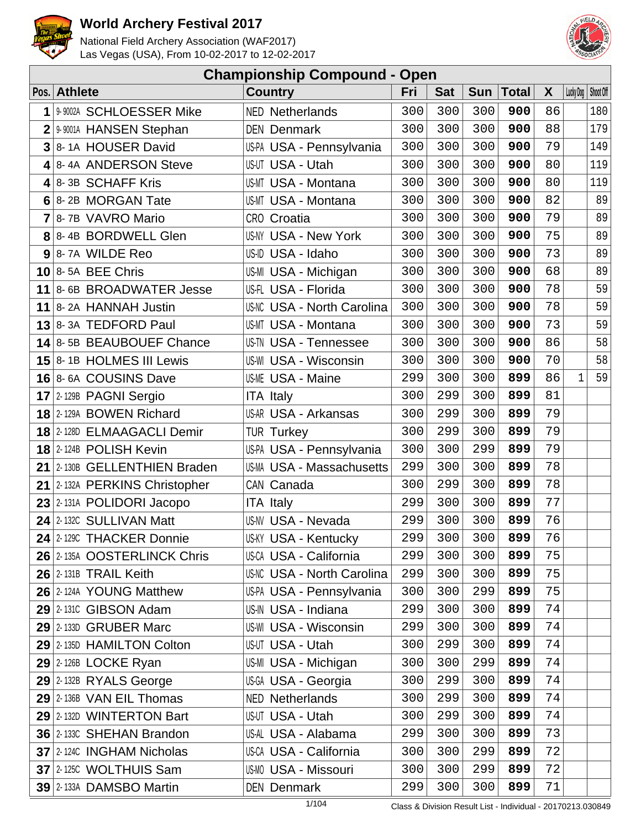



|                | <b>Championship Compound - Open</b> |                                   |     |            |            |              |    |                       |
|----------------|-------------------------------------|-----------------------------------|-----|------------|------------|--------------|----|-----------------------|
|                | Pos. Athlete                        | <b>Country</b>                    | Fri | <b>Sat</b> | <b>Sun</b> | <b>Total</b> | X  | Lucky Dog   Shoot Off |
| 1              | 9-9002A SCHLOESSER Mike             | <b>NED Netherlands</b>            | 300 | 300        | 300        | 900          | 86 | 180                   |
| $\overline{2}$ | 9-9001A HANSEN Stephan              | <b>DEN Denmark</b>                | 300 | 300        | 300        | 900          | 88 | 179                   |
| 3              | 8-1A HOUSER David                   | US-PA USA - Pennsylvania          | 300 | 300        | 300        | 900          | 79 | 149                   |
| 4              | 8-4A ANDERSON Steve                 | US-UT USA - Utah                  | 300 | 300        | 300        | 900          | 80 | 119                   |
|                | 4 8-3B SCHAFF Kris                  | US-MT USA - Montana               | 300 | 300        | 300        | 900          | 80 | 119                   |
|                | 6 8-2B MORGAN Tate                  | <b>US-MT USA - Montana</b>        | 300 | 300        | 300        | 900          | 82 | 89                    |
|                | 7 8-7B VAVRO Mario                  | CRO Croatia                       | 300 | 300        | 300        | 900          | 79 | 89                    |
|                | 8 8-4B BORDWELL Glen                | <b>US-NY USA - New York</b>       | 300 | 300        | 300        | 900          | 75 | 89                    |
| 9              | 8-7A WILDE Reo                      | US-ID USA - Idaho                 | 300 | 300        | 300        | 900          | 73 | 89                    |
|                | $10$ 8-5A BEE Chris                 | US-MI USA - Michigan              | 300 | 300        | 300        | 900          | 68 | 89                    |
|                | 11 8-6B BROADWATER Jesse            | US-FL USA - Florida               | 300 | 300        | 300        | 900          | 78 | 59                    |
| 11             | 8-2A HANNAH Justin                  | <b>US-NC USA - North Carolina</b> | 300 | 300        | 300        | 900          | 78 | 59                    |
|                | 13 8-3A TEDFORD Paul                | US-MT USA - Montana               | 300 | 300        | 300        | 900          | 73 | 59                    |
|                | 14 8-5B BEAUBOUEF Chance            | <b>US-TN USA - Tennessee</b>      | 300 | 300        | 300        | 900          | 86 | 58                    |
|                | 15 8-1B HOLMES III Lewis            | <b>US-WI USA - Wisconsin</b>      | 300 | 300        | 300        | 900          | 70 | 58                    |
|                | 16 8-6A COUSINS Dave                | <b>US-ME USA - Maine</b>          | 299 | 300        | 300        | 899          | 86 | 59                    |
|                | 17 2-129B PAGNI Sergio              | <b>ITA Italy</b>                  | 300 | 299        | 300        | 899          | 81 |                       |
|                | 18 2-129A BOWEN Richard             | <b>US-AR USA - Arkansas</b>       | 300 | 299        | 300        | 899          | 79 |                       |
|                | 18 2-128D ELMAAGACLI Demir          | <b>TUR Turkey</b>                 | 300 | 299        | 300        | 899          | 79 |                       |
|                | 18 2-124B POLISH Kevin              | US-PA USA - Pennsylvania          | 300 | 300        | 299        | 899          | 79 |                       |
|                | 21 2-130B GELLENTHIEN Braden        | <b>US-MA USA - Massachusetts</b>  | 299 | 300        | 300        | 899          | 78 |                       |
|                | 21 2-132A PERKINS Christopher       | CAN Canada                        | 300 | 299        | 300        | 899          | 78 |                       |
|                | 23 2-131A POLIDORI Jacopo           | <b>ITA Italy</b>                  | 299 | 300        | 300        | 899          | 77 |                       |
| 24             | 2-132C SULLIVAN Matt                | <b>US-NV USA - Nevada</b>         | 299 | 300        | 300        | 899          | 76 |                       |
|                | 24 2-129C THACKER Donnie            | <b>US-KY USA - Kentucky</b>       | 299 | 300        | 300        | 899          | 76 |                       |
|                | 26 2-135A OOSTERLINCK Chris         | US-CA USA - California            | 299 | 300        | 300        | 899          | 75 |                       |
|                | $26$ 2-131B TRAIL Keith             | <b>US-NC USA - North Carolina</b> | 299 | 300        | 300        | 899          | 75 |                       |
|                | 26 2-124A YOUNG Matthew             | US-PA USA - Pennsylvania          | 300 | 300        | 299        | 899          | 75 |                       |
|                | 29 2-1310 GIBSON Adam               | US-IN USA - Indiana               | 299 | 300        | 300        | 899          | 74 |                       |
|                | 29 2-133D GRUBER Marc               | <b>US-WI USA - Wisconsin</b>      | 299 | 300        | 300        | 899          | 74 |                       |
|                | 29 2-1350 HAMILTON Colton           | US-UT USA - Utah                  | 300 | 299        | 300        | 899          | 74 |                       |
|                | $29$ 2-126B LOCKE Ryan              | US-MI USA - Michigan              | 300 | 300        | 299        | 899          | 74 |                       |
|                | $29$ 2-132B RYALS George            | US-GA USA - Georgia               | 300 | 299        | 300        | 899          | 74 |                       |
|                | 29 2-136B VAN EIL Thomas            | <b>NED Netherlands</b>            | 300 | 299        | 300        | 899          | 74 |                       |
|                | 29 2-132D WINTERTON Bart            | US-UT USA - Utah                  | 300 | 299        | 300        | 899          | 74 |                       |
|                | 36 2-1330 SHEHAN Brandon            | US-AL USA - Alabama               | 299 | 300        | 300        | 899          | 73 |                       |
|                | 37 2-1240 INGHAM Nicholas           | US-CA USA - California            | 300 | 300        | 299        | 899          | 72 |                       |
|                | 37 2-1250 WOLTHUIS Sam              | <b>US-MO USA - Missouri</b>       | 300 | 300        | 299        | 899          | 72 |                       |
|                | 39 2-133A DAMSBO Martin             | <b>DEN Denmark</b>                | 299 | 300        | 300        | 899          | 71 |                       |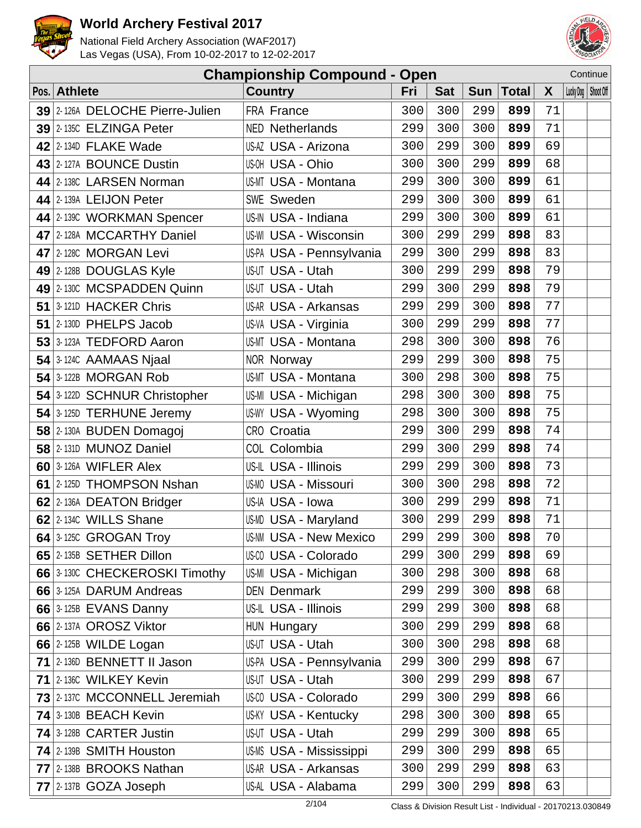



| <b>Championship Compound - Open</b> |                                 |                                |     |            |            |              |    | Continue              |
|-------------------------------------|---------------------------------|--------------------------------|-----|------------|------------|--------------|----|-----------------------|
|                                     | Pos. Athlete                    | <b>Country</b>                 | Fri | <b>Sat</b> | <b>Sun</b> | <b>Total</b> | X  | Lucky Dog   Shoot Off |
|                                     | 39 2-126A DELOCHE Pierre-Julien | FRA France                     | 300 | 300        | 299        | 899          | 71 |                       |
|                                     | 39 2-1350 ELZINGA Peter         | <b>NED Netherlands</b>         | 299 | 300        | 300        | 899          | 71 |                       |
|                                     | 42 2-134D FLAKE Wade            | US-AZ USA - Arizona            | 300 | 299        | 300        | 899          | 69 |                       |
|                                     | 43 2-127A BOUNCE Dustin         | US-OH USA - Ohio               | 300 | 300        | 299        | 899          | 68 |                       |
|                                     | 44 2-1380 LARSEN Norman         | <b>US-MT USA - Montana</b>     | 299 | 300        | 300        | 899          | 61 |                       |
|                                     | 44 2-139A LEIJON Peter          | <b>SWE Sweden</b>              | 299 | 300        | 300        | 899          | 61 |                       |
|                                     | 44 2-1390 WORKMAN Spencer       | US-IN USA - Indiana            | 299 | 300        | 300        | 899          | 61 |                       |
|                                     | 47 2-128A MCCARTHY Daniel       | <b>US-WI USA - Wisconsin</b>   | 300 | 299        | 299        | 898          | 83 |                       |
|                                     | 47 2-1280 MORGAN Levi           | US-PA USA - Pennsylvania       | 299 | 300        | 299        | 898          | 83 |                       |
|                                     | 49 2-128B DOUGLAS Kyle          | US-UT USA - Utah               | 300 | 299        | 299        | 898          | 79 |                       |
|                                     | 49 2-130C MCSPADDEN Quinn       | <b>US-UT USA - Utah</b>        | 299 | 300        | 299        | 898          | 79 |                       |
|                                     | 51 3-121D HACKER Chris          | US-AR USA - Arkansas           | 299 | 299        | 300        | 898          | 77 |                       |
|                                     | 51 2-130D PHELPS Jacob          | US-VA USA - Virginia           | 300 | 299        | 299        | 898          | 77 |                       |
|                                     | 53 3-123A TEDFORD Aaron         | <b>US-MT USA - Montana</b>     | 298 | 300        | 300        | 898          | 76 |                       |
|                                     | $54$ 3-124C AAMAAS Njaal        | <b>NOR Norway</b>              | 299 | 299        | 300        | 898          | 75 |                       |
|                                     | $54$ 3-122B MORGAN Rob          | <b>US-MT USA - Montana</b>     | 300 | 298        | 300        | 898          | 75 |                       |
|                                     | 54 3-122D SCHNUR Christopher    | US-MI USA - Michigan           | 298 | 300        | 300        | 898          | 75 |                       |
|                                     | 54 3-125D TERHUNE Jeremy        | US-WY USA - Wyoming            | 298 | 300        | 300        | 898          | 75 |                       |
|                                     | 58 2-130A BUDEN Domagoj         | CRO Croatia                    | 299 | 300        | 299        | 898          | 74 |                       |
|                                     | 58 2-131D MUNOZ Daniel          | COL Colombia                   | 299 | 300        | 299        | 898          | 74 |                       |
|                                     | $60$ 3-126A WIFLER Alex         | US-IL USA - Illinois           | 299 | 299        | 300        | 898          | 73 |                       |
|                                     | 61 2-125D THOMPSON Nshan        | <b>US-MO USA - Missouri</b>    | 300 | 300        | 298        | 898          | 72 |                       |
|                                     | 62 2-136A DEATON Bridger        | US-IA USA - Iowa               | 300 | 299        | 299        | 898          | 71 |                       |
|                                     | 62 2-1340 WILLS Shane           | US-MD USA - Maryland           | 300 | 299        | 299        | 898          | 71 |                       |
|                                     | $64$ 3-1250 GROGAN Troy         | <b>US-NM USA - New Mexico</b>  | 299 | 299        | 300        | 898          | 70 |                       |
|                                     | 65 2-135B SETHER Dillon         | US-00 USA - Colorado           | 299 | 300        | 299        | 898          | 69 |                       |
|                                     | 66 3-1300 CHECKEROSKI Timothy   | US-MI USA - Michigan           | 300 | 298        | 300        | 898          | 68 |                       |
|                                     | 66 3-125A DARUM Andreas         | <b>DEN Denmark</b>             | 299 | 299        | 300        | 898          | 68 |                       |
|                                     | 66 3-125B EVANS Danny           | US-IL USA - Illinois           | 299 | 299        | 300        | 898          | 68 |                       |
|                                     | 66 2-137A OROSZ Viktor          | HUN Hungary                    | 300 | 299        | 299        | 898          | 68 |                       |
|                                     | 66 $2$ -125B WILDE Logan        | US-UT USA - Utah               | 300 | 300        | 298        | 898          | 68 |                       |
|                                     | 71 2-1360 BENNETT II Jason      | US-PA USA - Pennsylvania       | 299 | 300        | 299        | 898          | 67 |                       |
|                                     | 71 2-1360 WILKEY Kevin          | US-UT USA - Utah               | 300 | 299        | 299        | 898          | 67 |                       |
|                                     | 73 2-1370 MCCONNELL Jeremiah    | US-00 USA - Colorado           | 299 | 300        | 299        | 898          | 66 |                       |
|                                     | 74 3-130B BEACH Kevin           | <b>US-KY USA - Kentucky</b>    | 298 | 300        | 300        | 898          | 65 |                       |
|                                     | 74 3-128B CARTER Justin         | US-UT USA - Utah               | 299 | 299        | 300        | 898          | 65 |                       |
|                                     | 74 2-139B SMITH Houston         | <b>US-MS USA - Mississippi</b> | 299 | 300        | 299        | 898          | 65 |                       |
|                                     | 77 2-138B BROOKS Nathan         | <b>US-AR USA - Arkansas</b>    | 300 | 299        | 299        | 898          | 63 |                       |
|                                     | $77$ 2-137B GOZA Joseph         | US-AL USA - Alabama            | 299 | 300        | 299        | 898          | 63 |                       |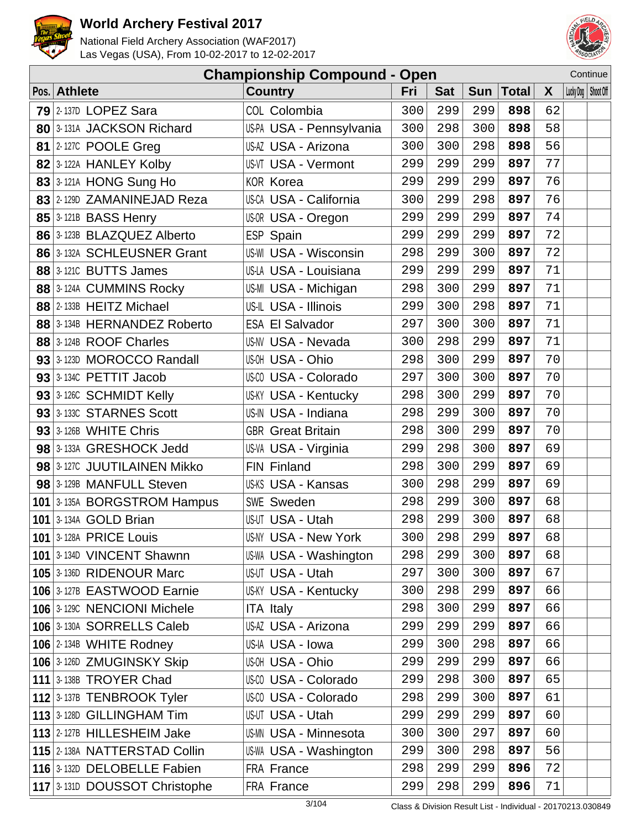



|                                  | <b>Championship Compound - Open</b> |     |            |     |             |              |                       | Continue |
|----------------------------------|-------------------------------------|-----|------------|-----|-------------|--------------|-----------------------|----------|
| Pos. Athlete                     | <b>Country</b>                      | Fri | <b>Sat</b> |     | Sun   Total | $\mathsf{X}$ | Lucky Dog   Shoot Off |          |
| $79$ 2-137D LOPEZ Sara           | COL Colombia                        | 300 | 299        | 299 | 898         | 62           |                       |          |
| 80 3-131A JACKSON Richard        | US-PA USA - Pennsylvania            | 300 | 298        | 300 | 898         | 58           |                       |          |
| <b>81 2-1270 POOLE Greg</b>      | US-AZ USA - Arizona                 | 300 | 300        | 298 | 898         | 56           |                       |          |
| 82 3-122A HANLEY Kolby           | US-VT USA - Vermont                 | 299 | 299        | 299 | 897         | 77           |                       |          |
| 83 3-121A HONG Sung Ho           | <b>KOR Korea</b>                    | 299 | 299        | 299 | 897         | 76           |                       |          |
| 83 2-129D ZAMANINEJAD Reza       | US-CA USA - California              | 300 | 299        | 298 | 897         | 76           |                       |          |
| $85$ 3-121B BASS Henry           | US-OR USA - Oregon                  | 299 | 299        | 299 | 897         | 74           |                       |          |
| 86 3-123B BLAZQUEZ Alberto       | ESP Spain                           | 299 | 299        | 299 | 897         | 72           |                       |          |
| 86 3-132A SCHLEUSNER Grant       | <b>US-WI USA - Wisconsin</b>        | 298 | 299        | 300 | 897         | 72           |                       |          |
| <b>88 3-1210 BUTTS James</b>     | US-LA USA - Louisiana               | 299 | 299        | 299 | 897         | 71           |                       |          |
| 88 3-124A CUMMINS Rocky          | US-MI USA - Michigan                | 298 | 300        | 299 | 897         | 71           |                       |          |
| 88 2-133B HEITZ Michael          | US-IL USA - Illinois                | 299 | 300        | 298 | 897         | 71           |                       |          |
| 88 3-134B HERNANDEZ Roberto      | <b>ESA El Salvador</b>              | 297 | 300        | 300 | 897         | 71           |                       |          |
| 88 3-124B ROOF Charles           | US-NV USA - Nevada                  | 300 | 298        | 299 | 897         | 71           |                       |          |
| 93 3-123D MOROCCO Randall        | US-OH USA - Ohio                    | 298 | 300        | 299 | 897         | 70           |                       |          |
| $93$ 3-1340 PETTIT Jacob         | US-00 USA - Colorado                | 297 | 300        | 300 | 897         | 70           |                       |          |
| 93 3-126C SCHMIDT Kelly          | <b>US-KY USA - Kentucky</b>         | 298 | 300        | 299 | 897         | 70           |                       |          |
| 93 3-1330 STARNES Scott          | US-IN USA - Indiana                 | 298 | 299        | 300 | 897         | 70           |                       |          |
| 93 3-126B WHITE Chris            | <b>GBR</b> Great Britain            | 298 | 300        | 299 | 897         | 70           |                       |          |
| 98 3-133A GRESHOCK Jedd          | US-VA USA - Virginia                | 299 | 298        | 300 | 897         | 69           |                       |          |
| 98 3-127C JUUTILAINEN Mikko      | FIN Finland                         | 298 | 300        | 299 | 897         | 69           |                       |          |
| 98 3-129B MANFULL Steven         | US-KS USA - Kansas                  | 300 | 298        | 299 | 897         | 69           |                       |          |
| 101 3-135A BORGSTROM Hampus      | <b>SWE Sweden</b>                   | 298 | 299        | 300 | 897         | 68           |                       |          |
| <b>101 3-134A GOLD Brian</b>     | <b>US-UT USA - Utah</b>             | 298 | 299        | 300 | 897         | 68           |                       |          |
| <b>101 3-128A PRICE Louis</b>    | US-NY USA - New York                | 300 | 298        | 299 | 897         | 68           |                       |          |
| 101 3-134D VINCENT Shawnn        | US-WA USA - Washington              | 298 | 299        | 300 | 897         | 68           |                       |          |
| 105 3-136D RIDENOUR Marc         | <b>US-UT USA - Utah</b>             | 297 | 300        | 300 | 897         | 67           |                       |          |
| 106 3-127B EASTWOOD Earnie       | <b>US-KY USA - Kentucky</b>         | 300 | 298        | 299 | 897         | 66           |                       |          |
| 106 3-129C NENCIONI Michele      | <b>ITA Italy</b>                    | 298 | 300        | 299 | 897         | 66           |                       |          |
| 106 3-130A SORRELLS Caleb        | US-AZ USA - Arizona                 | 299 | 299        | 299 | 897         | 66           |                       |          |
| 106 2-134B WHITE Rodney          | US-IA USA - Iowa                    | 299 | 300        | 298 | 897         | 66           |                       |          |
| 106 3-126D ZMUGINSKY Skip        | US-OH USA - Ohio                    | 299 | 299        | 299 | 897         | 66           |                       |          |
| 111 $\frac{3}{138B}$ TROYER Chad | US-CO USA - Colorado                | 299 | 298        | 300 | 897         | 65           |                       |          |
| 112 3-137B TENBROOK Tyler        | US-00 USA - Colorado                | 298 | 299        | 300 | 897         | 61           |                       |          |
| 113 3-128D GILLINGHAM Tim        | <b>US-UT USA - Utah</b>             | 299 | 299        | 299 | 897         | 60           |                       |          |
| 113 2-127B HILLESHEIM Jake       | <b>US-MN USA - Minnesota</b>        | 300 | 300        | 297 | 897         | 60           |                       |          |
| 115 2-138A NATTERSTAD Collin     | US-WA USA - Washington              | 299 | 300        | 298 | 897         | 56           |                       |          |
| 116 3-132D DELOBELLE Fabien      | FRA France                          | 298 | 299        | 299 | 896         | 72           |                       |          |
| 117 3-131D DOUSSOT Christophe    | FRA France                          | 299 | 298        | 299 | 896         | 71           |                       |          |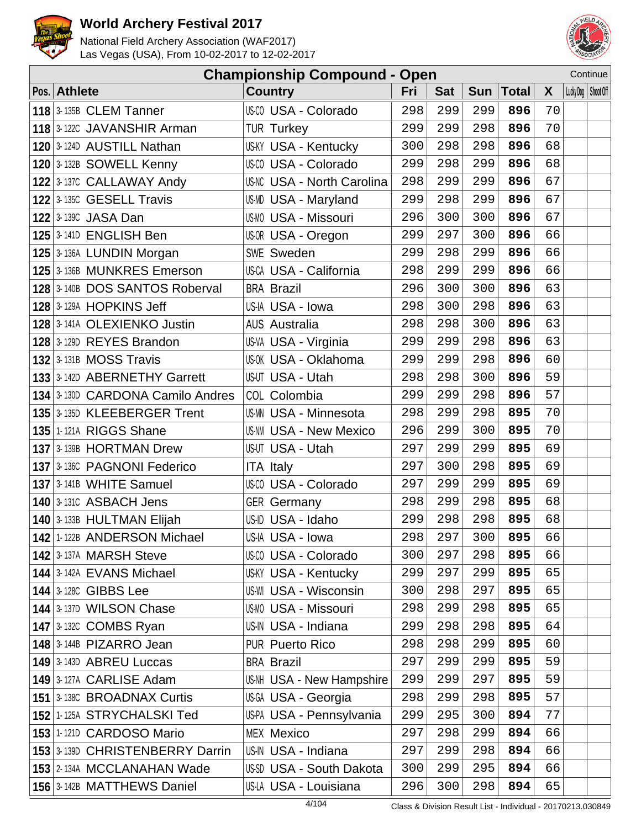



|              | <b>Championship Compound - Open</b> |  |                                   |     |            |     |             |              |                       | Continue |
|--------------|-------------------------------------|--|-----------------------------------|-----|------------|-----|-------------|--------------|-----------------------|----------|
| Pos. Athlete |                                     |  | <b>Country</b>                    | Fri | <b>Sat</b> |     | Sun   Total | $\mathsf{X}$ | Lucky Dog   Shoot Off |          |
|              | $118$ 3-135B CLEM Tanner            |  | US-CO USA - Colorado              | 298 | 299        | 299 | 896         | 70           |                       |          |
|              | 118 3-122C JAVANSHIR Arman          |  | <b>TUR Turkey</b>                 | 299 | 299        | 298 | 896         | 70           |                       |          |
|              | 120 3-124D AUSTILL Nathan           |  | <b>US-KY USA - Kentucky</b>       | 300 | 298        | 298 | 896         | 68           |                       |          |
|              | 120 3-132B SOWELL Kenny             |  | US-CO USA - Colorado              | 299 | 298        | 299 | 896         | 68           |                       |          |
|              | 122 3-137C CALLAWAY Andy            |  | <b>US-NC USA - North Carolina</b> | 298 | 299        | 299 | 896         | 67           |                       |          |
|              | $122$ 3-135C GESELL Travis          |  | US-MD USA - Maryland              | 299 | 298        | 299 | 896         | 67           |                       |          |
|              | $122$ 3-1390 JASA Dan               |  | <b>US-MO USA - Missouri</b>       | 296 | 300        | 300 | 896         | 67           |                       |          |
|              | <b>125 3-141D ENGLISH Ben</b>       |  | US-OR USA - Oregon                | 299 | 297        | 300 | 896         | 66           |                       |          |
|              | 125 3-136A LUNDIN Morgan            |  | SWE Sweden                        | 299 | 298        | 299 | 896         | 66           |                       |          |
|              | 125 3-136B MUNKRES Emerson          |  | US-CA USA - California            | 298 | 299        | 299 | 896         | 66           |                       |          |
|              | 128 3-140B DOS SANTOS Roberval      |  | <b>BRA Brazil</b>                 | 296 | 300        | 300 | 896         | 63           |                       |          |
|              | <b>128 3-129A HOPKINS Jeff</b>      |  | US-IA USA - Iowa                  | 298 | 300        | 298 | 896         | 63           |                       |          |
|              | 128 3-141A OLEXIENKO Justin         |  | <b>AUS Australia</b>              | 298 | 298        | 300 | 896         | 63           |                       |          |
|              | 128 3-129D REYES Brandon            |  | US-VA USA - Virginia              | 299 | 299        | 298 | 896         | 63           |                       |          |
|              | $132$ 3-131B MOSS Travis            |  | <b>US-OK USA - Oklahoma</b>       | 299 | 299        | 298 | 896         | 60           |                       |          |
|              | 133 3-142D ABERNETHY Garrett        |  | US-UT USA - Utah                  | 298 | 298        | 300 | 896         | 59           |                       |          |
|              | 134 3-130D CARDONA Camilo Andres    |  | COL Colombia                      | 299 | 299        | 298 | 896         | 57           |                       |          |
|              | 135 3-135D KLEEBERGER Trent         |  | <b>US-MN USA - Minnesota</b>      | 298 | 299        | 298 | 895         | 70           |                       |          |
|              | <b>135 1-121A RIGGS Shane</b>       |  | <b>US-NM USA - New Mexico</b>     | 296 | 299        | 300 | 895         | 70           |                       |          |
|              | 137 3-139B HORTMAN Drew             |  | US-UT USA - Utah                  | 297 | 299        | 299 | 895         | 69           |                       |          |
|              | 137 3-1360 PAGNONI Federico         |  | <b>ITA Italy</b>                  | 297 | 300        | 298 | 895         | 69           |                       |          |
|              | $137$ 3-141B WHITE Samuel           |  | US-CO USA - Colorado              | 297 | 299        | 299 | 895         | 69           |                       |          |
|              | <b>140 3-131C ASBACH Jens</b>       |  | <b>GER</b> Germany                | 298 | 299        | 298 | 895         | 68           |                       |          |
|              | 140 3-133B HULTMAN Elijah           |  | US-ID USA - Idaho                 | 299 | 298        | 298 | 895         | 68           |                       |          |
|              | 142 1-122B ANDERSON Michael         |  | US-IA USA - Iowa                  | 298 | 297        | 300 | 895         | 66           |                       |          |
|              | <b>142 3-137A MARSH Steve</b>       |  | US-CO USA - Colorado              | 300 | 297        | 298 | 895         | 66           |                       |          |
|              | <b>144 3-142A EVANS Michael</b>     |  | <b>US-KY USA - Kentucky</b>       | 299 | 297        | 299 | 895         | 65           |                       |          |
|              | <b>144 3-128C GIBBS Lee</b>         |  | <b>US-WI USA - Wisconsin</b>      | 300 | 298        | 297 | 895         | 65           |                       |          |
|              | 144 3-137D WILSON Chase             |  | <b>US-MO USA - Missouri</b>       | 298 | 299        | 298 | 895         | 65           |                       |          |
|              | <b>147 3-132C COMBS Ryan</b>        |  | US-IN USA - Indiana               | 299 | 298        | 298 | 895         | 64           |                       |          |
|              | $148$ 3-144B PIZARRO Jean           |  | <b>PUR Puerto Rico</b>            | 298 | 298        | 299 | 895         | 60           |                       |          |
|              | 149 3-143D ABREU Luccas             |  | <b>BRA Brazil</b>                 | 297 | 299        | 299 | 895         | 59           |                       |          |
|              | 149 3-127A CARLISE Adam             |  | US-NH USA - New Hampshire         | 299 | 299        | 297 | 895         | 59           |                       |          |
|              | <b>151 3-1380 BROADNAX Curtis</b>   |  | US-GA USA - Georgia               | 298 | 299        | 298 | 895         | 57           |                       |          |
|              | 152 1-125A STRYCHALSKI Ted          |  | US-PA USA - Pennsylvania          | 299 | 295        | 300 | 894         | 77           |                       |          |
|              | 153 1-121D CARDOSO Mario            |  | <b>MEX Mexico</b>                 | 297 | 298        | 299 | 894         | 66           |                       |          |
|              | 153 3-139D CHRISTENBERRY Darrin     |  | US-IN USA - Indiana               | 297 | 299        | 298 | 894         | 66           |                       |          |
|              | 153 2-134A MCCLANAHAN Wade          |  | US-SD USA - South Dakota          | 300 | 299        | 295 | 894         | 66           |                       |          |
|              | 156 3-142B MATTHEWS Daniel          |  | US-LA USA - Louisiana             | 296 | 300        | 298 | 894         | 65           |                       |          |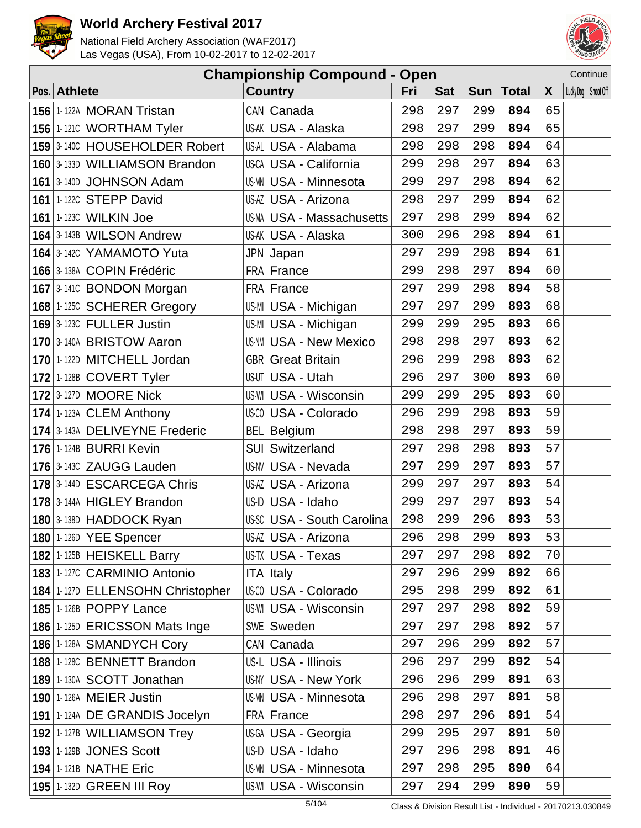



|                                  | <b>Championship Compound - Open</b> |     |            |            |       |              |                       | Continue |
|----------------------------------|-------------------------------------|-----|------------|------------|-------|--------------|-----------------------|----------|
| Pos. Athlete                     | <b>Country</b>                      | Fri | <b>Sat</b> | <b>Sun</b> | Total | $\mathsf{X}$ | Lucky Dog   Shoot Off |          |
| 156 1-122A MORAN Tristan         | CAN Canada                          | 298 | 297        | 299        | 894   | 65           |                       |          |
| 156 1-1210 WORTHAM Tyler         | US-AK USA - Alaska                  | 298 | 297        | 299        | 894   | 65           |                       |          |
| 159 3-140C HOUSEHOLDER Robert    | US-AL USA - Alabama                 | 298 | 298        | 298        | 894   | 64           |                       |          |
| 160 3-133D WILLIAMSON Brandon    | US-CA USA - California              | 299 | 298        | 297        | 894   | 63           |                       |          |
| 161 3-140D JOHNSON Adam          | <b>US-MN USA - Minnesota</b>        | 299 | 297        | 298        | 894   | 62           |                       |          |
| <b>161 1-122C STEPP David</b>    | US-AZ USA - Arizona                 | 298 | 297        | 299        | 894   | 62           |                       |          |
| <b>161 1-123C WILKIN Joe</b>     | <b>US-MA USA - Massachusetts</b>    | 297 | 298        | 299        | 894   | 62           |                       |          |
| 164 3-143B WILSON Andrew         | US-AK USA - Alaska                  | 300 | 296        | 298        | 894   | 61           |                       |          |
| 164 3-142C YAMAMOTO Yuta         | JPN Japan                           | 297 | 299        | 298        | 894   | 61           |                       |          |
| 166 3-138A COPIN Frédéric        | FRA France                          | 299 | 298        | 297        | 894   | 60           |                       |          |
| 167 3-1410 BONDON Morgan         | FRA France                          | 297 | 299        | 298        | 894   | 58           |                       |          |
| 168 1-125C SCHERER Gregory       | US-MI USA - Michigan                | 297 | 297        | 299        | 893   | 68           |                       |          |
| <b>169 3-123C FULLER Justin</b>  | US-MI USA - Michigan                | 299 | 299        | 295        | 893   | 66           |                       |          |
| 170 3-140A BRISTOW Aaron         | <b>US-NM USA - New Mexico</b>       | 298 | 298        | 297        | 893   | 62           |                       |          |
| 170 1-122D MITCHELL Jordan       | <b>GBR</b> Great Britain            | 296 | 299        | 298        | 893   | 62           |                       |          |
| 172 1-128B COVERT Tyler          | US-UT USA - Utah                    | 296 | 297        | 300        | 893   | 60           |                       |          |
| <b>172 3-127D MOORE Nick</b>     | <b>US-WI USA - Wisconsin</b>        | 299 | 299        | 295        | 893   | 60           |                       |          |
| 174 1-123A CLEM Anthony          | US-CO USA - Colorado                | 296 | 299        | 298        | 893   | 59           |                       |          |
| 174 3-143A DELIVEYNE Frederic    | <b>BEL Belgium</b>                  | 298 | 298        | 297        | 893   | 59           |                       |          |
| <b>176 1-124B BURRI Kevin</b>    | <b>SUI Switzerland</b>              | 297 | 298        | 298        | 893   | 57           |                       |          |
| 176 3-143C ZAUGG Lauden          | US-NV USA - Nevada                  | 297 | 299        | 297        | 893   | 57           |                       |          |
| 178 3-144D ESCARCEGA Chris       | US-AZ USA - Arizona                 | 299 | 297        | 297        | 893   | 54           |                       |          |
| 178 3-144A HIGLEY Brandon        | US-ID USA - Idaho                   | 299 | 297        | 297        | 893   | 54           |                       |          |
| 180 3-138D HADDOCK Ryan          | <b>US-SC USA - South Carolina</b>   | 298 | 299        | 296        | 893   | 53           |                       |          |
| <b>180 1-126D YEE Spencer</b>    | US-AZ USA - Arizona                 | 296 | 298        | 299        | 893   | 53           |                       |          |
| 182 1-125B HEISKELL Barry        | US-TX USA - Texas                   | 297 | 297        | 298        | 892   | 70           |                       |          |
| 183 1-127C CARMINIO Antonio      | <b>ITA Italy</b>                    | 297 | 296        | 299        | 892   | 66           |                       |          |
| 184 1-127D ELLENSOHN Christopher | US-CO USA - Colorado                | 295 | 298        | 299        | 892   | 61           |                       |          |
| <b>185 1-126B POPPY Lance</b>    | US-WI USA - Wisconsin               | 297 | 297        | 298        | 892   | 59           |                       |          |
| 186 1-125D ERICSSON Mats Inge    | SWE Sweden                          | 297 | 297        | 298        | 892   | 57           |                       |          |
| 186 1-128A SMANDYCH Cory         | CAN Canada                          | 297 | 296        | 299        | 892   | 57           |                       |          |
| 188 1-128C BENNETT Brandon       | US-IL USA - Illinois                | 296 | 297        | 299        | 892   | 54           |                       |          |
| 189 1-130A SCOTT Jonathan        | US-NY USA - New York                | 296 | 296        | 299        | 891   | 63           |                       |          |
| <b>190 1-126A MEIER Justin</b>   | <b>US-MN USA - Minnesota</b>        | 296 | 298        | 297        | 891   | 58           |                       |          |
| 191 1-124A DE GRANDIS Jocelyn    | FRA France                          | 298 | 297        | 296        | 891   | 54           |                       |          |
| 192 1-127B WILLIAMSON Trey       | US-GA USA - Georgia                 | 299 | 295        | 297        | 891   | 50           |                       |          |
| <b>193 1-129B JONES Scott</b>    | US-ID USA - Idaho                   | 297 | 296        | 298        | 891   | 46           |                       |          |
| <b>194 1-121B NATHE Eric</b>     | <b>US-MN USA - Minnesota</b>        | 297 | 298        | 295        | 890   | 64           |                       |          |
| <b>195 1-132D GREEN III Roy</b>  | US-WI USA - Wisconsin               | 297 | 294        | 299        | 890   | 59           |                       |          |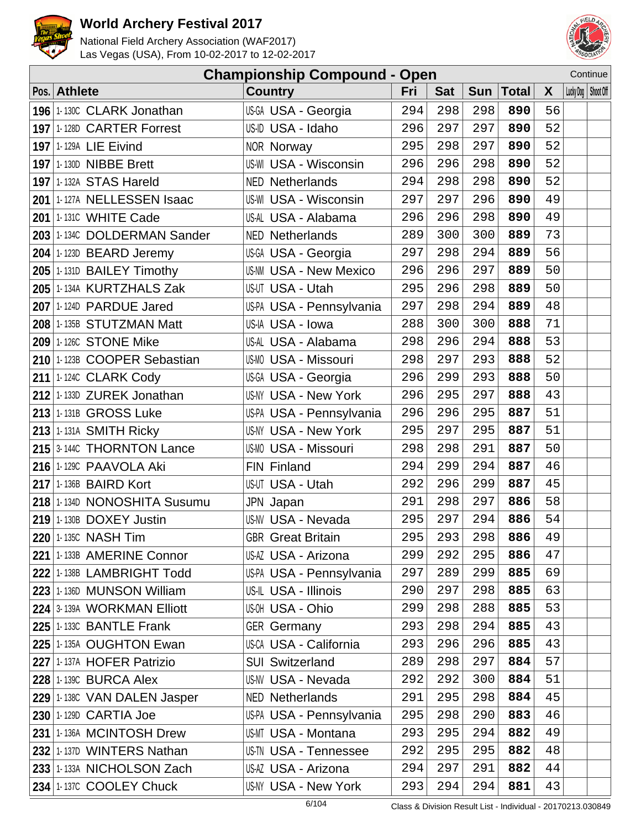



|              |                               | <b>Championship Compound - Open</b> |     |            |     |             |              |                       | Continue |
|--------------|-------------------------------|-------------------------------------|-----|------------|-----|-------------|--------------|-----------------------|----------|
| Pos. Athlete |                               | <b>Country</b>                      | Fri | <b>Sat</b> |     | Sun   Total | $\mathsf{X}$ | Lucky Dog   Shoot Off |          |
|              | 196 1-130C CLARK Jonathan     | US-GA USA - Georgia                 | 294 | 298        | 298 | 890         | 56           |                       |          |
|              | 197 1-128D CARTER Forrest     | US-ID USA - Idaho                   | 296 | 297        | 297 | 890         | 52           |                       |          |
|              | 197 1-129A LIE Eivind         | <b>NOR Norway</b>                   | 295 | 298        | 297 | 890         | 52           |                       |          |
|              | <b>197 1-130D NIBBE Brett</b> | US-WI USA - Wisconsin               | 296 | 296        | 298 | 890         | 52           |                       |          |
|              | <b>197 1-132A STAS Hareld</b> | <b>NED Netherlands</b>              | 294 | 298        | 298 | 890         | 52           |                       |          |
|              | 201 1-127A NELLESSEN Isaac    | US-WI USA - Wisconsin               | 297 | 297        | 296 | 890         | 49           |                       |          |
|              | <b>201 1-131C WHITE Cade</b>  | US-AL USA - Alabama                 | 296 | 296        | 298 | 890         | 49           |                       |          |
|              | 203 1-134C DOLDERMAN Sander   | <b>NED Netherlands</b>              | 289 | 300        | 300 | 889         | 73           |                       |          |
|              | 204 1-123D BEARD Jeremy       | US-GA USA - Georgia                 | 297 | 298        | 294 | 889         | 56           |                       |          |
|              | 205 1-131D BAILEY Timothy     | <b>US-NM USA - New Mexico</b>       | 296 | 296        | 297 | 889         | 50           |                       |          |
|              | 205 1-134A KURTZHALS Zak      | US-UT USA - Utah                    | 295 | 296        | 298 | 889         | 50           |                       |          |
|              | 207 1-124D PARDUE Jared       | US-PA USA - Pennsylvania            | 297 | 298        | 294 | 889         | 48           |                       |          |
|              | 208 1-135B STUTZMAN Matt      | US-IA USA - Iowa                    | 288 | 300        | 300 | 888         | 71           |                       |          |
|              | 209 1-126C STONE Mike         | US-AL USA - Alabama                 | 298 | 296        | 294 | 888         | 53           |                       |          |
|              | 210 1-123B COOPER Sebastian   | <b>US-MO USA - Missouri</b>         | 298 | 297        | 293 | 888         | 52           |                       |          |
|              | 211 1-1240 CLARK Cody         | US-GA USA - Georgia                 | 296 | 299        | 293 | 888         | 50           |                       |          |
|              | 212 1-133D ZUREK Jonathan     | US-NY USA - New York                | 296 | 295        | 297 | 888         | 43           |                       |          |
|              | 213 1-131B GROSS Luke         | US-PA USA - Pennsylvania            | 296 | 296        | 295 | 887         | 51           |                       |          |
|              | $213$ 1-131A SMITH Ricky      | <b>US-NY USA - New York</b>         | 295 | 297        | 295 | 887         | 51           |                       |          |
|              | 215 3-144C THORNTON Lance     | <b>US-MO USA - Missouri</b>         | 298 | 298        | 291 | 887         | 50           |                       |          |
|              | 216 1-129C PAAVOLA Aki        | FIN Finland                         | 294 | 299        | 294 | 887         | 46           |                       |          |
|              | 217 1-136B BAIRD Kort         | US-UT USA - Utah                    | 292 | 296        | 299 | 887         | 45           |                       |          |
|              | 218 1-134D NONOSHITA Susumu   | JPN Japan                           | 291 | 298        | 297 | 886         | 58           |                       |          |
|              | $219$ 1-130B DOXEY Justin     | US-NV USA - Nevada                  | 295 | 297        | 294 | 886         | 54           |                       |          |
|              | 220 1-135C NASH Tim           | <b>GBR</b> Great Britain            | 295 | 293        | 298 | 886         | 49           |                       |          |
|              | 221 1-133B AMERINE Connor     | US-AZ USA - Arizona                 | 299 | 292        | 295 | 886         | 47           |                       |          |
|              | 222 1-138B LAMBRIGHT Todd     | US-PA USA - Pennsylvania            | 297 | 289        | 299 | 885         | 69           |                       |          |
|              | 223 1-136D MUNSON William     | US-IL USA - Illinois                | 290 | 297        | 298 | 885         | 63           |                       |          |
|              | 224 3-139A WORKMAN Elliott    | US-OH USA - Ohio                    | 299 | 298        | 288 | 885         | 53           |                       |          |
|              | $225$ 1-1330 BANTLE Frank     | <b>GER Germany</b>                  | 293 | 298        | 294 | 885         | 43           |                       |          |
|              | 225 1-135A OUGHTON Ewan       | US-CA USA - California              | 293 | 296        | 296 | 885         | 43           |                       |          |
|              | 227 1-137A HOFER Patrizio     | <b>SUI Switzerland</b>              | 289 | 298        | 297 | 884         | 57           |                       |          |
|              | 228 1-1390 BURCA Alex         | <b>US-NV USA - Nevada</b>           | 292 | 292        | 300 | 884         | 51           |                       |          |
|              | 229 1-138C VAN DALEN Jasper   | <b>NED Netherlands</b>              | 291 | 295        | 298 | 884         | 45           |                       |          |
|              | 230 1-129D CARTIA Joe         | US-PA USA - Pennsylvania            | 295 | 298        | 290 | 883         | 46           |                       |          |
|              | 231 1-136A MCINTOSH Drew      | US-MT USA - Montana                 | 293 | 295        | 294 | 882         | 49           |                       |          |
|              | 232 1-137D WINTERS Nathan     | <b>US-TN USA - Tennessee</b>        | 292 | 295        | 295 | 882         | 48           |                       |          |
|              | 233 1-133A NICHOLSON Zach     | US-AZ USA - Arizona                 | 294 | 297        | 291 | 882         | 44           |                       |          |
|              | 234 1-137C COOLEY Chuck       | US-NY USA - New York                | 293 | 294        | 294 | 881         | 43           |                       |          |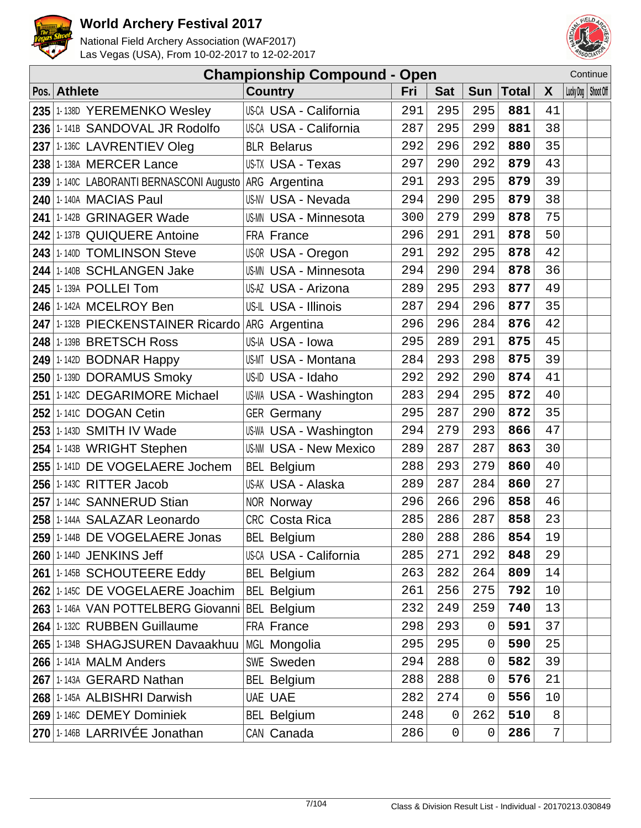



|     |                                                       | <b>Championship Compound - Open</b> |     |             |                |              |    | Continue              |
|-----|-------------------------------------------------------|-------------------------------------|-----|-------------|----------------|--------------|----|-----------------------|
|     | Pos. Athlete                                          | <b>Country</b>                      | Fri | <b>Sat</b>  | <b>Sun</b>     | <b>Total</b> | X  | Lucky Dog   Shoot Off |
|     | 235 1-138D YEREMENKO Wesley                           | US-CA USA - California              | 291 | 295         | 295            | 881          | 41 |                       |
|     | 236 1-141B SANDOVAL JR Rodolfo                        | US-CA USA - California              | 287 | 295         | 299            | 881          | 38 |                       |
|     | 237 1-136C LAVRENTIEV Oleg                            | <b>BLR Belarus</b>                  | 292 | 296         | 292            | 880          | 35 |                       |
|     | 238 1-138A MERCER Lance                               | US-TX USA - Texas                   | 297 | 290         | 292            | 879          | 43 |                       |
|     | 239 1-140C LABORANTI BERNASCONI Augusto ARG Argentina |                                     | 291 | 293         | 295            | 879          | 39 |                       |
|     | 240 1-140A MACIAS Paul                                | US-NV USA - Nevada                  | 294 | 290         | 295            | 879          | 38 |                       |
| 241 | 1-142B GRINAGER Wade                                  | US-MN USA - Minnesota               | 300 | 279         | 299            | 878          | 75 |                       |
|     | 242 1-137B QUIQUERE Antoine                           | <b>FRA France</b>                   | 296 | 291         | 291            | 878          | 50 |                       |
| 243 | 1-140D TOMLINSON Steve                                | US-OR USA - Oregon                  | 291 | 292         | 295            | 878          | 42 |                       |
|     | 244 1-140B SCHLANGEN Jake                             | <b>US-MN USA - Minnesota</b>        | 294 | 290         | 294            | 878          | 36 |                       |
|     | 245 1-139A POLLEI Tom                                 | US-AZ USA - Arizona                 | 289 | 295         | 293            | 877          | 49 |                       |
| 246 | 1-142A MCELROY Ben                                    | US-IL USA - Illinois                | 287 | 294         | 296            | 877          | 35 |                       |
|     | 247 1-132B PIECKENSTAINER Ricardo ARG Argentina       |                                     | 296 | 296         | 284            | 876          | 42 |                       |
| 248 | 1-139B BRETSCH Ross                                   | US-IA USA - Iowa                    | 295 | 289         | 291            | 875          | 45 |                       |
|     | $249$ 1-142D BODNAR Happy                             | US-MT USA - Montana                 | 284 | 293         | 298            | 875          | 39 |                       |
|     | 250 1-139D DORAMUS Smoky                              | US-ID USA - Idaho                   | 292 | 292         | 290            | 874          | 41 |                       |
|     | 251 1-142C DEGARIMORE Michael                         | US-WA USA - Washington              | 283 | 294         | 295            | 872          | 40 |                       |
| 252 | 1-1410 DOGAN Cetin                                    | <b>GER Germany</b>                  | 295 | 287         | 290            | 872          | 35 |                       |
| 253 | 1-143D SMITH IV Wade                                  | US-WA USA - Washington              | 294 | 279         | 293            | 866          | 47 |                       |
|     | 254 1-143B WRIGHT Stephen                             | <b>US-NM USA - New Mexico</b>       | 289 | 287         | 287            | 863          | 30 |                       |
|     | 255 1-1410 DE VOGELAERE Jochem                        | <b>BEL Belgium</b>                  | 288 | 293         | 279            | 860          | 40 |                       |
|     | 256 1-143C RITTER Jacob                               | US-AK USA - Alaska                  | 289 | 287         | 284            | 860          | 27 |                       |
|     | 257 1-1440 SANNERUD Stian                             | NOR Norway                          | 296 | 266         | 296            | 858          | 46 |                       |
| 258 | 1-144A SALAZAR Leonardo                               | CRC Costa Rica                      | 285 | 286         | 287            | 858          | 23 |                       |
|     | 259 1-144B DE VOGELAERE Jonas                         | <b>BEL Belgium</b>                  | 280 | 288         | 286            | 854          | 19 |                       |
|     | 260 1-144D JENKINS Jeff                               | US-CA USA - California              | 285 | 271         | 292            | 848          | 29 |                       |
|     | 261 1-145B SCHOUTEERE Eddy                            | <b>BEL Belgium</b>                  | 263 | 282         | 264            | 809          | 14 |                       |
|     | 262 1-1450 DE VOGELAERE Joachim                       | <b>BEL Belgium</b>                  | 261 | 256         | 275            | 792          | 10 |                       |
|     | 263 1-146A VAN POTTELBERG Giovanni                    | <b>BEL Belgium</b>                  | 232 | 249         | 259            | 740          | 13 |                       |
|     | 264 1-132C RUBBEN Guillaume                           | FRA France                          | 298 | 293         | 0              | 591          | 37 |                       |
|     | 265 1-134B SHAGJSUREN Davaakhuu                       | MGL Mongolia                        | 295 | 295         | 0              | 590          | 25 |                       |
|     | <b>266 1-141A MALM Anders</b>                         | <b>SWE Sweden</b>                   | 294 | 288         | 0              | 582          | 39 |                       |
|     | 267 1-143A GERARD Nathan                              | <b>BEL Belgium</b>                  | 288 | 288         | 0              | 576          | 21 |                       |
|     | 268 1-145A ALBISHRI Darwish                           | <b>UAE UAE</b>                      | 282 | 274         | $\overline{0}$ | 556          | 10 |                       |
|     | 269 1-146C DEMEY Dominiek                             | <b>BEL Belgium</b>                  | 248 | $\mathsf 0$ | 262            | 510          | 8  |                       |
|     | 270 1-146B LARRIVÉE Jonathan                          | CAN Canada                          | 286 | $\mathsf 0$ | 0              | 286          | 7  |                       |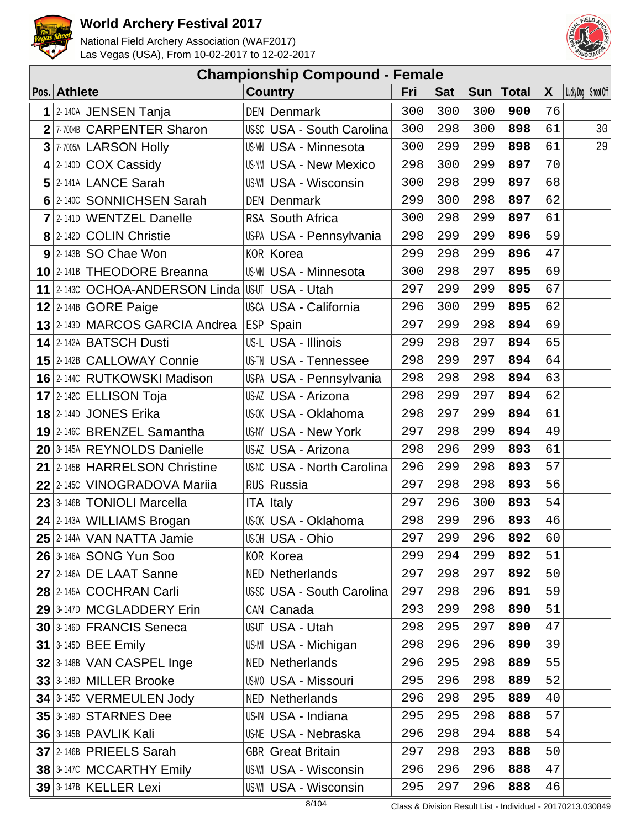



| <b>Championship Compound - Female</b> |                                                |                                   |     |            |     |       |              |                       |    |  |  |
|---------------------------------------|------------------------------------------------|-----------------------------------|-----|------------|-----|-------|--------------|-----------------------|----|--|--|
|                                       | Pos. Athlete                                   | <b>Country</b>                    | Fri | <b>Sat</b> | Sun | Total | $\mathsf{X}$ | Lucky Dog   Shoot Off |    |  |  |
|                                       | $1$  2-140A JENSEN Tanja                       | <b>DEN Denmark</b>                | 300 | 300        | 300 | 900   | 76           |                       |    |  |  |
|                                       | 2 7-7004B CARPENTER Sharon                     | US-SC USA - South Carolina        | 300 | 298        | 300 | 898   | 61           |                       | 30 |  |  |
|                                       | 3 7-7005A LARSON Holly                         | <b>US-MN USA - Minnesota</b>      | 300 | 299        | 299 | 898   | 61           |                       | 29 |  |  |
|                                       | $4$ 2-140D COX Cassidy                         | <b>US-NM USA - New Mexico</b>     | 298 | 300        | 299 | 897   | 70           |                       |    |  |  |
|                                       | 5 2-141A LANCE Sarah                           | US-WI USA - Wisconsin             | 300 | 298        | 299 | 897   | 68           |                       |    |  |  |
|                                       | 6 2-140C SONNICHSEN Sarah                      | <b>DEN Denmark</b>                | 299 | 300        | 298 | 897   | 62           |                       |    |  |  |
|                                       | 7 2-1410 WENTZEL Danelle                       | <b>RSA South Africa</b>           | 300 | 298        | 299 | 897   | 61           |                       |    |  |  |
|                                       | 8 2-142D COLIN Christie                        | US-PA USA - Pennsylvania          | 298 | 299        | 299 | 896   | 59           |                       |    |  |  |
|                                       | $9$ 2-143B SO Chae Won                         | <b>KOR Korea</b>                  | 299 | 298        | 299 | 896   | 47           |                       |    |  |  |
|                                       | 10 2-141B THEODORE Breanna                     | <b>US-MN USA - Minnesota</b>      | 300 | 298        | 297 | 895   | 69           |                       |    |  |  |
|                                       | 11 2-1430 OCHOA-ANDERSON Linda USUT USA - Utah |                                   | 297 | 299        | 299 | 895   | 67           |                       |    |  |  |
|                                       | $12$ 2-144B GORE Paige                         | US-CA USA - California            | 296 | 300        | 299 | 895   | 62           |                       |    |  |  |
|                                       | 13 2-143D MARCOS GARCIA Andrea                 | ESP Spain                         | 297 | 299        | 298 | 894   | 69           |                       |    |  |  |
|                                       | 14 2-142A BATSCH Dusti                         | US-IL USA - Illinois              | 299 | 298        | 297 | 894   | 65           |                       |    |  |  |
|                                       | 15 2-142B CALLOWAY Connie                      | <b>US-TN USA - Tennessee</b>      | 298 | 299        | 297 | 894   | 64           |                       |    |  |  |
|                                       | 16 2-1440 RUTKOWSKI Madison                    | US-PA USA - Pennsylvania          | 298 | 298        | 298 | 894   | 63           |                       |    |  |  |
|                                       | 17 2-1420 ELLISON Toja                         | US-AZ USA - Arizona               | 298 | 299        | 297 | 894   | 62           |                       |    |  |  |
|                                       | 18 2-144D JONES Erika                          | US-OK USA - Oklahoma              | 298 | 297        | 299 | 894   | 61           |                       |    |  |  |
|                                       | 19 2-146C BRENZEL Samantha                     | US-NY USA - New York              | 297 | 298        | 299 | 894   | 49           |                       |    |  |  |
|                                       | 20 3-145A REYNOLDS Danielle                    | US-AZ USA - Arizona               | 298 | 296        | 299 | 893   | 61           |                       |    |  |  |
|                                       | 21 2-145B HARRELSON Christine                  | <b>US-NC USA - North Carolina</b> | 296 | 299        | 298 | 893   | 57           |                       |    |  |  |
|                                       | 22 2-1450 VINOGRADOVA Mariia                   | <b>RUS Russia</b>                 | 297 | 298        | 298 | 893   | 56           |                       |    |  |  |
|                                       | 23 3-146B TONIOLI Marcella                     | <b>ITA Italy</b>                  | 297 | 296        | 300 | 893   | 54           |                       |    |  |  |
|                                       | 24 2-143A WILLIAMS Brogan                      | US-0K USA - Oklahoma              | 298 | 299        | 296 | 893   | 46           |                       |    |  |  |
|                                       | $25$ 2.144A VAN NATTA Jamie                    | US-OH USA - Ohio                  | 297 | 299        | 296 | 892   | 60           |                       |    |  |  |
|                                       | 26 3-146A SONG Yun Soo                         | <b>KOR Korea</b>                  | 299 | 294        | 299 | 892   | 51           |                       |    |  |  |
|                                       | 27 2-146A DE LAAT Sanne                        | <b>NED Netherlands</b>            | 297 | 298        | 297 | 892   | 50           |                       |    |  |  |
|                                       | 28 2-145A COCHRAN Carli                        | <b>US-SC USA - South Carolina</b> | 297 | 298        | 296 | 891   | 59           |                       |    |  |  |
|                                       | 29 3-147D MCGLADDERY Erin                      | CAN Canada                        | 293 | 299        | 298 | 890   | 51           |                       |    |  |  |
|                                       | 30 3-146D FRANCIS Seneca                       | US-UT USA - Utah                  | 298 | 295        | 297 | 890   | 47           |                       |    |  |  |
|                                       | <b>31</b> $ 3 - 145D$ BEE Emily                | US-MI USA - Michigan              | 298 | 296        | 296 | 890   | 39           |                       |    |  |  |
|                                       | 32 3-148B VAN CASPEL Inge                      | <b>NED Netherlands</b>            | 296 | 295        | 298 | 889   | 55           |                       |    |  |  |
|                                       | 33 3-148D MILLER Brooke                        | <b>US-MO USA - Missouri</b>       | 295 | 296        | 298 | 889   | 52           |                       |    |  |  |
|                                       | 34 3-145C VERMEULEN Jody                       | <b>NED Netherlands</b>            | 296 | 298        | 295 | 889   | 40           |                       |    |  |  |
|                                       | 35 3-149D STARNES Dee                          | US-IN USA - Indiana               | 295 | 295        | 298 | 888   | 57           |                       |    |  |  |
|                                       | <b>36 3-145B PAVLIK Kali</b>                   | <b>US-NE USA - Nebraska</b>       | 296 | 298        | 294 | 888   | 54           |                       |    |  |  |
|                                       | 37 2-146B PRIEELS Sarah                        | <b>GBR</b> Great Britain          | 297 | 298        | 293 | 888   | 50           |                       |    |  |  |
|                                       | 38 3-147C MCCARTHY Emily                       | <b>US-WI USA - Wisconsin</b>      | 296 | 296        | 296 | 888   | 47           |                       |    |  |  |
|                                       | <b>39 3-147B KELLER Lexi</b>                   | US-WI USA - Wisconsin             | 295 | 297        | 296 | 888   | 46           |                       |    |  |  |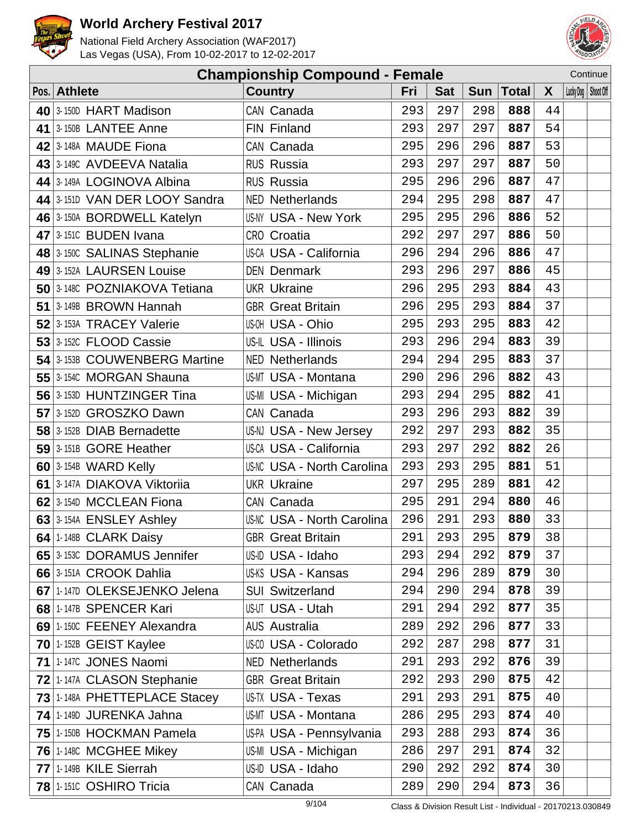



|                               | <b>Championship Compound - Female</b> |     |            |     |             |              | Continue              |  |
|-------------------------------|---------------------------------------|-----|------------|-----|-------------|--------------|-----------------------|--|
| Pos. Athlete                  | <b>Country</b>                        | Fri | <b>Sat</b> |     | Sun   Total | $\mathsf{X}$ | Lucky Dog   Shoot Off |  |
| 40 3-150D HART Madison        | CAN Canada                            | 293 | 297        | 298 | 888         | 44           |                       |  |
| 41 3-150B LANTEE Anne         | FIN Finland                           | 293 | 297        | 297 | 887         | 54           |                       |  |
| 42 3-148A MAUDE Fiona         | CAN Canada                            | 295 | 296        | 296 | 887         | 53           |                       |  |
| 43 3 1490 AVDEEVA Natalia     | <b>RUS Russia</b>                     | 293 | 297        | 297 | 887         | 50           |                       |  |
| 44 3-149A LOGINOVA Albina     | <b>RUS Russia</b>                     | 295 | 296        | 296 | 887         | 47           |                       |  |
| 44 3-151D VAN DER LOOY Sandra | <b>NED Netherlands</b>                | 294 | 295        | 298 | 887         | 47           |                       |  |
| 46 3-150A BORDWELL Katelyn    | US-NY USA - New York                  | 295 | 295        | 296 | 886         | 52           |                       |  |
| 47 3-1510 BUDEN Ivana         | CRO Croatia                           | 292 | 297        | 297 | 886         | 50           |                       |  |
| 48 3-150C SALINAS Stephanie   | US-CA USA - California                | 296 | 294        | 296 | 886         | 47           |                       |  |
| 49 3-152A LAURSEN Louise      | <b>DEN Denmark</b>                    | 293 | 296        | 297 | 886         | 45           |                       |  |
| 50 3-1480 POZNIAKOVA Tetiana  | <b>UKR Ukraine</b>                    | 296 | 295        | 293 | 884         | 43           |                       |  |
| 51 3-149B BROWN Hannah        | <b>GBR</b> Great Britain              | 296 | 295        | 293 | 884         | 37           |                       |  |
| 52 3-153A TRACEY Valerie      | US-OH USA - Ohio                      | 295 | 293        | 295 | 883         | 42           |                       |  |
| 53 3-152C FLOOD Cassie        | US-IL USA - Illinois                  | 293 | 296        | 294 | 883         | 39           |                       |  |
| 54 3-153B COUWENBERG Martine  | <b>NED Netherlands</b>                | 294 | 294        | 295 | 883         | 37           |                       |  |
| 55 3-1540 MORGAN Shauna       | <b>US-MT USA - Montana</b>            | 290 | 296        | 296 | 882         | 43           |                       |  |
| 56 3-153D HUNTZINGER Tina     | US-MI USA - Michigan                  | 293 | 294        | 295 | 882         | 41           |                       |  |
| 57 3-152D GROSZKO Dawn        | CAN Canada                            | 293 | 296        | 293 | 882         | 39           |                       |  |
| 58 3-152B DIAB Bernadette     | US-NJ USA - New Jersey                | 292 | 297        | 293 | 882         | 35           |                       |  |
| 59 3-151B GORE Heather        | US-CA USA - California                | 293 | 297        | 292 | 882         | 26           |                       |  |
| 60 3-154B WARD Kelly          | <b>US-NC USA - North Carolina</b>     | 293 | 293        | 295 | 881         | 51           |                       |  |
| 61 3-147A DIAKOVA Viktoriia   | <b>UKR Ukraine</b>                    | 297 | 295        | 289 | 881         | 42           |                       |  |
| 62 3-154D MCCLEAN Fiona       | CAN Canada                            | 295 | 291        | 294 | 880         | 46           |                       |  |
| 63 3-154A ENSLEY Ashley       | <b>US-NC USA - North Carolina</b>     | 296 | 291        | 293 | 880         | 33           |                       |  |
| 64 $\mid$ 1-148B CLARK Daisy  | <b>GBR</b> Great Britain              | 291 | 293        | 295 | 879         | 38           |                       |  |
| 65 3-153C DORAMUS Jennifer    | US-ID USA - Idaho                     | 293 | 294        | 292 | 879         | 37           |                       |  |
| 66 3-151A CROOK Dahlia        | US-KS USA - Kansas                    | 294 | 296        | 289 | 879         | 30           |                       |  |
| 67 1-147D OLEKSEJENKO Jelena  | <b>SUI Switzerland</b>                | 294 | 290        | 294 | 878         | 39           |                       |  |
| 68 1-147B SPENCER Kari        | US-UT USA - Utah                      | 291 | 294        | 292 | 877         | 35           |                       |  |
| 69 1-150C FEENEY Alexandra    | <b>AUS Australia</b>                  | 289 | 292        | 296 | 877         | 33           |                       |  |
| $70$ 1-152B GEIST Kaylee      | <b>US-CO USA - Colorado</b>           | 292 | 287        | 298 | 877         | 31           |                       |  |
| 71 1-147C JONES Naomi         | <b>NED Netherlands</b>                | 291 | 293        | 292 | 876         | 39           |                       |  |
| 72 1-147A CLASON Stephanie    | <b>GBR</b> Great Britain              | 292 | 293        | 290 | 875         | 42           |                       |  |
| 73 1-148A PHETTEPLACE Stacey  | US-TX USA - Texas                     | 291 | 293        | 291 | 875         | 40           |                       |  |
| 74 1-149D JURENKA Jahna       | <b>US-MT USA - Montana</b>            | 286 | 295        | 293 | 874         | 40           |                       |  |
| 75 1-150B HOCKMAN Pamela      | US-PA USA - Pennsylvania              | 293 | 288        | 293 | 874         | 36           |                       |  |
| 76 1-148C MCGHEE Mikey        | US-MI USA - Michigan                  | 286 | 297        | 291 | 874         | 32           |                       |  |
| 77 1-149B KILE Sierrah        | US-ID USA - Idaho                     | 290 | 292        | 292 | 874         | 30           |                       |  |
| 78 1-1510 OSHIRO Tricia       | CAN Canada                            | 289 | 290        | 294 | 873         | 36           |                       |  |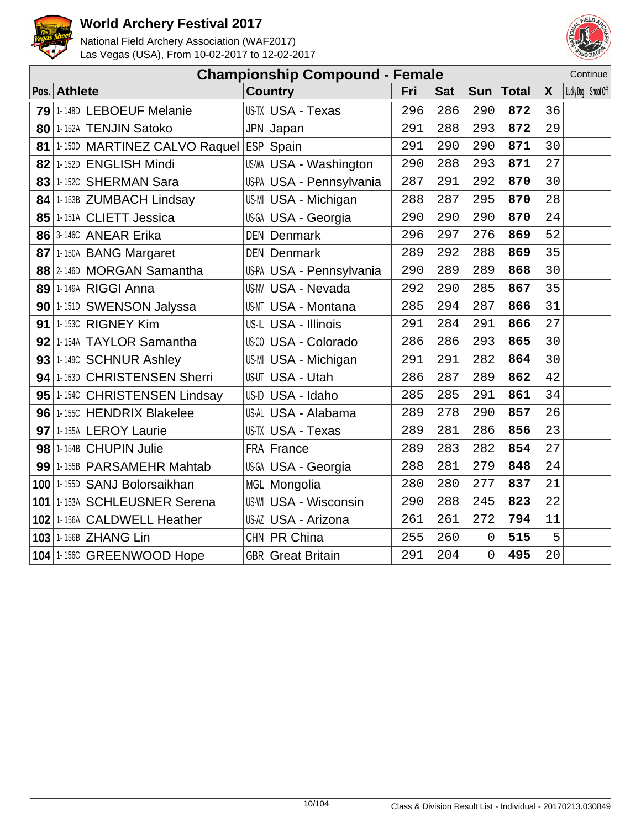



|      |                                        | <b>Championship Compound - Female</b> |     |            |            |              |    |                       | Continue |
|------|----------------------------------------|---------------------------------------|-----|------------|------------|--------------|----|-----------------------|----------|
| Pos. | <b>Athlete</b>                         | <b>Country</b>                        | Fri | <b>Sat</b> | <b>Sun</b> | <b>Total</b> | X  | Lucky Dog   Shoot Off |          |
| 79   | 1-148D LEBOEUF Melanie                 | <b>US-TX USA - Texas</b>              | 296 | 286        | 290        | 872          | 36 |                       |          |
|      | 80 1-152A TENJIN Satoko                | JPN Japan                             | 291 | 288        | 293        | 872          | 29 |                       |          |
| 81   | 1-150D MARTINEZ CALVO Raquel ESP Spain |                                       | 291 | 290        | 290        | 871          | 30 |                       |          |
| 82   | 1-152D ENGLISH Mindi                   | US-WA USA - Washington                | 290 | 288        | 293        | 871          | 27 |                       |          |
|      | 83 1-152C SHERMAN Sara                 | US-PA USA - Pennsylvania              | 287 | 291        | 292        | 870          | 30 |                       |          |
|      | 84 1-153B ZUMBACH Lindsay              | US-MI USA - Michigan                  | 288 | 287        | 295        | 870          | 28 |                       |          |
|      | 85 1-151A CLIETT Jessica               | US-GA USA - Georgia                   | 290 | 290        | 290        | 870          | 24 |                       |          |
|      | 86 3-146C ANEAR Erika                  | <b>DEN Denmark</b>                    | 296 | 297        | 276        | 869          | 52 |                       |          |
|      | 87 1-150A BANG Margaret                | <b>DEN Denmark</b>                    | 289 | 292        | 288        | 869          | 35 |                       |          |
|      | 88 2-146D MORGAN Samantha              | US-PA USA - Pennsylvania              | 290 | 289        | 289        | 868          | 30 |                       |          |
|      | 89 1-149A RIGGI Anna                   | <b>US-NV USA - Nevada</b>             | 292 | 290        | 285        | 867          | 35 |                       |          |
|      | 90 1-151D SWENSON Jalyssa              | <b>US-MT USA - Montana</b>            | 285 | 294        | 287        | 866          | 31 |                       |          |
|      | $91$ 1-1530 RIGNEY Kim                 | US-IL USA - Illinois                  | 291 | 284        | 291        | 866          | 27 |                       |          |
|      | 92 1-154A TAYLOR Samantha              | US-CO USA - Colorado                  | 286 | 286        | 293        | 865          | 30 |                       |          |
|      | 93 1-149C SCHNUR Ashley                | US-MI USA - Michigan                  | 291 | 291        | 282        | 864          | 30 |                       |          |
|      | 94 1-153D CHRISTENSEN Sherri           | US-UT USA - Utah                      | 286 | 287        | 289        | 862          | 42 |                       |          |
|      | 95 1-1540 CHRISTENSEN Lindsay          | US-ID USA - Idaho                     | 285 | 285        | 291        | 861          | 34 |                       |          |
|      | 96 1-155C HENDRIX Blakelee             | US-AL USA - Alabama                   | 289 | 278        | 290        | 857          | 26 |                       |          |
|      | 97 1-155A LEROY Laurie                 | US-TX USA - Texas                     | 289 | 281        | 286        | 856          | 23 |                       |          |
|      | 98 1-154B CHUPIN Julie                 | FRA France                            | 289 | 283        | 282        | 854          | 27 |                       |          |
|      | 99 1-155B PARSAMEHR Mahtab             | US-GA USA - Georgia                   | 288 | 281        | 279        | 848          | 24 |                       |          |
|      | 100 1-155D SANJ Bolorsaikhan           | MGL Mongolia                          | 280 | 280        | 277        | 837          | 21 |                       |          |
|      | 101 1-153A SCHLEUSNER Serena           | <b>US-WI USA - Wisconsin</b>          | 290 | 288        | 245        | 823          | 22 |                       |          |
|      | 102 1-156A CALDWELL Heather            | US-AZ USA - Arizona                   | 261 | 261        | 272        | 794          | 11 |                       |          |
|      | 103 1-156B ZHANG Lin                   | CHN PR China                          | 255 | 260        | 0          | 515          | 5  |                       |          |
|      | 104 1-156C GREENWOOD Hope              | <b>GBR</b> Great Britain              | 291 | 204        | $\Omega$   | 495          | 20 |                       |          |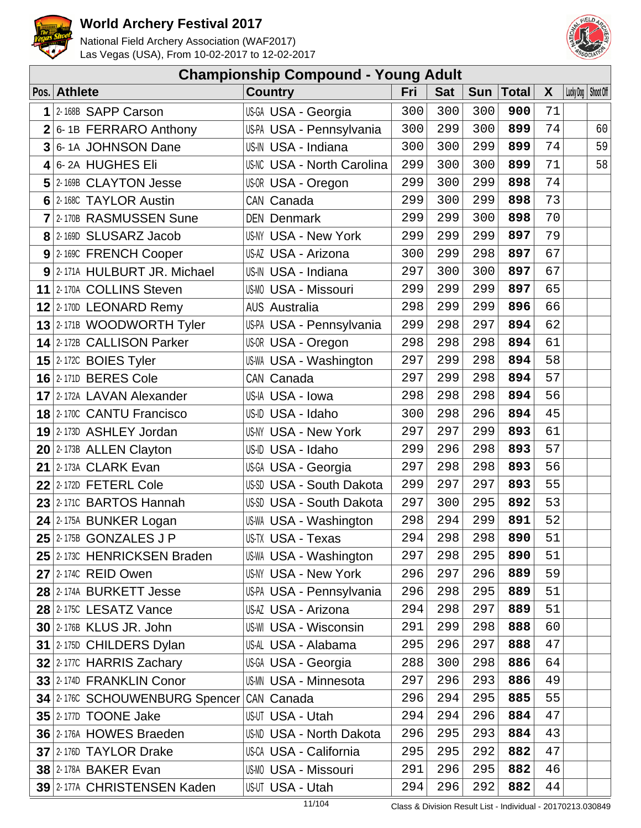



| <b>Championship Compound - Young Adult</b> |                                  |                                   |     |            |            |              |    |  |                       |  |
|--------------------------------------------|----------------------------------|-----------------------------------|-----|------------|------------|--------------|----|--|-----------------------|--|
|                                            | Pos. Athlete                     | <b>Country</b>                    | Fri | <b>Sat</b> | <b>Sun</b> | <b>Total</b> | X  |  | Lucky Dog   Shoot Off |  |
| $\mathbf 1$                                | 2-168B SAPP Carson               | US-GA USA - Georgia               | 300 | 300        | 300        | 900          | 71 |  |                       |  |
| 2 <sup>1</sup>                             | 6-1B FERRARO Anthony             | US-PA USA - Pennsylvania          | 300 | 299        | 300        | 899          | 74 |  | 60                    |  |
| $3\overline{3}$                            | 6-1A JOHNSON Dane                | US-IN USA - Indiana               | 300 | 300        | 299        | 899          | 74 |  | 59                    |  |
|                                            | 4 6-2A HUGHES Eli                | <b>US-NC USA - North Carolina</b> | 299 | 300        | 300        | 899          | 71 |  | 58                    |  |
|                                            | 5 2-169B CLAYTON Jesse           | US-OR USA - Oregon                | 299 | 300        | 299        | 898          | 74 |  |                       |  |
|                                            | 6 2-168C TAYLOR Austin           | CAN Canada                        | 299 | 300        | 299        | 898          | 73 |  |                       |  |
|                                            | 7 2-170B RASMUSSEN Sune          | <b>DEN Denmark</b>                | 299 | 299        | 300        | 898          | 70 |  |                       |  |
|                                            | 8 2-169D SLUSARZ Jacob           | <b>US-NY USA - New York</b>       | 299 | 299        | 299        | 897          | 79 |  |                       |  |
|                                            | 9 2-169C FRENCH Cooper           | US-AZ USA - Arizona               | 300 | 299        | 298        | 897          | 67 |  |                       |  |
|                                            | 9 2-171A HULBURT JR. Michael     | US-IN USA - Indiana               | 297 | 300        | 300        | 897          | 67 |  |                       |  |
|                                            | 11 2-170A COLLINS Steven         | <b>US-MO USA - Missouri</b>       | 299 | 299        | 299        | 897          | 65 |  |                       |  |
|                                            | 12 2-170D LEONARD Remy           | <b>AUS Australia</b>              | 298 | 299        | 299        | 896          | 66 |  |                       |  |
|                                            | 13 2-171B WOODWORTH Tyler        | US-PA USA - Pennsylvania          | 299 | 298        | 297        | 894          | 62 |  |                       |  |
|                                            | 14 2-172B CALLISON Parker        | US-OR USA - Oregon                | 298 | 298        | 298        | 894          | 61 |  |                       |  |
|                                            | 15 $ 2-172C$ BOIES Tyler         | US-WA USA - Washington            | 297 | 299        | 298        | 894          | 58 |  |                       |  |
|                                            | <b>16 2-1710 BERES Cole</b>      | CAN Canada                        | 297 | 299        | 298        | 894          | 57 |  |                       |  |
|                                            | 17 2-172A LAVAN Alexander        | US-IA USA - Iowa                  | 298 | 298        | 298        | 894          | 56 |  |                       |  |
|                                            | <b>18 2-170C CANTU Francisco</b> | US-ID USA - Idaho                 | 300 | 298        | 296        | 894          | 45 |  |                       |  |
|                                            | 19 2-173D ASHLEY Jordan          | <b>US-NY USA - New York</b>       | 297 | 297        | 299        | 893          | 61 |  |                       |  |
|                                            | $20$ 2-173B ALLEN Clayton        | US-ID USA - Idaho                 | 299 | 296        | 298        | 893          | 57 |  |                       |  |
|                                            | 21 2-173A CLARK Evan             | US-GA USA - Georgia               | 297 | 298        | 298        | 893          | 56 |  |                       |  |
|                                            | $22$ 2-172D FETERL Cole          | US-SD USA - South Dakota          | 299 | 297        | 297        | 893          | 55 |  |                       |  |
|                                            | 23 2-1710 BARTOS Hannah          | US-SD USA - South Dakota          | 297 | 300        | 295        | 892          | 53 |  |                       |  |
|                                            | 24 2-175A BUNKER Logan           | US-WA USA - Washington            | 298 | 294        | 299        | 891          | 52 |  |                       |  |
|                                            | $25$ 2-175B GONZALES J P         | US-TX USA - Texas                 | 294 | 298        | 298        | 890          | 51 |  |                       |  |
|                                            | 25 2-1730 HENRICKSEN Braden      | US-WA USA - Washington            | 297 | 298        | 295        | 890          | 51 |  |                       |  |
|                                            | 27 2-1740 REID Owen              | US-NY USA - New York              | 296 | 297        | 296        | 889          | 59 |  |                       |  |
|                                            | 28 2-174A BURKETT Jesse          | US-PA USA - Pennsylvania          | 296 | 298        | 295        | 889          | 51 |  |                       |  |
|                                            | 28 2-1750 LESATZ Vance           | US-AZ USA - Arizona               | 294 | 298        | 297        | 889          | 51 |  |                       |  |
|                                            | 30 2-176B KLUS JR. John          | <b>US-WI USA - Wisconsin</b>      | 291 | 299        | 298        | 888          | 60 |  |                       |  |
|                                            | 31 2-1750 CHILDERS Dylan         | US-AL USA - Alabama               | 295 | 296        | 297        | 888          | 47 |  |                       |  |
|                                            | 32 2-177C HARRIS Zachary         | US-GA USA - Georgia               | 288 | 300        | 298        | 886          | 64 |  |                       |  |
|                                            | 33 2-1740 FRANKLIN Conor         | <b>US-MN USA - Minnesota</b>      | 297 | 296        | 293        | 886          | 49 |  |                       |  |
|                                            | 34 2-176C SCHOUWENBURG Spencer   | CAN Canada                        | 296 | 294        | 295        | 885          | 55 |  |                       |  |
|                                            | <b>35 2-177D TOONE Jake</b>      | US-UT USA - Utah                  | 294 | 294        | 296        | 884          | 47 |  |                       |  |
|                                            | 36 2-176A HOWES Braeden          | <b>US-ND USA - North Dakota</b>   | 296 | 295        | 293        | 884          | 43 |  |                       |  |
|                                            | 37 2-1760 TAYLOR Drake           | US-CA USA - California            | 295 | 295        | 292        | 882          | 47 |  |                       |  |
|                                            | <b>38 2-178A BAKER Evan</b>      | <b>US-MO USA - Missouri</b>       | 291 | 296        | 295        | 882          | 46 |  |                       |  |
|                                            | 39 2-177A CHRISTENSEN Kaden      | US-UT USA - Utah                  | 294 | 296        | 292        | 882          | 44 |  |                       |  |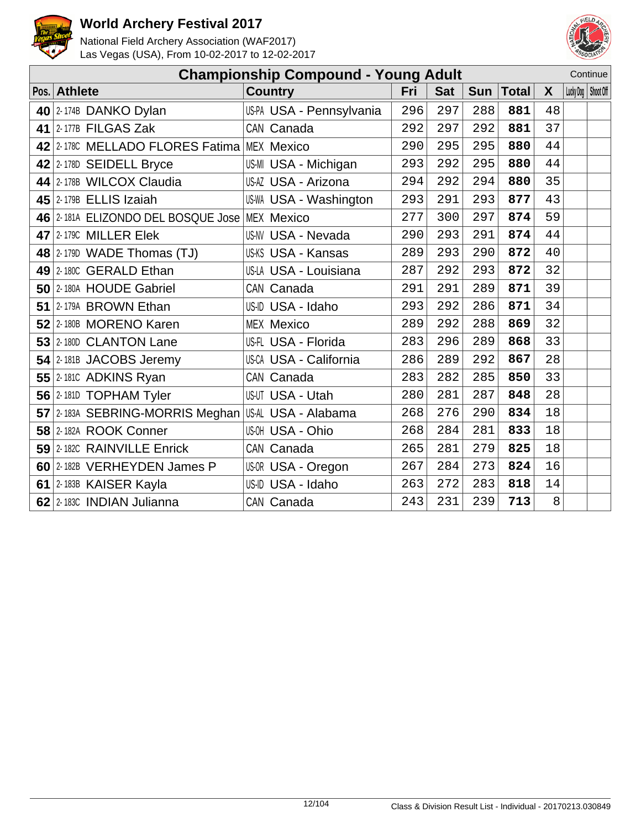



|    |                                               | <b>Championship Compound - Young Adult</b> |     |            |            |              |    |                       | Continue |
|----|-----------------------------------------------|--------------------------------------------|-----|------------|------------|--------------|----|-----------------------|----------|
|    | Pos. Athlete                                  | <b>Country</b>                             | Fri | <b>Sat</b> | <b>Sun</b> | <b>Total</b> | X  | Lucky Dog   Shoot Off |          |
|    | 40 $ 2$ -174B DANKO Dylan                     | US-PA USA - Pennsylvania                   | 296 | 297        | 288        | 881          | 48 |                       |          |
|    | 41 2-177B FILGAS Zak                          | CAN Canada                                 | 292 | 297        | 292        | 881          | 37 |                       |          |
|    | 42 2-1780 MELLADO FLORES Fatima MEX Mexico    |                                            | 290 | 295        | 295        | 880          | 44 |                       |          |
|    | 42 2-178D SEIDELL Bryce                       | US-MI USA - Michigan                       | 293 | 292        | 295        | 880          | 44 |                       |          |
|    | 44 2-178B WILCOX Claudia                      | US-AZ USA - Arizona                        | 294 | 292        | 294        | 880          | 35 |                       |          |
|    | 45 2-179B ELLIS Izaiah                        | US-WA USA - Washington                     | 293 | 291        | 293        | 877          | 43 |                       |          |
|    | 46 2-181A ELIZONDO DEL BOSQUE Jose MEX Mexico |                                            | 277 | 300        | 297        | 874          | 59 |                       |          |
|    | 47 2-1790 MILLER Elek                         | <b>US-NV USA - Nevada</b>                  | 290 | 293        | 291        | 874          | 44 |                       |          |
|    | 48 2-1790 WADE Thomas $(TJ)$                  | <b>US-KS USA - Kansas</b>                  | 289 | 293        | 290        | 872          | 40 |                       |          |
|    | 49 2-180C GERALD Ethan                        | <b>US-LA USA - Louisiana</b>               | 287 | 292        | 293        | 872          | 32 |                       |          |
|    | 50 2-180A HOUDE Gabriel                       | CAN Canada                                 | 291 | 291        | 289        | 871          | 39 |                       |          |
| 51 | 2-179A BROWN Ethan                            | US-ID USA - Idaho                          | 293 | 292        | 286        | 871          | 34 |                       |          |
|    | 52 2-180B MORENO Karen                        | <b>MEX Mexico</b>                          | 289 | 292        | 288        | 869          | 32 |                       |          |
|    | 53 2-180D CLANTON Lane                        | US-FL USA - Florida                        | 283 | 296        | 289        | 868          | 33 |                       |          |
|    | $54$ 2-181B JACOBS Jeremy                     | US-CA USA - California                     | 286 | 289        | 292        | 867          | 28 |                       |          |
|    | <b>55 2-1810 ADKINS Ryan</b>                  | CAN Canada                                 | 283 | 282        | 285        | 850          | 33 |                       |          |
|    | 56 2-181D TOPHAM Tyler                        | <b>US-UT USA - Utah</b>                    | 280 | 281        | 287        | 848          | 28 |                       |          |
|    | 57 2-183A SEBRING-MORRIS Meghan               | US-AL USA - Alabama                        | 268 | 276        | 290        | 834          | 18 |                       |          |
|    | 58 2-182A ROOK Conner                         | US-OH USA - Ohio                           | 268 | 284        | 281        | 833          | 18 |                       |          |
|    | 59 2-182C RAINVILLE Enrick                    | CAN Canada                                 | 265 | 281        | 279        | 825          | 18 |                       |          |
|    | 60 2-182B VERHEYDEN James P                   | US-OR USA - Oregon                         | 267 | 284        | 273        | 824          | 16 |                       |          |
|    | 61 2-183B KAISER Kayla                        | US-ID USA - Idaho                          | 263 | 272        | 283        | 818          | 14 |                       |          |
|    | 62 2-1830 INDIAN Julianna                     | CAN Canada                                 | 243 | 231        | 239        | 713          | 8  |                       |          |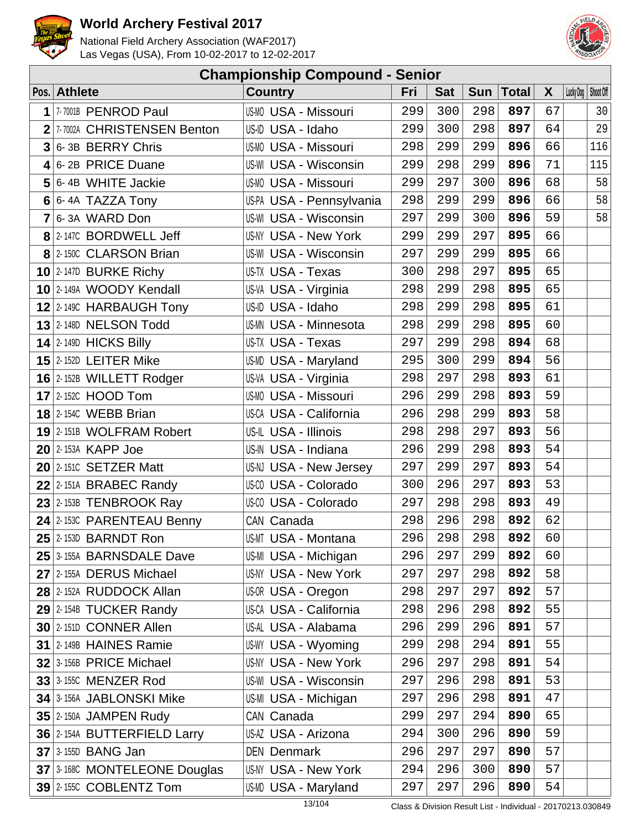



|   | <b>Championship Compound - Senior</b> |                              |     |            |     |       |              |                       |     |  |  |  |
|---|---------------------------------------|------------------------------|-----|------------|-----|-------|--------------|-----------------------|-----|--|--|--|
|   | Pos. Athlete                          | <b>Country</b>               | Fri | <b>Sat</b> | Sun | Total | $\mathsf{X}$ | Lucky Dog   Shoot Off |     |  |  |  |
| 1 | 7-7001B PENROD Paul                   | US-MO USA - Missouri         | 299 | 300        | 298 | 897   | 67           |                       | 30  |  |  |  |
|   | 2 7-7002A CHRISTENSEN Benton          | US-ID USA - Idaho            | 299 | 300        | 298 | 897   | 64           |                       | 29  |  |  |  |
|   | 3 6-3B BERRY Chris                    | <b>US-MO USA - Missouri</b>  | 298 | 299        | 299 | 896   | 66           |                       | 116 |  |  |  |
|   | $4 6-2B$ PRICE Duane                  | <b>US-WI USA - Wisconsin</b> | 299 | 298        | 299 | 896   | 71           |                       | 115 |  |  |  |
|   | 5 6-4B WHITE Jackie                   | <b>US-MO USA - Missouri</b>  | 299 | 297        | 300 | 896   | 68           |                       | 58  |  |  |  |
|   | $6$ 6-4A TAZZA Tony                   | US-PA USA - Pennsylvania     | 298 | 299        | 299 | 896   | 66           |                       | 58  |  |  |  |
|   | $7 6-3A$ WARD Don                     | <b>US-WI USA - Wisconsin</b> | 297 | 299        | 300 | 896   | 59           |                       | 58  |  |  |  |
|   | 8 2-147C BORDWELL Jeff                | US-NY USA - New York         | 299 | 299        | 297 | 895   | 66           |                       |     |  |  |  |
|   | 8 2-1500 CLARSON Brian                | US-WI USA - Wisconsin        | 297 | 299        | 299 | 895   | 66           |                       |     |  |  |  |
|   | $10$ 2-147D BURKE Richy               | US-TX USA - Texas            | 300 | 298        | 297 | 895   | 65           |                       |     |  |  |  |
|   | 10 2-149A WOODY Kendall               | US-VA USA - Virginia         | 298 | 299        | 298 | 895   | 65           |                       |     |  |  |  |
|   | 12 2-149C HARBAUGH Tony               | US-ID USA - Idaho            | 298 | 299        | 298 | 895   | 61           |                       |     |  |  |  |
|   | $13$ 2-148D NELSON Todd               | <b>US-MN USA - Minnesota</b> | 298 | 299        | 298 | 895   | 60           |                       |     |  |  |  |
|   | $14$ 2-149D HICKS Billy               | US-TX USA - Texas            | 297 | 299        | 298 | 894   | 68           |                       |     |  |  |  |
|   | $15$ 2-152D LEITER Mike               | US-MD USA - Maryland         | 295 | 300        | 299 | 894   | 56           |                       |     |  |  |  |
|   | $16$ 2-152B WILLETT Rodger            | US-VA USA - Virginia         | 298 | 297        | 298 | 893   | 61           |                       |     |  |  |  |
|   | $17$ 2-152C HOOD Tom                  | <b>US-MO USA - Missouri</b>  | 296 | 299        | 298 | 893   | 59           |                       |     |  |  |  |
|   | <b>18 2-154C WEBB Brian</b>           | US-CA USA - California       | 296 | 298        | 299 | 893   | 58           |                       |     |  |  |  |
|   | 19 2-151B WOLFRAM Robert              | US-IL USA - Illinois         | 298 | 298        | 297 | 893   | 56           |                       |     |  |  |  |
|   | $20$ 2-153A KAPP Joe                  | US-IN USA - Indiana          | 296 | 299        | 298 | 893   | 54           |                       |     |  |  |  |
|   | $20$ 2-1510 SETZER Matt               | US-NJ USA - New Jersey       | 297 | 299        | 297 | 893   | 54           |                       |     |  |  |  |
|   | $22$ 2-151A BRABEC Randy              | US-CO USA - Colorado         | 300 | 296        | 297 | 893   | 53           |                       |     |  |  |  |
|   | $23$ 2-153B TENBROOK Ray              | US-CO USA - Colorado         | 297 | 298        | 298 | 893   | 49           |                       |     |  |  |  |
|   | 24 2-1530 PARENTEAU Benny             | CAN Canada                   | 298 | 296        | 298 | 892   | 62           |                       |     |  |  |  |
|   | $25$ 2-153D BARNDT Ron                | US-MT USA - Montana          | 296 | 298        | 298 | 892   | 60           |                       |     |  |  |  |
|   | 25 3-155A BARNSDALE Dave              | US-MI USA - Michigan         | 296 | 297        | 299 | 892   | 60           |                       |     |  |  |  |
|   | 27 2-155A DERUS Michael               | US-NY USA - New York         | 297 | 297        | 298 | 892   | 58           |                       |     |  |  |  |
|   | 28 2-152A RUDDOCK Allan               | US-OR USA - Oregon           | 298 | 297        | 297 | 892   | 57           |                       |     |  |  |  |
|   | 29 2-154B TUCKER Randy                | US-CA USA - California       | 298 | 296        | 298 | 892   | 55           |                       |     |  |  |  |
|   | 30 2-151D CONNER Allen                | US-AL USA - Alabama          | 296 | 299        | 296 | 891   | 57           |                       |     |  |  |  |
|   | 31 2-149B HAINES Ramie                | US-WY USA - Wyoming          | 299 | 298        | 294 | 891   | 55           |                       |     |  |  |  |
|   | $32$ 3-156B PRICE Michael             | <b>US-NY USA - New York</b>  | 296 | 297        | 298 | 891   | 54           |                       |     |  |  |  |
|   | <b>33 3-1550 MENZER Rod</b>           | <b>US-WI USA - Wisconsin</b> | 297 | 296        | 298 | 891   | 53           |                       |     |  |  |  |
|   | 34 3-156A JABLONSKI Mike              | US-MI USA - Michigan         | 297 | 296        | 298 | 891   | 47           |                       |     |  |  |  |
|   | <b>35 2-150A JAMPEN Rudy</b>          | CAN Canada                   | 299 | 297        | 294 | 890   | 65           |                       |     |  |  |  |
|   | 36 2-154A BUTTERFIELD Larry           | US-AZ USA - Arizona          | 294 | 300        | 296 | 890   | 59           |                       |     |  |  |  |
|   | $37$ 3-155D BANG Jan                  | <b>DEN Denmark</b>           | 296 | 297        | 297 | 890   | 57           |                       |     |  |  |  |
|   | 37 3-168C MONTELEONE Douglas          | US-NY USA - New York         | 294 | 296        | 300 | 890   | 57           |                       |     |  |  |  |
|   | $39$ 2-155C COBLENTZ Tom              | US-MD USA - Maryland         | 297 | 297        | 296 | 890   | 54           |                       |     |  |  |  |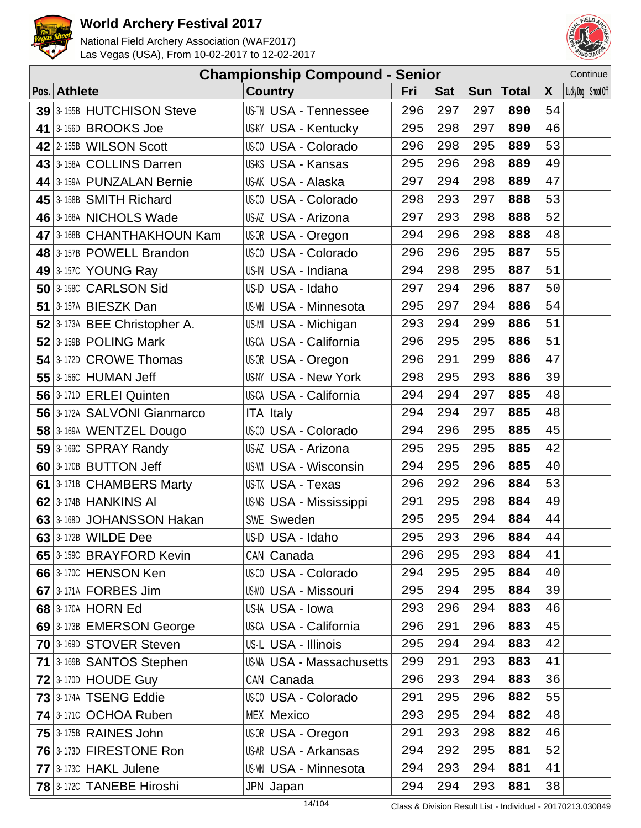



| Continue<br><b>Championship Compound - Senior</b> |                                        |                                  |     |            |     |              |        |  |                       |
|---------------------------------------------------|----------------------------------------|----------------------------------|-----|------------|-----|--------------|--------|--|-----------------------|
| Pos.                                              | <b>Athlete</b>                         | <b>Country</b>                   | Fri | <b>Sat</b> | Sun | <b>Total</b> | X      |  | Lucky Dog   Shoot Off |
|                                                   | 39 3-155B HUTCHISON Steve              | US-TN USA - Tennessee            | 296 | 297        | 297 | 890          | 54     |  |                       |
|                                                   | 41 3-156D BROOKS Joe                   | <b>US-KY USA - Kentucky</b>      | 295 | 298        | 297 | 890          | 46     |  |                       |
|                                                   | 42 2-155B WILSON Scott                 | US-CO USA - Colorado             | 296 | 298        | 295 | 889          | 53     |  |                       |
|                                                   | 43 3-158A COLLINS Darren               | US-KS USA - Kansas               | 295 | 296        | 298 | 889          | 49     |  |                       |
|                                                   | 44 3-159A PUNZALAN Bernie              | US-AK USA - Alaska               | 297 | 294        | 298 | 889          | 47     |  |                       |
|                                                   | 45 3-158B SMITH Richard                | US-CO USA - Colorado             | 298 | 293        | 297 | 888          | 53     |  |                       |
|                                                   | 46 3-168A NICHOLS Wade                 | US-AZ USA - Arizona              | 297 | 293        | 298 | 888          | 52     |  |                       |
|                                                   | 47 3-168B CHANTHAKHOUN Kam             | US-OR USA - Oregon               | 294 | 296        | 298 | 888          | 48     |  |                       |
|                                                   | 48 3-157B POWELL Brandon               | US-CO USA - Colorado             | 296 | 296        | 295 | 887          | 55     |  |                       |
|                                                   | 49 $ 3$ -157C YOUNG Ray                | US-IN USA - Indiana              | 294 | 298        | 295 | 887          | 51     |  |                       |
|                                                   | 50 3-158C CARLSON Sid                  | US-ID USA - Idaho                | 297 | 294        | 296 | 887          | 50     |  |                       |
|                                                   | 51 3-157A BIESZK Dan                   | <b>US-MN USA - Minnesota</b>     | 295 | 297        | 294 | 886          | 54     |  |                       |
|                                                   | 52 $\frac{3.173A}{BEE}$ Christopher A. | US-MI USA - Michigan             | 293 | 294        | 299 | 886          | 51     |  |                       |
|                                                   | $52$ 3-159B POLING Mark                | US-CA USA - California           | 296 | 295        | 295 | 886          | 51     |  |                       |
|                                                   | 54 3-172D CROWE Thomas                 | US-OR USA - Oregon               | 296 | 291        | 299 | 886          | 47     |  |                       |
|                                                   | <b>55</b> 3-156C HUMAN Jeff            | US-NY USA - New York             | 298 | 295        | 293 | 886          | 39     |  |                       |
|                                                   | 56 3-171D ERLEI Quinten                | US-CA USA - California           | 294 | 294        | 297 | 885          | 48     |  |                       |
|                                                   | 56 3-172A SALVONI Gianmarco            | <b>ITA Italy</b>                 | 294 | 294        | 297 | 885          | 48     |  |                       |
|                                                   | 58 3-169A WENTZEL Dougo                | US-CO USA - Colorado             | 294 | 296        | 295 | 885          | 45     |  |                       |
|                                                   | $59$ 3-1690 SPRAY Randy                | US-AZ USA - Arizona              | 295 | 295        | 295 | 885          | 42     |  |                       |
|                                                   | 60 3-170B BUTTON Jeff                  | US-WI USA - Wisconsin            | 294 | 295        | 296 | 885          | 40     |  |                       |
|                                                   | 61 3-171B CHAMBERS Marty               | US-TX USA - Texas                | 296 | 292        | 296 | 884          | 53     |  |                       |
|                                                   | <b>62</b> 3-174B HANKINS AI            | US-MS USA - Mississippi          | 291 | 295        | 298 | 884          | 49     |  |                       |
|                                                   | 63 3-168D JOHANSSON Hakan              | SWE Sweden                       | 295 | 295        | 294 | 884          | $4\,4$ |  |                       |
|                                                   | $63$ 3-172B WILDE Dee                  | US-ID USA - Idaho                | 295 | 293        | 296 | 884          | 44     |  |                       |
|                                                   | 65 3-1590 BRAYFORD Kevin               | CAN Canada                       | 296 | 295        | 293 | 884          | 41     |  |                       |
|                                                   | 66 3-170C HENSON Ken                   | US-CO USA - Colorado             | 294 | 295        | 295 | 884          | 40     |  |                       |
|                                                   | 67 3-171A FORBES Jim                   | <b>US-MO USA - Missouri</b>      | 295 | 294        | 295 | 884          | 39     |  |                       |
|                                                   | 68 3-170A HORN Ed                      | US-IA USA - Iowa                 | 293 | 296        | 294 | 883          | 46     |  |                       |
|                                                   | 69 3-173B EMERSON George               | US-CA USA - California           | 296 | 291        | 296 | 883          | 45     |  |                       |
|                                                   | 70 3-169D STOVER Steven                | US-IL USA - Illinois             | 295 | 294        | 294 | 883          | 42     |  |                       |
|                                                   | 71 3-169B SANTOS Stephen               | <b>US-MA USA - Massachusetts</b> | 299 | 291        | 293 | 883          | 41     |  |                       |
|                                                   | <b>72 3-170D HOUDE Guy</b>             | CAN Canada                       | 296 | 293        | 294 | 883          | 36     |  |                       |
|                                                   | 73 3-174A TSENG Eddie                  | US-00 USA - Colorado             | 291 | 295        | 296 | 882          | 55     |  |                       |
|                                                   | 74 3-1710 OCHOA Ruben                  | <b>MEX Mexico</b>                | 293 | 295        | 294 | 882          | 48     |  |                       |
|                                                   | <b>75 3-175B RAINES John</b>           | US-OR USA - Oregon               | 291 | 293        | 298 | 882          | 46     |  |                       |
|                                                   | 76 3-173D FIRESTONE Ron                | US-AR USA - Arkansas             | 294 | 292        | 295 | 881          | 52     |  |                       |
|                                                   | 77 3-173C HAKL Julene                  | <b>US-MN USA - Minnesota</b>     | 294 | 293        | 294 | 881          | 41     |  |                       |
|                                                   | <b>78</b> 3-172C TANEBE Hiroshi        | JPN Japan                        | 294 | 294        | 293 | 881          | 38     |  |                       |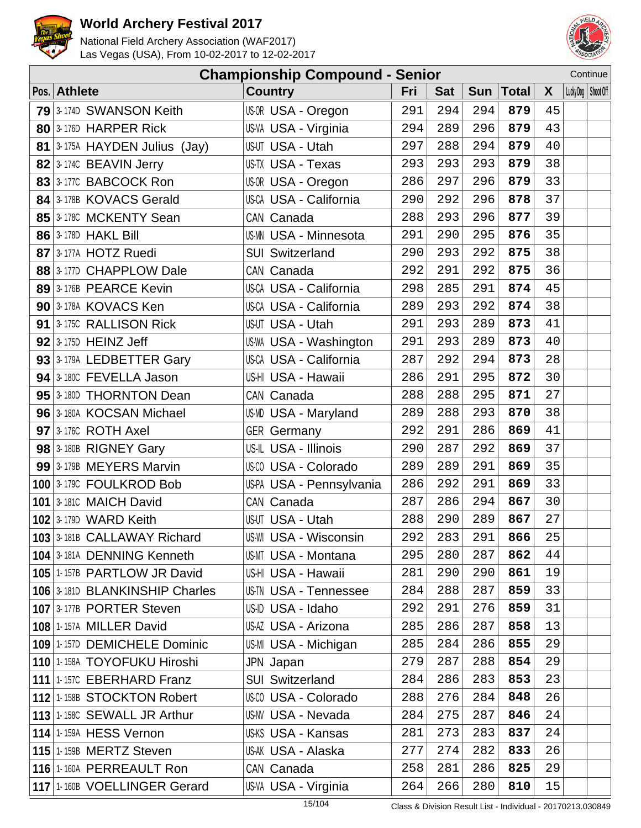



|                                | <b>Championship Compound - Senior</b> |     |            |            |              |    | Continue              |
|--------------------------------|---------------------------------------|-----|------------|------------|--------------|----|-----------------------|
| Pos. Athlete                   | <b>Country</b>                        | Fri | <b>Sat</b> | <b>Sun</b> | <b>Total</b> | X  | Lucky Dog   Shoot Off |
| 79 3-174D SWANSON Keith        | US-OR USA - Oregon                    | 291 | 294        | 294        | 879          | 45 |                       |
| 80 3-176D HARPER Rick          | US-VA USA - Virginia                  | 294 | 289        | 296        | 879          | 43 |                       |
| 81 3-175A HAYDEN Julius (Jay)  | US-UT USA - Utah                      | 297 | 288        | 294        | 879          | 40 |                       |
| 82 3-174C BEAVIN Jerry         | US-TX USA - Texas                     | 293 | 293        | 293        | 879          | 38 |                       |
| 83 3-177C BABCOCK Ron          | US-OR USA - Oregon                    | 286 | 297        | 296        | 879          | 33 |                       |
| 84 3-178B KOVACS Gerald        | US-CA USA - California                | 290 | 292        | 296        | 878          | 37 |                       |
| 85 3-178C MCKENTY Sean         | CAN Canada                            | 288 | 293        | 296        | 877          | 39 |                       |
| 86 3-178D HAKL Bill            | <b>US-MN USA - Minnesota</b>          | 291 | 290        | 295        | 876          | 35 |                       |
| 87 3-177A HOTZ Ruedi           | <b>SUI Switzerland</b>                | 290 | 293        | 292        | 875          | 38 |                       |
| 88 3-177D CHAPPLOW Dale        | CAN Canada                            | 292 | 291        | 292        | 875          | 36 |                       |
| 89 3-176B PEARCE Kevin         | US-CA USA - California                | 298 | 285        | 291        | 874          | 45 |                       |
| 90 3-178A KOVACS Ken           | US-CA USA - California                | 289 | 293        | 292        | 874          | 38 |                       |
| 91 3-175C RALLISON Rick        | US-UT USA - Utah                      | 291 | 293        | 289        | 873          | 41 |                       |
| $92$ 3-175D HEINZ Jeff         | US-WA USA - Washington                | 291 | 293        | 289        | 873          | 40 |                       |
| 93 3-179A LEDBETTER Gary       | US-CA USA - California                | 287 | 292        | 294        | 873          | 28 |                       |
| 94 3-180C FEVELLA Jason        | US-HI USA - Hawaii                    | 286 | 291        | 295        | 872          | 30 |                       |
| 95 3-180D THORNTON Dean        | CAN Canada                            | 288 | 288        | 295        | 871          | 27 |                       |
| 96 3-180A KOCSAN Michael       | US-MD USA - Maryland                  | 289 | 288        | 293        | 870          | 38 |                       |
| $97$ 3-1760 ROTH Axel          | <b>GER Germany</b>                    | 292 | 291        | 286        | 869          | 41 |                       |
| 98 3-180B RIGNEY Gary          | US-IL USA - Illinois                  | 290 | 287        | 292        | 869          | 37 |                       |
| 99 3-179B MEYERS Marvin        | US-CO USA - Colorado                  | 289 | 289        | 291        | 869          | 35 |                       |
| 100 3-179C FOULKROD Bob        | US-PA USA - Pennsylvania              | 286 | 292        | 291        | 869          | 33 |                       |
| <b>101 3-1810 MAICH David</b>  | CAN Canada                            | 287 | 286        | 294        | 867          | 30 |                       |
| <b>102 3-179D WARD Keith</b>   | US-UT USA - Utah                      | 288 | 290        | 289        | 867          | 27 |                       |
| 103 3-181B CALLAWAY Richard    | <b>US-WI USA - Wisconsin</b>          | 292 | 283        | 291        | 866          | 25 |                       |
| 104 3-181A DENNING Kenneth     | <b>US-MT USA - Montana</b>            | 295 | 280        | 287        | 862          | 44 |                       |
| 105 1-157B PARTLOW JR David    | US-HI USA - Hawaii                    | 281 | 290        | 290        | 861          | 19 |                       |
| 106 3-181D BLANKINSHIP Charles | <b>US-TN USA - Tennessee</b>          | 284 | 288        | 287        | 859          | 33 |                       |
| 107 3-177B PORTER Steven       | US-ID USA - Idaho                     | 292 | 291        | 276        | 859          | 31 |                       |
| <b>108 1-157A MILLER David</b> | US-AZ USA - Arizona                   | 285 | 286        | 287        | 858          | 13 |                       |
| 109 1-157D DEMICHELE Dominic   | US-MI USA - Michigan                  | 285 | 284        | 286        | 855          | 29 |                       |
| 110 1-158A TOYOFUKU Hiroshi    | JPN Japan                             | 279 | 287        | 288        | 854          | 29 |                       |
| 111 1-157C EBERHARD Franz      | <b>SUI Switzerland</b>                | 284 | 286        | 283        | 853          | 23 |                       |
| 112 1-158B STOCKTON Robert     | <b>US-CO USA - Colorado</b>           | 288 | 276        | 284        | 848          | 26 |                       |
| 113 1-158C SEWALL JR Arthur    | <b>US-NV USA - Nevada</b>             | 284 | 275        | 287        | 846          | 24 |                       |
| 114 1-159A HESS Vernon         | US-KS USA - Kansas                    | 281 | 273        | 283        | 837          | 24 |                       |
| <b>115 1-159B MERTZ Steven</b> | US-AK USA - Alaska                    | 277 | 274        | 282        | 833          | 26 |                       |
| 116 1-160A PERREAULT Ron       | CAN Canada                            | 258 | 281        | 286        | 825          | 29 |                       |
| 117 1-160B VOELLINGER Gerard   | US-VA USA - Virginia                  | 264 | 266        | 280        | 810          | 15 |                       |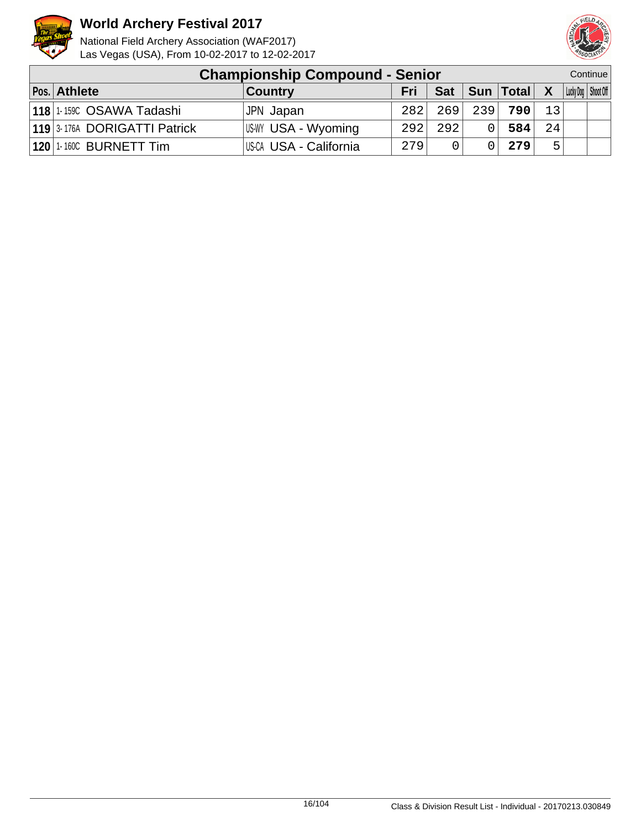



| <b>Championship Compound - Senior</b> |                        |     |            |     |             |              |  | Continue              |
|---------------------------------------|------------------------|-----|------------|-----|-------------|--------------|--|-----------------------|
| Pos. Athlete                          | <b>Country</b>         | Fri | <b>Sat</b> |     | Sun   Total | $\mathbf{X}$ |  | Lucky Dog   Shoot Off |
| 118 1-159C OSAWA Tadashi              | JPN Japan              | 282 | 2691       | 239 | 790         | 13           |  |                       |
| 119 3-176A DORIGATTI Patrick          | USWY USA - Wyoming     | 292 | 2921       |     | 584         | 2.4          |  |                       |
| <b>120 1-160C BURNETT Tim</b>         | US-CA USA - California | 279 |            |     | 279         | Б.           |  |                       |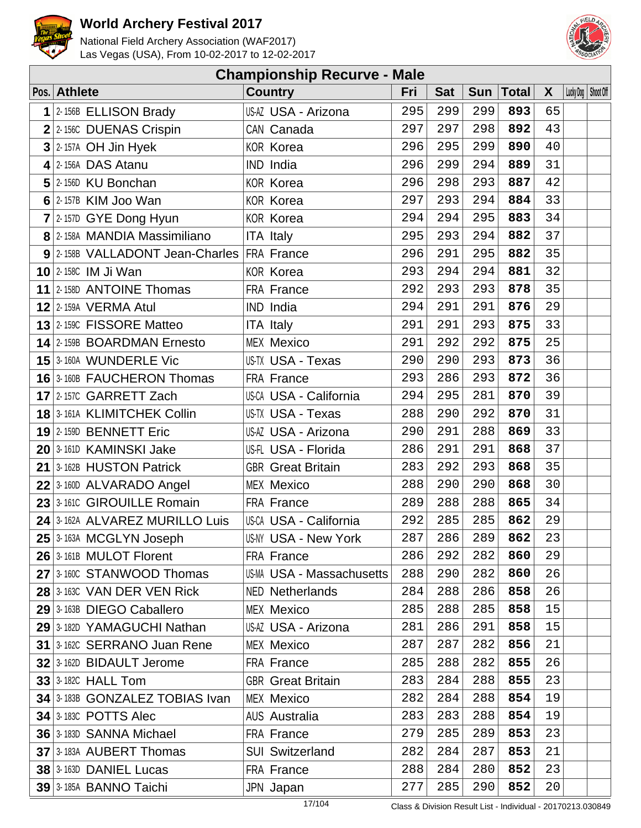



| <b>Championship Recurve - Male</b>         |  |                           |     |            |     |       |              |                       |  |  |  |
|--------------------------------------------|--|---------------------------|-----|------------|-----|-------|--------------|-----------------------|--|--|--|
| Pos. Athlete                               |  | <b>Country</b>            | Fri | <b>Sat</b> | Sun | Total | $\mathsf{X}$ | Lucky Dog   Shoot Off |  |  |  |
| $1$ 2-156B ELLISON Brady                   |  | US-AZ USA - Arizona       | 295 | 299        | 299 | 893   | 65           |                       |  |  |  |
| $2$ 2-1560 DUENAS Crispin                  |  | CAN Canada                | 297 | 297        | 298 | 892   | 43           |                       |  |  |  |
| $3$ 2-157A OH Jin Hyek                     |  | <b>KOR Korea</b>          | 296 | 295        | 299 | 890   | 40           |                       |  |  |  |
| $4$ 2-156A DAS Atanu                       |  | IND India                 | 296 | 299        | 294 | 889   | 31           |                       |  |  |  |
| $5$ 2-156D KU Bonchan                      |  | <b>KOR Korea</b>          | 296 | 298        | 293 | 887   | 42           |                       |  |  |  |
| $6$ 2-157B KIM Joo Wan                     |  | <b>KOR Korea</b>          | 297 | 293        | 294 | 884   | 33           |                       |  |  |  |
| $7$ 2-157D GYE Dong Hyun                   |  | <b>KOR Korea</b>          | 294 | 294        | 295 | 883   | 34           |                       |  |  |  |
| 8 2-158A MANDIA Massimiliano               |  | <b>ITA Italy</b>          | 295 | 293        | 294 | 882   | 37           |                       |  |  |  |
| 9 2-158B VALLADONT Jean-Charles FRA France |  |                           | 296 | 291        | 295 | 882   | 35           |                       |  |  |  |
| <b>10 2-158C IM Ji Wan</b>                 |  | <b>KOR Korea</b>          | 293 | 294        | 294 | 881   | 32           |                       |  |  |  |
| 11 2-158D ANTOINE Thomas                   |  | FRA France                | 292 | 293        | 293 | 878   | 35           |                       |  |  |  |
| <b>12 2-159A VERMA Atul</b>                |  | IND India                 | 294 | 291        | 291 | 876   | 29           |                       |  |  |  |
| 13 2-1590 FISSORE Matteo                   |  | <b>ITA Italy</b>          | 291 | 291        | 293 | 875   | 33           |                       |  |  |  |
| 14 2-159B BOARDMAN Ernesto                 |  | <b>MEX Mexico</b>         | 291 | 292        | 292 | 875   | 25           |                       |  |  |  |
| 15 3-160A WUNDERLE Vic                     |  | US-TX USA - Texas         | 290 | 290        | 293 | 873   | 36           |                       |  |  |  |
| <b>16</b> 3-160B FAUCHERON Thomas          |  | FRA France                | 293 | 286        | 293 | 872   | 36           |                       |  |  |  |
| 17 2-157C GARRETT Zach                     |  | US-CA USA - California    | 294 | 295        | 281 | 870   | 39           |                       |  |  |  |
| <b>18 3-161A KLIMITCHEK Collin</b>         |  | US-TX USA - Texas         | 288 | 290        | 292 | 870   | 31           |                       |  |  |  |
| 19 2-159D BENNETT Eric                     |  | US-AZ USA - Arizona       | 290 | 291        | 288 | 869   | 33           |                       |  |  |  |
| 20 3-161D KAMINSKI Jake                    |  | US-FL USA - Florida       | 286 | 291        | 291 | 868   | 37           |                       |  |  |  |
| 21 3-162B HUSTON Patrick                   |  | <b>GBR</b> Great Britain  | 283 | 292        | 293 | 868   | 35           |                       |  |  |  |
| 22 3-160D ALVARADO Angel                   |  | <b>MEX Mexico</b>         | 288 | 290        | 290 | 868   | 30           |                       |  |  |  |
| 23 3-1610 GIROUILLE Romain                 |  | FRA France                | 289 | 288        | 288 | 865   | 34           |                       |  |  |  |
| 24 3-162A ALVAREZ MURILLO Luis             |  | US-CA USA - California    | 292 | 285        | 285 | 862   | 29           |                       |  |  |  |
| 25 <sup>3</sup> 163A MCGLYN Joseph         |  | US-NY USA - New York      | 287 | 286        | 289 | 862   | 23           |                       |  |  |  |
| 26 3-161B MULOT Florent                    |  | FRA France                | 286 | 292        | 282 | 860   | 29           |                       |  |  |  |
| 27 3-160C STANWOOD Thomas                  |  | US-MA USA - Massachusetts | 288 | 290        | 282 | 860   | 26           |                       |  |  |  |
| <b>28 3-163C VAN DER VEN Rick</b>          |  | <b>NED Netherlands</b>    | 284 | 288        | 286 | 858   | 26           |                       |  |  |  |
| 29 3-163B DIEGO Caballero                  |  | <b>MEX Mexico</b>         | 285 | 288        | 285 | 858   | 15           |                       |  |  |  |
| 29 3-182D YAMAGUCHI Nathan                 |  | US-AZ USA - Arizona       | 281 | 286        | 291 | 858   | 15           |                       |  |  |  |
| 31 3-162C SERRANO Juan Rene                |  | <b>MEX Mexico</b>         | 287 | 287        | 282 | 856   | 21           |                       |  |  |  |
| 32 3-162D BIDAULT Jerome                   |  | FRA France                | 285 | 288        | 282 | 855   | 26           |                       |  |  |  |
| <b>33 3-182C HALL Tom</b>                  |  | <b>GBR</b> Great Britain  | 283 | 284        | 288 | 855   | 23           |                       |  |  |  |
| 34 3-183B GONZALEZ TOBIAS Ivan             |  | <b>MEX Mexico</b>         | 282 | 284        | 288 | 854   | 19           |                       |  |  |  |
| <b>34 3-1830 POTTS Alec</b>                |  | <b>AUS Australia</b>      | 283 | 283        | 288 | 854   | 19           |                       |  |  |  |
| 36 3-183D SANNA Michael                    |  | FRA France                | 279 | 285        | 289 | 853   | 23           |                       |  |  |  |
| 37 3-183A AUBERT Thomas                    |  | <b>SUI Switzerland</b>    | 282 | 284        | 287 | 853   | 21           |                       |  |  |  |
| 38 3-163D DANIEL Lucas                     |  | FRA France                | 288 | 284        | 280 | 852   | 23           |                       |  |  |  |
| 39 3-185A BANNO Taichi                     |  | JPN Japan                 | 277 | 285        | 290 | 852   | 20           |                       |  |  |  |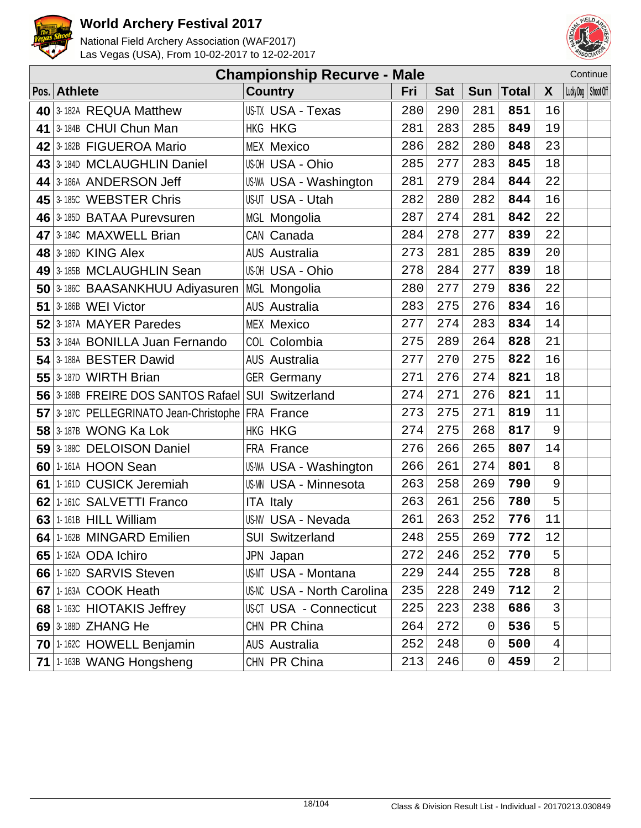



|    | Continue<br><b>Championship Recurve - Male</b>     |                                   |     |            |     |              |                |  |                       |
|----|----------------------------------------------------|-----------------------------------|-----|------------|-----|--------------|----------------|--|-----------------------|
|    | Pos. Athlete                                       | <b>Country</b>                    | Fri | <b>Sat</b> | Sun | <b>Total</b> | X              |  | Lucky Dog   Shoot Off |
|    | 40 3-182A REQUA Matthew                            | US-TX USA - Texas                 | 280 | 290        | 281 | 851          | 16             |  |                       |
|    | 41   3-184B CHUI Chun Man                          | <b>HKG HKG</b>                    | 281 | 283        | 285 | 849          | 19             |  |                       |
|    | 42 3-182B FIGUEROA Mario                           | <b>MEX Mexico</b>                 | 286 | 282        | 280 | 848          | 23             |  |                       |
|    | 43 3-184D MCLAUGHLIN Daniel                        | US-OH USA - Ohio                  | 285 | 277        | 283 | 845          | 18             |  |                       |
|    | 44 3-186A ANDERSON Jeff                            | <b>US-WA USA - Washington</b>     | 281 | 279        | 284 | 844          | 22             |  |                       |
|    | 45 3-185C WEBSTER Chris                            | US-UT USA - Utah                  | 282 | 280        | 282 | 844          | 16             |  |                       |
|    | 46 3-185D BATAA Purevsuren                         | MGL Mongolia                      | 287 | 274        | 281 | 842          | 22             |  |                       |
|    | 47 3-1840 MAXWELL Brian                            | CAN Canada                        | 284 | 278        | 277 | 839          | 22             |  |                       |
|    | <b>48 3-186D KING Alex</b>                         | <b>AUS Australia</b>              | 273 | 281        | 285 | 839          | 20             |  |                       |
|    | 49 3-185B MCLAUGHLIN Sean                          | US-OH USA - Ohio                  | 278 | 284        | 277 | 839          | 18             |  |                       |
|    | 50 3-186C BAASANKHUU Adiyasuren                    | MGL Mongolia                      | 280 | 277        | 279 | 836          | 22             |  |                       |
|    | <b>51 3-186B WEI Victor</b>                        | <b>AUS Australia</b>              | 283 | 275        | 276 | 834          | 16             |  |                       |
|    | 52 3-187A MAYER Paredes                            | <b>MEX Mexico</b>                 | 277 | 274        | 283 | 834          | 14             |  |                       |
|    | 53 3-184A BONILLA Juan Fernando                    | COL Colombia                      | 275 | 289        | 264 | 828          | 21             |  |                       |
|    | 54 3-188A BESTER Dawid                             | <b>AUS Australia</b>              | 277 | 270        | 275 | 822          | 16             |  |                       |
|    | $55$ 3-187D WIRTH Brian                            | <b>GER Germany</b>                | 271 | 276        | 274 | 821          | 18             |  |                       |
|    | 56 3-188B FREIRE DOS SANTOS Rafael SUI Switzerland |                                   | 274 | 271        | 276 | 821          | 11             |  |                       |
|    | 57 3-187C PELLEGRINATO Jean-Christophe FRA France  |                                   | 273 | 275        | 271 | 819          | 11             |  |                       |
|    | <b>58 3-187B WONG Ka Lok</b>                       | <b>HKG HKG</b>                    | 274 | 275        | 268 | 817          | 9              |  |                       |
|    | 59 3-1880 DELOISON Daniel                          | FRA France                        | 276 | 266        | 265 | 807          | 14             |  |                       |
|    | 60 1-161A HOON Sean                                | <b>US-WA USA - Washington</b>     | 266 | 261        | 274 | 801          | 8              |  |                       |
|    | 61 1-161D CUSICK Jeremiah                          | <b>US-MN USA - Minnesota</b>      | 263 | 258        | 269 | 790          | 9              |  |                       |
|    | 62 1-161C SALVETTI Franco                          | <b>ITA Italy</b>                  | 263 | 261        | 256 | 780          | 5              |  |                       |
| 63 | 1-161B HILL William                                | <b>US-NV USA - Nevada</b>         | 261 | 263        | 252 | 776          | 11             |  |                       |
|    | 64   1-162B MINGARD Emilien                        | <b>SUI Switzerland</b>            | 248 | 255        | 269 | 772          | 12             |  |                       |
|    | 65 1-162A ODA Ichiro                               | JPN Japan                         | 272 | 246        | 252 | 770          | 5              |  |                       |
|    | 66 1-162D SARVIS Steven                            | <b>US-MT USA - Montana</b>        | 229 | 244        | 255 | 728          | 8              |  |                       |
|    | 67 1-163A COOK Heath                               | <b>US-NC USA - North Carolina</b> | 235 | 228        | 249 | 712          | 2              |  |                       |
|    | 68 1-163C HIOTAKIS Jeffrey                         | <b>US-CT USA - Connecticut</b>    | 225 | 223        | 238 | 686          | 3              |  |                       |
|    | 69 3-188D ZHANG He                                 | CHN PR China                      | 264 | 272        | 0   | 536          | 5              |  |                       |
|    | 70 1-162C HOWELL Benjamin                          | <b>AUS Australia</b>              | 252 | 248        | 0   | 500          | 4              |  |                       |
|    | 71 1-163B WANG Hongsheng                           | CHN PR China                      | 213 | 246        | 0   | 459          | $\overline{a}$ |  |                       |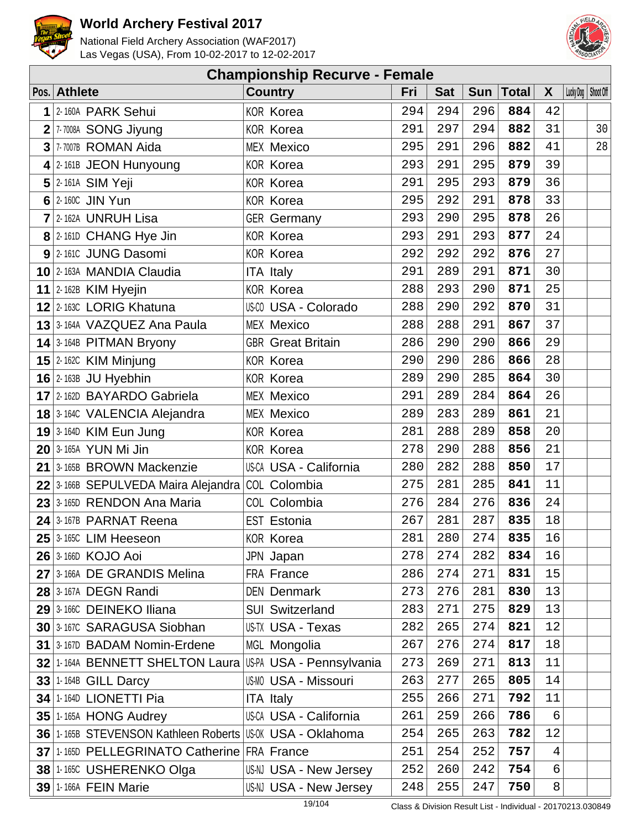



|   | <b>Championship Recurve - Female</b>                      |  |                             |     |            |     |       |                |                       |    |  |  |
|---|-----------------------------------------------------------|--|-----------------------------|-----|------------|-----|-------|----------------|-----------------------|----|--|--|
|   | Pos. Athlete                                              |  | <b>Country</b>              | Fri | <b>Sat</b> | Sun | Total | $\mathsf{X}$   | Lucky Dog   Shoot Off |    |  |  |
| 1 | 2-160A PARK Sehui                                         |  | <b>KOR Korea</b>            | 294 | 294        | 296 | 884   | 42             |                       |    |  |  |
|   | 2 7 7008A SONG Jiyung                                     |  | <b>KOR Korea</b>            | 291 | 297        | 294 | 882   | 31             |                       | 30 |  |  |
|   | 3 7-7007B ROMAN Aida                                      |  | <b>MEX Mexico</b>           | 295 | 291        | 296 | 882   | 41             |                       | 28 |  |  |
|   | 4 2-161B JEON Hunyoung                                    |  | <b>KOR Korea</b>            | 293 | 291        | 295 | 879   | 39             |                       |    |  |  |
|   | $5$ 2-161A SIM Yeji                                       |  | <b>KOR Korea</b>            | 291 | 295        | 293 | 879   | 36             |                       |    |  |  |
|   | $6$ 2-160C JIN Yun                                        |  | <b>KOR Korea</b>            | 295 | 292        | 291 | 878   | 33             |                       |    |  |  |
|   | $7$ 2-162A UNRUH Lisa                                     |  | <b>GER</b> Germany          | 293 | 290        | 295 | 878   | 26             |                       |    |  |  |
|   | 8 2-161D CHANG Hye Jin                                    |  | <b>KOR Korea</b>            | 293 | 291        | 293 | 877   | 24             |                       |    |  |  |
|   | 9 2-161C JUNG Dasomi                                      |  | <b>KOR Korea</b>            | 292 | 292        | 292 | 876   | 27             |                       |    |  |  |
|   | 10 2-163A MANDIA Claudia                                  |  | <b>ITA Italy</b>            | 291 | 289        | 291 | 871   | 30             |                       |    |  |  |
|   | 11 $ 2 - 162B$ KIM Hyejin                                 |  | <b>KOR Korea</b>            | 288 | 293        | 290 | 871   | 25             |                       |    |  |  |
|   | 12 2-163C LORIG Khatuna                                   |  | US-CO USA - Colorado        | 288 | 290        | 292 | 870   | 31             |                       |    |  |  |
|   | 13 <sup>3</sup> 164A VAZQUEZ Ana Paula                    |  | <b>MEX Mexico</b>           | 288 | 288        | 291 | 867   | 37             |                       |    |  |  |
|   | 14 3-164B PITMAN Bryony                                   |  | <b>GBR</b> Great Britain    | 286 | 290        | 290 | 866   | 29             |                       |    |  |  |
|   | 15 2-162C KIM Minjung                                     |  | <b>KOR Korea</b>            | 290 | 290        | 286 | 866   | 28             |                       |    |  |  |
|   | $16$ 2-163B JU Hyebhin                                    |  | <b>KOR Korea</b>            | 289 | 290        | 285 | 864   | 30             |                       |    |  |  |
|   | 17 2-162D BAYARDO Gabriela                                |  | <b>MEX Mexico</b>           | 291 | 289        | 284 | 864   | 26             |                       |    |  |  |
|   | 18 3-164C VALENCIA Alejandra                              |  | <b>MEX Mexico</b>           | 289 | 283        | 289 | 861   | 21             |                       |    |  |  |
|   | <b>19</b> 3-164D KIM Eun Jung                             |  | <b>KOR Korea</b>            | 281 | 288        | 289 | 858   | 20             |                       |    |  |  |
|   | <b>20 3-165A YUN Mi Jin</b>                               |  | <b>KOR Korea</b>            | 278 | 290        | 288 | 856   | 21             |                       |    |  |  |
|   | 21 3-165B BROWN Mackenzie                                 |  | US-CA USA - California      | 280 | 282        | 288 | 850   | 17             |                       |    |  |  |
|   | 22 3-166B SEPULVEDA Maira Alejandra COL Colombia          |  |                             | 275 | 281        | 285 | 841   | 11             |                       |    |  |  |
|   | $23$ 3-165D RENDON Ana Maria                              |  | COL Colombia                | 276 | 284        | 276 | 836   | 24             |                       |    |  |  |
|   | 24 3-167B PARNAT Reena                                    |  | <b>EST Estonia</b>          | 267 | 281        | 287 | 835   | 18             |                       |    |  |  |
|   | $25$ 3-165C LIM Heeseon                                   |  | <b>KOR Korea</b>            | 281 | 280        | 274 | 835   | 16             |                       |    |  |  |
|   | <b>26 3-166D KOJO Aoi</b>                                 |  | JPN Japan                   | 278 | 274        | 282 | 834   | 16             |                       |    |  |  |
|   | 27 3-166A DE GRANDIS Melina                               |  | FRA France                  | 286 | 274        | 271 | 831   | 15             |                       |    |  |  |
|   | <b>28 3-167A DEGN Randi</b>                               |  | <b>DEN Denmark</b>          | 273 | 276        | 281 | 830   | 13             |                       |    |  |  |
|   | 29 3-166C DEINEKO Iliana                                  |  | <b>SUI Switzerland</b>      | 283 | 271        | 275 | 829   | 13             |                       |    |  |  |
|   | 30 3-167C SARAGUSA Siobhan                                |  | US-TX USA - Texas           | 282 | 265        | 274 | 821   | 12             |                       |    |  |  |
|   | 31 3-167D BADAM Nomin-Erdene                              |  | MGL Mongolia                | 267 | 276        | 274 | 817   | 18             |                       |    |  |  |
|   | 32 1-164A BENNETT SHELTON Laura USPA USA - Pennsylvania   |  |                             | 273 | 269        | 271 | 813   | 11             |                       |    |  |  |
|   | 33 1-164B GILL Darcy                                      |  | <b>US-MO USA - Missouri</b> | 263 | 277        | 265 | 805   | 14             |                       |    |  |  |
|   | 34 1-164D LIONETTI Pia                                    |  | <b>ITA Italy</b>            | 255 | 266        | 271 | 792   | 11             |                       |    |  |  |
|   | <b>35 1-165A HONG Audrey</b>                              |  | US-CA USA - California      | 261 | 259        | 266 | 786   | 6              |                       |    |  |  |
|   | 36 1-165B STEVENSON Kathleen Roberts US-0K USA - Oklahoma |  |                             | 254 | 265        | 263 | 782   | 12             |                       |    |  |  |
|   | 37 1-1650 PELLEGRINATO Catherine FRA France               |  |                             | 251 | 254        | 252 | 757   | $\overline{4}$ |                       |    |  |  |
|   | 38 1-165C USHERENKO Olga                                  |  | US-NJ USA - New Jersey      | 252 | 260        | 242 | 754   | 6              |                       |    |  |  |
|   | 39 1-166A FEIN Marie                                      |  | US-NJ USA - New Jersey      | 248 | 255        | 247 | 750   | 8              |                       |    |  |  |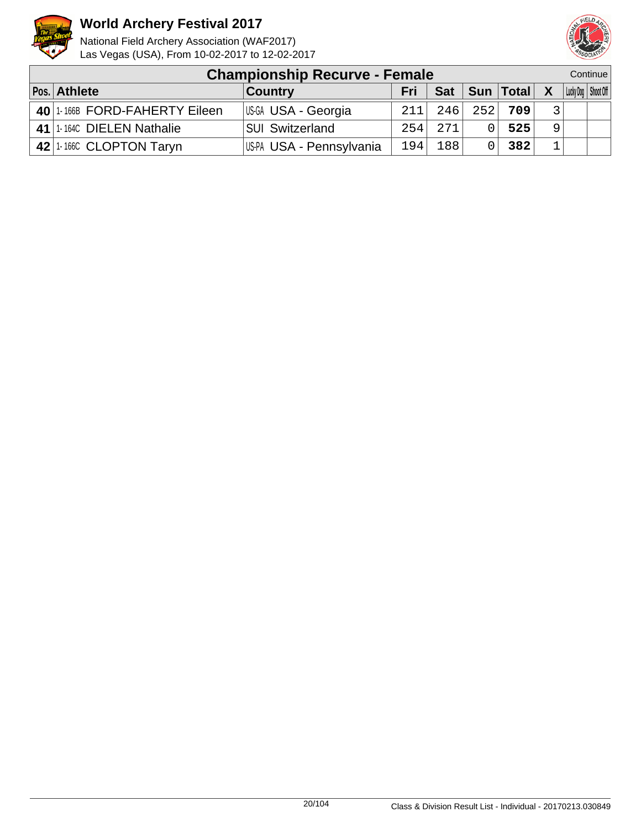



| <b>Championship Recurve - Female</b> |                          |     |      |     |                   |   |  |                       |
|--------------------------------------|--------------------------|-----|------|-----|-------------------|---|--|-----------------------|
| Pos. Athlete                         | <b>Country</b>           | Fri |      |     | Sat   Sun   Total | X |  | Lucky Dog   Shoot Off |
| 40 1-166B FORD-FAHERTY Eileen        | US-GA USA - Georgia      | 211 | 246  | 252 | 709               |   |  |                       |
| 41 1-1640 DIELEN Nathalie            | <b>SUI Switzerland</b>   | 254 | 2.71 |     | 525               | 9 |  |                       |
| 42 1-166C CLOPTON Taryn              | US-PA USA - Pennsylvania | 194 | 188  |     | 382               |   |  |                       |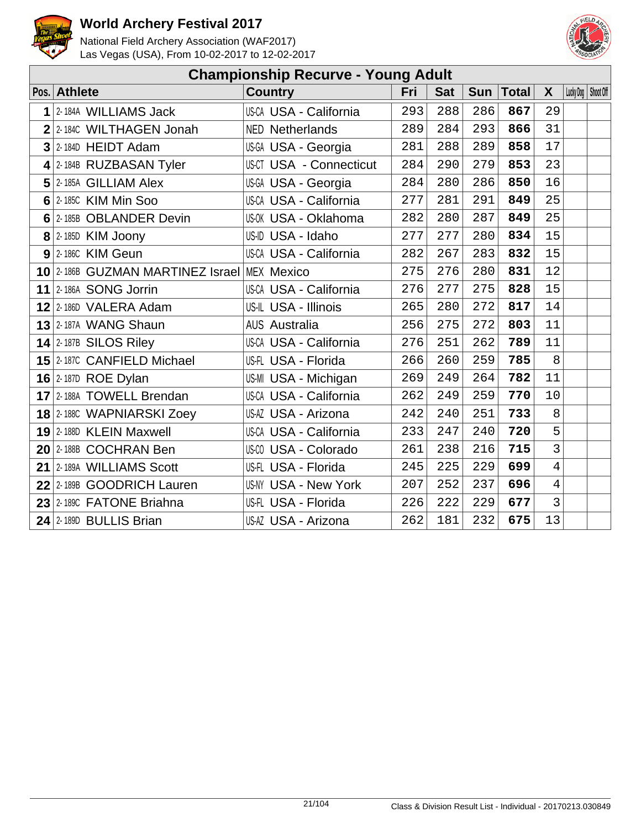



| <b>Championship Recurve - Young Adult</b> |                                             |                                |     |            |            |              |                |                       |  |  |  |
|-------------------------------------------|---------------------------------------------|--------------------------------|-----|------------|------------|--------------|----------------|-----------------------|--|--|--|
|                                           | Pos. Athlete                                | <b>Country</b>                 | Fri | <b>Sat</b> | <b>Sun</b> | <b>Total</b> | X              | Lucky Dog   Shoot Off |  |  |  |
| 1                                         | 2-184A WILLIAMS Jack                        | US-CA USA - California         | 293 | 288        | 286        | 867          | 29             |                       |  |  |  |
|                                           | 2 2-1840 WILTHAGEN Jonah                    | <b>NED Netherlands</b>         | 289 | 284        | 293        | 866          | 31             |                       |  |  |  |
|                                           | $3$ 2-184D HEIDT Adam                       | US-GA USA - Georgia            | 281 | 288        | 289        | 858          | 17             |                       |  |  |  |
|                                           | $4$ 2-184B RUZBASAN Tyler                   | <b>US-CT USA - Connecticut</b> | 284 | 290        | 279        | 853          | 23             |                       |  |  |  |
|                                           | $5$ 2-185A GILLIAM Alex                     | US-GA USA - Georgia            | 284 | 280        | 286        | 850          | 16             |                       |  |  |  |
|                                           | $6$ 2-185C KIM Min Soo                      | US-CA USA - California         | 277 | 281        | 291        | 849          | 25             |                       |  |  |  |
|                                           | 6 2-185B OBLANDER Devin                     | US-OK USA - Oklahoma           | 282 | 280        | 287        | 849          | 25             |                       |  |  |  |
|                                           | $8$ 2-185D KIM Joony                        | US-ID USA - Idaho              | 277 | 277        | 280        | 834          | 15             |                       |  |  |  |
|                                           | $9$ 2-1860 KIM Geun                         | US-CA USA - California         | 282 | 267        | 283        | 832          | 15             |                       |  |  |  |
|                                           | 10 2-186B GUZMAN MARTINEZ Israel MEX Mexico |                                | 275 | 276        | 280        | 831          | 12             |                       |  |  |  |
|                                           | 11 2-186A SONG Jorrin                       | US-CA USA - California         | 276 | 277        | 275        | 828          | 15             |                       |  |  |  |
|                                           | $12$ 2-186D VALERA Adam                     | US-IL USA - Illinois           | 265 | 280        | 272        | 817          | 14             |                       |  |  |  |
|                                           | <b>13 2-187A WANG Shaun</b>                 | <b>AUS Australia</b>           | 256 | 275        | 272        | 803          | 11             |                       |  |  |  |
|                                           | $14$ 2-187B SILOS Riley                     | US-CA USA - California         | 276 | 251        | 262        | 789          | 11             |                       |  |  |  |
|                                           | 15 2-187C CANFIELD Michael                  | US-FL USA - Florida            | 266 | 260        | 259        | 785          | 8              |                       |  |  |  |
|                                           | 16 $2$ -187D ROE Dylan                      | US-MI USA - Michigan           | 269 | 249        | 264        | 782          | 11             |                       |  |  |  |
|                                           | 17 2-188A TOWELL Brendan                    | US-CA USA - California         | 262 | 249        | 259        | 770          | 10             |                       |  |  |  |
|                                           | <b>18</b> 2-188C WAPNIARSKI Zoey            | US-AZ USA - Arizona            | 242 | 240        | 251        | 733          | 8              |                       |  |  |  |
|                                           | 19 2-188D KLEIN Maxwell                     | US-CA USA - California         | 233 | 247        | 240        | 720          | 5              |                       |  |  |  |
|                                           | 20 2-188B COCHRAN Ben                       | <b>US-CO USA - Colorado</b>    | 261 | 238        | 216        | 715          | 3              |                       |  |  |  |
|                                           | 21 2-189A WILLIAMS Scott                    | US-FL USA - Florida            | 245 | 225        | 229        | 699          | $\overline{4}$ |                       |  |  |  |
|                                           | 22 2-189B GOODRICH Lauren                   | US-NY USA - New York           | 207 | 252        | 237        | 696          | $\overline{4}$ |                       |  |  |  |
|                                           | 23 2-1890 FATONE Briahna                    | US-FL USA - Florida            | 226 | 222        | 229        | 677          | $\overline{3}$ |                       |  |  |  |
|                                           | 24 2-189D BULLIS Brian                      | US-AZ USA - Arizona            | 262 | 181        | 232        | 675          | 13             |                       |  |  |  |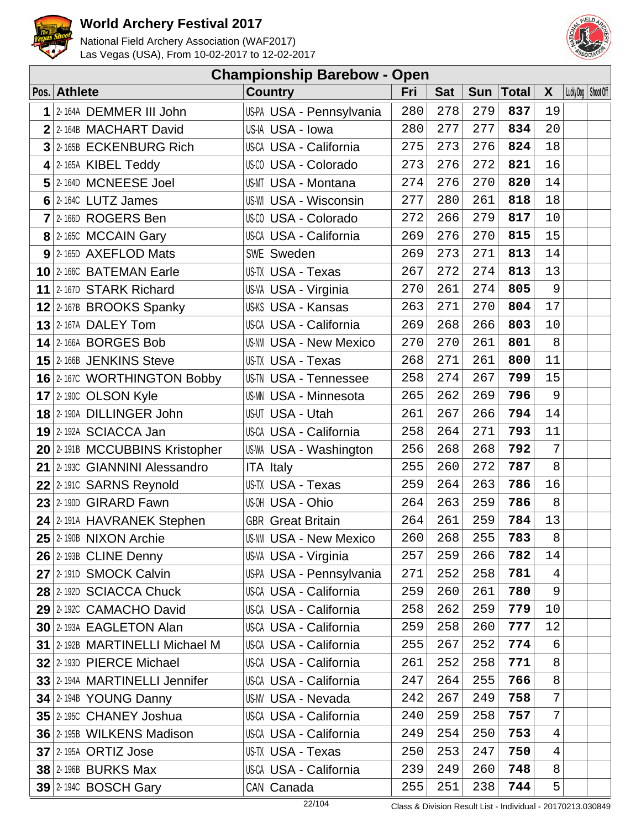



|   | <b>Championship Barebow - Open</b> |                               |     |            |            |              |                |                       |  |  |  |  |
|---|------------------------------------|-------------------------------|-----|------------|------------|--------------|----------------|-----------------------|--|--|--|--|
|   | Pos. Athlete                       | <b>Country</b>                | Fri | <b>Sat</b> | <b>Sun</b> | <b>Total</b> | X              | Lucky Dog   Shoot Off |  |  |  |  |
| 1 | 2-164A DEMMER III John             | US-PA USA - Pennsylvania      | 280 | 278        | 279        | 837          | 19             |                       |  |  |  |  |
|   | 2 2-164B MACHART David             | US-IA USA - Iowa              | 280 | 277        | 277        | 834          | 20             |                       |  |  |  |  |
|   | 3 2-165B ECKENBURG Rich            | US-CA USA - California        | 275 | 273        | 276        | 824          | 18             |                       |  |  |  |  |
|   | $4$   2-165A KIBEL Teddy           | US-CO USA - Colorado          | 273 | 276        | 272        | 821          | 16             |                       |  |  |  |  |
|   | 5 2-164D MCNEESE Joel              | US-MT USA - Montana           | 274 | 276        | 270        | 820          | 14             |                       |  |  |  |  |
|   | $6$   2-164C LUTZ James            | US-WI USA - Wisconsin         | 277 | 280        | 261        | 818          | 18             |                       |  |  |  |  |
|   | $7$  2-166D ROGERS Ben             | US-CO USA - Colorado          | 272 | 266        | 279        | 817          | 10             |                       |  |  |  |  |
|   | 8 2-165C MCCAIN Gary               | US-CA USA - California        | 269 | 276        | 270        | 815          | 15             |                       |  |  |  |  |
|   | $9$ 2-165D AXEFLOD Mats            | SWE Sweden                    | 269 | 273        | 271        | 813          | 14             |                       |  |  |  |  |
|   | 10 2-166C BATEMAN Earle            | US-TX USA - Texas             | 267 | 272        | 274        | 813          | 13             |                       |  |  |  |  |
|   | 11 2-167D STARK Richard            | US-VA USA - Virginia          | 270 | 261        | 274        | 805          | 9              |                       |  |  |  |  |
|   | $12$ 2-167B BROOKS Spanky          | US-KS USA - Kansas            | 263 | 271        | 270        | 804          | 17             |                       |  |  |  |  |
|   | $13$ 2-167A DALEY Tom              | US-CA USA - California        | 269 | 268        | 266        | 803          | 10             |                       |  |  |  |  |
|   | <b>14 2-166A BORGES Bob</b>        | <b>US-NM USA - New Mexico</b> | 270 | 270        | 261        | 801          | 8              |                       |  |  |  |  |
|   | 15 2-166B JENKINS Steve            | US-TX USA - Texas             | 268 | 271        | 261        | 800          | 11             |                       |  |  |  |  |
|   | 16 2-167C WORTHINGTON Bobby        | US-TN USA - Tennessee         | 258 | 274        | 267        | 799          | 15             |                       |  |  |  |  |
|   | <b>17</b> 2-1900 OLSON Kyle        | <b>US-MN USA - Minnesota</b>  | 265 | 262        | 269        | 796          | 9              |                       |  |  |  |  |
|   | 18 2-190A DILLINGER John           | US-UT USA - Utah              | 261 | 267        | 266        | 794          | 14             |                       |  |  |  |  |
|   | 19 2-192A SCIACCA Jan              | US-CA USA - California        | 258 | 264        | 271        | 793          | 11             |                       |  |  |  |  |
|   | 20 2-191B MCCUBBINS Kristopher     | <b>US-WA USA - Washington</b> | 256 | 268        | 268        | 792          | 7              |                       |  |  |  |  |
|   | 21 2-1930 GIANNINI Alessandro      | <b>ITA Italy</b>              | 255 | 260        | 272        | 787          | 8              |                       |  |  |  |  |
|   | 22 2-1910 SARNS Reynold            | US-TX USA - Texas             | 259 | 264        | 263        | 786          | 16             |                       |  |  |  |  |
|   | 23 2-190D GIRARD Fawn              | US-OH USA - Ohio              | 264 | 263        | 259        | 786          | 8              |                       |  |  |  |  |
|   | 24 2-191A HAVRANEK Stephen         | <b>GBR</b> Great Britain      | 264 | 261        | 259        | 784          | 13             |                       |  |  |  |  |
|   | $25$ 2-190B NIXON Archie           | <b>US-NM USA - New Mexico</b> | 260 | 268        | 255        | 783          | 8              |                       |  |  |  |  |
|   | 26 2-193B CLINE Denny              | US-VA USA - Virginia          | 257 | 259        | 266        | 782          | 14             |                       |  |  |  |  |
|   | 27 2-1910 SMOCK Calvin             | US-PA USA - Pennsylvania      | 271 | 252        | 258        | 781          | $\overline{4}$ |                       |  |  |  |  |
|   | 28 2-192D SCIACCA Chuck            | US-CA USA - California        | 259 | 260        | 261        | 780          | 9              |                       |  |  |  |  |
|   | 29 2-192C CAMACHO David            | US-CA USA - California        | 258 | 262        | 259        | 779          | 10             |                       |  |  |  |  |
|   | 30 2-193A EAGLETON Alan            | US-CA USA - California        | 259 | 258        | 260        | 777          | 12             |                       |  |  |  |  |
|   | 31 2-192B MARTINELLI Michael M     | US-CA USA - California        | 255 | 267        | 252        | 774          | 6              |                       |  |  |  |  |
|   | 32 2-193D PIERCE Michael           | US-CA USA - California        | 261 | 252        | 258        | 771          | 8              |                       |  |  |  |  |
|   | 33 2-194A MARTINELLI Jennifer      | US-CA USA - California        | 247 | 264        | 255        | 766          | 8              |                       |  |  |  |  |
|   | 34 2-194B YOUNG Danny              | <b>US-NV USA - Nevada</b>     | 242 | 267        | 249        | 758          | 7              |                       |  |  |  |  |
|   | 35 2-1950 CHANEY Joshua            | US-CA USA - California        | 240 | 259        | 258        | 757          | 7              |                       |  |  |  |  |
|   | 36 2-195B WILKENS Madison          | US-CA USA - California        | 249 | 254        | 250        | 753          | $\overline{4}$ |                       |  |  |  |  |
|   | <b>37 2-195A ORTIZ Jose</b>        | US-TX USA - Texas             | 250 | 253        | 247        | 750          | $\overline{4}$ |                       |  |  |  |  |
|   | <b>38 2-196B BURKS Max</b>         | US-CA USA - California        | 239 | 249        | 260        | 748          | 8              |                       |  |  |  |  |
|   | <b>39 2-1940 BOSCH Gary</b>        | CAN Canada                    | 255 | 251        | 238        | 744          | 5              |                       |  |  |  |  |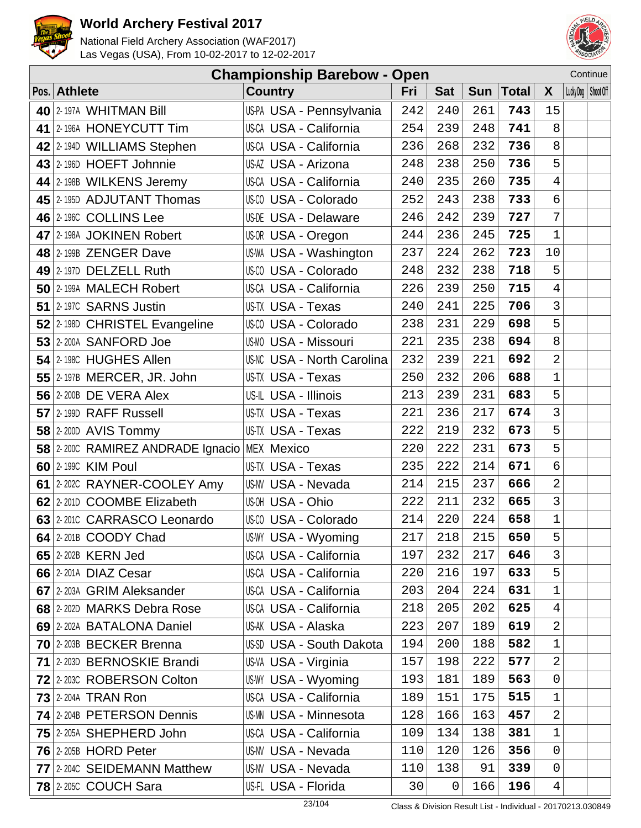



| Continue<br><b>Championship Barebow - Open</b> |  |                                   |     |                |            |              |                |  |                       |
|------------------------------------------------|--|-----------------------------------|-----|----------------|------------|--------------|----------------|--|-----------------------|
| Pos. Athlete                                   |  | <b>Country</b>                    | Fri | <b>Sat</b>     | <b>Sun</b> | <b>Total</b> | X              |  | Lucky Dog   Shoot Off |
| 40 2-197A WHITMAN Bill                         |  | US-PA USA - Pennsylvania          | 242 | 240            | 261        | 743          | 15             |  |                       |
| 41 2-196A HONEYCUTT Tim                        |  | US-CA USA - California            | 254 | 239            | 248        | 741          | 8              |  |                       |
| 42 2-1940 WILLIAMS Stephen                     |  | US-CA USA - California            | 236 | 268            | 232        | 736          | 8              |  |                       |
| 43 2-196D HOEFT Johnnie                        |  | US-AZ USA - Arizona               | 248 | 238            | 250        | 736          | 5              |  |                       |
| 44 2-198B WILKENS Jeremy                       |  | US-CA USA - California            | 240 | 235            | 260        | 735          | 4              |  |                       |
| 45 2-1950 ADJUTANT Thomas                      |  | US-00 USA - Colorado              | 252 | 243            | 238        | 733          | 6              |  |                       |
| 46 2-1960 COLLINS Lee                          |  | <b>US-DE USA - Delaware</b>       | 246 | 242            | 239        | 727          | 7              |  |                       |
| 47 2-198A JOKINEN Robert                       |  | US-OR USA - Oregon                | 244 | 236            | 245        | 725          | $\mathbf 1$    |  |                       |
| 48 2-199B ZENGER Dave                          |  | US-WA USA - Washington            | 237 | 224            | 262        | 723          | 10             |  |                       |
| 49 2-197D DELZELL Ruth                         |  | US-CO USA - Colorado              | 248 | 232            | 238        | 718          | 5              |  |                       |
| 50 2-199A MALECH Robert                        |  | <b>US-CA USA - California</b>     | 226 | 239            | 250        | 715          | 4              |  |                       |
| 51 2-197C SARNS Justin                         |  | US-TX USA - Texas                 | 240 | 241            | 225        | 706          | 3              |  |                       |
| 52 2-198D CHRISTEL Evangeline                  |  | US-CO USA - Colorado              | 238 | 231            | 229        | 698          | 5              |  |                       |
| 53 2-200A SANFORD Joe                          |  | <b>US-MO USA - Missouri</b>       | 221 | 235            | 238        | 694          | 8              |  |                       |
| 54 2-198C HUGHES Allen                         |  | <b>US-NC USA - North Carolina</b> | 232 | 239            | 221        | 692          | $\overline{2}$ |  |                       |
| 55 $2$ -197B MERCER, JR. John                  |  | US-TX USA - Texas                 | 250 | 232            | 206        | 688          | $\mathbf 1$    |  |                       |
| 56 2-200B DE VERA Alex                         |  | US-IL USA - Illinois              | 213 | 239            | 231        | 683          | 5              |  |                       |
| 57 2-199D RAFF Russell                         |  | US-TX USA - Texas                 | 221 | 236            | 217        | 674          | 3              |  |                       |
| <b>58</b> 2-200D AVIS Tommy                    |  | US-TX USA - Texas                 | 222 | 219            | 232        | 673          | 5              |  |                       |
| 58 2-2000 RAMIREZ ANDRADE Ignacio MEX Mexico   |  |                                   | 220 | 222            | 231        | 673          | 5              |  |                       |
| 60 2-1990 KIM Poul                             |  | <b>US-TX USA - Texas</b>          | 235 | 222            | 214        | 671          | 6              |  |                       |
| 61 2-2020 RAYNER-COOLEY Amy                    |  | US-NV USA - Nevada                | 214 | 215            | 237        | 666          | $\overline{2}$ |  |                       |
| 62 2-2010 COOMBE Elizabeth                     |  | US-OH USA - Ohio                  | 222 | 211            | 232        | 665          | 3              |  |                       |
| 63 2-2010 CARRASCO Leonardo                    |  | US-CO USA - Colorado              | 214 | 220            | 224        | 658          | $\mathbf 1$    |  |                       |
| $64$ 2-201B COODY Chad                         |  | US-WY USA - Wyoming               | 217 | 218            | 215        | 650          | 5              |  |                       |
| 65 2-202B KERN Jed                             |  | US-CA USA - California            | 197 | 232            | 217        | 646          | 3              |  |                       |
| 66 2-201A DIAZ Cesar                           |  | US-CA USA - California            | 220 | 216            | 197        | 633          | 5              |  |                       |
| 67 2-203A GRIM Aleksander                      |  | US-CA USA - California            | 203 | 204            | 224        | 631          | 1              |  |                       |
| 68 2-202D MARKS Debra Rose                     |  | US-CA USA - California            | 218 | 205            | 202        | 625          | $\overline{4}$ |  |                       |
| 69 2-202A BATALONA Daniel                      |  | US-AK USA - Alaska                | 223 | 207            | 189        | 619          | 2              |  |                       |
| 70 2-203B BECKER Brenna                        |  | US-SD USA - South Dakota          | 194 | 200            | 188        | 582          | 1              |  |                       |
| 71 2-203D BERNOSKIE Brandi                     |  | US-VA USA - Virginia              | 157 | 198            | 222        | 577          | $\overline{2}$ |  |                       |
| 72 2:2030 ROBERSON Colton                      |  | US-WY USA - Wyoming               | 193 | 181            | 189        | 563          | 0              |  |                       |
| <b>73 2-204A TRAN Ron</b>                      |  | US-CA USA - California            | 189 | 151            | 175        | 515          | 1              |  |                       |
| 74 2-204B PETERSON Dennis                      |  | <b>US-MN USA - Minnesota</b>      | 128 | 166            | 163        | 457          | 2              |  |                       |
| 75 2-205A SHEPHERD John                        |  | US-CA USA - California            | 109 | 134            | 138        | 381          | 1              |  |                       |
| <b>76 2-205B HORD Peter</b>                    |  | <b>US-NV USA - Nevada</b>         | 110 | 120            | 126        | 356          | 0              |  |                       |
| 77 2-2040 SEIDEMANN Matthew                    |  | <b>US-NV USA - Nevada</b>         | 110 | 138            | 91         | 339          | 0              |  |                       |
| <b>78 2-2050 COUCH Sara</b>                    |  | US-FL USA - Florida               | 30  | $\overline{0}$ | 166        | 196          | $\overline{4}$ |  |                       |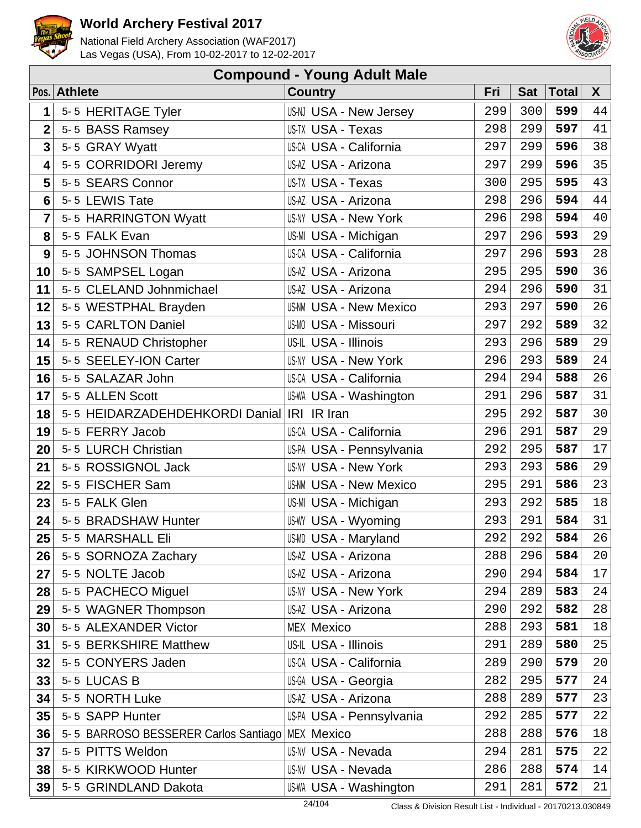



|                | <b>Compound - Young Adult Male</b>         |                               |     |            |              |        |  |  |  |  |  |  |
|----------------|--------------------------------------------|-------------------------------|-----|------------|--------------|--------|--|--|--|--|--|--|
|                | Pos. Athlete                               | <b>Country</b>                | Fri | <b>Sat</b> | <b>Total</b> | X      |  |  |  |  |  |  |
| 1              | 5-5 HERITAGE Tyler                         | US-NJ USA - New Jersey        | 299 | 300        | 599          | 44     |  |  |  |  |  |  |
| $\overline{2}$ | 5-5 BASS Ramsey                            | US-TX USA - Texas             | 298 | 299        | 597          | 41     |  |  |  |  |  |  |
| 3              | 5-5 GRAY Wyatt                             | <b>US-CA USA - California</b> | 297 | 299        | 596          | 38     |  |  |  |  |  |  |
| 4              | 5-5 CORRIDORI Jeremy                       | US-AZ USA - Arizona           | 297 | 299        | 596          | 35     |  |  |  |  |  |  |
| 5              | 5-5 SEARS Connor                           | US-TX USA - Texas             | 300 | 295        | 595          | 43     |  |  |  |  |  |  |
| 6              | 5-5 LEWIS Tate                             | US-AZ USA - Arizona           | 298 | 296        | 594          | 44     |  |  |  |  |  |  |
| 7              | 5-5 HARRINGTON Wyatt                       | <b>US-NY USA - New York</b>   | 296 | 298        | 594          | 40     |  |  |  |  |  |  |
| 8              | 5-5 FALK Evan                              | US-MI USA - Michigan          | 297 | 296        | 593          | 29     |  |  |  |  |  |  |
| 9              | 5-5 JOHNSON Thomas                         | US-CA USA - California        | 297 | 296        | 593          | 28     |  |  |  |  |  |  |
| 10             | 5-5 SAMPSEL Logan                          | US-AZ USA - Arizona           | 295 | 295        | 590          | 36     |  |  |  |  |  |  |
| 11             | 5-5 CLELAND Johnmichael                    | US-AZ USA - Arizona           | 294 | 296        | 590          | 31     |  |  |  |  |  |  |
| 12             | 5-5 WESTPHAL Brayden                       | <b>US-NM USA - New Mexico</b> | 293 | 297        | 590          | 26     |  |  |  |  |  |  |
| 13             | 5-5 CARLTON Daniel                         | US-MO USA - Missouri          | 297 | 292        | 589          | 32     |  |  |  |  |  |  |
| 14             | 5-5 RENAUD Christopher                     | US-IL USA - Illinois          | 293 | 296        | 589          | 29     |  |  |  |  |  |  |
| 15             | 5-5 SEELEY-ION Carter                      | <b>US-NY USA - New York</b>   | 296 | 293        | 589          | 24     |  |  |  |  |  |  |
| 16             | 5-5 SALAZAR John                           | US-CA USA - California        | 294 | 294        | 588          | 26     |  |  |  |  |  |  |
| 17             | 5-5 ALLEN Scott                            | <b>US-WA USA - Washington</b> | 291 | 296        | 587          | 31     |  |  |  |  |  |  |
| 18             | 5-5 HEIDARZADEHDEHKORDI Danial IRI IR Iran |                               | 295 | 292        | 587          | 30     |  |  |  |  |  |  |
| 19             | 5-5 FERRY Jacob                            | <b>US-CA USA - California</b> | 296 | 291        | 587          | 29     |  |  |  |  |  |  |
| 20             | 5-5 LURCH Christian                        | US-PA USA - Pennsylvania      | 292 | 295        | 587          | 17     |  |  |  |  |  |  |
| 21             | 5-5 ROSSIGNOL Jack                         | <b>US-NY USA - New York</b>   | 293 | 293        | 586          | 29     |  |  |  |  |  |  |
| 22             | 5-5 FISCHER Sam                            | <b>US-NM USA - New Mexico</b> | 295 | 291        | 586          | 23     |  |  |  |  |  |  |
| 23             | 5-5 FALK Glen                              | US-MI USA - Michigan          | 293 | 292        | 585          | $18\,$ |  |  |  |  |  |  |
| 24             | 5-5 BRADSHAW Hunter                        | US-WY USA - Wyoming           | 293 | 291        | 584          | 31     |  |  |  |  |  |  |
| 25             | 5-5 MARSHALL Eli                           | US-MD USA - Maryland          | 292 | 292        | 584          | 26     |  |  |  |  |  |  |
| 26             | 5-5 SORNOZA Zachary                        | US-AZ USA - Arizona           | 288 | 296        | 584          | 20     |  |  |  |  |  |  |
| 27             | 5-5 NOLTE Jacob                            | US-AZ USA - Arizona           | 290 | 294        | 584          | 17     |  |  |  |  |  |  |
| 28             | 5-5 PACHECO Miguel                         | <b>US-NY USA - New York</b>   | 294 | 289        | 583          | 24     |  |  |  |  |  |  |
| 29             | 5-5 WAGNER Thompson                        | US-AZ USA - Arizona           | 290 | 292        | 582          | 28     |  |  |  |  |  |  |
| 30             | 5-5 ALEXANDER Victor                       | <b>MEX Mexico</b>             | 288 | 293        | 581          | 18     |  |  |  |  |  |  |
| 31             | 5-5 BERKSHIRE Matthew                      | US-IL USA - Illinois          | 291 | 289        | 580          | 25     |  |  |  |  |  |  |
| 32             | 5-5 CONYERS Jaden                          | <b>US-CA USA - California</b> | 289 | 290        | 579          | 20     |  |  |  |  |  |  |
| 33             | 5-5 LUCAS B                                | US-GA USA - Georgia           | 282 | 295        | 577          | 24     |  |  |  |  |  |  |
| 34             | 5-5 NORTH Luke                             | US-AZ USA - Arizona           | 288 | 289        | 577          | 23     |  |  |  |  |  |  |
| 35             | 5-5 SAPP Hunter                            | US-PA USA - Pennsylvania      | 292 | 285        | 577          | 22     |  |  |  |  |  |  |
| 36             | 5-5 BARROSO BESSERER Carlos Santiago       | <b>MEX Mexico</b>             | 288 | 288        | 576          | 18     |  |  |  |  |  |  |
| 37             | 5-5 PITTS Weldon                           | <b>US-NV USA - Nevada</b>     | 294 | 281        | 575          | 22     |  |  |  |  |  |  |
| 38             | 5-5 KIRKWOOD Hunter                        | <b>US-NV USA - Nevada</b>     | 286 | 288        | 574          | 14     |  |  |  |  |  |  |
| 39             | 5-5 GRINDLAND Dakota                       | US-WA USA - Washington        | 291 | 281        | 572          | 21     |  |  |  |  |  |  |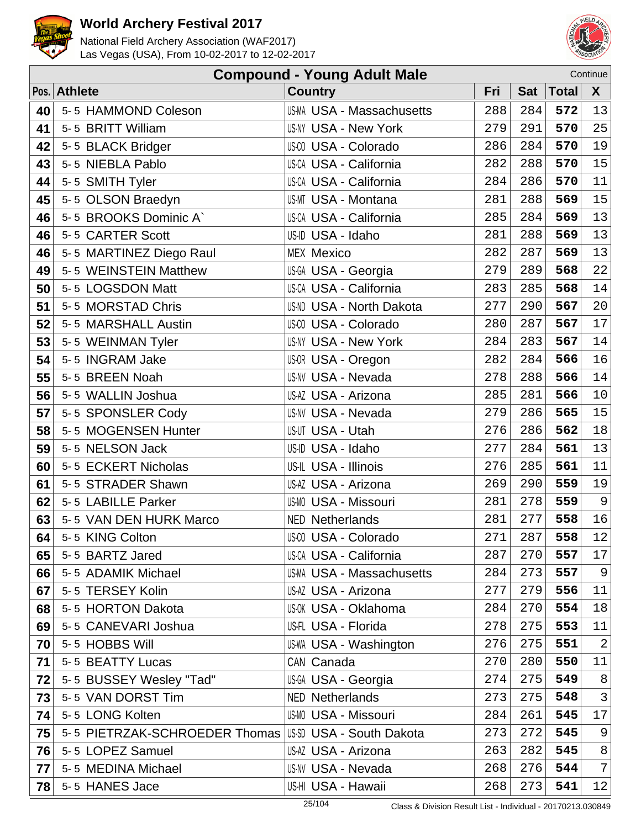



|    | <b>Compound - Young Adult Male</b><br>Continue |                                  |     |     |             |                |  |  |  |
|----|------------------------------------------------|----------------------------------|-----|-----|-------------|----------------|--|--|--|
|    | Pos. Athlete                                   | <b>Country</b>                   | Fri |     | Sat   Total | $\mathsf{X}^-$ |  |  |  |
| 40 | 5-5 HAMMOND Coleson                            | <b>US-MA USA - Massachusetts</b> | 288 | 284 | 572         | 13             |  |  |  |
| 41 | 5-5 BRITT William                              | US-NY USA - New York             | 279 | 291 | 570         | 25             |  |  |  |
| 42 | 5-5 BLACK Bridger                              | US-CO USA - Colorado             | 286 | 284 | 570         | 19             |  |  |  |
| 43 | 5-5 NIEBLA Pablo                               | US-CA USA - California           | 282 | 288 | 570         | 15             |  |  |  |
| 44 | 5-5 SMITH Tyler                                | US-CA USA - California           | 284 | 286 | 570         | 11             |  |  |  |
| 45 | 5-5 OLSON Braedyn                              | <b>US-MT USA - Montana</b>       | 281 | 288 | 569         | 15             |  |  |  |
| 46 | 5-5 BROOKS Dominic A`                          | US-CA USA - California           | 285 | 284 | 569         | 13             |  |  |  |
| 46 | 5-5 CARTER Scott                               | US-ID USA - Idaho                | 281 | 288 | 569         | 13             |  |  |  |
| 46 | 5-5 MARTINEZ Diego Raul                        | <b>MEX Mexico</b>                | 282 | 287 | 569         | 13             |  |  |  |
| 49 | 5-5 WEINSTEIN Matthew                          | US-GA USA - Georgia              | 279 | 289 | 568         | 22             |  |  |  |
| 50 | 5-5 LOGSDON Matt                               | US-CA USA - California           | 283 | 285 | 568         | 14             |  |  |  |
| 51 | 5-5 MORSTAD Chris                              | US-ND USA - North Dakota         | 277 | 290 | 567         | 20             |  |  |  |
| 52 | 5-5 MARSHALL Austin                            | US-CO USA - Colorado             | 280 | 287 | 567         | 17             |  |  |  |
| 53 | 5-5 WEINMAN Tyler                              | <b>US-NY USA - New York</b>      | 284 | 283 | 567         | 14             |  |  |  |
| 54 | 5-5 INGRAM Jake                                | US-OR USA - Oregon               | 282 | 284 | 566         | 16             |  |  |  |
| 55 | 5-5 BREEN Noah                                 | US-NV USA - Nevada               | 278 | 288 | 566         | 14             |  |  |  |
| 56 | 5-5 WALLIN Joshua                              | US-AZ USA - Arizona              | 285 | 281 | 566         | $10$           |  |  |  |
| 57 | 5-5 SPONSLER Cody                              | <b>US-NV USA - Nevada</b>        | 279 | 286 | 565         | 15             |  |  |  |
| 58 | 5-5 MOGENSEN Hunter                            | US-UT USA - Utah                 | 276 | 286 | 562         | 18             |  |  |  |
| 59 | 5-5 NELSON Jack                                | US-ID USA - Idaho                | 277 | 284 | 561         | 13             |  |  |  |
| 60 | 5-5 ECKERT Nicholas                            | US-IL USA - Illinois             | 276 | 285 | 561         | 11             |  |  |  |
| 61 | 5-5 STRADER Shawn                              | US-AZ USA - Arizona              | 269 | 290 | 559         | 19             |  |  |  |
| 62 | 5-5 LABILLE Parker                             | <b>US-MO USA - Missouri</b>      | 281 | 278 | 559         | $\mathsf{S}$   |  |  |  |
| 63 | 5-5 VAN DEN HURK Marco                         | <b>NED Netherlands</b>           | 281 | 277 | 558         | 16             |  |  |  |
| 64 | 5-5 KING Colton                                | US-CO USA - Colorado             | 271 | 287 | 558         | 12             |  |  |  |
| 65 | 5-5 BARTZ Jared                                | <b>US-CA USA - California</b>    | 287 | 270 | 557         | 17             |  |  |  |
| 66 | 5-5 ADAMIK Michael                             | <b>US-MA USA - Massachusetts</b> | 284 | 273 | 557         | 9              |  |  |  |
| 67 | 5-5 TERSEY Kolin                               | US-AZ USA - Arizona              | 277 | 279 | 556         | 11             |  |  |  |
| 68 | 5-5 HORTON Dakota                              | US-OK USA - Oklahoma             | 284 | 270 | 554         | 18             |  |  |  |
| 69 | 5-5 CANEVARI Joshua                            | US-FL USA - Florida              | 278 | 275 | 553         | 11             |  |  |  |
| 70 | 5-5 HOBBS Will                                 | US-WA USA - Washington           | 276 | 275 | 551         | $\sqrt{2}$     |  |  |  |
| 71 | 5-5 BEATTY Lucas                               | CAN Canada                       | 270 | 280 | 550         | $11\,$         |  |  |  |
| 72 | 5-5 BUSSEY Wesley "Tad"                        | US-GA USA - Georgia              | 274 | 275 | 549         | 8              |  |  |  |
| 73 | 5-5 VAN DORST Tim                              | <b>NED Netherlands</b>           | 273 | 275 | 548         | $\mathsf{3}$   |  |  |  |
| 74 | 5-5 LONG Kolten                                | <b>US-MO USA - Missouri</b>      | 284 | 261 | 545         | 17             |  |  |  |
| 75 | 5-5 PIETRZAK-SCHROEDER Thomas                  | US-SD USA - South Dakota         | 273 | 272 | 545         | 9              |  |  |  |
| 76 | 5-5 LOPEZ Samuel                               | US-AZ USA - Arizona              | 263 | 282 | 545         | 8              |  |  |  |
| 77 | 5-5 MEDINA Michael                             | <b>US-NV USA - Nevada</b>        | 268 | 276 | 544         | 7 <sup>1</sup> |  |  |  |
| 78 | 5-5 HANES Jace                                 | US-HI USA - Hawaii               | 268 | 273 | 541         | 12             |  |  |  |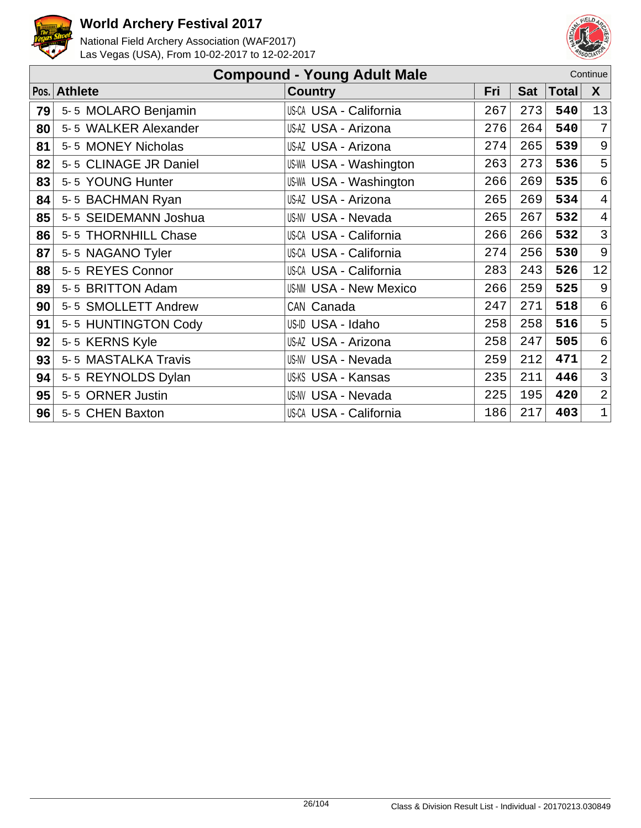



|    | <b>Compound - Young Adult Male</b><br>Continue |                               |     |            |              |                |  |  |  |
|----|------------------------------------------------|-------------------------------|-----|------------|--------------|----------------|--|--|--|
|    | Pos. Athlete                                   | <b>Country</b>                | Fri | <b>Sat</b> | <b>Total</b> | X              |  |  |  |
| 79 | 5-5 MOLARO Benjamin                            | <b>US-CA USA - California</b> | 267 | 273        | 540          | 13             |  |  |  |
| 80 | 5-5 WALKER Alexander                           | US-AZ USA - Arizona           | 276 | 264        | 540          | $\overline{7}$ |  |  |  |
| 81 | 5-5 MONEY Nicholas                             | US-AZ USA - Arizona           | 274 | 265        | 539          | 9              |  |  |  |
| 82 | 5-5 CLINAGE JR Daniel                          | US-WA USA - Washington        | 263 | 273        | 536          | 5              |  |  |  |
| 83 | 5-5 YOUNG Hunter                               | US-WA USA - Washington        | 266 | 269        | 535          | 6              |  |  |  |
| 84 | 5-5 BACHMAN Ryan                               | US-AZ USA - Arizona           | 265 | 269        | 534          | $\overline{4}$ |  |  |  |
| 85 | 5-5 SEIDEMANN Joshua                           | <b>US-NV USA - Nevada</b>     | 265 | 267        | 532          | $\overline{4}$ |  |  |  |
| 86 | 5-5 THORNHILL Chase                            | US-CA USA - California        | 266 | 266        | 532          | $\mathfrak{Z}$ |  |  |  |
| 87 | 5-5 NAGANO Tyler                               | US-CA USA - California        | 274 | 256        | 530          | 9              |  |  |  |
| 88 | 5-5 REYES Connor                               | US-CA USA - California        | 283 | 243        | 526          | 12             |  |  |  |
| 89 | 5-5 BRITTON Adam                               | <b>US-NM USA - New Mexico</b> | 266 | 259        | 525          | $\mathsf 9$    |  |  |  |
| 90 | 5-5 SMOLLETT Andrew                            | CAN Canada                    | 247 | 271        | 518          | 6              |  |  |  |
| 91 | 5-5 HUNTINGTON Cody                            | US-ID USA - Idaho             | 258 | 258        | 516          | 5              |  |  |  |
| 92 | 5-5 KERNS Kyle                                 | US-AZ USA - Arizona           | 258 | 247        | 505          | $\epsilon$     |  |  |  |
| 93 | 5-5 MASTALKA Travis                            | <b>US-NV USA - Nevada</b>     | 259 | 212        | 471          | $\overline{2}$ |  |  |  |
| 94 | 5-5 REYNOLDS Dylan                             | US-KS USA - Kansas            | 235 | 211        | 446          | 3              |  |  |  |
| 95 | 5-5 ORNER Justin                               | <b>US-NV USA - Nevada</b>     | 225 | 195        | 420          | $\overline{2}$ |  |  |  |
| 96 | 5-5 CHEN Baxton                                | US-CA USA - California        | 186 | 217        | 403          | $\mathbf 1$    |  |  |  |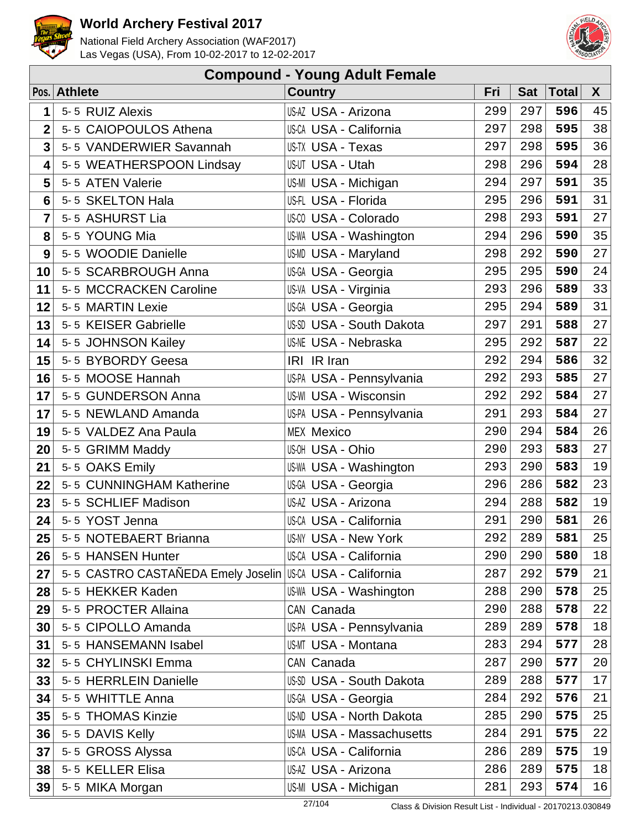



| <b>Compound - Young Adult Female</b> |                                    |                                  |     |            |       |    |  |  |  |
|--------------------------------------|------------------------------------|----------------------------------|-----|------------|-------|----|--|--|--|
|                                      | Pos. Athlete                       | <b>Country</b>                   | Fri | <b>Sat</b> | Total | X  |  |  |  |
| 1                                    | 5-5 RUIZ Alexis                    | US-AZ USA - Arizona              | 299 | 297        | 596   | 45 |  |  |  |
| $\overline{2}$                       | 5-5 CAIOPOULOS Athena              | <b>US-CA USA - California</b>    | 297 | 298        | 595   | 38 |  |  |  |
| 3                                    | 5-5 VANDERWIER Savannah            | US-TX USA - Texas                | 297 | 298        | 595   | 36 |  |  |  |
| 4                                    | 5-5 WEATHERSPOON Lindsay           | US-UT USA - Utah                 | 298 | 296        | 594   | 28 |  |  |  |
| 5                                    | 5-5 ATEN Valerie                   | US-MI USA - Michigan             | 294 | 297        | 591   | 35 |  |  |  |
| 6                                    | 5-5 SKELTON Hala                   | US-FL USA - Florida              | 295 | 296        | 591   | 31 |  |  |  |
| 7                                    | 5-5 ASHURST Lia                    | <b>US-CO USA - Colorado</b>      | 298 | 293        | 591   | 27 |  |  |  |
| 8                                    | 5-5 YOUNG Mia                      | <b>US-WA USA - Washington</b>    | 294 | 296        | 590   | 35 |  |  |  |
| 9                                    | 5-5 WOODIE Danielle                | US-MD USA - Maryland             | 298 | 292        | 590   | 27 |  |  |  |
| 10                                   | 5-5 SCARBROUGH Anna                | US-GA USA - Georgia              | 295 | 295        | 590   | 24 |  |  |  |
| 11                                   | 5-5 MCCRACKEN Caroline             | US-VA USA - Virginia             | 293 | 296        | 589   | 33 |  |  |  |
| 12                                   | 5-5 MARTIN Lexie                   | US-GA USA - Georgia              | 295 | 294        | 589   | 31 |  |  |  |
| 13                                   | 5-5 KEISER Gabrielle               | US-SD USA - South Dakota         | 297 | 291        | 588   | 27 |  |  |  |
| 14                                   | 5-5 JOHNSON Kailey                 | <b>US-NE USA - Nebraska</b>      | 295 | 292        | 587   | 22 |  |  |  |
| 15                                   | 5-5 BYBORDY Geesa                  | IRI IR Iran                      | 292 | 294        | 586   | 32 |  |  |  |
| 16                                   | 5-5 MOOSE Hannah                   | US-PA USA - Pennsylvania         | 292 | 293        | 585   | 27 |  |  |  |
| 17                                   | 5-5 GUNDERSON Anna                 | <b>US-WI USA - Wisconsin</b>     | 292 | 292        | 584   | 27 |  |  |  |
| 17                                   | 5-5 NEWLAND Amanda                 | US-PA USA - Pennsylvania         | 291 | 293        | 584   | 27 |  |  |  |
| 19                                   | 5-5 VALDEZ Ana Paula               | <b>MEX Mexico</b>                | 290 | 294        | 584   | 26 |  |  |  |
| 20                                   | 5-5 GRIMM Maddy                    | US-OH USA - Ohio                 | 290 | 293        | 583   | 27 |  |  |  |
| 21                                   | 5-5 OAKS Emily                     | <b>US-WA USA - Washington</b>    | 293 | 290        | 583   | 19 |  |  |  |
| 22                                   | 5-5 CUNNINGHAM Katherine           | US-GA USA - Georgia              | 296 | 286        | 582   | 23 |  |  |  |
| 23                                   | 5-5 SCHLIEF Madison                | US-AZ USA - Arizona              | 294 | 288        | 582   | 19 |  |  |  |
| 24                                   | 5-5 YOST Jenna                     | <b>US-CA USA - California</b>    | 291 | 290        | 581   | 26 |  |  |  |
| 25                                   | 5-5 NOTEBAERT Brianna              | <b>US-NY USA - New York</b>      | 292 | 289        | 581   | 25 |  |  |  |
| 26                                   | 5-5 HANSEN Hunter                  | <b>US-CA USA - California</b>    | 290 | 290        | 580   | 18 |  |  |  |
| 27                                   | 5-5 CASTRO CASTAÑEDA Emely Joselin | <b>US-CA USA - California</b>    | 287 | 292        | 579   | 21 |  |  |  |
| 28                                   | 5-5 HEKKER Kaden                   | <b>US-WA USA - Washington</b>    | 288 | 290        | 578   | 25 |  |  |  |
| 29                                   | 5-5 PROCTER Allaina                | CAN Canada                       | 290 | 288        | 578   | 22 |  |  |  |
| 30                                   | 5-5 CIPOLLO Amanda                 | US-PA USA - Pennsylvania         | 289 | 289        | 578   | 18 |  |  |  |
| 31                                   | 5-5 HANSEMANN Isabel               | <b>US-MT USA - Montana</b>       | 283 | 294        | 577   | 28 |  |  |  |
| 32                                   | 5-5 CHYLINSKI Emma                 | CAN Canada                       | 287 | 290        | 577   | 20 |  |  |  |
| 33                                   | 5-5 HERRLEIN Danielle              | US-SD USA - South Dakota         | 289 | 288        | 577   | 17 |  |  |  |
| 34                                   | 5-5 WHITTLE Anna                   | US-GA USA - Georgia              | 284 | 292        | 576   | 21 |  |  |  |
| 35                                   | 5-5 THOMAS Kinzie                  | <b>US-ND USA - North Dakota</b>  | 285 | 290        | 575   | 25 |  |  |  |
| 36                                   | 5-5 DAVIS Kelly                    | <b>US-MA USA - Massachusetts</b> | 284 | 291        | 575   | 22 |  |  |  |
| 37                                   | 5-5 GROSS Alyssa                   | <b>US-CA USA - California</b>    | 286 | 289        | 575   | 19 |  |  |  |
| 38                                   | 5-5 KELLER Elisa                   | US-AZ USA - Arizona              | 286 | 289        | 575   | 18 |  |  |  |
| 39                                   | 5-5 MIKA Morgan                    | US-MI USA - Michigan             | 281 | 293        | 574   | 16 |  |  |  |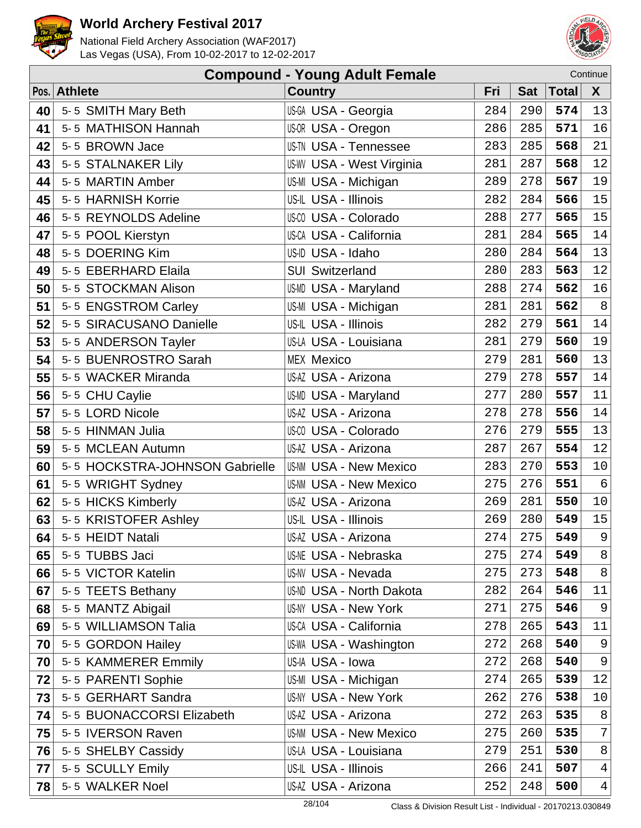



| <b>Compound - Young Adult Female</b><br>Continue |                                |                                  |     |            |              |                |  |  |
|--------------------------------------------------|--------------------------------|----------------------------------|-----|------------|--------------|----------------|--|--|
|                                                  | Pos. Athlete                   | <b>Country</b>                   | Fri | <b>Sat</b> | <b>Total</b> | $\mathsf{X}$   |  |  |
| 40                                               | 5-5 SMITH Mary Beth            | US-GA USA - Georgia              | 284 | 290        | 574          | 13             |  |  |
| 41                                               | 5-5 MATHISON Hannah            | US-OR USA - Oregon               | 286 | 285        | 571          | 16             |  |  |
| 42                                               | 5-5 BROWN Jace                 | US-TN USA - Tennessee            | 283 | 285        | 568          | 21             |  |  |
| 43                                               | 5-5 STALNAKER Lily             | <b>US-WV USA - West Virginia</b> | 281 | 287        | 568          | 12             |  |  |
| 44                                               | 5-5 MARTIN Amber               | US-MI USA - Michigan             | 289 | 278        | 567          | 19             |  |  |
| 45                                               | 5-5 HARNISH Korrie             | US-IL USA - Illinois             | 282 | 284        | 566          | 15             |  |  |
| 46                                               | 5-5 REYNOLDS Adeline           | <b>US-CO USA - Colorado</b>      | 288 | 277        | 565          | 15             |  |  |
| 47                                               | 5-5 POOL Kierstyn              | <b>US-CA USA - California</b>    | 281 | 284        | 565          | 14             |  |  |
| 48                                               | 5-5 DOERING Kim                | US-ID USA - Idaho                | 280 | 284        | 564          | 13             |  |  |
| 49                                               | 5-5 EBERHARD Elaila            | <b>SUI Switzerland</b>           | 280 | 283        | 563          | 12             |  |  |
| 50                                               | 5-5 STOCKMAN Alison            | US-MD USA - Maryland             | 288 | 274        | 562          | 16             |  |  |
| 51                                               | 5-5 ENGSTROM Carley            | US-MI USA - Michigan             | 281 | 281        | 562          | $\,8\,$        |  |  |
| 52                                               | 5-5 SIRACUSANO Danielle        | US-IL USA - Illinois             | 282 | 279        | 561          | 14             |  |  |
| 53                                               | 5-5 ANDERSON Tayler            | US-LA USA - Louisiana            | 281 | 279        | 560          | 19             |  |  |
| 54                                               | 5-5 BUENROSTRO Sarah           | <b>MEX Mexico</b>                | 279 | 281        | 560          | 13             |  |  |
| 55                                               | 5-5 WACKER Miranda             | US-AZ USA - Arizona              | 279 | 278        | 557          | 14             |  |  |
| 56                                               | 5-5 CHU Caylie                 | US-MD USA - Maryland             | 277 | 280        | 557          | 11             |  |  |
| 57                                               | 5-5 LORD Nicole                | US-AZ USA - Arizona              | 278 | 278        | 556          | 14             |  |  |
| 58                                               | 5-5 HINMAN Julia               | US-CO USA - Colorado             | 276 | 279        | 555          | 13             |  |  |
| 59                                               | 5-5 MCLEAN Autumn              | US-AZ USA - Arizona              | 287 | 267        | 554          | 12             |  |  |
| 60                                               | 5-5 HOCKSTRA-JOHNSON Gabrielle | <b>US-NM USA - New Mexico</b>    | 283 | 270        | 553          | $10$           |  |  |
| 61                                               | 5-5 WRIGHT Sydney              | <b>US-NM USA - New Mexico</b>    | 275 | 276        | 551          | $\epsilon$     |  |  |
| 62                                               | 5-5 HICKS Kimberly             | US-AZ USA - Arizona              | 269 | 281        | 550          | $10$           |  |  |
| 63                                               | 5-5 KRISTOFER Ashley           | US-IL USA - Illinois             | 269 | 280        | 549          | $15\,$         |  |  |
| 64                                               | 5-5 HEIDT Natali               | US-AZ USA - Arizona              | 274 | 275        | 549          | 9              |  |  |
| 65                                               | 5-5 TUBBS Jaci                 | <b>US-NE USA - Nebraska</b>      | 275 | 274        | 549          | 8              |  |  |
| 66                                               | 5-5 VICTOR Katelin             | US-NV USA - Nevada               | 275 | 273        | 548          | $\,8\,$        |  |  |
| 67                                               | 5-5 TEETS Bethany              | US-ND USA - North Dakota         | 282 | 264        | 546          | 11             |  |  |
| 68                                               | 5-5 MANTZ Abigail              | US-NY USA - New York             | 271 | 275        | 546          | 9              |  |  |
| 69                                               | 5-5 WILLIAMSON Talia           | US-CA USA - California           | 278 | 265        | 543          | 11             |  |  |
| 70                                               | 5-5 GORDON Hailey              | US-WA USA - Washington           | 272 | 268        | 540          | 9              |  |  |
| 70                                               | 5-5 KAMMERER Emmily            | US-IA USA - Iowa                 | 272 | 268        | 540          | 9              |  |  |
| 72                                               | 5-5 PARENTI Sophie             | US-MI USA - Michigan             | 274 | 265        | 539          | 12             |  |  |
| 73                                               | 5-5 GERHART Sandra             | US-NY USA - New York             | 262 | 276        | 538          | 10             |  |  |
| 74                                               | 5-5 BUONACCORSI Elizabeth      | US-AZ USA - Arizona              | 272 | 263        | 535          | 8              |  |  |
| 75                                               | 5-5 IVERSON Raven              | <b>US-NM USA - New Mexico</b>    | 275 | 260        | 535          | 7 <sup>1</sup> |  |  |
| 76                                               | 5-5 SHELBY Cassidy             | US-LA USA - Louisiana            | 279 | 251        | 530          | 8 <sup>1</sup> |  |  |
| 77                                               | 5-5 SCULLY Emily               | US-IL USA - Illinois             | 266 | 241        | 507          | $4\vert$       |  |  |
| 78                                               | 5-5 WALKER Noel                | US-AZ USA - Arizona              | 252 | 248        | 500          | $4\vert$       |  |  |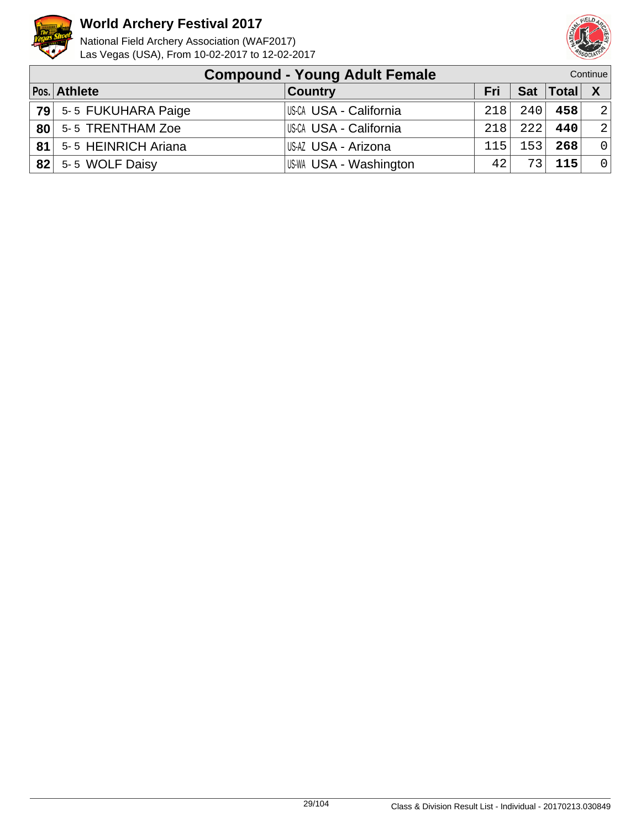



|    | <b>Compound - Young Adult Female</b> |                        |     |     |                 | Continue       |
|----|--------------------------------------|------------------------|-----|-----|-----------------|----------------|
|    | Pos. Athlete                         | <b>Country</b>         | Fri |     | Sat   Total   X |                |
|    | 79 5-5 FUKUHARA Paige                | US-CA USA - California | 218 | 240 | 458             | 2              |
|    | 80 5-5 TRENTHAM Zoe                  | US-CA USA - California | 218 | 222 | 440             | 2              |
| 81 | 5-5 HEINRICH Ariana                  | US-AZ USA - Arizona    | 115 | 153 | 268             | $\Omega$       |
| 82 | 5-5 WOLF Daisy                       | US-WA USA - Washington | 42  | 73  | 115             | $\overline{0}$ |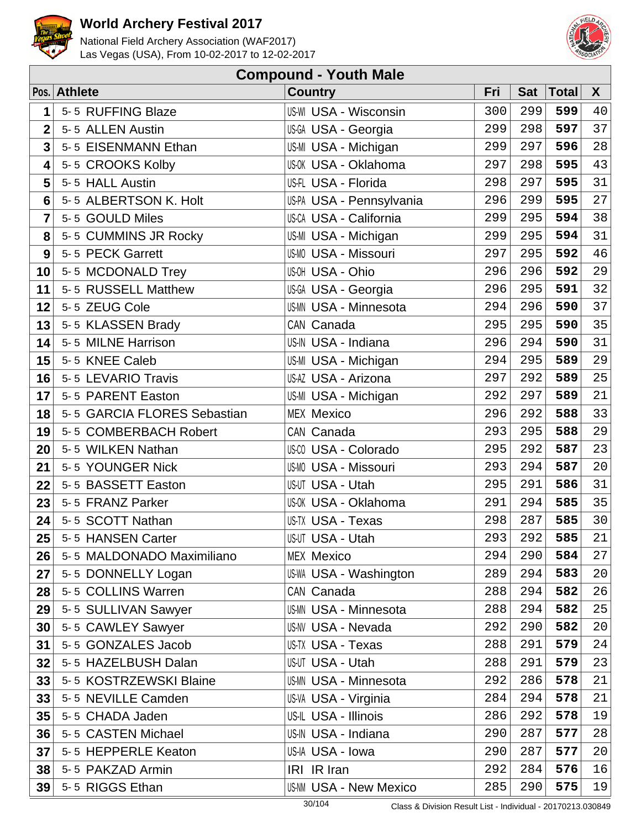



| <b>Compound - Youth Male</b> |                             |                               |     |            |              |              |  |  |  |
|------------------------------|-----------------------------|-------------------------------|-----|------------|--------------|--------------|--|--|--|
|                              | Pos. Athlete                | <b>Country</b>                | Fri | <b>Sat</b> | <b>Total</b> | $\mathsf{X}$ |  |  |  |
| 1                            | 5-5 RUFFING Blaze           | <b>US-WI USA - Wisconsin</b>  | 300 | 299        | 599          | 40           |  |  |  |
| $\overline{2}$               | 5-5 ALLEN Austin            | US-GA USA - Georgia           | 299 | 298        | 597          | 37           |  |  |  |
| $\overline{\mathbf{3}}$      | 5-5 EISENMANN Ethan         | US-MI USA - Michigan          | 299 | 297        | 596          | 28           |  |  |  |
| 4                            | 5-5 CROOKS Kolby            | <b>US-OK USA - Oklahoma</b>   | 297 | 298        | 595          | 43           |  |  |  |
| 5                            | 5-5 HALL Austin             | US-FL USA - Florida           | 298 | 297        | 595          | 31           |  |  |  |
| 6                            | 5-5 ALBERTSON K. Holt       | US-PA USA - Pennsylvania      | 296 | 299        | 595          | 27           |  |  |  |
| 7                            | 5-5 GOULD Miles             | <b>US-CA USA - California</b> | 299 | 295        | 594          | 38           |  |  |  |
| 8                            | 5-5 CUMMINS JR Rocky        | US-MI USA - Michigan          | 299 | 295        | 594          | 31           |  |  |  |
| 9                            | 5-5 PECK Garrett            | <b>US-MO USA - Missouri</b>   | 297 | 295        | 592          | 46           |  |  |  |
| 10                           | 5-5 MCDONALD Trey           | US-OH USA - Ohio              | 296 | 296        | 592          | 29           |  |  |  |
| 11                           | 5-5 RUSSELL Matthew         | US-GA USA - Georgia           | 296 | 295        | 591          | 32           |  |  |  |
| 12                           | 5-5 ZEUG Cole               | US-MN USA - Minnesota         | 294 | 296        | 590          | 37           |  |  |  |
| 13                           | 5-5 KLASSEN Brady           | CAN Canada                    | 295 | 295        | 590          | 35           |  |  |  |
| 14                           | 5-5 MILNE Harrison          | US-IN USA - Indiana           | 296 | 294        | 590          | 31           |  |  |  |
| 15                           | 5-5 KNEE Caleb              | US-MI USA - Michigan          | 294 | 295        | 589          | 29           |  |  |  |
| 16                           | 5-5 LEVARIO Travis          | US-AZ USA - Arizona           | 297 | 292        | 589          | 25           |  |  |  |
| 17                           | 5-5 PARENT Easton           | US-MI USA - Michigan          | 292 | 297        | 589          | 21           |  |  |  |
| 18                           | 5-5 GARCIA FLORES Sebastian | <b>MEX Mexico</b>             | 296 | 292        | 588          | 33           |  |  |  |
| 19                           | 5-5 COMBERBACH Robert       | CAN Canada                    | 293 | 295        | 588          | 29           |  |  |  |
| 20                           | 5-5 WILKEN Nathan           | <b>US-CO USA - Colorado</b>   | 295 | 292        | 587          | 23           |  |  |  |
| 21                           | 5-5 YOUNGER Nick            | <b>US-MO USA - Missouri</b>   | 293 | 294        | 587          | 20           |  |  |  |
| 22                           | 5-5 BASSETT Easton          | US-UT USA - Utah              | 295 | 291        | 586          | 31           |  |  |  |
| 23                           | 5-5 FRANZ Parker            | US-0K USA - Oklahoma          | 291 | 294        | 585          | 35           |  |  |  |
| 24                           | 5-5 SCOTT Nathan            | US-TX USA - Texas             | 298 | 287        | 585          | 30           |  |  |  |
| 25                           | 5-5 HANSEN Carter           | US-UT USA - Utah              | 293 | 292        | 585          | 21           |  |  |  |
| 26                           | 5-5 MALDONADO Maximiliano   | <b>MEX Mexico</b>             | 294 | 290        | 584          | 27           |  |  |  |
| 27                           | 5-5 DONNELLY Logan          | <b>US-WA USA - Washington</b> | 289 | 294        | 583          | 20           |  |  |  |
| 28                           | 5-5 COLLINS Warren          | CAN Canada                    | 288 | 294        | 582          | 26           |  |  |  |
| 29                           | 5-5 SULLIVAN Sawyer         | <b>US-MN USA - Minnesota</b>  | 288 | 294        | 582          | 25           |  |  |  |
| 30                           | 5-5 CAWLEY Sawyer           | <b>US-NV USA - Nevada</b>     | 292 | 290        | 582          | 20           |  |  |  |
| 31                           | 5-5 GONZALES Jacob          | US-TX USA - Texas             | 288 | 291        | 579          | 24           |  |  |  |
| 32                           | 5-5 HAZELBUSH Dalan         | US-UT USA - Utah              | 288 | 291        | 579          | 23           |  |  |  |
| 33                           | 5-5 KOSTRZEWSKI Blaine      | <b>US-MN USA - Minnesota</b>  | 292 | 286        | 578          | 21           |  |  |  |
| 33                           | 5-5 NEVILLE Camden          | US-VA USA - Virginia          | 284 | 294        | 578          | 21           |  |  |  |
| 35                           | 5-5 CHADA Jaden             | US-IL USA - Illinois          | 286 | 292        | 578          | 19           |  |  |  |
| 36                           | 5-5 CASTEN Michael          | US-IN USA - Indiana           | 290 | 287        | 577          | 28           |  |  |  |
| 37                           | 5-5 HEPPERLE Keaton         | US-IA USA - Iowa              | 290 | 287        | 577          | 20           |  |  |  |
| 38                           | 5-5 PAKZAD Armin            | IRI IR Iran                   | 292 | 284        | 576          | 16           |  |  |  |
| 39                           | 5-5 RIGGS Ethan             | <b>US-NM USA - New Mexico</b> | 285 | 290        | 575          | 19           |  |  |  |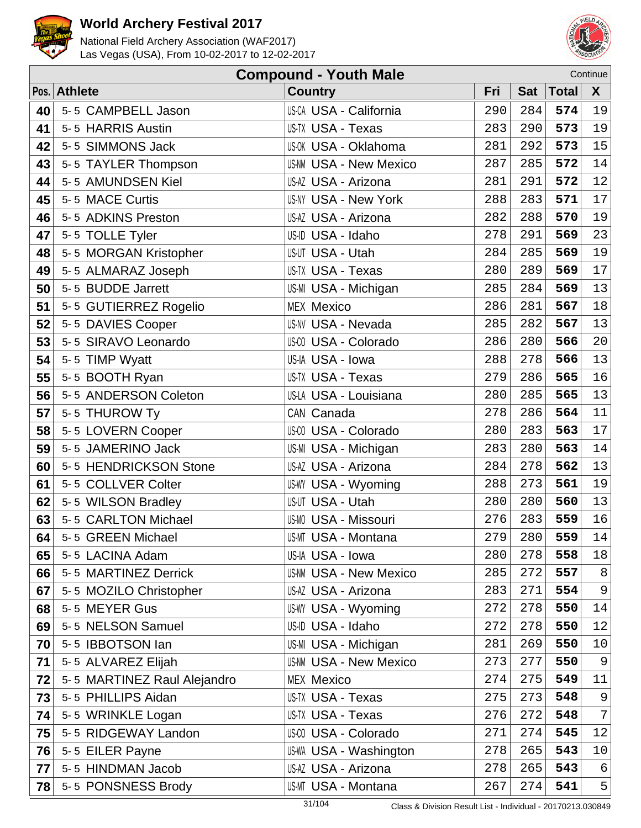



|    | <b>Compound - Youth Male</b><br>Continue |                               |     |            |       |                |  |  |  |
|----|------------------------------------------|-------------------------------|-----|------------|-------|----------------|--|--|--|
|    | Pos. Athlete                             | <b>Country</b>                | Fri | <b>Sat</b> | Total | $\mathsf{X}$   |  |  |  |
| 40 | 5-5 CAMPBELL Jason                       | <b>US-CA USA - California</b> | 290 | 284        | 574   | 19             |  |  |  |
| 41 | 5-5 HARRIS Austin                        | US-TX USA - Texas             | 283 | 290        | 573   | 19             |  |  |  |
| 42 | 5-5 SIMMONS Jack                         | <b>US-OK USA - Oklahoma</b>   | 281 | 292        | 573   | 15             |  |  |  |
| 43 | 5-5 TAYLER Thompson                      | <b>US-NM USA - New Mexico</b> | 287 | 285        | 572   | 14             |  |  |  |
| 44 | 5-5 AMUNDSEN Kiel                        | US-AZ USA - Arizona           | 281 | 291        | 572   | 12             |  |  |  |
| 45 | 5-5 MACE Curtis                          | <b>US-NY USA - New York</b>   | 288 | 283        | 571   | 17             |  |  |  |
| 46 | 5-5 ADKINS Preston                       | US-AZ USA - Arizona           | 282 | 288        | 570   | 19             |  |  |  |
| 47 | 5-5 TOLLE Tyler                          | US-ID USA - Idaho             | 278 | 291        | 569   | 23             |  |  |  |
| 48 | 5-5 MORGAN Kristopher                    | US-UT USA - Utah              | 284 | 285        | 569   | 19             |  |  |  |
| 49 | 5-5 ALMARAZ Joseph                       | US-TX USA - Texas             | 280 | 289        | 569   | 17             |  |  |  |
| 50 | 5-5 BUDDE Jarrett                        | US-MI USA - Michigan          | 285 | 284        | 569   | 13             |  |  |  |
| 51 | 5-5 GUTIERREZ Rogelio                    | <b>MEX Mexico</b>             | 286 | 281        | 567   | 18             |  |  |  |
| 52 | 5-5 DAVIES Cooper                        | <b>US-NV USA - Nevada</b>     | 285 | 282        | 567   | 13             |  |  |  |
| 53 | 5-5 SIRAVO Leonardo                      | US-CO USA - Colorado          | 286 | 280        | 566   | 20             |  |  |  |
| 54 | 5-5 TIMP Wyatt                           | US-IA USA - Iowa              | 288 | 278        | 566   | 13             |  |  |  |
| 55 | 5-5 BOOTH Ryan                           | US-TX USA - Texas             | 279 | 286        | 565   | 16             |  |  |  |
| 56 | 5-5 ANDERSON Coleton                     | US-LA USA - Louisiana         | 280 | 285        | 565   | 13             |  |  |  |
| 57 | 5-5 THUROW Ty                            | CAN Canada                    | 278 | 286        | 564   | 11             |  |  |  |
| 58 | 5-5 LOVERN Cooper                        | US-00 USA - Colorado          | 280 | 283        | 563   | 17             |  |  |  |
| 59 | 5-5 JAMERINO Jack                        | US-MI USA - Michigan          | 283 | 280        | 563   | 14             |  |  |  |
| 60 | 5-5 HENDRICKSON Stone                    | US-AZ USA - Arizona           | 284 | 278        | 562   | 13             |  |  |  |
| 61 | 5-5 COLLVER Colter                       | <b>US-WY USA - Wyoming</b>    | 288 | 273        | 561   | 19             |  |  |  |
| 62 | 5-5 WILSON Bradley                       | US-UT USA - Utah              | 280 | 280        | 560   | 13             |  |  |  |
| 63 | 5-5 CARLTON Michael                      | US-MO USA - Missouri          | 276 | 283        | 559   | 16             |  |  |  |
| 64 | 5-5 GREEN Michael                        | US-MT USA - Montana           | 279 | 280        | 559   | 14             |  |  |  |
| 65 | 5-5 LACINA Adam                          | US-IA USA - Iowa              | 280 | 278        | 558   | 18             |  |  |  |
| 66 | 5-5 MARTINEZ Derrick                     | <b>US-NM USA - New Mexico</b> | 285 | 272        | 557   | $\,8\,$        |  |  |  |
| 67 | 5-5 MOZILO Christopher                   | US-AZ USA - Arizona           | 283 | 271        | 554   | 9              |  |  |  |
| 68 | 5-5 MEYER Gus                            | US-WY USA - Wyoming           | 272 | 278        | 550   | 14             |  |  |  |
| 69 | 5-5 NELSON Samuel                        | US-ID USA - Idaho             | 272 | 278        | 550   | 12             |  |  |  |
| 70 | 5-5 IBBOTSON lan                         | US-MI USA - Michigan          | 281 | 269        | 550   | 10             |  |  |  |
| 71 | 5-5 ALVAREZ Elijah                       | <b>US-NM USA - New Mexico</b> | 273 | 277        | 550   | $\overline{9}$ |  |  |  |
| 72 | 5-5 MARTINEZ Raul Alejandro              | <b>MEX Mexico</b>             | 274 | 275        | 549   | 11             |  |  |  |
| 73 | 5-5 PHILLIPS Aidan                       | US-TX USA - Texas             | 275 | 273        | 548   | 9              |  |  |  |
| 74 | 5-5 WRINKLE Logan                        | US-TX USA - Texas             | 276 | 272        | 548   | 7              |  |  |  |
| 75 | 5-5 RIDGEWAY Landon                      | US-CO USA - Colorado          | 271 | 274        | 545   | 12             |  |  |  |
| 76 | 5-5 EILER Payne                          | US-WA USA - Washington        | 278 | 265        | 543   | 10             |  |  |  |
| 77 | 5-5 HINDMAN Jacob                        | US-AZ USA - Arizona           | 278 | 265        | 543   | 6              |  |  |  |
| 78 | 5-5 PONSNESS Brody                       | US-MT USA - Montana           | 267 | 274        | 541   | 5              |  |  |  |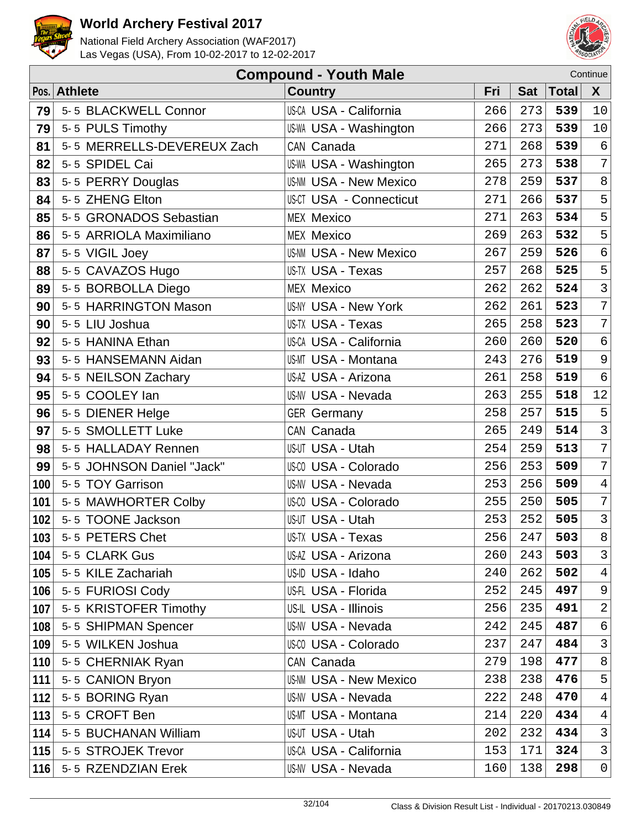



|     | <b>Compound - Youth Male</b><br>Continue |                                |     |            |              |                 |  |  |  |
|-----|------------------------------------------|--------------------------------|-----|------------|--------------|-----------------|--|--|--|
|     | Pos. Athlete                             | <b>Country</b>                 | Fri | <b>Sat</b> | <b>Total</b> | X               |  |  |  |
| 79  | 5-5 BLACKWELL Connor                     | <b>US-CA USA - California</b>  | 266 | 273        | 539          | 10              |  |  |  |
| 79  | 5-5 PULS Timothy                         | <b>US-WA USA - Washington</b>  | 266 | 273        | 539          | 10              |  |  |  |
| 81  | 5-5 MERRELLS-DEVEREUX Zach               | CAN Canada                     | 271 | 268        | 539          | $\sqrt{6}$      |  |  |  |
| 82  | 5-5 SPIDEL Cai                           | <b>US-WA USA - Washington</b>  | 265 | 273        | 538          | $\overline{7}$  |  |  |  |
| 83  | 5-5 PERRY Douglas                        | <b>US-NM USA - New Mexico</b>  | 278 | 259        | 537          | 8               |  |  |  |
| 84  | 5-5 ZHENG Elton                          | <b>US-CT USA - Connecticut</b> | 271 | 266        | 537          | 5               |  |  |  |
| 85  | 5-5 GRONADOS Sebastian                   | <b>MEX Mexico</b>              | 271 | 263        | 534          | 5               |  |  |  |
| 86  | 5-5 ARRIOLA Maximiliano                  | <b>MEX Mexico</b>              | 269 | 263        | 532          | 5               |  |  |  |
| 87  | 5-5 VIGIL Joey                           | <b>US-NM USA - New Mexico</b>  | 267 | 259        | 526          | $\epsilon$      |  |  |  |
| 88  | 5-5 CAVAZOS Hugo                         | US-TX USA - Texas              | 257 | 268        | 525          | 5               |  |  |  |
| 89  | 5-5 BORBOLLA Diego                       | <b>MEX Mexico</b>              | 262 | 262        | 524          | $\mathsf{3}$    |  |  |  |
| 90  | 5-5 HARRINGTON Mason                     | <b>US-NY USA - New York</b>    | 262 | 261        | 523          | $\overline{7}$  |  |  |  |
| 90  | 5-5 LIU Joshua                           | <b>US-TX USA - Texas</b>       | 265 | 258        | 523          | $\overline{7}$  |  |  |  |
| 92  | 5-5 HANINA Ethan                         | <b>US-CA USA - California</b>  | 260 | 260        | 520          | $6\overline{6}$ |  |  |  |
| 93  | 5-5 HANSEMANN Aidan                      | US-MT USA - Montana            | 243 | 276        | 519          | 9               |  |  |  |
| 94  | 5-5 NEILSON Zachary                      | US-AZ USA - Arizona            | 261 | 258        | 519          | $\epsilon$      |  |  |  |
| 95  | 5-5 COOLEY lan                           | US-NV USA - Nevada             | 263 | 255        | 518          | 12              |  |  |  |
| 96  | 5-5 DIENER Helge                         | <b>GER Germany</b>             | 258 | 257        | 515          | 5               |  |  |  |
| 97  | 5-5 SMOLLETT Luke                        | CAN Canada                     | 265 | 249        | 514          | $\mathfrak{Z}$  |  |  |  |
| 98  | 5-5 HALLADAY Rennen                      | US-UT USA - Utah               | 254 | 259        | 513          | $\overline{7}$  |  |  |  |
| 99  | 5-5 JOHNSON Daniel "Jack"                | <b>US-CO USA - Colorado</b>    | 256 | 253        | 509          | $\overline{7}$  |  |  |  |
| 100 | 5-5 TOY Garrison                         | <b>US-NV USA - Nevada</b>      | 253 | 256        | 509          | $\overline{4}$  |  |  |  |
| 101 | 5-5 MAWHORTER Colby                      | <b>US-CO USA - Colorado</b>    | 255 | 250        | 505          | $\overline{7}$  |  |  |  |
| 102 | 5-5 TOONE Jackson                        | US-UT USA - Utah               | 253 | 252        | 505          | $\mathbf{3}$    |  |  |  |
| 103 | 5-5 PETERS Chet                          | US-TX USA - Texas              | 256 | 247        | 503          | 8               |  |  |  |
| 104 | 5-5 CLARK Gus                            | US-AZ USA - Arizona            | 260 | 243        | 503          | $\mathfrak{Z}$  |  |  |  |
| 105 | 5-5 KILE Zachariah                       | US-ID USA - Idaho              | 240 | 262        | 502          | $\overline{4}$  |  |  |  |
| 106 | 5-5 FURIOSI Cody                         | US-FL USA - Florida            | 252 | 245        | 497          | 9               |  |  |  |
| 107 | 5-5 KRISTOFER Timothy                    | US-IL USA - Illinois           | 256 | 235        | 491          | $\overline{2}$  |  |  |  |
| 108 | 5-5 SHIPMAN Spencer                      | <b>US-NV USA - Nevada</b>      | 242 | 245        | 487          | 6               |  |  |  |
| 109 | 5-5 WILKEN Joshua                        | <b>US-CO USA - Colorado</b>    | 237 | 247        | 484          | $\mathsf{3}$    |  |  |  |
| 110 | 5-5 CHERNIAK Ryan                        | CAN Canada                     | 279 | 198        | 477          | 8               |  |  |  |
| 111 | 5-5 CANION Bryon                         | <b>US-NM USA - New Mexico</b>  | 238 | 238        | 476          | 5               |  |  |  |
| 112 | 5-5 BORING Ryan                          | US-NV USA - Nevada             | 222 | 248        | 470          | $\overline{4}$  |  |  |  |
| 113 | 5-5 CROFT Ben                            | <b>US-MT USA - Montana</b>     | 214 | 220        | 434          | $\overline{4}$  |  |  |  |
| 114 | 5-5 BUCHANAN William                     | <b>US-UT USA - Utah</b>        | 202 | 232        | 434          | 3               |  |  |  |
| 115 | 5-5 STROJEK Trevor                       | US-CA USA - California         | 153 | 171        | 324          | $\mathfrak{Z}$  |  |  |  |
| 116 | 5-5 RZENDZIAN Erek                       | <b>US-NV USA - Nevada</b>      | 160 | 138        | 298          | $\mathsf{O}$    |  |  |  |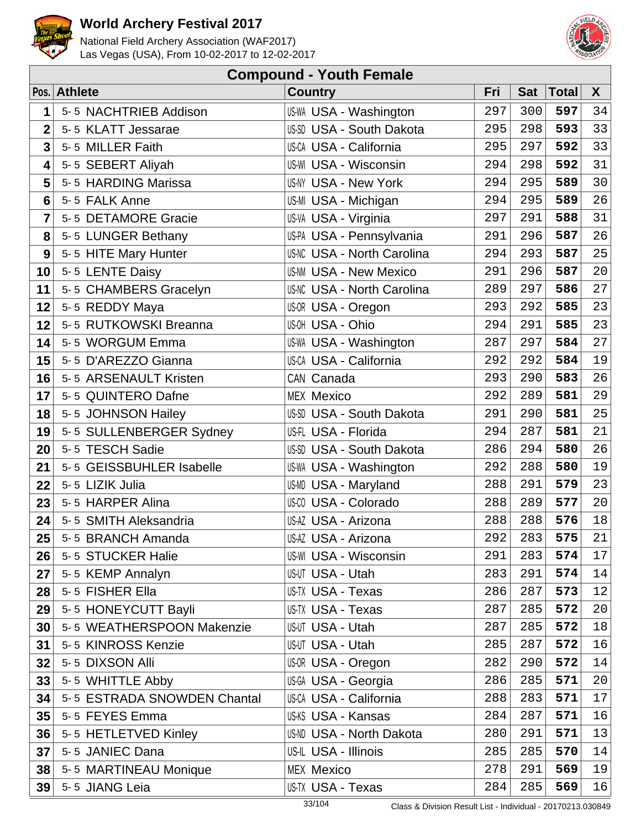



| <b>Compound - Youth Female</b> |                             |                                   |     |            |              |        |  |  |
|--------------------------------|-----------------------------|-----------------------------------|-----|------------|--------------|--------|--|--|
|                                | Pos. Athlete                | <b>Country</b>                    | Fri | <b>Sat</b> | <b>Total</b> | X      |  |  |
| 1                              | 5-5 NACHTRIEB Addison       | US-WA USA - Washington            | 297 | 300        | 597          | 34     |  |  |
| $\overline{2}$                 | 5-5 KLATT Jessarae          | US-SD USA - South Dakota          | 295 | 298        | 593          | 33     |  |  |
| $\overline{\mathbf{3}}$        | 5-5 MILLER Faith            | <b>US-CA USA - California</b>     | 295 | 297        | 592          | 33     |  |  |
| 4                              | 5-5 SEBERT Aliyah           | <b>US-WI USA - Wisconsin</b>      | 294 | 298        | 592          | 31     |  |  |
| 5                              | 5-5 HARDING Marissa         | <b>US-NY USA - New York</b>       | 294 | 295        | 589          | 30     |  |  |
| 6                              | 5-5 FALK Anne               | US-MI USA - Michigan              | 294 | 295        | 589          | 26     |  |  |
| 7                              | 5-5 DETAMORE Gracie         | US-VA USA - Virginia              | 297 | 291        | 588          | 31     |  |  |
| 8                              | 5-5 LUNGER Bethany          | US-PA USA - Pennsylvania          | 291 | 296        | 587          | 26     |  |  |
| 9                              | 5-5 HITE Mary Hunter        | <b>US-NC USA - North Carolina</b> | 294 | 293        | 587          | 25     |  |  |
| 10                             | 5-5 LENTE Daisy             | <b>US-NM USA - New Mexico</b>     | 291 | 296        | 587          | 20     |  |  |
| 11                             | 5-5 CHAMBERS Gracelyn       | <b>US-NC USA - North Carolina</b> | 289 | 297        | 586          | 27     |  |  |
| 12                             | 5-5 REDDY Maya              | US-OR USA - Oregon                | 293 | 292        | 585          | 23     |  |  |
| 12                             | 5-5 RUTKOWSKI Breanna       | US-OH USA - Ohio                  | 294 | 291        | 585          | 23     |  |  |
| 14                             | 5-5 WORGUM Emma             | <b>US-WA USA - Washington</b>     | 287 | 297        | 584          | 27     |  |  |
| 15                             | 5-5 D'AREZZO Gianna         | <b>US-CA USA - California</b>     | 292 | 292        | 584          | 19     |  |  |
| 16                             | 5-5 ARSENAULT Kristen       | CAN Canada                        | 293 | 290        | 583          | 26     |  |  |
| 17                             | 5-5 QUINTERO Dafne          | <b>MEX Mexico</b>                 | 292 | 289        | 581          | 29     |  |  |
| 18                             | 5-5 JOHNSON Hailey          | US-SD USA - South Dakota          | 291 | 290        | 581          | 25     |  |  |
| 19                             | 5-5 SULLENBERGER Sydney     | US-FL USA - Florida               | 294 | 287        | 581          | 21     |  |  |
| 20                             | 5-5 TESCH Sadie             | <b>US-SD USA - South Dakota</b>   | 286 | 294        | 580          | 26     |  |  |
| 21                             | 5-5 GEISSBUHLER Isabelle    | <b>US-WA USA - Washington</b>     | 292 | 288        | 580          | 19     |  |  |
| 22                             | 5-5 LIZIK Julia             | US-MD USA - Maryland              | 288 | 291        | 579          | 23     |  |  |
| 23                             | 5-5 HARPER Alina            | <b>US-CO USA - Colorado</b>       | 288 | 289        | 577          | 20     |  |  |
| 24                             | 5-5 SMITH Aleksandria       | US-AZ USA - Arizona               | 288 | 288        | 576          | 18     |  |  |
| 25                             | 5-5 BRANCH Amanda           | US-AZ USA - Arizona               | 292 | 283        | 575          | 21     |  |  |
| 26                             | 5-5 STUCKER Halie           | <b>US-WI USA - Wisconsin</b>      | 291 | 283        | 574          | 17     |  |  |
| 27                             | 5-5 KEMP Annalyn            | US-UT USA - Utah                  | 283 | 291        | 574          | 14     |  |  |
| 28                             | 5-5 FISHER Ella             | US-TX USA - Texas                 | 286 | 287        | 573          | 12     |  |  |
| 29                             | 5-5 HONEYCUTT Bayli         | US-TX USA - Texas                 | 287 | 285        | 572          | 20     |  |  |
| 30                             | 5-5 WEATHERSPOON Makenzie   | US-UT USA - Utah                  | 287 | 285        | 572          | $18\,$ |  |  |
| 31                             | 5-5 KINROSS Kenzie          | US-UT USA - Utah                  | 285 | 287        | 572          | 16     |  |  |
| 32                             | 5-5 DIXSON Alli             | <b>US-OR USA - Oregon</b>         | 282 | 290        | 572          | 14     |  |  |
| 33                             | 5-5 WHITTLE Abby            | US-GA USA - Georgia               | 286 | 285        | 571          | 20     |  |  |
| 34                             | 5-5 ESTRADA SNOWDEN Chantal | <b>US-CA USA - California</b>     | 288 | 283        | 571          | 17     |  |  |
| 35                             | 5-5 FEYES Emma              | US-KS USA - Kansas                | 284 | 287        | 571          | 16     |  |  |
| 36                             | 5-5 HETLETVED Kinley        | <b>US-ND USA - North Dakota</b>   | 280 | 291        | 571          | 13     |  |  |
| 37                             | 5-5 JANIEC Dana             | US-IL USA - Illinois              | 285 | 285        | 570          | 14     |  |  |
| 38                             | 5-5 MARTINEAU Monique       | <b>MEX Mexico</b>                 | 278 | 291        | 569          | 19     |  |  |
| 39                             | 5-5 JIANG Leia              | US-TX USA - Texas                 | 284 | 285        | 569          | 16     |  |  |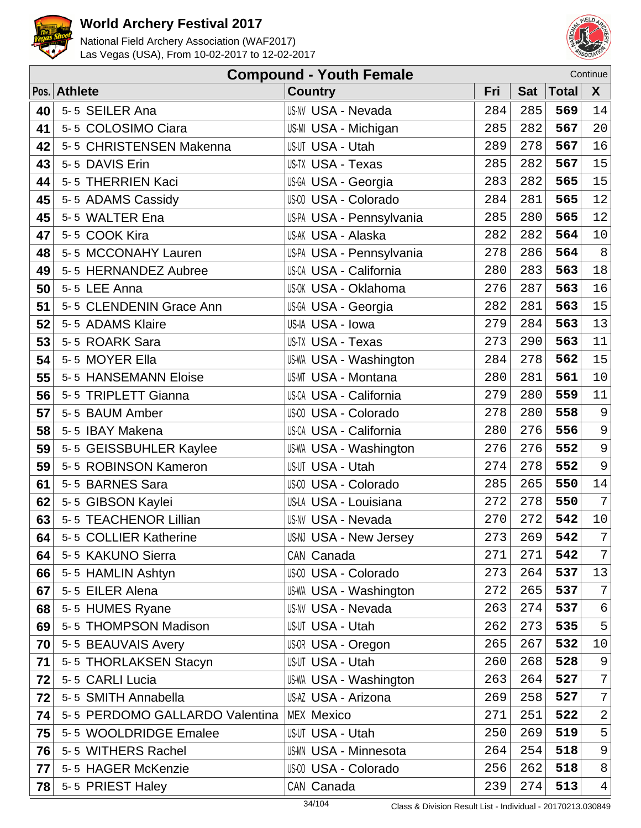



|    | Continue<br><b>Compound - Youth Female</b> |                               |     |            |              |                |  |  |  |
|----|--------------------------------------------|-------------------------------|-----|------------|--------------|----------------|--|--|--|
|    | Pos. Athlete                               | <b>Country</b>                | Fri | <b>Sat</b> | <b>Total</b> | X              |  |  |  |
| 40 | 5-5 SEILER Ana                             | US-NV USA - Nevada            | 284 | 285        | 569          | 14             |  |  |  |
| 41 | 5-5 COLOSIMO Ciara                         | US-MI USA - Michigan          | 285 | 282        | 567          | 20             |  |  |  |
| 42 | 5-5 CHRISTENSEN Makenna                    | US-UT USA - Utah              | 289 | 278        | 567          | 16             |  |  |  |
| 43 | 5-5 DAVIS Erin                             | US-TX USA - Texas             | 285 | 282        | 567          | 15             |  |  |  |
| 44 | 5-5 THERRIEN Kaci                          | US-GA USA - Georgia           | 283 | 282        | 565          | 15             |  |  |  |
| 45 | 5-5 ADAMS Cassidy                          | US-CO USA - Colorado          | 284 | 281        | 565          | 12             |  |  |  |
| 45 | 5-5 WALTER Ena                             | US-PA USA - Pennsylvania      | 285 | 280        | 565          | 12             |  |  |  |
| 47 | 5-5 COOK Kira                              | US-AK USA - Alaska            | 282 | 282        | 564          | $10$           |  |  |  |
| 48 | 5-5 MCCONAHY Lauren                        | US-PA USA - Pennsylvania      | 278 | 286        | 564          | $\, 8$         |  |  |  |
| 49 | 5-5 HERNANDEZ Aubree                       | US-CA USA - California        | 280 | 283        | 563          | $18\,$         |  |  |  |
| 50 | 5-5 LEE Anna                               | US-OK USA - Oklahoma          | 276 | 287        | 563          | 16             |  |  |  |
| 51 | 5-5 CLENDENIN Grace Ann                    | US-GA USA - Georgia           | 282 | 281        | 563          | 15             |  |  |  |
| 52 | 5-5 ADAMS Klaire                           | US-IA USA - Iowa              | 279 | 284        | 563          | 13             |  |  |  |
| 53 | 5-5 ROARK Sara                             | <b>US-TX USA - Texas</b>      | 273 | 290        | 563          | 11             |  |  |  |
| 54 | 5-5 MOYER Ella                             | <b>US-WA USA - Washington</b> | 284 | 278        | 562          | 15             |  |  |  |
| 55 | 5-5 HANSEMANN Eloise                       | US-MT USA - Montana           | 280 | 281        | 561          | $10$           |  |  |  |
| 56 | 5-5 TRIPLETT Gianna                        | US-CA USA - California        | 279 | 280        | 559          | $11\,$         |  |  |  |
| 57 | 5-5 BAUM Amber                             | US-CO USA - Colorado          | 278 | 280        | 558          | $\mathsf 9$    |  |  |  |
| 58 | 5-5 IBAY Makena                            | <b>US-CA USA - California</b> | 280 | 276        | 556          | 9              |  |  |  |
| 59 | 5-5 GEISSBUHLER Kaylee                     | <b>US-WA USA - Washington</b> | 276 | 276        | 552          | $\mathsf 9$    |  |  |  |
| 59 | 5-5 ROBINSON Kameron                       | US-UT USA - Utah              | 274 | 278        | 552          | 9              |  |  |  |
| 61 | 5-5 BARNES Sara                            | US-CO USA - Colorado          | 285 | 265        | 550          | 14             |  |  |  |
| 62 | 5-5 GIBSON Kaylei                          | US-LA USA - Louisiana         | 272 | 278        | 550          | $\overline{7}$ |  |  |  |
| 63 | 5-5 TEACHENOR Lillian                      | US-NV USA - Nevada            | 270 | 272        | 542          | $10$           |  |  |  |
| 64 | 5-5 COLLIER Katherine                      | <b>US-NJ USA - New Jersey</b> | 273 | 269        | 542          | 7 <sup>1</sup> |  |  |  |
| 64 | 5-5 KAKUNO Sierra                          | CAN Canada                    | 271 | 271        | 542          | 7 <sup>1</sup> |  |  |  |
| 66 | 5-5 HAMLIN Ashtyn                          | US-CO USA - Colorado          | 273 | 264        | 537          | 13             |  |  |  |
| 67 | 5-5 EILER Alena                            | US-WA USA - Washington        | 272 | 265        | 537          | 7              |  |  |  |
| 68 | 5-5 HUMES Ryane                            | US-NV USA - Nevada            | 263 | 274        | 537          | 6              |  |  |  |
| 69 | 5-5 THOMPSON Madison                       | US-UT USA - Utah              | 262 | 273        | 535          | 5              |  |  |  |
| 70 | 5-5 BEAUVAIS Avery                         | US-OR USA - Oregon            | 265 | 267        | 532          | 10             |  |  |  |
| 71 | 5-5 THORLAKSEN Stacyn                      | <b>US-UT USA - Utah</b>       | 260 | 268        | 528          | 9              |  |  |  |
| 72 | 5-5 CARLI Lucia                            | US-WA USA - Washington        | 263 | 264        | 527          | $\sqrt{ }$     |  |  |  |
| 72 | 5-5 SMITH Annabella                        | US-AZ USA - Arizona           | 269 | 258        | 527          | 7              |  |  |  |
| 74 | 5-5 PERDOMO GALLARDO Valentina             | <b>MEX Mexico</b>             | 271 | 251        | 522          | 2              |  |  |  |
| 75 | 5-5 WOOLDRIDGE Emalee                      | US-UT USA - Utah              | 250 | 269        | 519          | 5              |  |  |  |
| 76 | 5-5 WITHERS Rachel                         | <b>US-MN USA - Minnesota</b>  | 264 | 254        | 518          | 9              |  |  |  |
| 77 | 5-5 HAGER McKenzie                         | <b>US-CO USA - Colorado</b>   | 256 | 262        | 518          | 8              |  |  |  |
| 78 | 5-5 PRIEST Haley                           | CAN Canada                    | 239 | 274        | 513          | 4              |  |  |  |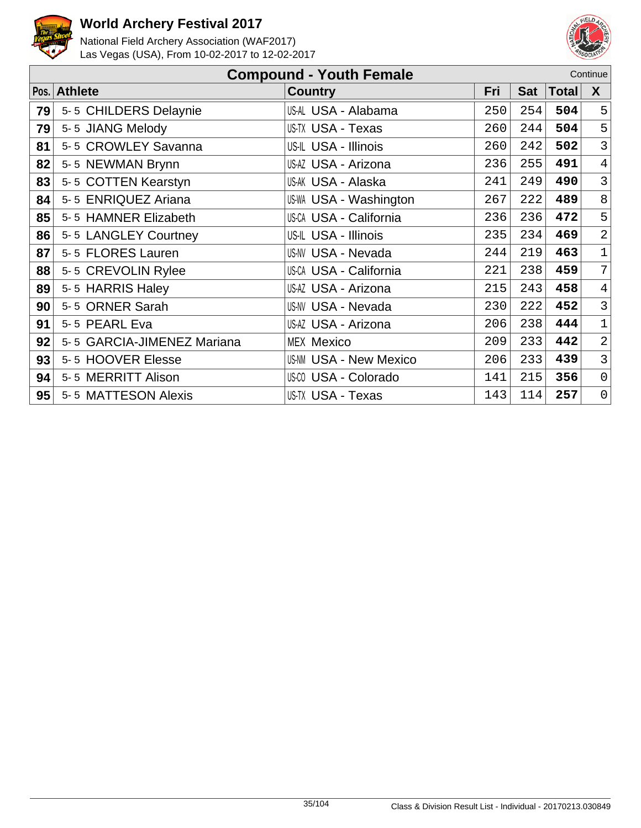



|    | <b>Compound - Youth Female</b><br>Continue |                               |     |            |              |                |  |  |  |
|----|--------------------------------------------|-------------------------------|-----|------------|--------------|----------------|--|--|--|
|    | Pos. Athlete                               | <b>Country</b>                | Fri | <b>Sat</b> | <b>Total</b> | X              |  |  |  |
| 79 | 5-5 CHILDERS Delaynie                      | US-AL USA - Alabama           | 250 | 254        | 504          | 5              |  |  |  |
| 79 | 5-5 JIANG Melody                           | US-TX USA - Texas             | 260 | 244        | 504          | 5              |  |  |  |
| 81 | 5-5 CROWLEY Savanna                        | US-IL USA - Illinois          | 260 | 242        | 502          | $\overline{3}$ |  |  |  |
| 82 | 5-5 NEWMAN Brynn                           | US-AZ USA - Arizona           | 236 | 255        | 491          | $\overline{4}$ |  |  |  |
| 83 | 5-5 COTTEN Kearstyn                        | US-AK USA - Alaska            | 241 | 249        | 490          | $\mathfrak{Z}$ |  |  |  |
| 84 | 5-5 ENRIQUEZ Ariana                        | <b>US-WA USA - Washington</b> | 267 | 222        | 489          | 8              |  |  |  |
| 85 | 5-5 HAMNER Elizabeth                       | <b>US-CA USA - California</b> | 236 | 236        | 472          | 5              |  |  |  |
| 86 | 5-5 LANGLEY Courtney                       | US-IL USA - Illinois          | 235 | 234        | 469          | $\overline{2}$ |  |  |  |
| 87 | 5-5 FLORES Lauren                          | <b>US-NV USA - Nevada</b>     | 244 | 219        | 463          | $\mathbf 1$    |  |  |  |
| 88 | 5-5 CREVOLIN Rylee                         | <b>US-CA USA - California</b> | 221 | 238        | 459          | $\overline{7}$ |  |  |  |
| 89 | 5-5 HARRIS Haley                           | US-AZ USA - Arizona           | 215 | 243        | 458          | 4              |  |  |  |
| 90 | 5-5 ORNER Sarah                            | <b>US-NV USA - Nevada</b>     | 230 | 222        | 452          | $\mathfrak{Z}$ |  |  |  |
| 91 | 5-5 PEARL Eva                              | US-AZ USA - Arizona           | 206 | 238        | 444          | $\mathbf 1$    |  |  |  |
| 92 | 5-5 GARCIA-JIMENEZ Mariana                 | <b>MEX Mexico</b>             | 209 | 233        | 442          | $\overline{2}$ |  |  |  |
| 93 | 5-5 HOOVER Elesse                          | <b>US-NM USA - New Mexico</b> | 206 | 233        | 439          | $\mathbf{3}$   |  |  |  |
| 94 | 5-5 MERRITT Alison                         | US-CO USA - Colorado          | 141 | 215        | 356          | $\mathsf{O}$   |  |  |  |
| 95 | 5-5 MATTESON Alexis                        | US-TX USA - Texas             | 143 | 114        | 257          | $\mathsf{O}$   |  |  |  |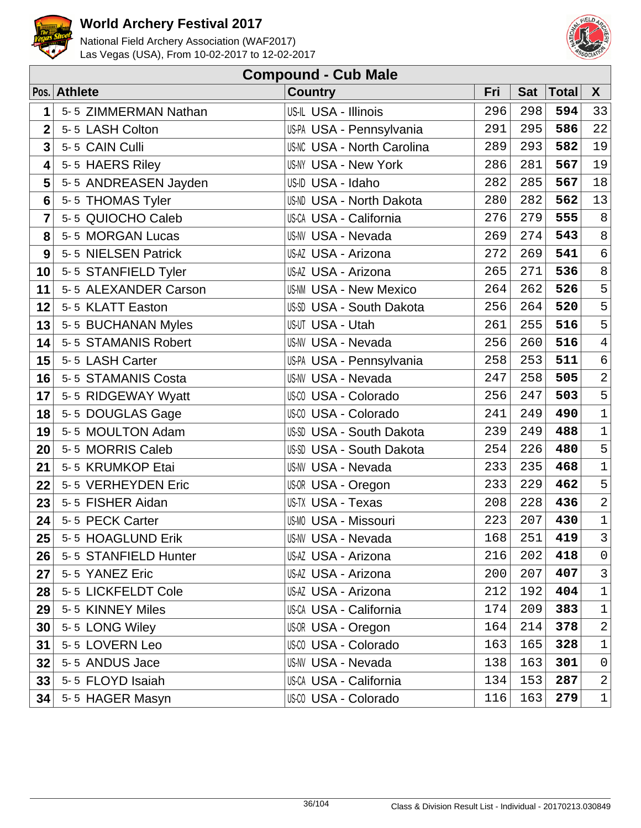



| <b>Compound - Cub Male</b> |                      |                                   |     |            |       |                |  |  |
|----------------------------|----------------------|-----------------------------------|-----|------------|-------|----------------|--|--|
|                            | Pos. Athlete         | <b>Country</b>                    | Fri | <b>Sat</b> | Total | $\mathsf{X}$   |  |  |
| 1                          | 5-5 ZIMMERMAN Nathan | US-IL USA - Illinois              | 296 | 298        | 594   | 33             |  |  |
| $\overline{2}$             | 5-5 LASH Colton      | US-PA USA - Pennsylvania          | 291 | 295        | 586   | 22             |  |  |
| $\overline{\mathbf{3}}$    | 5-5 CAIN Culli       | <b>US-NC USA - North Carolina</b> | 289 | 293        | 582   | 19             |  |  |
| 4                          | 5-5 HAERS Riley      | <b>US-NY USA - New York</b>       | 286 | 281        | 567   | 19             |  |  |
| 5                          | 5-5 ANDREASEN Jayden | US-ID USA - Idaho                 | 282 | 285        | 567   | 18             |  |  |
| $6\phantom{1}6$            | 5-5 THOMAS Tyler     | <b>US-ND USA - North Dakota</b>   | 280 | 282        | 562   | 13             |  |  |
| 7                          | 5-5 QUIOCHO Caleb    | <b>US-CA USA - California</b>     | 276 | 279        | 555   | $\,8\,$        |  |  |
| 8                          | 5-5 MORGAN Lucas     | <b>US-NV USA - Nevada</b>         | 269 | 274        | 543   | $\,8\,$        |  |  |
| 9                          | 5-5 NIELSEN Patrick  | US-AZ USA - Arizona               | 272 | 269        | 541   | $\epsilon$     |  |  |
| 10                         | 5-5 STANFIELD Tyler  | US-AZ USA - Arizona               | 265 | 271        | 536   | $\,8\,$        |  |  |
| 11                         | 5-5 ALEXANDER Carson | <b>US-NM USA - New Mexico</b>     | 264 | 262        | 526   | 5              |  |  |
| 12                         | 5-5 KLATT Easton     | US-SD USA - South Dakota          | 256 | 264        | 520   | $\overline{5}$ |  |  |
| 13                         | 5-5 BUCHANAN Myles   | US-UT USA - Utah                  | 261 | 255        | 516   | 5              |  |  |
| 14                         | 5-5 STAMANIS Robert  | <b>US-NV USA - Nevada</b>         | 256 | 260        | 516   | $\overline{4}$ |  |  |
| 15                         | 5-5 LASH Carter      | US-PA USA - Pennsylvania          | 258 | 253        | 511   | $\epsilon$     |  |  |
| 16                         | 5-5 STAMANIS Costa   | <b>US-NV USA - Nevada</b>         | 247 | 258        | 505   | $\overline{a}$ |  |  |
| 17                         | 5-5 RIDGEWAY Wyatt   | US-CO USA - Colorado              | 256 | 247        | 503   | 5              |  |  |
| 18                         | 5-5 DOUGLAS Gage     | <b>US-CO USA - Colorado</b>       | 241 | 249        | 490   | $\mathbf 1$    |  |  |
| 19                         | 5-5 MOULTON Adam     | US-SD USA - South Dakota          | 239 | 249        | 488   | $\mathbf 1$    |  |  |
| 20                         | 5-5 MORRIS Caleb     | US-SD USA - South Dakota          | 254 | 226        | 480   | $\mathsf S$    |  |  |
| 21                         | 5-5 KRUMKOP Etai     | <b>US-NV USA - Nevada</b>         | 233 | 235        | 468   | $\mathbf 1$    |  |  |
| 22                         | 5-5 VERHEYDEN Eric   | US-OR USA - Oregon                | 233 | 229        | 462   | 5              |  |  |
| 23                         | 5-5 FISHER Aidan     | US-TX USA - Texas                 | 208 | 228        | 436   | $\overline{2}$ |  |  |
| 24                         | 5-5 PECK Carter      | <b>US-MO USA - Missouri</b>       | 223 | 207        | 430   | $\mathbf 1$    |  |  |
| 25                         | 5-5 HOAGLUND Erik    | US-NV USA - Nevada                | 168 | 251        | 419   | 3              |  |  |
| 26                         | 5-5 STANFIELD Hunter | US-AZ USA - Arizona               | 216 | 202        | 418   | 0              |  |  |
| 27                         | 5-5 YANEZ Eric       | US-AZ USA - Arizona               | 200 | 207        | 407   | $\mathsf{3}$   |  |  |
| 28                         | 5-5 LICKFELDT Cole   | US-AZ USA - Arizona               | 212 | 192        | 404   | $\mathbf 1$    |  |  |
| 29                         | 5-5 KINNEY Miles     | US-CA USA - California            | 174 | 209        | 383   | $\mathbf 1$    |  |  |
| 30                         | 5-5 LONG Wiley       | US-OR USA - Oregon                | 164 | 214        | 378   | $\overline{2}$ |  |  |
| 31                         | 5-5 LOVERN Leo       | <b>US-CO USA - Colorado</b>       | 163 | 165        | 328   | $\mathbf 1$    |  |  |
| 32                         | 5-5 ANDUS Jace       | <b>US-NV USA - Nevada</b>         | 138 | 163        | 301   | $\mathsf{O}$   |  |  |
| 33                         | 5-5 FLOYD Isaiah     | US-CA USA - California            | 134 | 153        | 287   | $\overline{c}$ |  |  |
| 34                         | 5-5 HAGER Masyn      | US-CO USA - Colorado              | 116 | 163        | 279   | $\mathbf{1}$   |  |  |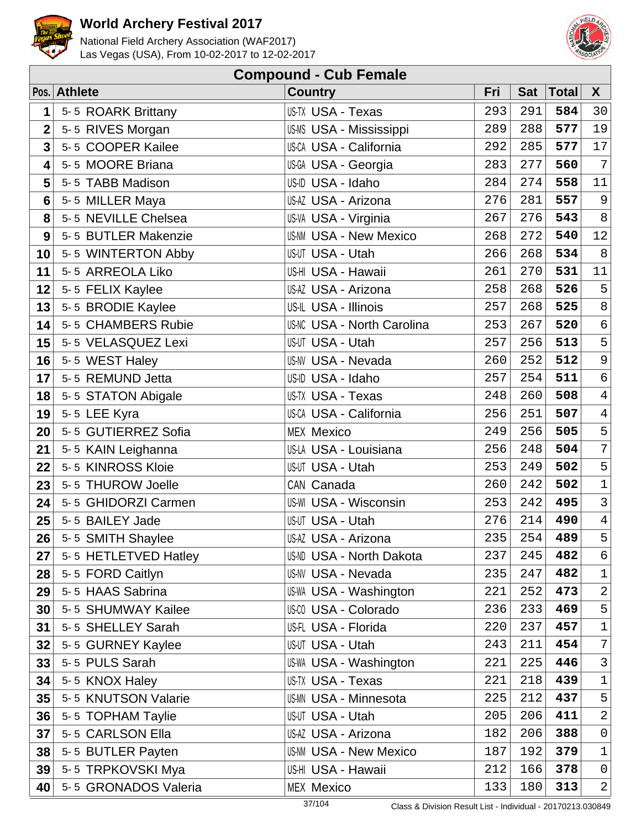



|                         | <b>Compound - Cub Female</b> |                                   |     |            |              |                 |  |  |  |  |  |
|-------------------------|------------------------------|-----------------------------------|-----|------------|--------------|-----------------|--|--|--|--|--|
|                         | Pos. Athlete                 | <b>Country</b>                    | Fri | <b>Sat</b> | <b>Total</b> | $\mathsf{X}$    |  |  |  |  |  |
| 1                       | 5-5 ROARK Brittany           | US-TX USA - Texas                 | 293 | 291        | 584          | 30              |  |  |  |  |  |
| $\overline{2}$          | 5-5 RIVES Morgan             | <b>US-MS USA - Mississippi</b>    | 289 | 288        | 577          | 19              |  |  |  |  |  |
| $\overline{\mathbf{3}}$ | 5-5 COOPER Kailee            | <b>US-CA USA - California</b>     | 292 | 285        | 577          | 17              |  |  |  |  |  |
| 4                       | 5-5 MOORE Briana             | US-GA USA - Georgia               | 283 | 277        | 560          | $7\overline{ }$ |  |  |  |  |  |
| 5                       | 5-5 TABB Madison             | US-ID USA - Idaho                 | 284 | 274        | 558          | 11              |  |  |  |  |  |
| $6\phantom{1}6$         | 5-5 MILLER Maya              | US-AZ USA - Arizona               | 276 | 281        | 557          | $\overline{9}$  |  |  |  |  |  |
| 8                       | 5-5 NEVILLE Chelsea          | US-VA USA - Virginia              | 267 | 276        | 543          | $\,8\,$         |  |  |  |  |  |
| 9                       | 5-5 BUTLER Makenzie          | <b>US-NM USA - New Mexico</b>     | 268 | 272        | 540          | 12              |  |  |  |  |  |
| 10                      | 5-5 WINTERTON Abby           | US-UT USA - Utah                  | 266 | 268        | 534          | $\,8\,$         |  |  |  |  |  |
| 11                      | 5-5 ARREOLA Liko             | US-HI USA - Hawaii                | 261 | 270        | 531          | 11              |  |  |  |  |  |
| 12                      | 5-5 FELIX Kaylee             | US-AZ USA - Arizona               | 258 | 268        | 526          | 5               |  |  |  |  |  |
| 13                      | 5-5 BRODIE Kaylee            | US-IL USA - Illinois              | 257 | 268        | 525          | $\,8\,$         |  |  |  |  |  |
| 14                      | 5-5 CHAMBERS Rubie           | <b>US-NC USA - North Carolina</b> | 253 | 267        | 520          | $\epsilon$      |  |  |  |  |  |
| 15                      | 5-5 VELASQUEZ Lexi           | US-UT USA - Utah                  | 257 | 256        | 513          | 5               |  |  |  |  |  |
| 16                      | 5-5 WEST Haley               | <b>US-NV USA - Nevada</b>         | 260 | 252        | 512          | $\mathsf 9$     |  |  |  |  |  |
| 17                      | 5-5 REMUND Jetta             | US-ID USA - Idaho                 | 257 | 254        | 511          | $\epsilon$      |  |  |  |  |  |
| 18                      | 5-5 STATON Abigale           | US-TX USA - Texas                 | 248 | 260        | 508          | $\overline{4}$  |  |  |  |  |  |
| 19                      | 5-5 LEE Kyra                 | <b>US-CA USA - California</b>     | 256 | 251        | 507          | $\overline{4}$  |  |  |  |  |  |
| 20                      | 5-5 GUTIERREZ Sofia          | <b>MEX Mexico</b>                 | 249 | 256        | 505          | 5               |  |  |  |  |  |
| 21                      | 5-5 KAIN Leighanna           | US-LA USA - Louisiana             | 256 | 248        | 504          | $\overline{7}$  |  |  |  |  |  |
| 22                      | 5-5 KINROSS Kloie            | US-UT USA - Utah                  | 253 | 249        | 502          | 5               |  |  |  |  |  |
| 23                      | 5-5 THUROW Joelle            | CAN Canada                        | 260 | 242        | 502          | $\mathbf 1$     |  |  |  |  |  |
| 24                      | 5-5 GHIDORZI Carmen          | <b>US-WI USA - Wisconsin</b>      | 253 | 242        | 495          | $\mathbf{3}$    |  |  |  |  |  |
| 25                      | 5-5 BAILEY Jade              | US-UT USA - Utah                  | 276 | 214        | 490          | $\overline{4}$  |  |  |  |  |  |
| 26                      | 5-5 SMITH Shaylee            | US-AZ USA - Arizona               | 235 | 254        | 489          | 5               |  |  |  |  |  |
| 27                      | 5-5 HETLETVED Hatley         | <b>US-ND USA - North Dakota</b>   | 237 | 245        | 482          | 6               |  |  |  |  |  |
| 28                      | 5-5 FORD Caitlyn             | <b>US-NV USA - Nevada</b>         | 235 | 247        | 482          | $\mathbf{1}$    |  |  |  |  |  |
| 29                      | 5-5 HAAS Sabrina             | <b>US-WA USA - Washington</b>     | 221 | 252        | 473          | 2               |  |  |  |  |  |
| 30                      | 5-5 SHUMWAY Kailee           | <b>US-CO USA - Colorado</b>       | 236 | 233        | 469          | 5               |  |  |  |  |  |
| 31                      | 5-5 SHELLEY Sarah            | US-FL USA - Florida               | 220 | 237        | 457          | $\mathbf 1$     |  |  |  |  |  |
| 32                      | 5-5 GURNEY Kaylee            | <b>US-UT USA - Utah</b>           | 243 | 211        | 454          | 7               |  |  |  |  |  |
| 33                      | 5-5 PULS Sarah               | <b>US-WA USA - Washington</b>     | 221 | 225        | 446          | $\mathfrak{Z}$  |  |  |  |  |  |
| 34                      | 5-5 KNOX Haley               | US-TX USA - Texas                 | 221 | 218        | 439          | $\mathbf 1$     |  |  |  |  |  |
| 35                      | 5-5 KNUTSON Valarie          | <b>US-MN USA - Minnesota</b>      | 225 | 212        | 437          | 5               |  |  |  |  |  |
| 36                      | 5-5 TOPHAM Taylie            | US-UT USA - Utah                  | 205 | 206        | 411          | $\overline{a}$  |  |  |  |  |  |
| 37                      | 5-5 CARLSON Ella             | US-AZ USA - Arizona               | 182 | 206        | 388          | $\mathsf{O}$    |  |  |  |  |  |
| 38                      | 5-5 BUTLER Payten            | <b>US-NM USA - New Mexico</b>     | 187 | 192        | 379          | $\mathbf{1}$    |  |  |  |  |  |
| 39                      | 5-5 TRPKOVSKI Mya            | US-HI USA - Hawaii                | 212 | 166        | 378          | $\mathsf{O}$    |  |  |  |  |  |
| 40                      | 5-5 GRONADOS Valeria         | <b>MEX Mexico</b>                 | 133 | 180        | 313          | $\overline{a}$  |  |  |  |  |  |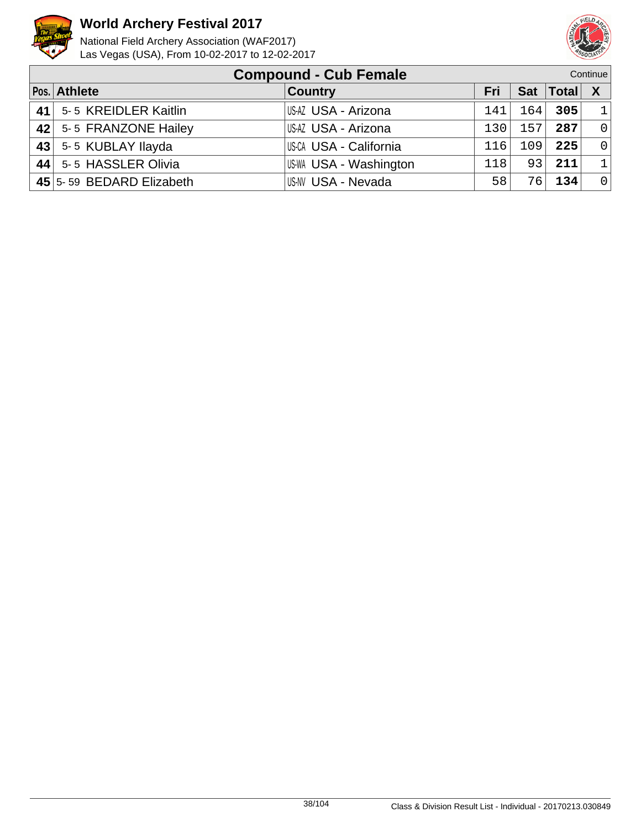



|    | <b>Compound - Cub Female</b><br>Continue |                        |            |     |                 |                |  |
|----|------------------------------------------|------------------------|------------|-----|-----------------|----------------|--|
|    | Pos. Athlete                             | <b>Country</b>         | <b>Fri</b> |     | Sat   Total   X |                |  |
| 41 | 5-5 KREIDLER Kaitlin                     | US-AZ USA - Arizona    | 141        | 164 | 305             | $\overline{1}$ |  |
| 42 | 5-5 FRANZONE Hailey                      | USAZ USA - Arizona     | 130        | 157 | 287             | $\Omega$       |  |
| 43 | 5-5 KUBLAY Ilayda                        | US-CA USA - California | 116        | 109 | 225             | $\overline{0}$ |  |
|    | 44 5-5 HASSLER Olivia                    | US-WA USA - Washington | 118        | 93  | 211             | $\mathbf{1}$   |  |
|    | 45 5-59 BEDARD Elizabeth                 | US-NV USA - Nevada     | 58         | 76  | 134             | $\overline{0}$ |  |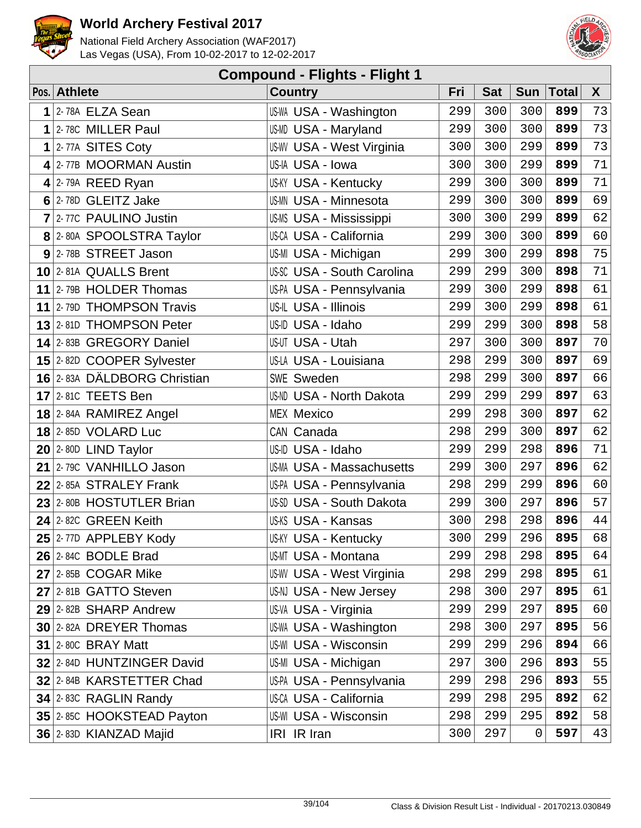



| <b>Compound - Flights - Flight 1</b> |                             |                                   |     |            |          |             |              |  |  |  |  |
|--------------------------------------|-----------------------------|-----------------------------------|-----|------------|----------|-------------|--------------|--|--|--|--|
|                                      | Pos. Athlete                | <b>Country</b>                    | Fri | <b>Sat</b> |          | Sun   Total | $\mathsf{X}$ |  |  |  |  |
| 1                                    | 2-78A ELZA Sean             | <b>US-WA USA - Washington</b>     | 299 | 300        | 300      | 899         | 73           |  |  |  |  |
| $\mathbf 1$                          | 2-78C MILLER Paul           | <b>US-MD USA - Maryland</b>       | 299 | 300        | 300      | 899         | 73           |  |  |  |  |
|                                      | $1$  2-77A SITES Coty       | <b>US-WV USA - West Virginia</b>  | 300 | 300        | 299      | 899         | 73           |  |  |  |  |
|                                      | 4 2-77B MOORMAN Austin      | US-IA USA - Iowa                  | 300 | 300        | 299      | 899         | 71           |  |  |  |  |
|                                      | $4$ 2-79A REED Ryan         | <b>US-KY USA - Kentucky</b>       | 299 | 300        | 300      | 899         | 71           |  |  |  |  |
|                                      | 6 2-78D GLEITZ Jake         | <b>US-MN USA - Minnesota</b>      | 299 | 300        | 300      | 899         | 69           |  |  |  |  |
|                                      | 7 2-77C PAULINO Justin      | US-MS USA - Mississippi           | 300 | 300        | 299      | 899         | 62           |  |  |  |  |
|                                      | 8 2-80A SPOOLSTRA Taylor    | <b>US-CA USA - California</b>     | 299 | 300        | 300      | 899         | 60           |  |  |  |  |
|                                      | $9$ 2-78B STREET Jason      | US-MI USA - Michigan              | 299 | 300        | 299      | 898         | 75           |  |  |  |  |
|                                      | 10 2-81A QUALLS Brent       | <b>US-SC USA - South Carolina</b> | 299 | 299        | 300      | 898         | 71           |  |  |  |  |
|                                      | 11 2-79B HOLDER Thomas      | US-PA USA - Pennsylvania          | 299 | 300        | 299      | 898         | 61           |  |  |  |  |
|                                      | 11 2-79D THOMPSON Travis    | US-IL USA - Illinois              | 299 | 300        | 299      | 898         | 61           |  |  |  |  |
|                                      | 13 2-81D THOMPSON Peter     | US-ID USA - Idaho                 | 299 | 299        | 300      | 898         | 58           |  |  |  |  |
|                                      | 14 2-83B GREGORY Daniel     | US-UT USA - Utah                  | 297 | 300        | 300      | 897         | 70           |  |  |  |  |
|                                      | 15 2-82D COOPER Sylvester   | US-LA USA - Louisiana             | 298 | 299        | 300      | 897         | 69           |  |  |  |  |
|                                      | 16 2-83A DÄLDBORG Christian | SWE Sweden                        | 298 | 299        | 300      | 897         | 66           |  |  |  |  |
|                                      | $17$ 2-81C TEETS Ben        | US-ND USA - North Dakota          | 299 | 299        | 299      | 897         | 63           |  |  |  |  |
|                                      | 18 2-84A RAMIREZ Angel      | <b>MEX Mexico</b>                 | 299 | 298        | 300      | 897         | 62           |  |  |  |  |
|                                      | <b>18 2-85D VOLARD Luc</b>  | CAN Canada                        | 298 | 299        | 300      | 897         | 62           |  |  |  |  |
|                                      | $20$ 2-80D LIND Taylor      | US-ID USA - Idaho                 | 299 | 299        | 298      | 896         | 71           |  |  |  |  |
|                                      | 21 2-79C VANHILLO Jason     | US-MA USA - Massachusetts         | 299 | 300        | 297      | 896         | 62           |  |  |  |  |
|                                      | 22 2-85A STRALEY Frank      | US-PA USA - Pennsylvania          | 298 | 299        | 299      | 896         | 60           |  |  |  |  |
|                                      | 23 2-80B HOSTUTLER Brian    | US-SD USA - South Dakota          | 299 | 300        | 297      | 896         | 57           |  |  |  |  |
|                                      | $24$ 2-82C GREEN Keith      | <b>US-KS USA - Kansas</b>         | 300 | 298        | 298      | 896         | 44           |  |  |  |  |
|                                      | $25$ 2-77D APPLEBY Kody     | <b>US-KY USA - Kentucky</b>       | 300 | 299        | 296      | 895         | 68           |  |  |  |  |
|                                      | $26$ 2-84C BODLE Brad       | <b>US-MT USA - Montana</b>        | 299 | 298        | 298      | 895         | 64           |  |  |  |  |
|                                      | $27$ 2-85B COGAR Mike       | US-WV USA - West Virginia         | 298 | 299        | 298      | 895         | 61           |  |  |  |  |
|                                      | 27 2-81B GATTO Steven       | US-NJ USA - New Jersey            | 298 | 300        | 297      | 895         | 61           |  |  |  |  |
|                                      | 29 2-82B SHARP Andrew       | US-VA USA - Virginia              | 299 | 299        | 297      | 895         | 60           |  |  |  |  |
|                                      | 30 2-82A DREYER Thomas      | US-WA USA - Washington            | 298 | 300        | 297      | 895         | 56           |  |  |  |  |
|                                      | $31$ 2-80C BRAY Matt        | <b>US-WI USA - Wisconsin</b>      | 299 | 299        | 296      | 894         | 66           |  |  |  |  |
|                                      | 32 2-84D HUNTZINGER David   | US-MI USA - Michigan              | 297 | 300        | 296      | 893         | 55           |  |  |  |  |
|                                      | 32 2-84B KARSTETTER Chad    | US-PA USA - Pennsylvania          | 299 | 298        | 296      | 893         | 55           |  |  |  |  |
|                                      | 34 2-83C RAGLIN Randy       | US-CA USA - California            | 299 | 298        | 295      | 892         | 62           |  |  |  |  |
|                                      | 35 2-85C HOOKSTEAD Payton   | US-WI USA - Wisconsin             | 298 | 299        | 295      | 892         | 58           |  |  |  |  |
|                                      | 36 2-83D KIANZAD Majid      | IRI IR Iran                       | 300 | 297        | $\Omega$ | 597         | 43           |  |  |  |  |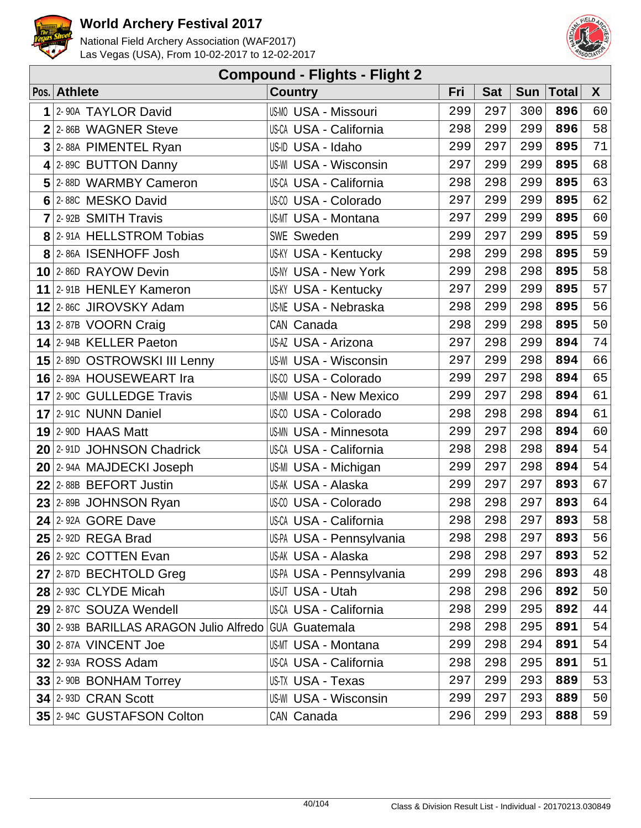



|                |                                                      | <b>Compound - Flights - Flight 2</b> |     |            |            |       |    |
|----------------|------------------------------------------------------|--------------------------------------|-----|------------|------------|-------|----|
|                | Pos. Athlete                                         | <b>Country</b>                       | Fri | <b>Sat</b> | <b>Sun</b> | Total | X  |
| 1              | 2-90A TAYLOR David                                   | <b>US-MO USA - Missouri</b>          | 299 | 297        | 300        | 896   | 60 |
|                | $2$ 2-86B WAGNER Steve                               | <b>US-CA USA - California</b>        | 298 | 299        | 299        | 896   | 58 |
| $\overline{3}$ | 2-88A PIMENTEL Ryan                                  | US-ID USA - Idaho                    | 299 | 297        | 299        | 895   | 71 |
|                | 4 2-89C BUTTON Danny                                 | <b>US-WI USA - Wisconsin</b>         | 297 | 299        | 299        | 895   | 68 |
|                | 5 2-88D WARMBY Cameron                               | US-CA USA - California               | 298 | 298        | 299        | 895   | 63 |
|                | 6 2-88C MESKO David                                  | US-00 USA - Colorado                 | 297 | 299        | 299        | 895   | 62 |
|                | $7$ 2-92B SMITH Travis                               | US-MT USA - Montana                  | 297 | 299        | 299        | 895   | 60 |
|                | 8 2-91A HELLSTROM Tobias                             | <b>SWE Sweden</b>                    | 299 | 297        | 299        | 895   | 59 |
|                | 8 2-86A ISENHOFF Josh                                | <b>US-KY USA - Kentucky</b>          | 298 | 299        | 298        | 895   | 59 |
|                | 10 2-86D RAYOW Devin                                 | <b>US-NY USA - New York</b>          | 299 | 298        | 298        | 895   | 58 |
|                | 11 2-91B HENLEY Kameron                              | <b>US-KY USA - Kentucky</b>          | 297 | 299        | 299        | 895   | 57 |
|                | 12 2-86C JIROVSKY Adam                               | <b>US-NE USA - Nebraska</b>          | 298 | 299        | 298        | 895   | 56 |
|                | 13 2-87B VOORN Craig                                 | CAN Canada                           | 298 | 299        | 298        | 895   | 50 |
|                | 14 2-94B KELLER Paeton                               | US-AZ USA - Arizona                  | 297 | 298        | 299        | 894   | 74 |
|                | 15 2-89D OSTROWSKI III Lenny                         | <b>US-WI USA - Wisconsin</b>         | 297 | 299        | 298        | 894   | 66 |
|                | 16 2-89A HOUSEWEART Ira                              | US-CO USA - Colorado                 | 299 | 297        | 298        | 894   | 65 |
|                | <b>17</b> 2-90C GULLEDGE Travis                      | <b>US-NM USA - New Mexico</b>        | 299 | 297        | 298        | 894   | 61 |
|                | 17 2-910 NUNN Daniel                                 | US-CO USA - Colorado                 | 298 | 298        | 298        | 894   | 61 |
|                | $19$ 2-90D HAAS Matt                                 | US-MN USA - Minnesota                | 299 | 297        | 298        | 894   | 60 |
|                | 20 2-91D JOHNSON Chadrick                            | <b>US-CA USA - California</b>        | 298 | 298        | 298        | 894   | 54 |
|                | 20 2-94A MAJDECKI Joseph                             | US-MI USA - Michigan                 | 299 | 297        | 298        | 894   | 54 |
|                | $22$ 2-88B BEFORT Justin                             | US-AK USA - Alaska                   | 299 | 297        | 297        | 893   | 67 |
|                | 23 2-89B JOHNSON Ryan                                | US-CO USA - Colorado                 | 298 | 298        | 297        | 893   | 64 |
|                | $24$ 2-92A GORE Dave                                 | US-CA USA - California               | 298 | 298        | 297        | 893   | 58 |
|                | $25$ 2-92D REGA Brad                                 | US-PA USA - Pennsylvania             | 298 | 298        | 297        | 893   | 56 |
|                | 26 2-92C COTTEN Evan                                 | US-AK USA - Alaska                   | 298 | 298        | 297        | 893   | 52 |
|                | 27 2-87D BECHTOLD Greg                               | US-PA USA - Pennsylvania             | 299 | 298        | 296        | 893   | 48 |
|                | 28 2-93C CLYDE Micah                                 | US-UT USA - Utah                     | 298 | 298        | 296        | 892   | 50 |
|                | 29 2-87C SOUZA Wendell                               | US-CA USA - California               | 298 | 299        | 295        | 892   | 44 |
|                | 30 2-93B BARILLAS ARAGON Julio Alfredo GUA Guatemala |                                      | 298 | 298        | 295        | 891   | 54 |
|                | 30 2-87A VINCENT Joe                                 | <b>US-MT USA - Montana</b>           | 299 | 298        | 294        | 891   | 54 |
|                | $32$ 2-93A ROSS Adam                                 | US-CA USA - California               | 298 | 298        | 295        | 891   | 51 |
|                | 33 2-90B BONHAM Torrey                               | US-TX USA - Texas                    | 297 | 299        | 293        | 889   | 53 |
|                | $34$ 2-93D CRAN Scott                                | US-WI USA - Wisconsin                | 299 | 297        | 293        | 889   | 50 |
|                | 35 2-94C GUSTAFSON Colton                            | CAN Canada                           | 296 | 299        | 293        | 888   | 59 |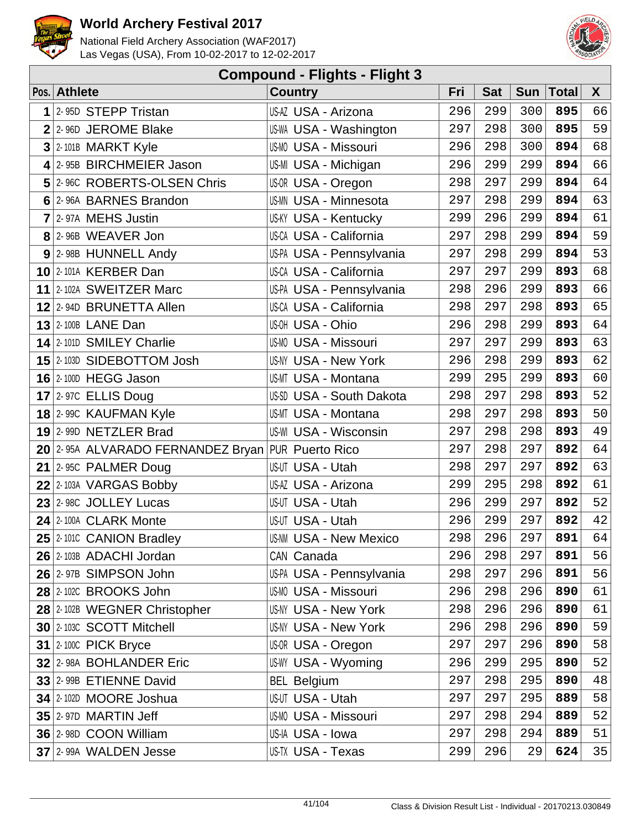



|   |                                                   | <b>Compound - Flights - Flight 3</b> |     |            |            |              |              |
|---|---------------------------------------------------|--------------------------------------|-----|------------|------------|--------------|--------------|
|   | Pos. Athlete                                      | <b>Country</b>                       | Fri | <b>Sat</b> | <b>Sun</b> | <b>Total</b> | $\mathsf{X}$ |
| 1 | 2-95D STEPP Tristan                               | US-AZ USA - Arizona                  | 296 | 299        | 300        | 895          | 66           |
|   | $2$ 2-96D JEROME Blake                            | US-WA USA - Washington               | 297 | 298        | 300        | 895          | 59           |
|   | $3$ 2-101B MARKT Kyle                             | <b>US-MO USA - Missouri</b>          | 296 | 298        | 300        | 894          | 68           |
|   | $4$ 2-95B BIRCHMEIER Jason                        | US-MI USA - Michigan                 | 296 | 299        | 299        | 894          | 66           |
|   | 5 2-96C ROBERTS-OLSEN Chris                       | US-OR USA - Oregon                   | 298 | 297        | 299        | 894          | 64           |
|   | 6 2-96A BARNES Brandon                            | <b>US-MN USA - Minnesota</b>         | 297 | 298        | 299        | 894          | 63           |
|   | 7 2-97A MEHS Justin                               | <b>US-KY USA - Kentucky</b>          | 299 | 296        | 299        | 894          | 61           |
|   | 8 2-96B WEAVER Jon                                | <b>US-CA USA - California</b>        | 297 | 298        | 299        | 894          | 59           |
|   | 9 2-98B HUNNELL Andy                              | US-PA USA - Pennsylvania             | 297 | 298        | 299        | 894          | 53           |
|   | 10 2-101A KERBER Dan                              | US-CA USA - California               | 297 | 297        | 299        | 893          | 68           |
|   | 11 2-102A SWEITZER Marc                           | US-PA USA - Pennsylvania             | 298 | 296        | 299        | 893          | 66           |
|   | 12 2-94D BRUNETTA Allen                           | <b>US-CA USA - California</b>        | 298 | 297        | 298        | 893          | 65           |
|   | <b>13</b> 2-100B LANE Dan                         | US-OH USA - Ohio                     | 296 | 298        | 299        | 893          | 64           |
|   | 14 2-101D SMILEY Charlie                          | <b>US-MO USA - Missouri</b>          | 297 | 297        | 299        | 893          | 63           |
|   | 15 <sup>2</sup> -103D SIDEBOTTOM Josh             | <b>US-NY USA - New York</b>          | 296 | 298        | 299        | 893          | 62           |
|   | <b>16 2-100D HEGG Jason</b>                       | <b>US-MT USA - Montana</b>           | 299 | 295        | 299        | 893          | 60           |
|   | $17$ 2-97C ELLIS Doug                             | US-SD USA - South Dakota             | 298 | 297        | 298        | 893          | 52           |
|   | 18 2-99C KAUFMAN Kyle                             | <b>US-MT USA - Montana</b>           | 298 | 297        | 298        | 893          | 50           |
|   | 19 2-99D NETZLER Brad                             | <b>US-WI USA - Wisconsin</b>         | 297 | 298        | 298        | 893          | 49           |
|   | 20 2-95A ALVARADO FERNANDEZ Bryan PUR Puerto Rico |                                      | 297 | 298        | 297        | 892          | 64           |
|   | 21 $ 2-95C$ PALMER Doug                           | US-UT USA - Utah                     | 298 | 297        | 297        | 892          | 63           |
|   | $22$ 2-103A VARGAS Bobby                          | US-AZ USA - Arizona                  | 299 | 295        | 298        | 892          | 61           |
|   | $23$ 2-98C JOLLEY Lucas                           | US-UT USA - Utah                     | 296 | 299        | 297        | 892          | 52           |
|   | 24 2-100A CLARK Monte                             | US-UT USA - Utah                     | 296 | 299        | 297        | 892          | $4\sqrt{2}$  |
|   | $25$ 2-1010 CANION Bradley                        | <b>US-NM USA - New Mexico</b>        | 298 | 296        | 297        | 891          | 64           |
|   | 26 2-103B ADACHI Jordan                           | CAN Canada                           | 296 | 298        | 297        | 891          | 56           |
|   | 26 2-97B SIMPSON John                             | US-PA USA - Pennsylvania             | 298 | 297        | 296        | 891          | 56           |
|   | <b>28 2-102C BROOKS John</b>                      | <b>US-MO USA - Missouri</b>          | 296 | 298        | 296        | 890          | 61           |
|   | 28 2-102B WEGNER Christopher                      | US-NY USA - New York                 | 298 | 296        | 296        | 890          | 61           |
|   | 30 2-103C SCOTT Mitchell                          | <b>US-NY USA - New York</b>          | 296 | 298        | 296        | 890          | 59           |
|   | 31 $ 2 - 100C$ PICK Bryce                         | US-OR USA - Oregon                   | 297 | 297        | 296        | 890          | 58           |
|   | 32 2-98A BOHLANDER Eric                           | US-WY USA - Wyoming                  | 296 | 299        | 295        | 890          | 52           |
|   | 33 2-99B ETIENNE David                            | <b>BEL Belgium</b>                   | 297 | 298        | 295        | 890          | 48           |
|   | 34 2-102D MOORE Joshua                            | US-UT USA - Utah                     | 297 | 297        | 295        | 889          | 58           |
|   | $35$ 2-97D MARTIN Jeff                            | <b>US-MO USA - Missouri</b>          | 297 | 298        | 294        | 889          | 52           |
|   | 36 2-98D COON William                             | US-IA USA - Iowa                     | 297 | 298        | 294        | 889          | 51           |
|   | 37 2-99A WALDEN Jesse                             | US-TX USA - Texas                    | 299 | 296        | 29         | 624          | 35           |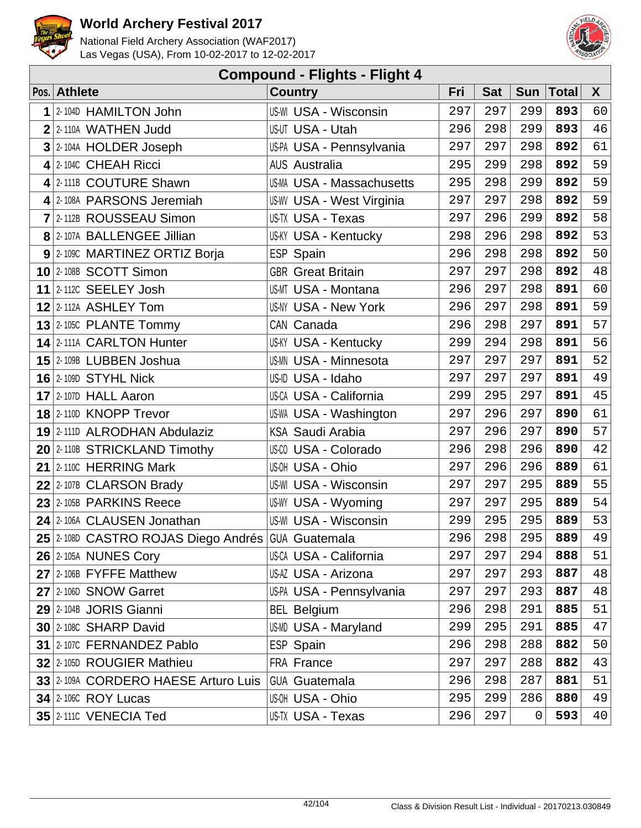



| <b>Compound - Flights - Flight 4</b> |                                                   |                                  |     |            |     |              |    |  |  |  |
|--------------------------------------|---------------------------------------------------|----------------------------------|-----|------------|-----|--------------|----|--|--|--|
|                                      | Pos. Athlete                                      | <b>Country</b>                   | Fri | <b>Sat</b> | Sun | <b>Total</b> | X  |  |  |  |
| 1                                    | 2-104D HAMILTON John                              | <b>US-WI USA - Wisconsin</b>     | 297 | 297        | 299 | 893          | 60 |  |  |  |
| $\overline{2}$                       | 2-110A WATHEN Judd                                | US-UT USA - Utah                 | 296 | 298        | 299 | 893          | 46 |  |  |  |
| 3                                    | 2-104A HOLDER Joseph                              | US-PA USA - Pennsylvania         | 297 | 297        | 298 | 892          | 61 |  |  |  |
|                                      | 4 2-104C CHEAH Ricci                              | <b>AUS Australia</b>             | 295 | 299        | 298 | 892          | 59 |  |  |  |
|                                      | 4 2-111B COUTURE Shawn                            | <b>US-MA USA - Massachusetts</b> | 295 | 298        | 299 | 892          | 59 |  |  |  |
|                                      | 4 2-108A PARSONS Jeremiah                         | <b>US-WV USA - West Virginia</b> | 297 | 297        | 298 | 892          | 59 |  |  |  |
|                                      | 7 2-112B ROUSSEAU Simon                           | US-TX USA - Texas                | 297 | 296        | 299 | 892          | 58 |  |  |  |
|                                      | 8 2-107A BALLENGEE Jillian                        | <b>US-KY USA - Kentucky</b>      | 298 | 296        | 298 | 892          | 53 |  |  |  |
|                                      | 9 2-1090 MARTINEZ ORTIZ Borja                     | ESP Spain                        | 296 | 298        | 298 | 892          | 50 |  |  |  |
|                                      | $10$ 2-108B SCOTT Simon                           | <b>GBR</b> Great Britain         | 297 | 297        | 298 | 892          | 48 |  |  |  |
|                                      | 11 2-112C SEELEY Josh                             | <b>US-MT USA - Montana</b>       | 296 | 297        | 298 | 891          | 60 |  |  |  |
|                                      | $12$ 2-112A ASHLEY Tom                            | <b>US-NY USA - New York</b>      | 296 | 297        | 298 | 891          | 59 |  |  |  |
|                                      | 13 2-105C PLANTE Tommy                            | CAN Canada                       | 296 | 298        | 297 | 891          | 57 |  |  |  |
|                                      | 14 2-111A CARLTON Hunter                          | <b>US-KY USA - Kentucky</b>      | 299 | 294        | 298 | 891          | 56 |  |  |  |
|                                      | 15 2-109B LUBBEN Joshua                           | <b>US-MN USA - Minnesota</b>     | 297 | 297        | 297 | 891          | 52 |  |  |  |
|                                      | <b>16 2-109D STYHL Nick</b>                       | US-ID USA - Idaho                | 297 | 297        | 297 | 891          | 49 |  |  |  |
|                                      | $17$ 2-107D HALL Aaron                            | <b>US-CA USA - California</b>    | 299 | 295        | 297 | 891          | 45 |  |  |  |
|                                      | 18 2-110D KNOPP Trevor                            | US-WA USA - Washington           | 297 | 296        | 297 | 890          | 61 |  |  |  |
|                                      | 19 2-111D ALRODHAN Abdulaziz                      | <b>KSA Saudi Arabia</b>          | 297 | 296        | 297 | 890          | 57 |  |  |  |
|                                      | 20 2-110B STRICKLAND Timothy                      | US-00 USA - Colorado             | 296 | 298        | 296 | 890          | 42 |  |  |  |
|                                      | $21$ 2-110C HERRING Mark                          | US-OH USA - Ohio                 | 297 | 296        | 296 | 889          | 61 |  |  |  |
|                                      | $22$ 2-107B CLARSON Brady                         | <b>US-WI USA - Wisconsin</b>     | 297 | 297        | 295 | 889          | 55 |  |  |  |
|                                      | 23 2-105B PARKINS Reece                           | US-WY USA - Wyoming              | 297 | 297        | 295 | 889          | 54 |  |  |  |
|                                      | 24 2-106A CLAUSEN Jonathan                        | US-WI USA - Wisconsin            | 299 | 295        | 295 | 889          | 53 |  |  |  |
|                                      | 25 2-108D CASTRO ROJAS Diego Andrés GUA Guatemala |                                  | 296 | 298        | 295 | 889          | 49 |  |  |  |
|                                      | <b>26 2-105A NUNES Cory</b>                       | US-CA USA - California           | 297 | 297        | 294 | 888          | 51 |  |  |  |
|                                      | 27 2-106B FYFFE Matthew                           | US-AZ USA - Arizona              | 297 | 297        | 293 | 887          | 48 |  |  |  |
|                                      | 27 2-106D SNOW Garret                             | US-PA USA - Pennsylvania         | 297 | 297        | 293 | 887          | 48 |  |  |  |
|                                      | 29 2-104B JORIS Gianni                            | <b>BEL Belgium</b>               | 296 | 298        | 291 | 885          | 51 |  |  |  |
|                                      | 30 2-108C SHARP David                             | US-MD USA - Maryland             | 299 | 295        | 291 | 885          | 47 |  |  |  |
|                                      | 31 2-107C FERNANDEZ Pablo                         | ESP Spain                        | 296 | 298        | 288 | 882          | 50 |  |  |  |
|                                      | 32 2-105D ROUGIER Mathieu                         | FRA France                       | 297 | 297        | 288 | 882          | 43 |  |  |  |
|                                      | 33 2-109A CORDERO HAESE Arturo Luis               | <b>GUA Guatemala</b>             | 296 | 298        | 287 | 881          | 51 |  |  |  |
|                                      | <b>34 2-106C ROY Lucas</b>                        | US-OH USA - Ohio                 | 295 | 299        | 286 | 880          | 49 |  |  |  |
|                                      | 35 2-1110 VENECIA Ted                             | US-TX USA - Texas                | 296 | 297        | 0   | 593          | 40 |  |  |  |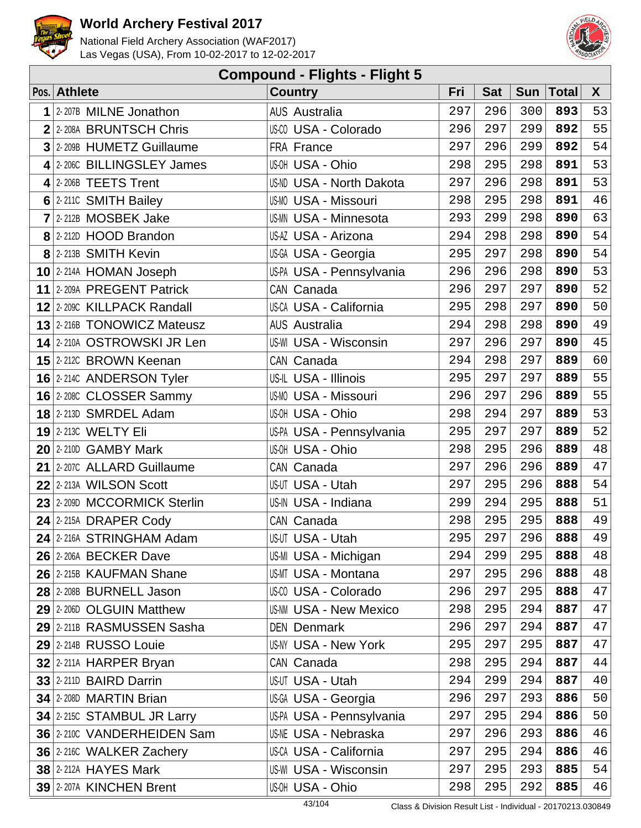



| <b>Compound - Flights - Flight 5</b> |                              |                                 |     |            |            |              |    |  |  |  |
|--------------------------------------|------------------------------|---------------------------------|-----|------------|------------|--------------|----|--|--|--|
|                                      | Pos. Athlete                 | <b>Country</b>                  | Fri | <b>Sat</b> | <b>Sun</b> | <b>Total</b> | X  |  |  |  |
| 1                                    | 2-207B MILNE Jonathon        | <b>AUS Australia</b>            | 297 | 296        | 300        | 893          | 53 |  |  |  |
|                                      | 2 2-208A BRUNTSCH Chris      | US-00 USA - Colorado            | 296 | 297        | 299        | 892          | 55 |  |  |  |
|                                      | 3 2-209B HUMETZ Guillaume    | FRA France                      | 297 | 296        | 299        | 892          | 54 |  |  |  |
|                                      | 4 2-2060 BILLINGSLEY James   | US-OH USA - Ohio                | 298 | 295        | 298        | 891          | 53 |  |  |  |
|                                      | $4$ 2-206B TEETS Trent       | <b>US-ND USA - North Dakota</b> | 297 | 296        | 298        | 891          | 53 |  |  |  |
|                                      | 6 2-2110 SMITH Bailey        | <b>US-MO USA - Missouri</b>     | 298 | 295        | 298        | 891          | 46 |  |  |  |
|                                      | $7$  2-212B MOSBEK Jake      | US-MN USA - Minnesota           | 293 | 299        | 298        | 890          | 63 |  |  |  |
|                                      | 8 2-212D HOOD Brandon        | US-AZ USA - Arizona             | 294 | 298        | 298        | 890          | 54 |  |  |  |
|                                      | 8 2-213B SMITH Kevin         | US-GA USA - Georgia             | 295 | 297        | 298        | 890          | 54 |  |  |  |
|                                      | 10 2-214A HOMAN Joseph       | US-PA USA - Pennsylvania        | 296 | 296        | 298        | 890          | 53 |  |  |  |
|                                      | 11 2-209A PREGENT Patrick    | CAN Canada                      | 296 | 297        | 297        | 890          | 52 |  |  |  |
|                                      | 12 2-2090 KILLPACK Randall   | <b>US-CA USA - California</b>   | 295 | 298        | 297        | 890          | 50 |  |  |  |
|                                      | 13 2-216B TONOWICZ Mateusz   | <b>AUS Australia</b>            | 294 | 298        | 298        | 890          | 49 |  |  |  |
|                                      | 14 2-210A OSTROWSKI JR Len   | <b>US-WI USA - Wisconsin</b>    | 297 | 296        | 297        | 890          | 45 |  |  |  |
|                                      | 15 2-212C BROWN Keenan       | CAN Canada                      | 294 | 298        | 297        | 889          | 60 |  |  |  |
|                                      | 16 2-214C ANDERSON Tyler     | US-IL USA - Illinois            | 295 | 297        | 297        | 889          | 55 |  |  |  |
|                                      | 16 2-2080 CLOSSER Sammy      | <b>US-MO USA - Missouri</b>     | 296 | 297        | 296        | 889          | 55 |  |  |  |
|                                      | <b>18</b> 2-213D SMRDEL Adam | US-OH USA - Ohio                | 298 | 294        | 297        | 889          | 53 |  |  |  |
|                                      | <b>19 2-213C WELTY Eli</b>   | US-PA USA - Pennsylvania        | 295 | 297        | 297        | 889          | 52 |  |  |  |
|                                      | 20 2-210D GAMBY Mark         | US-OH USA - Ohio                | 298 | 295        | 296        | 889          | 48 |  |  |  |
|                                      | 21 2-207C ALLARD Guillaume   | CAN Canada                      | 297 | 296        | 296        | 889          | 47 |  |  |  |
|                                      | 22 2-213A WILSON Scott       | US-UT USA - Utah                | 297 | 295        | 296        | 888          | 54 |  |  |  |
|                                      | 23 2-209D MCCORMICK Sterlin  | US-IN USA - Indiana             | 299 | 294        | 295        | 888          | 51 |  |  |  |
|                                      | $24$ 2-215A DRAPER Cody      | CAN Canada                      | 298 | 295        | 295        | 888          | 49 |  |  |  |
|                                      | 24 2-216A STRINGHAM Adam     | US-UT USA - Utah                | 295 |            | $297$ 296  | 888          | 49 |  |  |  |
|                                      | 26 2-206A BECKER Dave        | US-MI USA - Michigan            | 294 | 299        | 295        | 888          | 48 |  |  |  |
|                                      | 26 2-215B KAUFMAN Shane      | <b>US-MT USA - Montana</b>      | 297 | 295        | 296        | 888          | 48 |  |  |  |
|                                      | 28 2-208B BURNELL Jason      | US-00 USA - Colorado            | 296 | 297        | 295        | 888          | 47 |  |  |  |
|                                      | 29 2-206D OLGUIN Matthew     | <b>US-NM USA - New Mexico</b>   | 298 | 295        | 294        | 887          | 47 |  |  |  |
|                                      | 29 2-211B RASMUSSEN Sasha    | <b>DEN Denmark</b>              | 296 | 297        | 294        | 887          | 47 |  |  |  |
|                                      | 29 2-214B RUSSO Louie        | <b>US-NY USA - New York</b>     | 295 | 297        | 295        | 887          | 47 |  |  |  |
|                                      | 32 2-211A HARPER Bryan       | CAN Canada                      | 298 | 295        | 294        | 887          | 44 |  |  |  |
|                                      | 33 2-211D BAIRD Darrin       | US-UT USA - Utah                | 294 | 299        | 294        | 887          | 40 |  |  |  |
|                                      | 34 2-208D MARTIN Brian       | US-GA USA - Georgia             | 296 | 297        | 293        | 886          | 50 |  |  |  |
|                                      | 34 2-215C STAMBUL JR Larry   | US-PA USA - Pennsylvania        | 297 | 295        | 294        | 886          | 50 |  |  |  |
|                                      | 36 2-210C VANDERHEIDEN Sam   | <b>US-NE USA - Nebraska</b>     | 297 | 296        | 293        | 886          | 46 |  |  |  |
|                                      | 36 2-216C WALKER Zachery     | <b>US-CA USA - California</b>   | 297 | 295        | 294        | 886          | 46 |  |  |  |
|                                      | <b>38 2-212A HAYES Mark</b>  | US-WI USA - Wisconsin           | 297 | 295        | 293        | 885          | 54 |  |  |  |
|                                      | 39 2-207A KINCHEN Brent      | US-OH USA - Ohio                | 298 | 295        | 292        | 885          | 46 |  |  |  |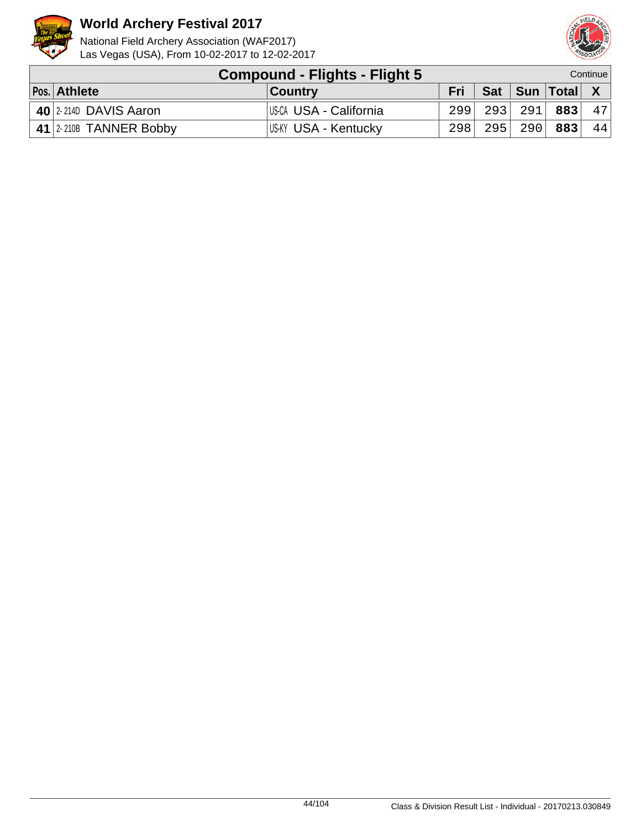



| Compound - Flights - Flight 5     |                        |      |  |                           | Continue |
|-----------------------------------|------------------------|------|--|---------------------------|----------|
| Pos. Athlete                      | <b>Country</b>         | Fri  |  | Sat   Sun   Total   X     |          |
| $\frac{1}{40}$ 2-2140 DAVIS Aaron | US-CA USA - California | 2991 |  | 293  291  <b>883</b>   47 |          |
| $\vert$ 41 2-210B TANNER Bobby    | US-KY USA - Kentucky   | 298  |  | $295$ 290 883             | 44       |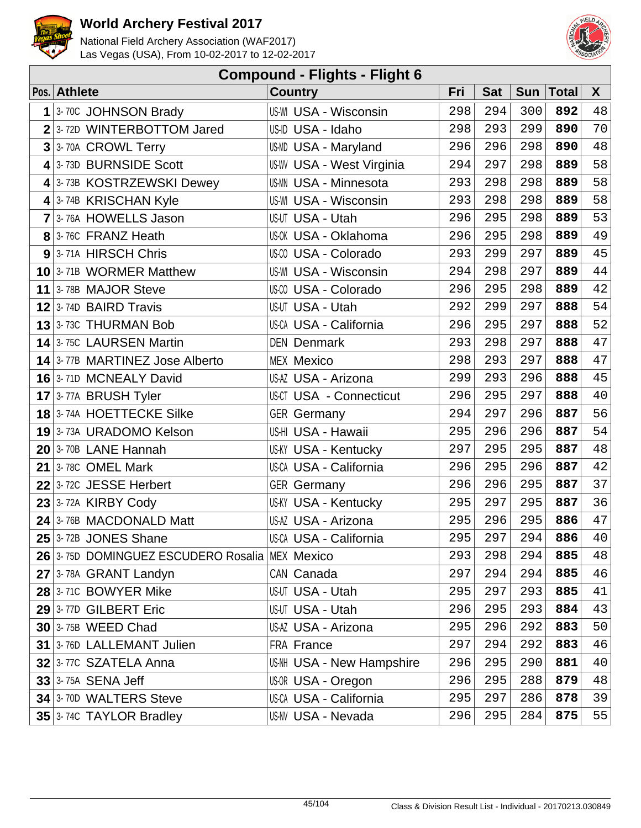



| <b>Compound - Flights - Flight 6</b> |                                                |                                  |     |            |            |              |    |  |  |  |
|--------------------------------------|------------------------------------------------|----------------------------------|-----|------------|------------|--------------|----|--|--|--|
|                                      | Pos. Athlete                                   | <b>Country</b>                   | Fri | <b>Sat</b> | <b>Sun</b> | <b>Total</b> | X  |  |  |  |
| 1                                    | 3-70C JOHNSON Brady                            | <b>US-WI USA - Wisconsin</b>     | 298 | 294        | 300        | 892          | 48 |  |  |  |
|                                      | $2$ 3-72D WINTERBOTTOM Jared                   | US-ID USA - Idaho                | 298 | 293        | 299        | 890          | 70 |  |  |  |
|                                      | $3$ 3-70A CROWL Terry                          | <b>US-MD USA - Maryland</b>      | 296 | 296        | 298        | 890          | 48 |  |  |  |
|                                      | $4$ 3-73D BURNSIDE Scott                       | <b>US-WV USA - West Virginia</b> | 294 | 297        | 298        | 889          | 58 |  |  |  |
|                                      | 4 3-73B KOSTRZEWSKI Dewey                      | <b>US-MN USA - Minnesota</b>     | 293 | 298        | 298        | 889          | 58 |  |  |  |
|                                      | 4 3-74B KRISCHAN Kyle                          | <b>US-WI USA - Wisconsin</b>     | 293 | 298        | 298        | 889          | 58 |  |  |  |
|                                      | 7 3-76A HOWELLS Jason                          | US-UT USA - Utah                 | 296 | 295        | 298        | 889          | 53 |  |  |  |
|                                      | 8 3-76C FRANZ Heath                            | US-OK USA - Oklahoma             | 296 | 295        | 298        | 889          | 49 |  |  |  |
|                                      | 9 3-71A HIRSCH Chris                           | US-00 USA - Colorado             | 293 | 299        | 297        | 889          | 45 |  |  |  |
|                                      | 10 3-71B WORMER Matthew                        | <b>US-WI USA - Wisconsin</b>     | 294 | 298        | 297        | 889          | 44 |  |  |  |
|                                      | 11 3-78B MAJOR Steve                           | US-CO USA - Colorado             | 296 | 295        | 298        | 889          | 42 |  |  |  |
|                                      | $12$ 3-74D BAIRD Travis                        | US-UT USA - Utah                 | 292 | 299        | 297        | 888          | 54 |  |  |  |
|                                      | 13 3-73C THURMAN Bob                           | US-CA USA - California           | 296 | 295        | 297        | 888          | 52 |  |  |  |
|                                      | 14 3-75C LAURSEN Martin                        | <b>DEN Denmark</b>               | 293 | 298        | 297        | 888          | 47 |  |  |  |
|                                      | 14 3-77B MARTINEZ Jose Alberto                 | <b>MEX Mexico</b>                | 298 | 293        | 297        | 888          | 47 |  |  |  |
|                                      | 16 3-71D MCNEALY David                         | US-AZ USA - Arizona              | 299 | 293        | 296        | 888          | 45 |  |  |  |
|                                      | 17 3-77A BRUSH Tyler                           | <b>US-CT USA - Connecticut</b>   | 296 | 295        | 297        | 888          | 40 |  |  |  |
|                                      | <b>18</b> 3-74A HOETTECKE Silke                | <b>GER</b> Germany               | 294 | 297        | 296        | 887          | 56 |  |  |  |
|                                      | 19 3-73A URADOMO Kelson                        | US-HI USA - Hawaii               | 295 | 296        | 296        | 887          | 54 |  |  |  |
|                                      | 20 3-70B LANE Hannah                           | <b>US-KY USA - Kentucky</b>      | 297 | 295        | 295        | 887          | 48 |  |  |  |
|                                      | $21$ 3-78C OMEL Mark                           | US-CA USA - California           | 296 | 295        | 296        | 887          | 42 |  |  |  |
|                                      | $22$ 3-72C JESSE Herbert                       | <b>GER Germany</b>               | 296 | 296        | 295        | 887          | 37 |  |  |  |
|                                      | $23$ 3-72A KIRBY Cody                          | <b>US-KY USA - Kentucky</b>      | 295 | 297        | 295        | 887          | 36 |  |  |  |
|                                      | 24 3-76B MACDONALD Matt                        | US-AZ USA - Arizona              | 295 | 296        | 295        | 886          | 47 |  |  |  |
|                                      | $25$ 3-72B JONES Shane                         | US-CA USA - California           | 295 |            | $297$ 294  | 886          | 40 |  |  |  |
|                                      | 26 3-750 DOMINGUEZ ESCUDERO Rosalia MEX Mexico |                                  | 293 | 298        | 294        | 885          | 48 |  |  |  |
|                                      | 27 3-78A GRANT Landyn                          | CAN Canada                       | 297 | 294        | 294        | 885          | 46 |  |  |  |
|                                      | 28 3-71C BOWYER Mike                           | US-UT USA - Utah                 | 295 | 297        | 293        | 885          | 41 |  |  |  |
|                                      | 29 3-77D GILBERT Eric                          | US-UT USA - Utah                 | 296 | 295        | 293        | 884          | 43 |  |  |  |
|                                      | $30$ 3-75B WEED Chad                           | US-AZ USA - Arizona              | 295 | 296        | 292        | 883          | 50 |  |  |  |
|                                      | 31 3-76D LALLEMANT Julien                      | FRA France                       | 297 | 294        | 292        | 883          | 46 |  |  |  |
|                                      | 32 3-77C SZATELA Anna                          | US-NH USA - New Hampshire        | 296 | 295        | 290        | 881          | 40 |  |  |  |
|                                      | $33$ 3-75A SENA Jeff                           | US-OR USA - Oregon               | 296 | 295        | 288        | 879          | 48 |  |  |  |
|                                      | 34 3-70D WALTERS Steve                         | <b>US-CA USA - California</b>    | 295 | 297        | 286        | 878          | 39 |  |  |  |
|                                      | 35 3-74C TAYLOR Bradley                        | US-NV USA - Nevada               | 296 | 295        | 284        | 875          | 55 |  |  |  |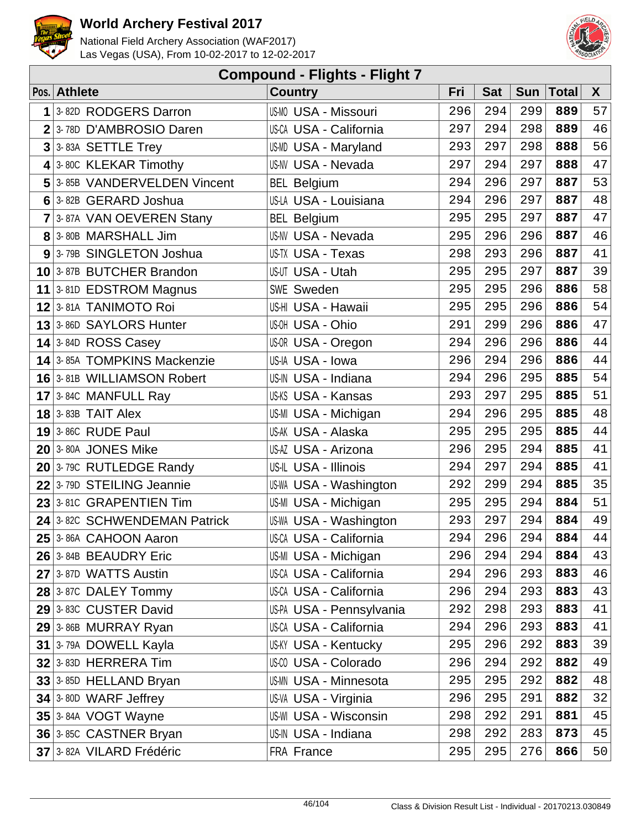



| <b>Compound - Flights - Flight 7</b> |                                    |                               |     |            |            |              |        |  |  |  |
|--------------------------------------|------------------------------------|-------------------------------|-----|------------|------------|--------------|--------|--|--|--|
|                                      | Pos. Athlete                       | <b>Country</b>                | Fri | <b>Sat</b> | <b>Sun</b> | <b>Total</b> | X      |  |  |  |
| 1                                    | 3-82D RODGERS Darron               | <b>US-MO USA - Missouri</b>   | 296 | 294        | 299        | 889          | 57     |  |  |  |
| $\overline{2}$                       | 3-78D D'AMBROSIO Daren             | <b>US-CA USA - California</b> | 297 | 294        | 298        | 889          | 46     |  |  |  |
| $\mathbf{3}$                         | 3-83A SETTLE Trey                  | US-MD USA - Maryland          | 293 | 297        | 298        | 888          | 56     |  |  |  |
|                                      | $4$ 3-80C KLEKAR Timothy           | <b>US-NV USA - Nevada</b>     | 297 | 294        | 297        | 888          | 47     |  |  |  |
|                                      | 5 3-85B VANDERVELDEN Vincent       | <b>BEL Belgium</b>            | 294 | 296        | 297        | 887          | 53     |  |  |  |
|                                      | 6 3-82B GERARD Joshua              | US-LA USA - Louisiana         | 294 | 296        | 297        | 887          | 48     |  |  |  |
|                                      | 7 3-87A VAN OEVEREN Stany          | <b>BEL Belgium</b>            | 295 | 295        | 297        | 887          | 47     |  |  |  |
|                                      | 8 3-80B MARSHALL Jim               | US-NV USA - Nevada            | 295 | 296        | 296        | 887          | 46     |  |  |  |
|                                      | 9 3-79B SINGLETON Joshua           | US-TX USA - Texas             | 298 | 293        | 296        | 887          | 41     |  |  |  |
|                                      | 10 3-87B BUTCHER Brandon           | US-UT USA - Utah              | 295 | 295        | 297        | 887          | 39     |  |  |  |
|                                      | 11 3-81D EDSTROM Magnus            | <b>SWE Sweden</b>             | 295 | 295        | 296        | 886          | 58     |  |  |  |
|                                      | 12 3-81A TANIMOTO Roi              | US-HI USA - Hawaii            | 295 | 295        | 296        | 886          | 54     |  |  |  |
|                                      | 13 3-86D SAYLORS Hunter            | US-OH USA - Ohio              | 291 | 299        | 296        | 886          | 47     |  |  |  |
|                                      | $14$ 3-84D ROSS Casey              | US-OR USA - Oregon            | 294 | 296        | 296        | 886          | 44     |  |  |  |
|                                      | <b>14</b> 3-85A TOMPKINS Mackenzie | US-IA USA - Iowa              | 296 | 294        | 296        | 886          | 44     |  |  |  |
|                                      | 16 3-81B WILLIAMSON Robert         | US-IN USA - Indiana           | 294 | 296        | 295        | 885          | 54     |  |  |  |
|                                      | 17 3-84C MANFULL Ray               | US-KS USA - Kansas            | 293 | 297        | 295        | 885          | 51     |  |  |  |
|                                      | $18$ 3-83B TAIT Alex               | US-MI USA - Michigan          | 294 | 296        | 295        | 885          | 48     |  |  |  |
|                                      | $19$ 3-86C RUDE Paul               | US-AK USA - Alaska            | 295 | 295        | 295        | 885          | 44     |  |  |  |
|                                      | $20$ 3-80A JONES Mike              | US-AZ USA - Arizona           | 296 | 295        | 294        | 885          | 41     |  |  |  |
|                                      | $20$ 3-79C RUTLEDGE Randy          | US-IL USA - Illinois          | 294 | 297        | 294        | 885          | 41     |  |  |  |
|                                      | 22 3-79D STEILING Jeannie          | <b>US-WA USA - Washington</b> | 292 | 299        | 294        | 885          | 35     |  |  |  |
|                                      | 23 3-81C GRAPENTIEN Tim            | US-MI USA - Michigan          | 295 | 295        | 294        | 884          | 51     |  |  |  |
|                                      | 24 3-82C SCHWENDEMAN Patrick       | US-WA USA - Washington        | 293 | 297        | 294        | 884          | 49     |  |  |  |
|                                      | 25 3-86A CAHOON Aaron              | US-CA USA - California        | 294 | 296        | 294        | 884          | $4\,4$ |  |  |  |
|                                      | 26 3-84B BEAUDRY Eric              | US-MI USA - Michigan          | 296 | 294        | 294        | 884          | 43     |  |  |  |
|                                      | 27 3-87D WATTS Austin              | US-CA USA - California        | 294 | 296        | 293        | 883          | 46     |  |  |  |
|                                      | 28 3-87C DALEY Tommy               | <b>US-CA USA - California</b> | 296 | 294        | 293        | 883          | 43     |  |  |  |
|                                      | 29 3-83C CUSTER David              | US-PA USA - Pennsylvania      | 292 | 298        | 293        | 883          | 41     |  |  |  |
|                                      | $29$ 3-86B MURRAY Ryan             | US-CA USA - California        | 294 | 296        | 293        | 883          | 41     |  |  |  |
|                                      | 31 3-79A DOWELL Kayla              | <b>US-KY USA - Kentucky</b>   | 295 | 296        | 292        | 883          | 39     |  |  |  |
|                                      | 32 3-83D HERRERA Tim               | US-CO USA - Colorado          | 296 | 294        | 292        | 882          | 49     |  |  |  |
|                                      | $33$ 3-85D HELLAND Bryan           | <b>US-MN USA - Minnesota</b>  | 295 | 295        | 292        | 882          | 48     |  |  |  |
|                                      | 34 3-80D WARF Jeffrey              | US-VA USA - Virginia          | 296 | 295        | 291        | 882          | 32     |  |  |  |
|                                      | <b>35 3-84A VOGT Wayne</b>         | <b>US-WI USA - Wisconsin</b>  | 298 | 292        | 291        | 881          | 45     |  |  |  |
|                                      | 36 3-85C CASTNER Bryan             | US-IN USA - Indiana           | 298 | 292        | 283        | 873          | 45     |  |  |  |
|                                      | 37 3-82A VILARD Frédéric           | FRA France                    | 295 | 295        | 276        | 866          | 50     |  |  |  |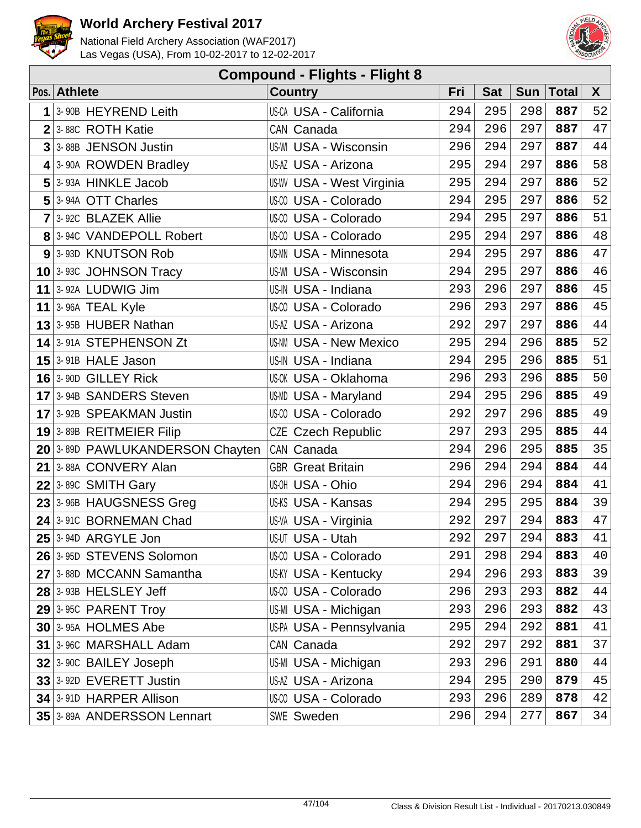



| <b>Compound - Flights - Flight 8</b> |                                 |                               |     |            |            |              |    |  |  |  |
|--------------------------------------|---------------------------------|-------------------------------|-----|------------|------------|--------------|----|--|--|--|
|                                      | Pos. Athlete                    | <b>Country</b>                | Fri | <b>Sat</b> | <b>Sun</b> | <b>Total</b> | X  |  |  |  |
| 1                                    | 3-90B HEYREND Leith             | US-CA USA - California        | 294 | 295        | 298        | 887          | 52 |  |  |  |
| $\overline{2}$                       | 3-88C ROTH Katie                | CAN Canada                    | 294 | 296        | 297        | 887          | 47 |  |  |  |
| 3                                    | 3-88B JENSON Justin             | <b>US-WI USA - Wisconsin</b>  | 296 | 294        | 297        | 887          | 44 |  |  |  |
|                                      | $4$ 3-90A ROWDEN Bradley        | US-AZ USA - Arizona           | 295 | 294        | 297        | 886          | 58 |  |  |  |
| 5                                    | 3-93A HINKLE Jacob              | US-WV USA - West Virginia     | 295 | 294        | 297        | 886          | 52 |  |  |  |
| 5                                    | 3-94A OTT Charles               | US-CO USA - Colorado          | 294 | 295        | 297        | 886          | 52 |  |  |  |
| $\overline{7}$                       | 3-92C BLAZEK Allie              | US-CO USA - Colorado          | 294 | 295        | 297        | 886          | 51 |  |  |  |
|                                      | 8 3-94C VANDEPOLL Robert        | US-00 USA - Colorado          | 295 | 294        | 297        | 886          | 48 |  |  |  |
| 9                                    | 3-93D KNUTSON Rob               | US-MN USA - Minnesota         | 294 | 295        | 297        | 886          | 47 |  |  |  |
|                                      | $10$ 3-93C JOHNSON Tracy        | <b>US-WI USA - Wisconsin</b>  | 294 | 295        | 297        | 886          | 46 |  |  |  |
| 11                                   | 3-92A LUDWIG Jim                | US-IN USA - Indiana           | 293 | 296        | 297        | 886          | 45 |  |  |  |
| 11                                   | 3-96A TEAL Kyle                 | US-00 USA - Colorado          | 296 | 293        | 297        | 886          | 45 |  |  |  |
|                                      | $13$ 3-95B HUBER Nathan         | US-AZ USA - Arizona           | 292 | 297        | 297        | 886          | 44 |  |  |  |
|                                      | 14 3-91A STEPHENSON Zt          | <b>US-NM USA - New Mexico</b> | 295 | 294        | 296        | 885          | 52 |  |  |  |
|                                      | $15$ 3-91B HALE Jason           | US-IN USA - Indiana           | 294 | 295        | 296        | 885          | 51 |  |  |  |
|                                      | 16 3-90D GILLEY Rick            | US-0K USA - Oklahoma          | 296 | 293        | 296        | 885          | 50 |  |  |  |
|                                      | 17 3-94B SANDERS Steven         | <b>US-MD USA - Maryland</b>   | 294 | 295        | 296        | 885          | 49 |  |  |  |
| 17                                   | 3-92B SPEAKMAN Justin           | US-CO USA - Colorado          | 292 | 297        | 296        | 885          | 49 |  |  |  |
|                                      | $19$ 3-89B REITMEIER Filip      | <b>CZE Czech Republic</b>     | 297 | 293        | 295        | 885          | 44 |  |  |  |
|                                      | 20 3-89D PAWLUKANDERSON Chayten | CAN Canada                    | 294 | 296        | 295        | 885          | 35 |  |  |  |
| 21                                   | 3-88A CONVERY Alan              | <b>GBR</b> Great Britain      | 296 | 294        | 294        | 884          | 44 |  |  |  |
|                                      | $22$ 3-89C SMITH Gary           | US-OH USA - Ohio              | 294 | 296        | 294        | 884          | 41 |  |  |  |
|                                      | 23 3-96B HAUGSNESS Greg         | US-KS USA - Kansas            | 294 | 295        | 295        | 884          | 39 |  |  |  |
| 24                                   | 3-91C BORNEMAN Chad             | US-VA USA - Virginia          | 292 | 297        | 294        | 883          | 47 |  |  |  |
|                                      | <b>25</b> 3-94D ARGYLE Jon      | US-UT USA - Utah              | 292 | 297        | 294        | 883          | 41 |  |  |  |
|                                      | 26 3-95D STEVENS Solomon        | US-00 USA - Colorado          | 291 | 298        | 294        | 883          | 40 |  |  |  |
|                                      | 27 3-88D MCCANN Samantha        | US-KY USA - Kentucky          | 294 | 296        | 293        | 883          | 39 |  |  |  |
|                                      | 28 3-93B HELSLEY Jeff           | US-00 USA - Colorado          | 296 | 293        | 293        | 882          | 44 |  |  |  |
|                                      | $29$ 3-95C PARENT Troy          | US-MI USA - Michigan          | 293 | 296        | 293        | 882          | 43 |  |  |  |
|                                      | <b>30 3-95A HOLMES Abe</b>      | US-PA USA - Pennsylvania      | 295 | 294        | 292        | 881          | 41 |  |  |  |
|                                      | 31 3-96C MARSHALL Adam          | CAN Canada                    | 292 | 297        | 292        | 881          | 37 |  |  |  |
|                                      | 32 3-90C BAILEY Joseph          | US-MI USA - Michigan          | 293 | 296        | 291        | 880          | 44 |  |  |  |
|                                      | 33 3-92D EVERETT Justin         | US-AZ USA - Arizona           | 294 | 295        | 290        | 879          | 45 |  |  |  |
|                                      | 34 3-91D HARPER Allison         | US-00 USA - Colorado          | 293 | 296        | 289        | 878          | 42 |  |  |  |
|                                      | 35 3-89A ANDERSSON Lennart      | SWE Sweden                    | 296 | 294        | 277        | 867          | 34 |  |  |  |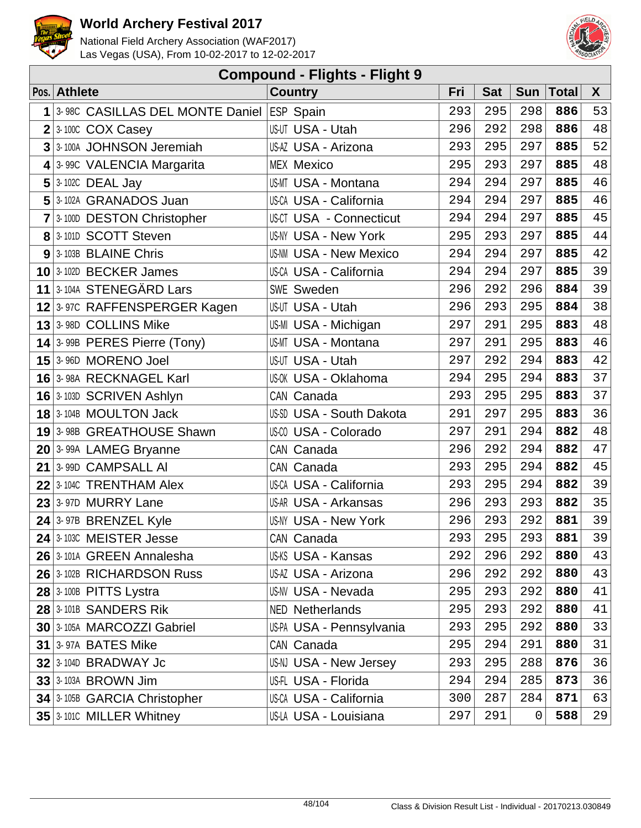



| <b>Compound - Flights - Flight 9</b> |                                           |                                 |     |            |             |              |    |  |  |  |
|--------------------------------------|-------------------------------------------|---------------------------------|-----|------------|-------------|--------------|----|--|--|--|
|                                      | Pos. Athlete                              | <b>Country</b>                  | Fri | <b>Sat</b> | <b>Sun</b>  | <b>Total</b> | X  |  |  |  |
| 1                                    | 3-98C CASILLAS DEL MONTE Daniel ESP Spain |                                 | 293 | 295        | 298         | 886          | 53 |  |  |  |
|                                      | 3-100C COX Casey                          | US-UT USA - Utah                | 296 | 292        | 298         | 886          | 48 |  |  |  |
| 3                                    | 3-100A JOHNSON Jeremiah                   | US-AZ USA - Arizona             | 293 | 295        | 297         | 885          | 52 |  |  |  |
|                                      | 4 3-99C VALENCIA Margarita                | <b>MEX Mexico</b>               | 295 | 293        | 297         | 885          | 48 |  |  |  |
| 5                                    | 3-102C DEAL Jay                           | <b>US-MT USA - Montana</b>      | 294 | 294        | 297         | 885          | 46 |  |  |  |
|                                      | 5 3-102A GRANADOS Juan                    | <b>US-CA USA - California</b>   | 294 | 294        | 297         | 885          | 46 |  |  |  |
|                                      | 7 3-100D DESTON Christopher               | <b>US-CT USA - Connecticut</b>  | 294 | 294        | 297         | 885          | 45 |  |  |  |
|                                      | 8 3-101D SCOTT Steven                     | <b>US-NY USA - New York</b>     | 295 | 293        | 297         | 885          | 44 |  |  |  |
| 9                                    | 3-103B BLAINE Chris                       | <b>US-NM USA - New Mexico</b>   | 294 | 294        | 297         | 885          | 42 |  |  |  |
|                                      | 10 3-102D BECKER James                    | <b>US-CA USA - California</b>   | 294 | 294        | 297         | 885          | 39 |  |  |  |
|                                      | 11 3-104A STENEGÄRD Lars                  | SWE Sweden                      | 296 | 292        | 296         | 884          | 39 |  |  |  |
|                                      | 12 3-97C RAFFENSPERGER Kagen              | <b>US-UT USA - Utah</b>         | 296 | 293        | 295         | 884          | 38 |  |  |  |
|                                      | 13 3-98D COLLINS Mike                     | US-MI USA - Michigan            | 297 | 291        | 295         | 883          | 48 |  |  |  |
|                                      | 14 3-99B PERES Pierre (Tony)              | <b>US-MT USA - Montana</b>      | 297 | 291        | 295         | 883          | 46 |  |  |  |
|                                      | 15 3-96D MORENO Joel                      | <b>US-UT USA - Utah</b>         | 297 | 292        | 294         | 883          | 42 |  |  |  |
|                                      | 16 3-98A RECKNAGEL Karl                   | <b>US-OK USA - Oklahoma</b>     | 294 | 295        | 294         | 883          | 37 |  |  |  |
|                                      | 16 3-103D SCRIVEN Ashlyn                  | CAN Canada                      | 293 | 295        | 295         | 883          | 37 |  |  |  |
|                                      | $18$ 3-104B MOULTON Jack                  | <b>US-SD USA - South Dakota</b> | 291 | 297        | 295         | 883          | 36 |  |  |  |
|                                      | 19 3-98B GREATHOUSE Shawn                 | US-00 USA - Colorado            | 297 | 291        | 294         | 882          | 48 |  |  |  |
|                                      | 20 3-99A LAMEG Bryanne                    | CAN Canada                      | 296 | 292        | 294         | 882          | 47 |  |  |  |
| 21                                   | 3-99D CAMPSALL AI                         | CAN Canada                      | 293 | 295        | 294         | 882          | 45 |  |  |  |
| 22                                   | 3-104C TRENTHAM Alex                      | <b>US-CA USA - California</b>   | 293 | 295        | 294         | 882          | 39 |  |  |  |
| 23                                   | 3-97D MURRY Lane                          | <b>US-AR USA - Arkansas</b>     | 296 | 293        | 293         | 882          | 35 |  |  |  |
|                                      | $24$ 3-97B BRENZEL Kyle                   | <b>US-NY USA - New York</b>     | 296 | 293        | 292         | 881          | 39 |  |  |  |
|                                      | 24 3-103C MEISTER Jesse                   | CAN Canada                      | 293 | 295        | 293         | 881          | 39 |  |  |  |
|                                      | 26 3-101A GREEN Annalesha                 | US-KS USA - Kansas              | 292 | 296        | 292         | 880          | 43 |  |  |  |
|                                      | 26 3-102B RICHARDSON Russ                 | US-AZ USA - Arizona             | 296 | 292        | 292         | 880          | 43 |  |  |  |
|                                      | 28 3-100B PITTS Lystra                    | <b>US-NV USA - Nevada</b>       | 295 | 293        | 292         | 880          | 41 |  |  |  |
|                                      | 28 3-101B SANDERS Rik                     | <b>NED Netherlands</b>          | 295 | 293        | 292         | 880          | 41 |  |  |  |
|                                      | 30 3-105A MARCOZZI Gabriel                | US-PA USA - Pennsylvania        | 293 | 295        | 292         | 880          | 33 |  |  |  |
|                                      | 31 3-97A BATES Mike                       | CAN Canada                      | 295 | 294        | 291         | 880          | 31 |  |  |  |
|                                      | $32$ 3-104D BRADWAY Jc                    | US-NJ USA - New Jersey          | 293 | 295        | 288         | 876          | 36 |  |  |  |
|                                      | 33 3-103A BROWN Jim                       | US-FL USA - Florida             | 294 | 294        | 285         | 873          | 36 |  |  |  |
|                                      | 34 3-105B GARCIA Christopher              | <b>US-CA USA - California</b>   | 300 | 287        | 284         | 871          | 63 |  |  |  |
|                                      | 35 3-1010 MILLER Whitney                  | US-LA USA - Louisiana           | 297 | 291        | $\mathbf 0$ | 588          | 29 |  |  |  |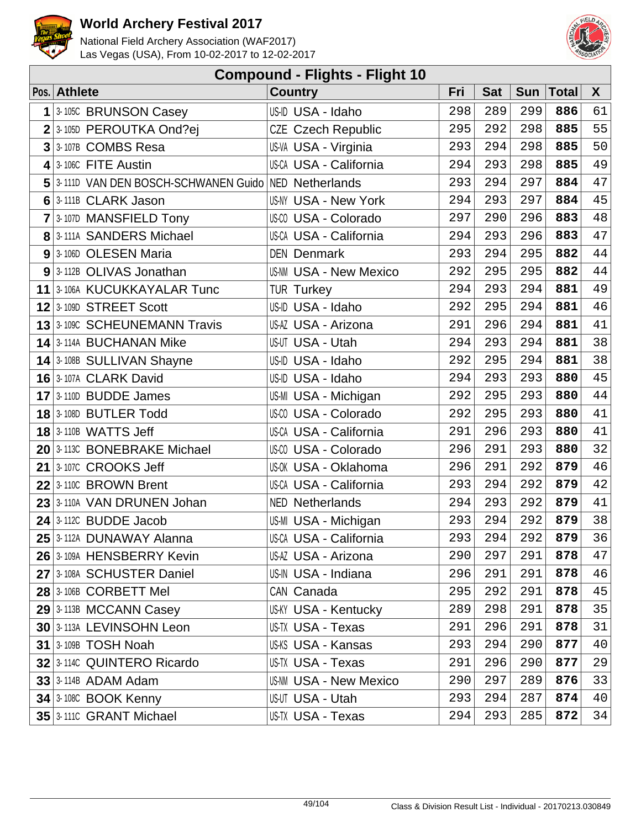



| <b>Compound - Flights - Flight 10</b> |                                                       |                               |     |            |            |              |        |  |  |  |
|---------------------------------------|-------------------------------------------------------|-------------------------------|-----|------------|------------|--------------|--------|--|--|--|
|                                       | Pos. Athlete                                          | <b>Country</b>                | Fri | <b>Sat</b> | <b>Sun</b> | <b>Total</b> | X      |  |  |  |
| 1                                     | 3-105C BRUNSON Casey                                  | US-ID USA - Idaho             | 298 | 289        | 299        | 886          | 61     |  |  |  |
|                                       | $2 3.105D$ PEROUTKA Ond?ej                            | <b>CZE Czech Republic</b>     | 295 | 292        | 298        | 885          | 55     |  |  |  |
| 3                                     | 3-107B COMBS Resa                                     | US-VA USA - Virginia          | 293 | 294        | 298        | 885          | 50     |  |  |  |
| 4                                     | 3-106C FITE Austin                                    | US-CA USA - California        | 294 | 293        | 298        | 885          | 49     |  |  |  |
|                                       | 5 3-111D VAN DEN BOSCH-SCHWANEN Guido NED Netherlands |                               | 293 | 294        | 297        | 884          | 47     |  |  |  |
|                                       | 6 3-111B CLARK Jason                                  | <b>US-NY USA - New York</b>   | 294 | 293        | 297        | 884          | 45     |  |  |  |
| $\overline{7}$                        | 3-107D MANSFIELD Tony                                 | US-00 USA - Colorado          | 297 | 290        | 296        | 883          | 48     |  |  |  |
|                                       | 8 3-111A SANDERS Michael                              | <b>US-CA USA - California</b> | 294 | 293        | 296        | 883          | 47     |  |  |  |
|                                       | 9 3-106D OLESEN Maria                                 | <b>DEN Denmark</b>            | 293 | 294        | 295        | 882          | 44     |  |  |  |
|                                       | 9 3-112B OLIVAS Jonathan                              | <b>US-NM USA - New Mexico</b> | 292 | 295        | 295        | 882          | $4\,4$ |  |  |  |
|                                       | 11 3-106A KUCUKKAYALAR Tunc                           | <b>TUR Turkey</b>             | 294 | 293        | 294        | 881          | 49     |  |  |  |
|                                       | 12 3-109D STREET Scott                                | US-ID USA - Idaho             | 292 | 295        | 294        | 881          | 46     |  |  |  |
|                                       | <b>13</b> 3-109C SCHEUNEMANN Travis                   | US-AZ USA - Arizona           | 291 | 296        | 294        | 881          | 41     |  |  |  |
|                                       | <b>14 3-114A BUCHANAN Mike</b>                        | US-UT USA - Utah              | 294 | 293        | 294        | 881          | 38     |  |  |  |
|                                       | 14 3-108B SULLIVAN Shayne                             | US-ID USA - Idaho             | 292 | 295        | 294        | 881          | 38     |  |  |  |
|                                       | 16 3-107A CLARK David                                 | US-ID USA - Idaho             | 294 | 293        | 293        | 880          | 45     |  |  |  |
|                                       | $17$ 3-110D BUDDE James                               | US-MI USA - Michigan          | 292 | 295        | 293        | 880          | 44     |  |  |  |
|                                       | 18 3-108D BUTLER Todd                                 | US-CO USA - Colorado          | 292 | 295        | 293        | 880          | 41     |  |  |  |
|                                       | <b>18 3-110B WATTS Jeff</b>                           | <b>US-CA USA - California</b> | 291 | 296        | 293        | 880          | 41     |  |  |  |
|                                       | 20 3-113C BONEBRAKE Michael                           | US-00 USA - Colorado          | 296 | 291        | 293        | 880          | 32     |  |  |  |
|                                       | $21$ 3-107C CROOKS Jeff                               | US-OK USA - Oklahoma          | 296 | 291        | 292        | 879          | 46     |  |  |  |
|                                       | $22$ 3-110C BROWN Brent                               | US-CA USA - California        | 293 | 294        | 292        | 879          | 42     |  |  |  |
|                                       | 23 3-110A VAN DRUNEN Johan                            | <b>NED Netherlands</b>        | 294 | 293        | 292        | 879          | 41     |  |  |  |
|                                       | $24$ 3-112C BUDDE Jacob                               | US-MI USA - Michigan          | 293 | 294        | 292        | 879          | 38     |  |  |  |
|                                       | 25 3-112A DUNAWAY Alanna                              | US-CA USA - California        | 293 | 294        | 292        | 879          | 36     |  |  |  |
|                                       | 26 3-109A HENSBERRY Kevin                             | US-AZ USA - Arizona           | 290 | 297        | 291        | 878          | 47     |  |  |  |
|                                       | 27 3-108A SCHUSTER Daniel                             | US-IN USA - Indiana           | 296 | 291        | 291        | 878          | 46     |  |  |  |
|                                       | 28 3-106B CORBETT Mel                                 | CAN Canada                    | 295 | 292        | 291        | 878          | 45     |  |  |  |
|                                       | 29 3-113B MCCANN Casey                                | <b>US-KY USA - Kentucky</b>   | 289 | 298        | 291        | 878          | 35     |  |  |  |
|                                       | 30 3-113A LEVINSOHN Leon                              | US-TX USA - Texas             | 291 | 296        | 291        | 878          | 31     |  |  |  |
|                                       | <b>31 3-109B TOSH Noah</b>                            | US-KS USA - Kansas            | 293 | 294        | 290        | 877          | 40     |  |  |  |
|                                       | 32 3-1140 QUINTERO Ricardo                            | US-TX USA - Texas             | 291 | 296        | 290        | 877          | 29     |  |  |  |
|                                       | $33$ 3-114B ADAM Adam                                 | <b>US-NM USA - New Mexico</b> | 290 | 297        | 289        | 876          | 33     |  |  |  |
|                                       | <b>34 3-108C BOOK Kenny</b>                           | US-UT USA - Utah              | 293 | 294        | 287        | 874          | 40     |  |  |  |
|                                       | 35 3-1110 GRANT Michael                               | US-TX USA - Texas             | 294 | 293        | 285        | 872          | 34     |  |  |  |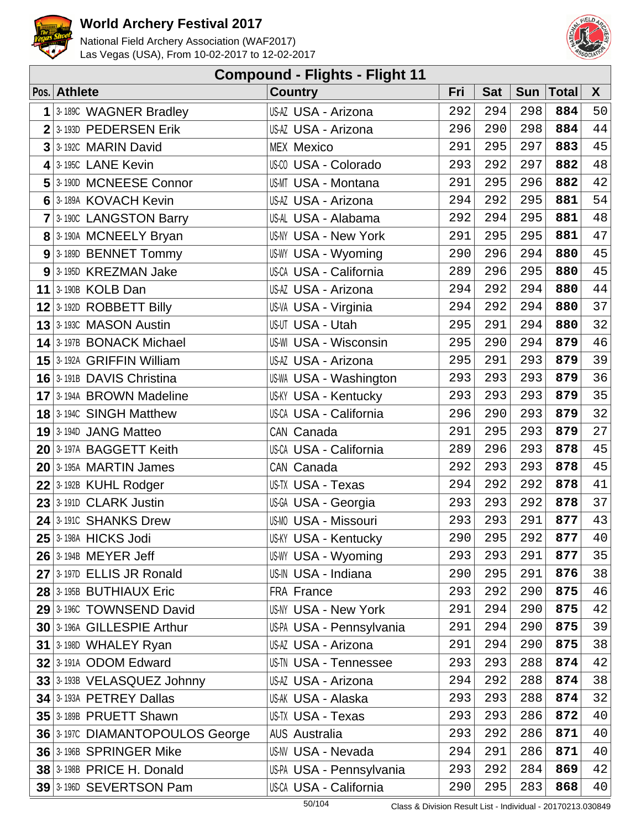



| <b>Compound - Flights - Flight 11</b> |                                   |                              |     |            |            |              |              |  |  |  |
|---------------------------------------|-----------------------------------|------------------------------|-----|------------|------------|--------------|--------------|--|--|--|
|                                       | Pos. Athlete                      | <b>Country</b>               | Fri | <b>Sat</b> | <b>Sun</b> | <b>Total</b> | $\mathsf{X}$ |  |  |  |
| 1                                     | 3-189C WAGNER Bradley             | US-AZ USA - Arizona          | 292 | 294        | 298        | 884          | 50           |  |  |  |
|                                       | $2 3.193D$ PEDERSEN Erik          | US-AZ USA - Arizona          | 296 | 290        | 298        | 884          | 44           |  |  |  |
|                                       | 3 3-1920 MARIN David              | <b>MEX Mexico</b>            | 291 | 295        | 297        | 883          | 45           |  |  |  |
|                                       | 4 3-1950 LANE Kevin               | US-00 USA - Colorado         | 293 | 292        | 297        | 882          | 48           |  |  |  |
|                                       | 5 3-190D MCNEESE Connor           | <b>US-MT USA - Montana</b>   | 291 | 295        | 296        | 882          | 42           |  |  |  |
|                                       | 6 3-189A KOVACH Kevin             | US-AZ USA - Arizona          | 294 | 292        | 295        | 881          | 54           |  |  |  |
|                                       | 7 3-190C LANGSTON Barry           | US-AL USA - Alabama          | 292 | 294        | 295        | 881          | 48           |  |  |  |
|                                       | 8 3-190A MCNEELY Bryan            | <b>US-NY USA - New York</b>  | 291 | 295        | 295        | 881          | 47           |  |  |  |
|                                       | 9 3-189D BENNET Tommy             | US-WY USA - Wyoming          | 290 | 296        | 294        | 880          | 45           |  |  |  |
|                                       | $9$ 3-195D KREZMAN Jake           | US-CA USA - California       | 289 | 296        | 295        | 880          | 45           |  |  |  |
|                                       | 11 3-190B KOLB Dan                | US-AZ USA - Arizona          | 294 | 292        | 294        | 880          | $4\,4$       |  |  |  |
|                                       | $12$ 3-192D ROBBETT Billy         | US-VA USA - Virginia         | 294 | 292        | 294        | 880          | 37           |  |  |  |
|                                       | 13 <sup>3-193C</sup> MASON Austin | US-UT USA - Utah             | 295 | 291        | 294        | 880          | 32           |  |  |  |
|                                       | 14 3-197B BONACK Michael          | <b>US-WI USA - Wisconsin</b> | 295 | 290        | 294        | 879          | 46           |  |  |  |
|                                       | 15 3-192A GRIFFIN William         | US-AZ USA - Arizona          | 295 | 291        | 293        | 879          | 39           |  |  |  |
|                                       | 16 3-191B DAVIS Christina         | US-WA USA - Washington       | 293 | 293        | 293        | 879          | 36           |  |  |  |
|                                       | 17 3-194A BROWN Madeline          | <b>US-KY USA - Kentucky</b>  | 293 | 293        | 293        | 879          | 35           |  |  |  |
|                                       | <b>18</b> 3-194C SINGH Matthew    | US-CA USA - California       | 296 | 290        | 293        | 879          | 32           |  |  |  |
|                                       | $19$ 3-194D JANG Matteo           | CAN Canada                   | 291 | 295        | 293        | 879          | 27           |  |  |  |
|                                       | 20 3-197A BAGGETT Keith           | US-CA USA - California       | 289 | 296        | 293        | 878          | 45           |  |  |  |
|                                       | $20$ 3-195A MARTIN James          | CAN Canada                   | 292 | 293        | 293        | 878          | 45           |  |  |  |
|                                       | $22$ 3-192B KUHL Rodger           | US-TX USA - Texas            | 294 | 292        | 292        | 878          | 41           |  |  |  |
|                                       | $23$ 3-191D CLARK Justin          | US-GA USA - Georgia          | 293 | 293        | 292        | 878          | 37           |  |  |  |
|                                       | 24 3-1910 SHANKS Drew             | <b>US-MO USA - Missouri</b>  | 293 | 293        | 291        | 877          | 43           |  |  |  |
|                                       | 25 3-198A HICKS Jodi              | <b>US-KY USA - Kentucky</b>  | 290 | 295        | 292        | 877          | 40           |  |  |  |
|                                       | 26 3-194B MEYER Jeff              | US-WY USA - Wyoming          | 293 | 293        | 291        | 877          | 35           |  |  |  |
|                                       | $27$ 3.197D ELLIS JR Ronald       | US-IN USA - Indiana          | 290 | 295        | 291        | 876          | 38           |  |  |  |
|                                       | 28 3-195B BUTHIAUX Eric           | <b>FRA France</b>            | 293 | 292        | 290        | 875          | 46           |  |  |  |
|                                       | 29 3-1960 TOWNSEND David          | <b>US-NY USA - New York</b>  | 291 | 294        | 290        | 875          | 42           |  |  |  |
|                                       | 30 3-196A GILLESPIE Arthur        | US-PA USA - Pennsylvania     | 291 | 294        | 290        | 875          | 39           |  |  |  |
|                                       | $31$ 3-198D WHALEY Ryan           | US-AZ USA - Arizona          | 291 | 294        | 290        | 875          | 38           |  |  |  |
|                                       | 32 3-191A ODOM Edward             | <b>US-TN USA - Tennessee</b> | 293 | 293        | 288        | 874          | 42           |  |  |  |
|                                       | 33 3-193B VELASQUEZ Johnny        | US-AZ USA - Arizona          | 294 | 292        | 288        | 874          | 38           |  |  |  |
|                                       | 34 3-193A PETREY Dallas           | US-AK USA - Alaska           | 293 | 293        | 288        | 874          | 32           |  |  |  |
|                                       | 35 3-189B PRUETT Shawn            | US-TX USA - Texas            | 293 | 293        | 286        | 872          | 40           |  |  |  |
|                                       | 36 3-1970 DIAMANTOPOULOS George   | <b>AUS Australia</b>         | 293 | 292        | 286        | 871          | 40           |  |  |  |
|                                       | 36 3-196B SPRINGER Mike           | <b>US-NV USA - Nevada</b>    | 294 | 291        | 286        | 871          | 40           |  |  |  |
|                                       | $38$ 3-198B PRICE H. Donald       | US-PA USA - Pennsylvania     | 293 | 292        | 284        | 869          | 42           |  |  |  |
|                                       | 39 3-196D SEVERTSON Pam           | US-CA USA - California       | 290 | 295        | 283        | 868          | 40           |  |  |  |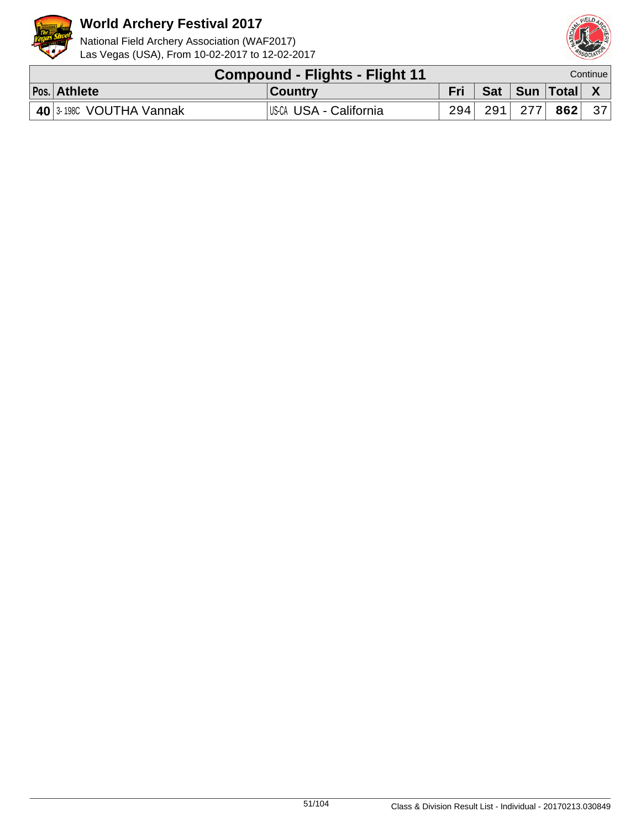



| <b>Compound - Flights - Flight 11</b>   |                        |     |  | Continue l              |  |
|-----------------------------------------|------------------------|-----|--|-------------------------|--|
| Pos. Athlete                            | ∣Country               | Fri |  | │ Sat │ Sun │Total│ X │ |  |
| $\vert$ 40 $\vert$ 3-1980 VOUTHA Vannak | US-CA USA - California | 294 |  | $291$ 277 862 37        |  |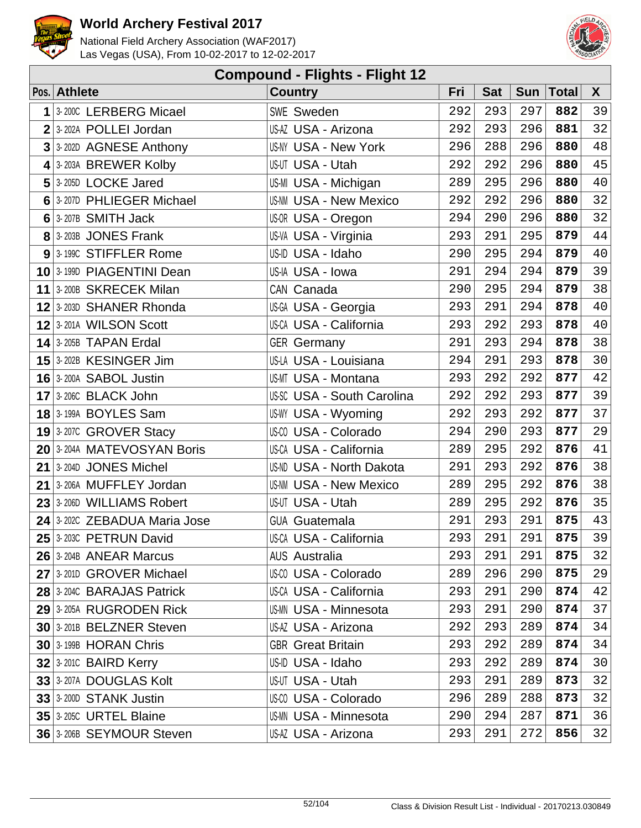



| <b>Compound - Flights - Flight 12</b> |                               |                                   |     |            |            |              |        |  |  |  |
|---------------------------------------|-------------------------------|-----------------------------------|-----|------------|------------|--------------|--------|--|--|--|
|                                       | Pos. Athlete                  | <b>Country</b>                    | Fri | <b>Sat</b> | <b>Sun</b> | <b>Total</b> | X      |  |  |  |
| 1                                     | 3-200C LERBERG Micael         | <b>SWE Sweden</b>                 | 292 | 293        | 297        | 882          | 39     |  |  |  |
| 2                                     | 3-202A POLLEI Jordan          | US-AZ USA - Arizona               | 292 | 293        | 296        | 881          | 32     |  |  |  |
| 3                                     | 3-202D AGNESE Anthony         | <b>US-NY USA - New York</b>       | 296 | 288        | 296        | 880          | 48     |  |  |  |
| 4                                     | 3-203A BREWER Kolby           | US-UT USA - Utah                  | 292 | 292        | 296        | 880          | 45     |  |  |  |
| 5                                     | 3-205D LOCKE Jared            | US-MI USA - Michigan              | 289 | 295        | 296        | 880          | 40     |  |  |  |
| 6                                     | 3-207D PHLIEGER Michael       | <b>US-NM USA - New Mexico</b>     | 292 | 292        | 296        | 880          | 32     |  |  |  |
| $6 \mid$                              | 3-207B SMITH Jack             | US-OR USA - Oregon                | 294 | 290        | 296        | 880          | 32     |  |  |  |
| 8 <sup>1</sup>                        | 3-203B JONES Frank            | US-VA USA - Virginia              | 293 | 291        | 295        | 879          | $4\,4$ |  |  |  |
|                                       | 9 3-1990 STIFFLER Rome        | US-ID USA - Idaho                 | 290 | 295        | 294        | 879          | 40     |  |  |  |
|                                       | 10 3-199D PIAGENTINI Dean     | US-IA USA - Iowa                  | 291 | 294        | 294        | 879          | 39     |  |  |  |
| 11                                    | 3-200B SKRECEK Milan          | CAN Canada                        | 290 | 295        | 294        | 879          | 38     |  |  |  |
| 12                                    | 3-203D SHANER Rhonda          | US-GA USA - Georgia               | 293 | 291        | 294        | 878          | 40     |  |  |  |
|                                       | 12 3-201A WILSON Scott        | US-CA USA - California            | 293 | 292        | 293        | 878          | 40     |  |  |  |
|                                       | $14$ 3-205B TAPAN Erdal       | <b>GER Germany</b>                | 291 | 293        | 294        | 878          | 38     |  |  |  |
|                                       | 15 3-202B KESINGER Jim        | US-LA USA - Louisiana             | 294 | 291        | 293        | 878          | 30     |  |  |  |
|                                       | 16 3-200A SABOL Justin        | <b>US-MT USA - Montana</b>        | 293 | 292        | 292        | 877          | 42     |  |  |  |
| 17                                    | 3-206C BLACK John             | <b>US-SC USA - South Carolina</b> | 292 | 292        | 293        | 877          | 39     |  |  |  |
|                                       | <b>18</b> 3-199A BOYLES Sam   | US-WY USA - Wyoming               | 292 | 293        | 292        | 877          | 37     |  |  |  |
|                                       | 19 3-207C GROVER Stacy        | US-CO USA - Colorado              | 294 | 290        | 293        | 877          | 29     |  |  |  |
|                                       | 20 3-204A MATEVOSYAN Boris    | <b>US-CA USA - California</b>     | 289 | 295        | 292        | 876          | 41     |  |  |  |
| 21                                    | 3-2040 JONES Michel           | <b>US-ND USA - North Dakota</b>   | 291 | 293        | 292        | 876          | 38     |  |  |  |
| 21                                    | 3-206A MUFFLEY Jordan         | <b>US-NM USA - New Mexico</b>     | 289 | 295        | 292        | 876          | 38     |  |  |  |
| 23                                    | 3-206D WILLIAMS Robert        | US-UT USA - Utah                  | 289 | 295        | 292        | 876          | 35     |  |  |  |
| 24                                    | 3-202C ZEBADUA Maria Jose     | <b>GUA Guatemala</b>              | 291 | 293        | 291        | 875          | 43     |  |  |  |
|                                       | 25 3-203C PETRUN David        | US-CA USA - California            | 293 | 291        | 291        | 875          | 39     |  |  |  |
|                                       | 26 3-204B ANEAR Marcus        | <b>AUS Australia</b>              | 293 | 291        | 291        | 875          | 32     |  |  |  |
|                                       | 27 3-201D GROVER Michael      | US-CO USA - Colorado              | 289 | 296        | 290        | 875          | 29     |  |  |  |
|                                       | 28 3-2040 BARAJAS Patrick     | US-CA USA - California            | 293 | 291        | 290        | 874          | 42     |  |  |  |
|                                       | 29 3-205A RUGRODEN Rick       | US-MN USA - Minnesota             | 293 | 291        | 290        | 874          | 37     |  |  |  |
|                                       | 30 3-201B BELZNER Steven      | US-AZ USA - Arizona               | 292 | 293        | 289        | 874          | 34     |  |  |  |
|                                       | 30 3-199B HORAN Chris         | <b>GBR</b> Great Britain          | 293 | 292        | 289        | 874          | 34     |  |  |  |
|                                       | $32$ 3-2010 BAIRD Kerry       | US-ID USA - Idaho                 | 293 | 292        | 289        | 874          | 30     |  |  |  |
|                                       | 33 3-207A DOUGLAS Kolt        | US-UT USA - Utah                  | 293 | 291        | 289        | 873          | 32     |  |  |  |
|                                       | 33 3-200D STANK Justin        | US-CO USA - Colorado              | 296 | 289        | 288        | 873          | 32     |  |  |  |
|                                       | <b>35 3-205C URTEL Blaine</b> | US-MN USA - Minnesota             | 290 | 294        | 287        | 871          | 36     |  |  |  |
|                                       | 36 3-206B SEYMOUR Steven      | US-AZ USA - Arizona               | 293 | 291        | 272        | 856          | 32     |  |  |  |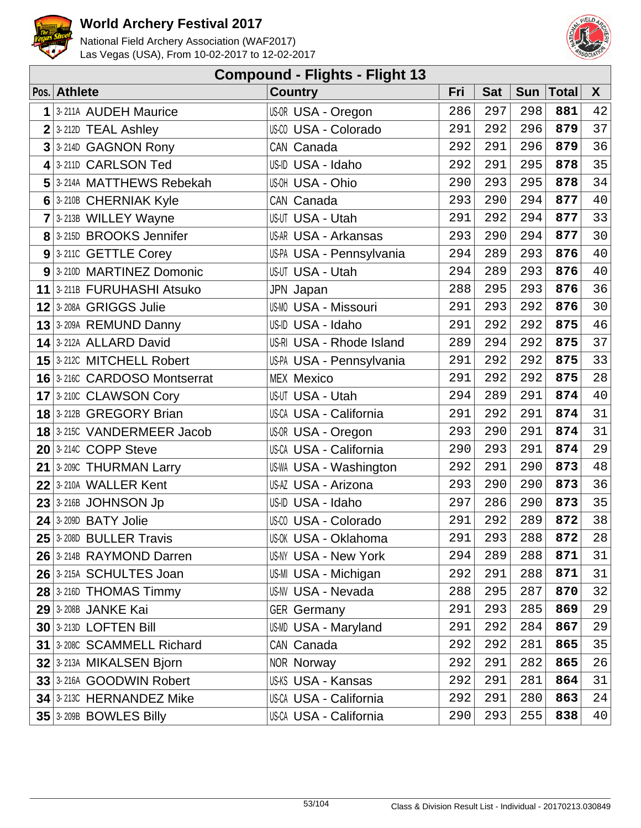



| <b>Compound - Flights - Flight 13</b> |                                   |                               |     |            |            |              |        |  |  |  |
|---------------------------------------|-----------------------------------|-------------------------------|-----|------------|------------|--------------|--------|--|--|--|
|                                       | Pos. Athlete                      | <b>Country</b>                | Fri | <b>Sat</b> | <b>Sun</b> | <b>Total</b> | X      |  |  |  |
| 1                                     | 3-211A AUDEH Maurice              | US-OR USA - Oregon            | 286 | 297        | 298        | 881          | 42     |  |  |  |
|                                       | $2$ 3-212D TEAL Ashley            | US-CO USA - Colorado          | 291 | 292        | 296        | 879          | 37     |  |  |  |
| 3                                     | 3-214D GAGNON Rony                | CAN Canada                    | 292 | 291        | 296        | 879          | 36     |  |  |  |
|                                       | 4 3-211D CARLSON Ted              | US-ID USA - Idaho             | 292 | 291        | 295        | 878          | 35     |  |  |  |
|                                       | 5 3-214A MATTHEWS Rebekah         | US-OH USA - Ohio              | 290 | 293        | 295        | 878          | 34     |  |  |  |
|                                       | 6 3-210B CHERNIAK Kyle            | CAN Canada                    | 293 | 290        | 294        | 877          | 40     |  |  |  |
|                                       | 7 3-213B WILLEY Wayne             | US-UT USA - Utah              | 291 | 292        | 294        | 877          | 33     |  |  |  |
|                                       | 8 3-215D BROOKS Jennifer          | US-AR USA - Arkansas          | 293 | 290        | 294        | 877          | 30     |  |  |  |
|                                       | 9 3-2110 GETTLE Corey             | US-PA USA - Pennsylvania      | 294 | 289        | 293        | 876          | 40     |  |  |  |
|                                       | 9 3-210D MARTINEZ Domonic         | US-UT USA - Utah              | 294 | 289        | 293        | 876          | 40     |  |  |  |
|                                       | 11 3-211B FURUHASHI Atsuko        | JPN Japan                     | 288 | 295        | 293        | 876          | 36     |  |  |  |
|                                       | 12 3-208A GRIGGS Julie            | <b>US-MO USA - Missouri</b>   | 291 | 293        | 292        | 876          | 30     |  |  |  |
|                                       | 13 3-209A REMUND Danny            | US-ID USA - Idaho             | 291 | 292        | 292        | 875          | 46     |  |  |  |
|                                       | 14 3-212A ALLARD David            | US-RI USA - Rhode Island      | 289 | 294        | 292        | 875          | 37     |  |  |  |
|                                       | 15 3-212C MITCHELL Robert         | US-PA USA - Pennsylvania      | 291 | 292        | 292        | 875          | 33     |  |  |  |
|                                       | 16 3-2160 CARDOSO Montserrat      | <b>MEX Mexico</b>             | 291 | 292        | 292        | 875          | 28     |  |  |  |
|                                       | 17 3-210C CLAWSON Cory            | US-UT USA - Utah              | 294 | 289        | 291        | 874          | 40     |  |  |  |
|                                       | 18 3-212B GREGORY Brian           | <b>US-CA USA - California</b> | 291 | 292        | 291        | 874          | 31     |  |  |  |
|                                       | <b>18</b> 3-215C VANDERMEER Jacob | US-OR USA - Oregon            | 293 | 290        | 291        | 874          | 31     |  |  |  |
|                                       | $20$ 3-2140 COPP Steve            | US-CA USA - California        | 290 | 293        | 291        | 874          | 29     |  |  |  |
|                                       | $21$ 3-209C THURMAN Larry         | US-WA USA - Washington        | 292 | 291        | 290        | 873          | 48     |  |  |  |
|                                       | $22$ 3-210A WALLER Kent           | US-AZ USA - Arizona           | 293 | 290        | 290        | 873          | 36     |  |  |  |
|                                       | $23$ 3-216B JOHNSON Jp            | US-ID USA - Idaho             | 297 | 286        | 290        | 873          | 35     |  |  |  |
|                                       | $24$ 3-209D BATY Jolie            | US-00 USA - Colorado          | 291 | 292        | 289        | 872          | $38\,$ |  |  |  |
|                                       | $25$ 3-208D BULLER Travis         | US-0K USA - Oklahoma          | 291 | 293        | 288        | 872          | 28     |  |  |  |
|                                       | 26 3-214B RAYMOND Darren          | <b>US-NY USA - New York</b>   | 294 | 289        | 288        | 871          | 31     |  |  |  |
|                                       | 26 3-215A SCHULTES Joan           | US-MI USA - Michigan          | 292 | 291        | 288        | 871          | 31     |  |  |  |
|                                       | $28$ 3-216D THOMAS Timmy          | US-NV USA - Nevada            | 288 | 295        | 287        | 870          | 32     |  |  |  |
|                                       | <b>29 3-208B JANKE Kai</b>        | <b>GER Germany</b>            | 291 | 293        | 285        | 869          | 29     |  |  |  |
|                                       | <b>30 3-213D LOFTEN Bill</b>      | <b>US-MD USA - Maryland</b>   | 291 | 292        | 284        | 867          | 29     |  |  |  |
|                                       | 31 3-208C SCAMMELL Richard        | CAN Canada                    | 292 | 292        | 281        | 865          | 35     |  |  |  |
|                                       | 32 3-213A MIKALSEN Bjorn          | <b>NOR Norway</b>             | 292 | 291        | 282        | 865          | 26     |  |  |  |
|                                       | 33 3-216A GOODWIN Robert          | US-KS USA - Kansas            | 292 | 291        | 281        | 864          | 31     |  |  |  |
|                                       | 34 3-213C HERNANDEZ Mike          | US-CA USA - California        | 292 | 291        | 280        | 863          | 24     |  |  |  |
|                                       | 35 3-209B BOWLES Billy            | US-CA USA - California        | 290 | 293        | 255        | 838          | 40     |  |  |  |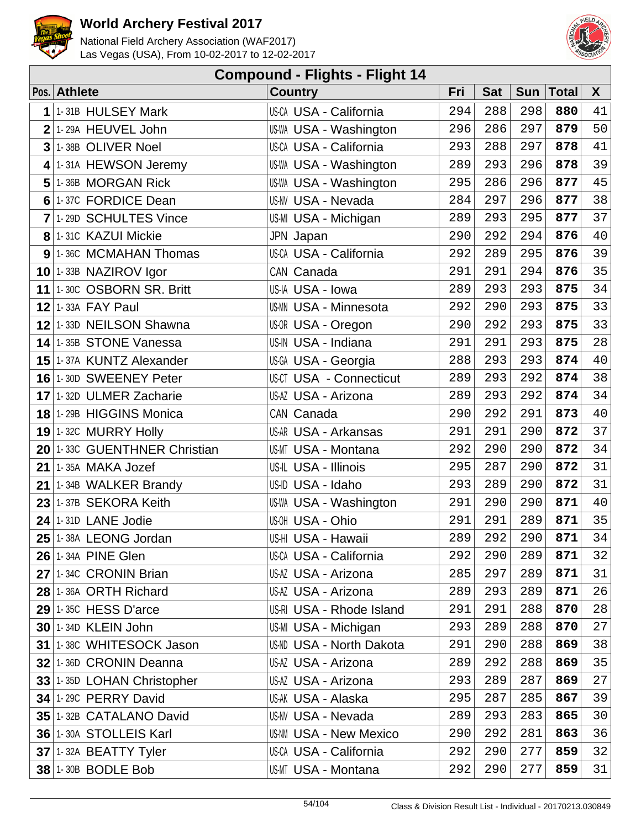



|                 | <b>Compound - Flights - Flight 14</b> |                                |     |            |            |       |              |  |  |  |  |  |
|-----------------|---------------------------------------|--------------------------------|-----|------------|------------|-------|--------------|--|--|--|--|--|
|                 | Pos. Athlete                          | <b>Country</b>                 | Fri | <b>Sat</b> | <b>Sun</b> | Total | $\mathsf{X}$ |  |  |  |  |  |
| 1               | 1-31B HULSEY Mark                     | <b>US-CA USA - California</b>  | 294 | 288        | 298        | 880   | 41           |  |  |  |  |  |
| $\overline{2}$  | 1-29A HEUVEL John                     | US-WA USA - Washington         | 296 | 286        | 297        | 879   | 50           |  |  |  |  |  |
| 3               | 1-38B OLIVER Noel                     | <b>US-CA USA - California</b>  | 293 | 288        | 297        | 878   | 41           |  |  |  |  |  |
| 4               | 1-31A HEWSON Jeremy                   | US-WA USA - Washington         | 289 | 293        | 296        | 878   | 39           |  |  |  |  |  |
| 5               | 1-36B MORGAN Rick                     | US-WA USA - Washington         | 295 | 286        | 296        | 877   | 45           |  |  |  |  |  |
| 6               | 1-37C FORDICE Dean                    | <b>US-NV USA - Nevada</b>      | 284 | 297        | 296        | 877   | 38           |  |  |  |  |  |
| $\overline{7}$  | 1-29D SCHULTES Vince                  | US-MI USA - Michigan           | 289 | 293        | 295        | 877   | 37           |  |  |  |  |  |
| 8 <sup>1</sup>  | 1-31C KAZUI Mickie                    | JPN Japan                      | 290 | 292        | 294        | 876   | 40           |  |  |  |  |  |
| 9 <sup>1</sup>  | 1-36C MCMAHAN Thomas                  | US-CA USA - California         | 292 | 289        | 295        | 876   | 39           |  |  |  |  |  |
|                 | $10$ 1-33B NAZIROV Igor               | CAN Canada                     | 291 | 291        | 294        | 876   | 35           |  |  |  |  |  |
| 11              | 1-30C OSBORN SR. Britt                | US-IA USA - Iowa               | 289 | 293        | 293        | 875   | 34           |  |  |  |  |  |
| 12 <sub>1</sub> | 1-33A FAY Paul                        | <b>US-MN USA - Minnesota</b>   | 292 | 290        | 293        | 875   | 33           |  |  |  |  |  |
| 12 <sub>1</sub> | 1-33D NEILSON Shawna                  | US-OR USA - Oregon             | 290 | 292        | 293        | 875   | 33           |  |  |  |  |  |
|                 | 14 1-35B STONE Vanessa                | US-IN USA - Indiana            | 291 | 291        | 293        | 875   | 28           |  |  |  |  |  |
| 15              | 1-37A KUNTZ Alexander                 | US-GA USA - Georgia            | 288 | 293        | 293        | 874   | 40           |  |  |  |  |  |
|                 | 16 1-30D SWEENEY Peter                | <b>US-CT USA - Connecticut</b> | 289 | 293        | 292        | 874   | 38           |  |  |  |  |  |
| 17              | 1-32D ULMER Zacharie                  | US-AZ USA - Arizona            | 289 | 293        | 292        | 874   | 34           |  |  |  |  |  |
|                 | 18 1-29B HIGGINS Monica               | CAN Canada                     | 290 | 292        | 291        | 873   | 40           |  |  |  |  |  |
|                 | 19 1-32C MURRY Holly                  | US-AR USA - Arkansas           | 291 | 291        | 290        | 872   | 37           |  |  |  |  |  |
| 20 <sup>1</sup> | 1-33C GUENTHNER Christian             | <b>US-MT USA - Montana</b>     | 292 | 290        | 290        | 872   | 34           |  |  |  |  |  |
| 21              | 1-35A MAKA Jozef                      | US-IL USA - Illinois           | 295 | 287        | 290        | 872   | 31           |  |  |  |  |  |
| 21              | 1-34B WALKER Brandy                   | US-ID USA - Idaho              | 293 | 289        | 290        | 872   | 31           |  |  |  |  |  |
| 23              | 1-37B SEKORA Keith                    | US-WA USA - Washington         | 291 | 290        | 290        | 871   | 40           |  |  |  |  |  |
|                 | $24$ 1-31D LANE Jodie                 | US-OH USA - Ohio               | 291 | 291        | 289        | 871   | 35           |  |  |  |  |  |
|                 | 25 1-38A LEONG Jordan                 | US-HI USA - Hawaii             | 289 | 292        | 290        | 871   | 34           |  |  |  |  |  |
|                 | <b>26 1-34A PINE Glen</b>             | <b>US-CA USA - California</b>  | 292 | 290        | 289        | 871   | 32           |  |  |  |  |  |
|                 | 27 1-34C CRONIN Brian                 | US-AZ USA - Arizona            | 285 | 297        | 289        | 871   | 31           |  |  |  |  |  |
|                 | 28 1-36A ORTH Richard                 | US-AZ USA - Arizona            | 289 | 293        | 289        | 871   | 26           |  |  |  |  |  |
|                 | $29$ 1-35C HESS D'arce                | US-RI USA - Rhode Island       | 291 | 291        | 288        | 870   | 28           |  |  |  |  |  |
|                 | 30 1-34D KLEIN John                   | US-MI USA - Michigan           | 293 | 289        | 288        | 870   | 27           |  |  |  |  |  |
|                 | 31 1-38C WHITESOCK Jason              | US-ND USA - North Dakota       | 291 | 290        | 288        | 869   | 38           |  |  |  |  |  |
|                 | 32 1-36D CRONIN Deanna                | US-AZ USA - Arizona            | 289 | 292        | 288        | 869   | 35           |  |  |  |  |  |
|                 | 33 1-35D LOHAN Christopher            | US-AZ USA - Arizona            | 293 | 289        | 287        | 869   | 27           |  |  |  |  |  |
|                 | 34 1-29C PERRY David                  | US-AK USA - Alaska             | 295 | 287        | 285        | 867   | 39           |  |  |  |  |  |
|                 | 35 1-32B CATALANO David               | <b>US-NV USA - Nevada</b>      | 289 | 293        | 283        | 865   | 30           |  |  |  |  |  |
|                 | 36 1-30A STOLLEIS Karl                | <b>US-NM USA - New Mexico</b>  | 290 | 292        | 281        | 863   | 36           |  |  |  |  |  |
|                 | 37 1-32A BEATTY Tyler                 | <b>US-CA USA - California</b>  | 292 | 290        | 277        | 859   | 32           |  |  |  |  |  |
|                 | 38 1-30B BODLE Bob                    | US-MT USA - Montana            | 292 | 290        | 277        | 859   | 31           |  |  |  |  |  |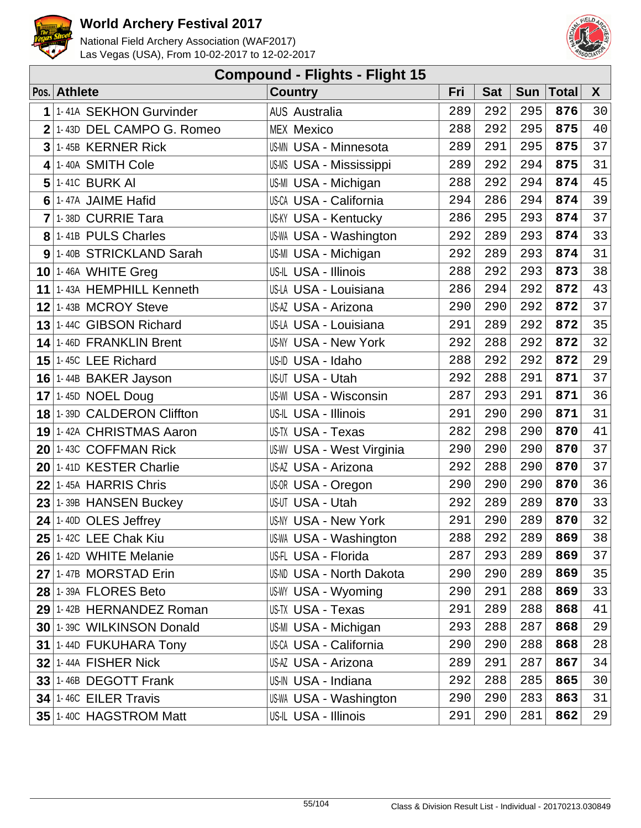



| <b>Compound - Flights - Flight 15</b> |                                    |                                  |     |            |            |       |    |  |  |  |
|---------------------------------------|------------------------------------|----------------------------------|-----|------------|------------|-------|----|--|--|--|
|                                       | Pos. Athlete                       | <b>Country</b>                   | Fri | <b>Sat</b> | <b>Sun</b> | Total | X  |  |  |  |
| 1                                     | 1-41A SEKHON Gurvinder             | <b>AUS Australia</b>             | 289 | 292        | 295        | 876   | 30 |  |  |  |
| $\overline{2}$                        | 1-43D DEL CAMPO G. Romeo           | <b>MEX Mexico</b>                | 288 | 292        | 295        | 875   | 40 |  |  |  |
| $\overline{3}$                        | 1-45B KERNER Rick                  | <b>US-MN USA - Minnesota</b>     | 289 | 291        | 295        | 875   | 37 |  |  |  |
| $\overline{\mathbf{4}}$               | 1-40A SMITH Cole                   | <b>US-MS USA - Mississippi</b>   | 289 | 292        | 294        | 875   | 31 |  |  |  |
| 5                                     | 1-41C BURK AI                      | US-MI USA - Michigan             | 288 | 292        | 294        | 874   | 45 |  |  |  |
|                                       | 6 1-47A JAIME Hafid                | <b>US-CA USA - California</b>    | 294 | 286        | 294        | 874   | 39 |  |  |  |
|                                       | $7$ 1-38D CURRIE Tara              | <b>US-KY USA - Kentucky</b>      | 286 | 295        | 293        | 874   | 37 |  |  |  |
|                                       | 8 1-41B PULS Charles               | <b>US-WA USA - Washington</b>    | 292 | 289        | 293        | 874   | 33 |  |  |  |
|                                       | 9 1-40B STRICKLAND Sarah           | US-MI USA - Michigan             | 292 | 289        | 293        | 874   | 31 |  |  |  |
|                                       | $10$ 1-46A WHITE Greg              | US-IL USA - Illinois             | 288 | 292        | 293        | 873   | 38 |  |  |  |
|                                       | 11 1-43A HEMPHILL Kenneth          | US-LA USA - Louisiana            | 286 | 294        | 292        | 872   | 43 |  |  |  |
|                                       | 12 1-43B MCROY Steve               | US-AZ USA - Arizona              | 290 | 290        | 292        | 872   | 37 |  |  |  |
|                                       | 13 1-44C GIBSON Richard            | US-LA USA - Louisiana            | 291 | 289        | 292        | 872   | 35 |  |  |  |
|                                       | 14 1-46D FRANKLIN Brent            | <b>US-NY USA - New York</b>      | 292 | 288        | 292        | 872   | 32 |  |  |  |
|                                       | $15$ 1-45C LEE Richard             | US-ID USA - Idaho                | 288 | 292        | 292        | 872   | 29 |  |  |  |
|                                       | 16 $1-44B$ BAKER Jayson            | US-UT USA - Utah                 | 292 | 288        | 291        | 871   | 37 |  |  |  |
|                                       | 17 1-45D NOEL Doug                 | <b>US-WI USA - Wisconsin</b>     | 287 | 293        | 291        | 871   | 36 |  |  |  |
|                                       | <b>18 1-39D CALDERON Cliffton</b>  | US-IL USA - Illinois             | 291 | 290        | 290        | 871   | 31 |  |  |  |
|                                       | 19 1-42A CHRISTMAS Aaron           | US-TX USA - Texas                | 282 | 298        | 290        | 870   | 41 |  |  |  |
|                                       | 20 1-43C COFFMAN Rick              | <b>US-WV USA - West Virginia</b> | 290 | 290        | 290        | 870   | 37 |  |  |  |
|                                       | 20 1-41D KESTER Charlie            | US-AZ USA - Arizona              | 292 | 288        | 290        | 870   | 37 |  |  |  |
|                                       | $22$ 1-45A HARRIS Chris            | US-OR USA - Oregon               | 290 | 290        | 290        | 870   | 36 |  |  |  |
|                                       | $23$ 1-39B HANSEN Buckey           | <b>US-UT USA - Utah</b>          | 292 | 289        | 289        | 870   | 33 |  |  |  |
| 24                                    | 1-40D OLES Jeffrey                 | <b>US-NY USA - New York</b>      | 291 | 290        | 289        | 870   | 32 |  |  |  |
|                                       | $25$ <sup>1-42C</sup> LEE Chak Kiu | <b>US-WA USA - Washington</b>    | 288 | 292        | 289        | 869   | 38 |  |  |  |
|                                       | 26 1-42D WHITE Melanie             | US-FL USA - Florida              | 287 | 293        | 289        | 869   | 37 |  |  |  |
|                                       | 27 1-47B MORSTAD Erin              | <b>US-ND USA - North Dakota</b>  | 290 | 290        | 289        | 869   | 35 |  |  |  |
|                                       | $28$ 1-39A FLORES Beto             | US-WY USA - Wyoming              | 290 | 291        | 288        | 869   | 33 |  |  |  |
|                                       | 29 1-42B HERNANDEZ Roman           | US-TX USA - Texas                | 291 | 289        | 288        | 868   | 41 |  |  |  |
|                                       | 30 1-39C WILKINSON Donald          | US-MI USA - Michigan             | 293 | 288        | 287        | 868   | 29 |  |  |  |
|                                       | 31 1-44D FUKUHARA Tony             | US-CA USA - California           | 290 | 290        | 288        | 868   | 28 |  |  |  |
|                                       | <b>32 1-44A FISHER Nick</b>        | US-AZ USA - Arizona              | 289 | 291        | 287        | 867   | 34 |  |  |  |
|                                       | 33 1-46B DEGOTT Frank              | US-IN USA - Indiana              | 292 | 288        | 285        | 865   | 30 |  |  |  |
|                                       | 34 1-46C EILER Travis              | US-WA USA - Washington           | 290 | 290        | 283        | 863   | 31 |  |  |  |
|                                       | 35 1-40C HAGSTROM Matt             | US-IL USA - Illinois             | 291 | 290        | 281        | 862   | 29 |  |  |  |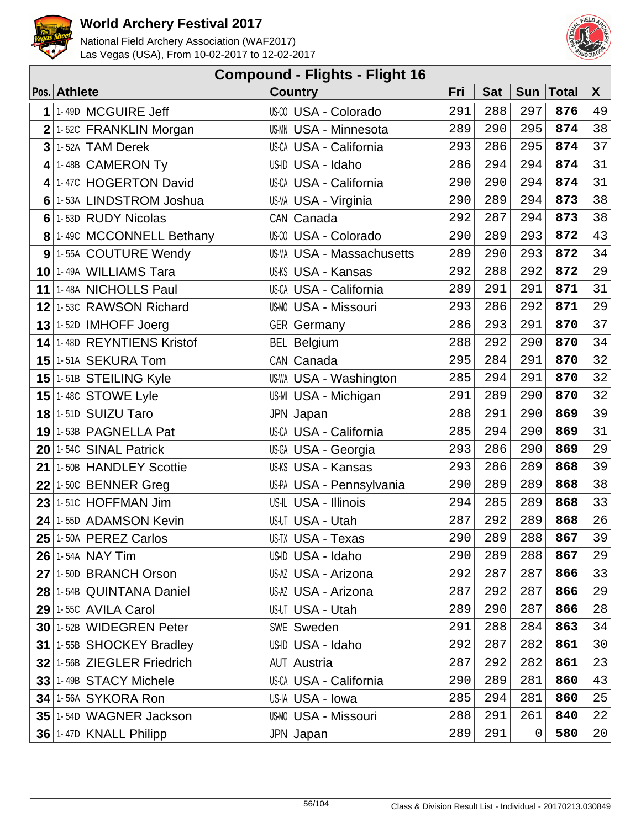



| <b>Compound - Flights - Flight 16</b> |                                    |                                  |     |            |            |              |    |  |  |  |
|---------------------------------------|------------------------------------|----------------------------------|-----|------------|------------|--------------|----|--|--|--|
|                                       | Pos. Athlete                       | <b>Country</b>                   | Fri | <b>Sat</b> | <b>Sun</b> | <b>Total</b> | X  |  |  |  |
| 1                                     | 1-49D MCGUIRE Jeff                 | US-00 USA - Colorado             | 291 | 288        | 297        | 876          | 49 |  |  |  |
|                                       | $2$ 1-52C FRANKLIN Morgan          | <b>US-MN USA - Minnesota</b>     | 289 | 290        | 295        | 874          | 38 |  |  |  |
| 3                                     | 1-52A TAM Derek                    | <b>US-CA USA - California</b>    | 293 | 286        | 295        | 874          | 37 |  |  |  |
| 4                                     | 1-48B CAMERON Ty                   | US-ID USA - Idaho                | 286 | 294        | 294        | 874          | 31 |  |  |  |
| 4                                     | 1-47C HOGERTON David               | US-CA USA - California           | 290 | 290        | 294        | 874          | 31 |  |  |  |
| 6                                     | 1-53A LINDSTROM Joshua             | US-VA USA - Virginia             | 290 | 289        | 294        | 873          | 38 |  |  |  |
| 6                                     | 1-53D RUDY Nicolas                 | CAN Canada                       | 292 | 287        | 294        | 873          | 38 |  |  |  |
|                                       | 8 1-49C MCCONNELL Bethany          | US-00 USA - Colorado             | 290 | 289        | 293        | 872          | 43 |  |  |  |
|                                       | 9 1-55A COUTURE Wendy              | <b>US-MA USA - Massachusetts</b> | 289 | 290        | 293        | 872          | 34 |  |  |  |
|                                       | 10 1-49A WILLIAMS Tara             | US-KS USA - Kansas               | 292 | 288        | 292        | 872          | 29 |  |  |  |
|                                       | 11 1-48A NICHOLLS Paul             | US-CA USA - California           | 289 | 291        | 291        | 871          | 31 |  |  |  |
|                                       | 12 1-53C RAWSON Richard            | <b>US-MO USA - Missouri</b>      | 293 | 286        | 292        | 871          | 29 |  |  |  |
|                                       | $13$ 1-52D IMHOFF Joerg            | <b>GER Germany</b>               | 286 | 293        | 291        | 870          | 37 |  |  |  |
|                                       | 14 1-48D REYNTIENS Kristof         | <b>BEL Belgium</b>               | 288 | 292        | 290        | 870          | 34 |  |  |  |
|                                       | 15 1-51A SEKURA Tom                | CAN Canada                       | 295 | 284        | 291        | 870          | 32 |  |  |  |
|                                       | 15 1-51B STEILING Kyle             | US-WA USA - Washington           | 285 | 294        | 291        | 870          | 32 |  |  |  |
|                                       | 15 $1 - 48C$ STOWE Lyle            | US-MI USA - Michigan             | 291 | 289        | 290        | 870          | 32 |  |  |  |
|                                       | 18 1-51D SUIZU Taro                | JPN Japan                        | 288 | 291        | 290        | 869          | 39 |  |  |  |
|                                       | 19 1-53B PAGNELLA Pat              | US-CA USA - California           | 285 | 294        | 290        | 869          | 31 |  |  |  |
|                                       | 20 1-54C SINAL Patrick             | US-GA USA - Georgia              | 293 | 286        | 290        | 869          | 29 |  |  |  |
|                                       | 21 1-50B HANDLEY Scottie           | US-KS USA - Kansas               | 293 | 286        | 289        | 868          | 39 |  |  |  |
|                                       | $22$ 1-50C BENNER Greg             | US-PA USA - Pennsylvania         | 290 | 289        | 289        | 868          | 38 |  |  |  |
|                                       | $23$ 1-51C HOFFMAN Jim             | US-IL USA - Illinois             | 294 | 285        | 289        | 868          | 33 |  |  |  |
| 24                                    | 1-55D ADAMSON Kevin                | US-UT USA - Utah                 | 287 | 292        | 289        | 868          | 26 |  |  |  |
|                                       | $25$ <sup>1-50A</sup> PEREZ Carlos | <b>US-TX USA - Texas</b>         | 290 | 289        | 288        | 867          | 39 |  |  |  |
|                                       | <b>26 1-54A NAY Tim</b>            | US-ID USA - Idaho                | 290 | 289        | 288        | 867          | 29 |  |  |  |
|                                       | 27 1-50D BRANCH Orson              | US-AZ USA - Arizona              | 292 | 287        | 287        | 866          | 33 |  |  |  |
|                                       | 28 1-54B QUINTANA Daniel           | US-AZ USA - Arizona              | 287 | 292        | 287        | 866          | 29 |  |  |  |
|                                       | $29$ 1-55C AVILA Carol             | US-UT USA - Utah                 | 289 | 290        | 287        | 866          | 28 |  |  |  |
|                                       | 30 1-52B WIDEGREN Peter            | <b>SWE Sweden</b>                | 291 | 288        | 284        | 863          | 34 |  |  |  |
|                                       | 31 1-55B SHOCKEY Bradley           | US-ID USA - Idaho                | 292 | 287        | 282        | 861          | 30 |  |  |  |
|                                       | 32 1-56B ZIEGLER Friedrich         | <b>AUT Austria</b>               | 287 | 292        | 282        | 861          | 23 |  |  |  |
|                                       | 33 1-49B STACY Michele             | <b>US-CA USA - California</b>    | 290 | 289        | 281        | 860          | 43 |  |  |  |
|                                       | 34 1-56A SYKORA Ron                | US-IA USA - Iowa                 | 285 | 294        | 281        | 860          | 25 |  |  |  |
|                                       | 35 1-54D WAGNER Jackson            | <b>US-MO USA - Missouri</b>      | 288 | 291        | 261        | 840          | 22 |  |  |  |
|                                       | 36 1-47D KNALL Philipp             | JPN Japan                        | 289 | 291        | 0          | 580          | 20 |  |  |  |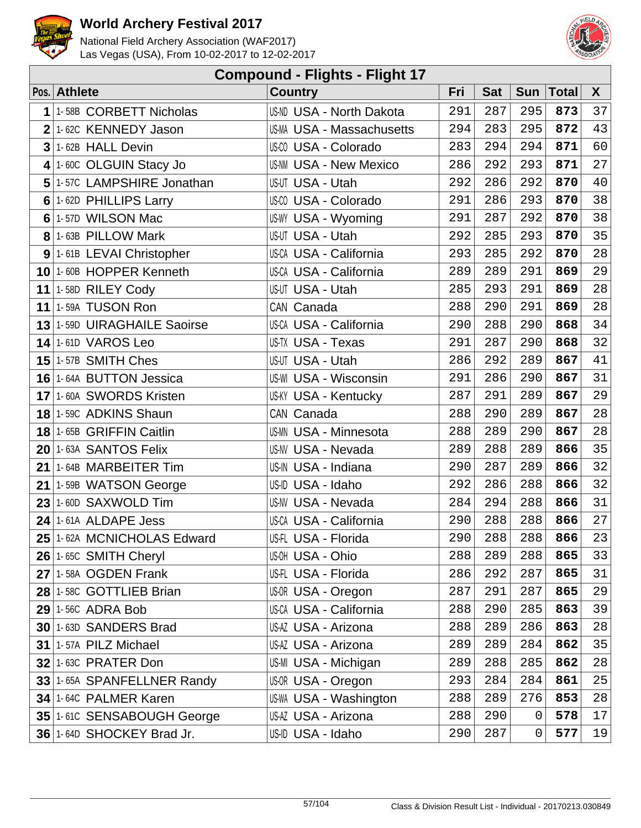



|                 | <b>Compound - Flights - Flight 17</b> |                                 |     |            |            |              |        |  |  |  |  |
|-----------------|---------------------------------------|---------------------------------|-----|------------|------------|--------------|--------|--|--|--|--|
|                 | Pos. Athlete                          | <b>Country</b>                  | Fri | <b>Sat</b> | <b>Sun</b> | <b>Total</b> | X      |  |  |  |  |
| 1               | 1-58B CORBETT Nicholas                | <b>US-ND USA - North Dakota</b> | 291 | 287        | 295        | 873          | 37     |  |  |  |  |
| $\overline{2}$  | 1-62C KENNEDY Jason                   | US-MA USA - Massachusetts       | 294 | 283        | 295        | 872          | 43     |  |  |  |  |
| $3\overline{3}$ | 1-62B HALL Devin                      | US-00 USA - Colorado            | 283 | 294        | 294        | 871          | 60     |  |  |  |  |
| $\vert$         | 1-60C OLGUIN Stacy Jo                 | <b>US-NM USA - New Mexico</b>   | 286 | 292        | 293        | 871          | 27     |  |  |  |  |
| 5               | 1-57C LAMPSHIRE Jonathan              | US-UT USA - Utah                | 292 | 286        | 292        | 870          | 40     |  |  |  |  |
| 6               | 1-62D PHILLIPS Larry                  | US-00 USA - Colorado            | 291 | 286        | 293        | 870          | 38     |  |  |  |  |
|                 | 6 1-57D WILSON Mac                    | <b>US-WY USA - Wyoming</b>      | 291 | 287        | 292        | 870          | 38     |  |  |  |  |
|                 | 8 1-63B PILLOW Mark                   | US-UT USA - Utah                | 292 | 285        | 293        | 870          | 35     |  |  |  |  |
|                 | 9 1-61B LEVAI Christopher             | <b>US-CA USA - California</b>   | 293 | 285        | 292        | 870          | 28     |  |  |  |  |
| 10 <sup>1</sup> | 1-60B HOPPER Kenneth                  | US-CA USA - California          | 289 | 289        | 291        | 869          | 29     |  |  |  |  |
|                 | 11   1-58D RILEY Cody                 | <b>US-UT USA - Utah</b>         | 285 | 293        | 291        | 869          | 28     |  |  |  |  |
|                 | <b>11 1-59A TUSON Ron</b>             | CAN Canada                      | 288 | 290        | 291        | 869          | 28     |  |  |  |  |
|                 | 13 1-59D UIRAGHAILE Saoirse           | US-CA USA - California          | 290 | 288        | 290        | 868          | 34     |  |  |  |  |
|                 | $14$ 1-61D VAROS Leo                  | US-TX USA - Texas               | 291 | 287        | 290        | 868          | 32     |  |  |  |  |
|                 | $15$ 1-57B SMITH Ches                 | US-UT USA - Utah                | 286 | 292        | 289        | 867          | 41     |  |  |  |  |
|                 | 16 1-64A BUTTON Jessica               | <b>US-WI USA - Wisconsin</b>    | 291 | 286        | 290        | 867          | 31     |  |  |  |  |
|                 | 17 1-60A SWORDS Kristen               | <b>US-KY USA - Kentucky</b>     | 287 | 291        | 289        | 867          | 29     |  |  |  |  |
|                 | 18 1-59C ADKINS Shaun                 | CAN Canada                      | 288 | 290        | 289        | 867          | 28     |  |  |  |  |
|                 | 18 1-65B GRIFFIN Caitlin              | <b>US-MN USA - Minnesota</b>    | 288 | 289        | 290        | 867          | 28     |  |  |  |  |
|                 | 20 1-63A SANTOS Felix                 | <b>US-NV USA - Nevada</b>       | 289 | 288        | 289        | 866          | 35     |  |  |  |  |
|                 | 21 1-64B MARBEITER Tim                | US-IN USA - Indiana             | 290 | 287        | 289        | 866          | 32     |  |  |  |  |
| 21              | 1-59B WATSON George                   | US-ID USA - Idaho               | 292 | 286        | 288        | 866          | 32     |  |  |  |  |
|                 | $23$ 1-60D SAXWOLD Tim                | US-NV USA - Nevada              | 284 | 294        | 288        | 866          | 31     |  |  |  |  |
|                 | 24 1-61A ALDAPE Jess                  | US-CA USA - California          | 290 | 288        | 288        | 866          | $2\,7$ |  |  |  |  |
|                 | 25 1-62A MCNICHOLAS Edward            | US-FL USA - Florida             | 290 | 288        | 288        | 866          | 23     |  |  |  |  |
|                 | 26 1-65C SMITH Cheryl                 | US-OH USA - Ohio                | 288 | 289        | 288        | 865          | 33     |  |  |  |  |
|                 | $27$ 1-58A OGDEN Frank                | US-FL USA - Florida             | 286 | 292        | 287        | 865          | 31     |  |  |  |  |
|                 | 28 1-58C GOTTLIEB Brian               | US-OR USA - Oregon              | 287 | 291        | 287        | 865          | 29     |  |  |  |  |
|                 | <b>29 1-56C ADRA Bob</b>              | <b>US-CA USA - California</b>   | 288 | 290        | 285        | 863          | 39     |  |  |  |  |
|                 | 30 1-63D SANDERS Brad                 | US-AZ USA - Arizona             | 288 | 289        | 286        | 863          | 28     |  |  |  |  |
|                 | 31 1-57A PILZ Michael                 | US-AZ USA - Arizona             | 289 | 289        | 284        | 862          | 35     |  |  |  |  |
|                 | 32 1-63C PRATER Don                   | US-MI USA - Michigan            | 289 | 288        | 285        | 862          | 28     |  |  |  |  |
|                 | 33 1-65A SPANFELLNER Randy            | US-OR USA - Oregon              | 293 | 284        | 284        | 861          | 25     |  |  |  |  |
|                 | 34 1-64C PALMER Karen                 | US-WA USA - Washington          | 288 | 289        | 276        | 853          | 28     |  |  |  |  |
|                 | 35 1-61C SENSABOUGH George            | US-AZ USA - Arizona             | 288 | 290        | 0          | 578          | 17     |  |  |  |  |
|                 | 36 1-64D SHOCKEY Brad Jr.             | US-ID USA - Idaho               | 290 | 287        | 0          | 577          | 19     |  |  |  |  |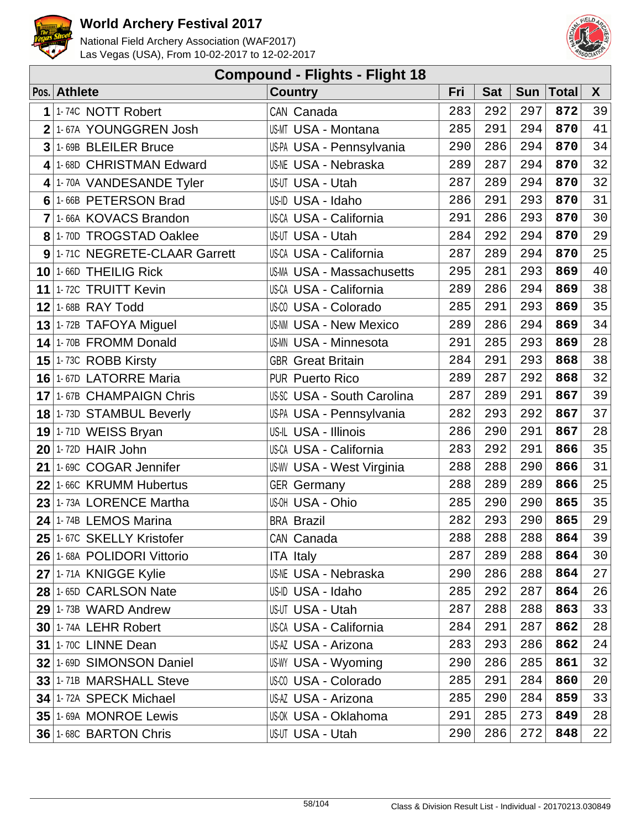



| <b>Compound - Flights - Flight 18</b> |                             |                                   |     |            |            |              |        |  |  |  |
|---------------------------------------|-----------------------------|-----------------------------------|-----|------------|------------|--------------|--------|--|--|--|
|                                       | Pos. Athlete                | <b>Country</b>                    | Fri | <b>Sat</b> | <b>Sun</b> | <b>Total</b> | X      |  |  |  |
| 1                                     | 1-74C NOTT Robert           | CAN Canada                        | 283 | 292        | 297        | 872          | 39     |  |  |  |
| 2                                     | 1-67A YOUNGGREN Josh        | US-MT USA - Montana               | 285 | 291        | 294        | 870          | 41     |  |  |  |
| 3                                     | 1-69B BLEILER Bruce         | US-PA USA - Pennsylvania          | 290 | 286        | 294        | 870          | 34     |  |  |  |
| 4                                     | 1-68D CHRISTMAN Edward      | <b>US-NE USA - Nebraska</b>       | 289 | 287        | 294        | 870          | 32     |  |  |  |
| 4                                     | 1-70A VANDESANDE Tyler      | US-UT USA - Utah                  | 287 | 289        | 294        | 870          | 32     |  |  |  |
| 6                                     | 1-66B PETERSON Brad         | US-ID USA - Idaho                 | 286 | 291        | 293        | 870          | 31     |  |  |  |
| 7                                     | 1-66A KOVACS Brandon        | US-CA USA - California            | 291 | 286        | 293        | 870          | 30     |  |  |  |
| 8 <sup>1</sup>                        | 1-70D TROGSTAD Oaklee       | US-UT USA - Utah                  | 284 | 292        | 294        | 870          | 29     |  |  |  |
| 9                                     | 1-71C NEGRETE-CLAAR Garrett | US-CA USA - California            | 287 | 289        | 294        | 870          | 25     |  |  |  |
|                                       | 10 1-66D THEILIG Rick       | <b>US-MA USA - Massachusetts</b>  | 295 | 281        | 293        | 869          | 40     |  |  |  |
| 11                                    | 1-72C TRUITT Kevin          | <b>US-CA USA - California</b>     | 289 | 286        | 294        | 869          | 38     |  |  |  |
| 12                                    | 1-68B RAY Todd              | US-00 USA - Colorado              | 285 | 291        | 293        | 869          | 35     |  |  |  |
|                                       | 13 1-72B TAFOYA Miguel      | <b>US-NM USA - New Mexico</b>     | 289 | 286        | 294        | 869          | 34     |  |  |  |
| 14                                    | 1-70B FROMM Donald          | <b>US-MN USA - Minnesota</b>      | 291 | 285        | 293        | 869          | $2\,8$ |  |  |  |
|                                       | 15 $1 - 73C$ ROBB Kirsty    | <b>GBR</b> Great Britain          | 284 | 291        | 293        | 868          | 38     |  |  |  |
|                                       | 16 1-67D LATORRE Maria      | <b>PUR Puerto Rico</b>            | 289 | 287        | 292        | 868          | 32     |  |  |  |
|                                       | 17 1-67B CHAMPAIGN Chris    | <b>US-SC USA - South Carolina</b> | 287 | 289        | 291        | 867          | 39     |  |  |  |
|                                       | 18 1-73D STAMBUL Beverly    | US-PA USA - Pennsylvania          | 282 | 293        | 292        | 867          | 37     |  |  |  |
|                                       | 19 1-71D WEISS Bryan        | US-IL USA - Illinois              | 286 | 290        | 291        | 867          | 28     |  |  |  |
|                                       | $20$ 1-72D HAIR John        | US-CA USA - California            | 283 | 292        | 291        | 866          | 35     |  |  |  |
| 21                                    | 1-69C COGAR Jennifer        | US-WV USA - West Virginia         | 288 | 288        | 290        | 866          | 31     |  |  |  |
| 22                                    | 1-66C KRUMM Hubertus        | <b>GER Germany</b>                | 288 | 289        | 289        | 866          | 25     |  |  |  |
| 23                                    | 1-73A LORENCE Martha        | US-OH USA - Ohio                  | 285 | 290        | 290        | 865          | 35     |  |  |  |
| 24                                    | 1-74B LEMOS Marina          | <b>BRA Brazil</b>                 | 282 | 293        | 290        | 865          | 29     |  |  |  |
|                                       | 25 1-67C SKELLY Kristofer   | CAN Canada                        | 288 | 288        | 288        | 864          | 39     |  |  |  |
|                                       | 26 1-68A POLIDORI Vittorio  | <b>ITA Italy</b>                  | 287 | 289        | 288        | 864          | 30     |  |  |  |
|                                       | 27 1-71A KNIGGE Kylie       | <b>US-NE USA - Nebraska</b>       | 290 | 286        | 288        | 864          | 27     |  |  |  |
|                                       | 28 1-65D CARLSON Nate       | US-ID USA - Idaho                 | 285 | 292        | 287        | 864          | 26     |  |  |  |
|                                       | 29 1-73B WARD Andrew        | US-UT USA - Utah                  | 287 | 288        | 288        | 863          | 33     |  |  |  |
|                                       | <b>30 1-74A LEHR Robert</b> | US-CA USA - California            | 284 | 291        | 287        | 862          | 28     |  |  |  |
|                                       | <b>31 1-70C LINNE Dean</b>  | US-AZ USA - Arizona               | 283 | 293        | 286        | 862          | 24     |  |  |  |
|                                       | 32 1-69D SIMONSON Daniel    | US-WY USA - Wyoming               | 290 | 286        | 285        | 861          | 32     |  |  |  |
|                                       | 33 1-71B MARSHALL Steve     | US-00 USA - Colorado              | 285 | 291        | 284        | 860          | 20     |  |  |  |
|                                       | 34 1-72A SPECK Michael      | US-AZ USA - Arizona               | 285 | 290        | 284        | 859          | 33     |  |  |  |
|                                       | 35 1-69A MONROE Lewis       | <b>US-OK USA - Oklahoma</b>       | 291 | 285        | 273        | 849          | 28     |  |  |  |
|                                       | 36 1-68C BARTON Chris       | US-UT USA - Utah                  | 290 | 286        | 272        | 848          | 22     |  |  |  |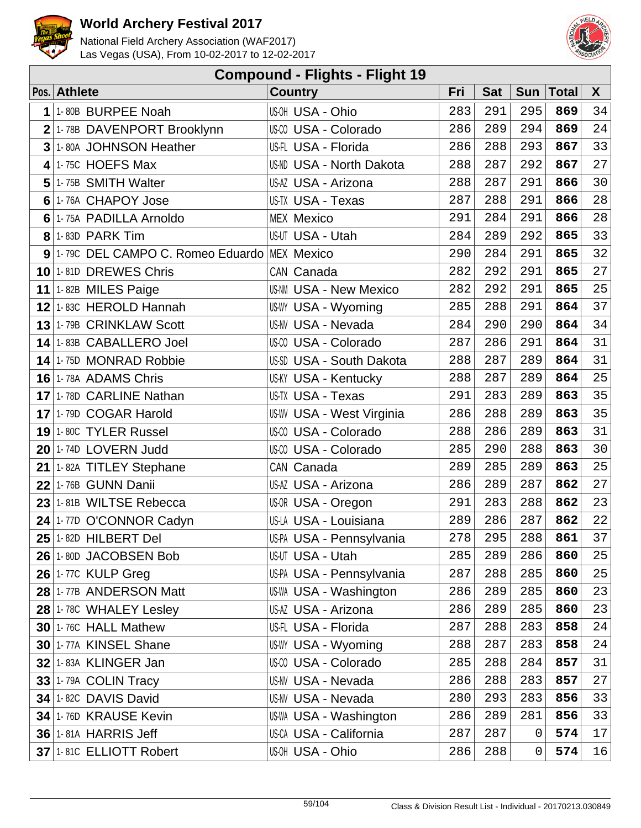



| <b>Compound - Flights - Flight 19</b> |                                               |                                  |     |            |            |              |             |  |  |  |
|---------------------------------------|-----------------------------------------------|----------------------------------|-----|------------|------------|--------------|-------------|--|--|--|
|                                       | Pos. Athlete                                  | <b>Country</b>                   | Fri | <b>Sat</b> | <b>Sun</b> | <b>Total</b> | X           |  |  |  |
| 1                                     | 1-80B BURPEE Noah                             | US-OH USA - Ohio                 | 283 | 291        | 295        | 869          | 34          |  |  |  |
| $\overline{2}$                        | 1-78B DAVENPORT Brooklynn                     | US-CO USA - Colorado             | 286 | 289        | 294        | 869          | 24          |  |  |  |
| 3                                     | 1-80A JOHNSON Heather                         | US-FL USA - Florida              | 286 | 288        | 293        | 867          | 33          |  |  |  |
| 4                                     | 1-75C HOEFS Max                               | <b>US-ND USA - North Dakota</b>  | 288 | 287        | 292        | 867          | 27          |  |  |  |
| 5                                     | 1-75B SMITH Walter                            | US-AZ USA - Arizona              | 288 | 287        | 291        | 866          | 30          |  |  |  |
| 6                                     | 1-76A CHAPOY Jose                             | US-TX USA - Texas                | 287 | 288        | 291        | 866          | 28          |  |  |  |
| 6                                     | 1-75A PADILLA Arnoldo                         | <b>MEX Mexico</b>                | 291 | 284        | 291        | 866          | 28          |  |  |  |
|                                       | $8$ 1-83D PARK Tim                            | US-UT USA - Utah                 | 284 | 289        | 292        | 865          | 33          |  |  |  |
|                                       | 9 1-79C DEL CAMPO C. Romeo Eduardo MEX Mexico |                                  | 290 | 284        | 291        | 865          | 32          |  |  |  |
| 10 <sup>1</sup>                       | 1-81D DREWES Chris                            | CAN Canada                       | 282 | 292        | 291        | 865          | 27          |  |  |  |
|                                       | 11 1-82B MILES Paige                          | <b>US-NM USA - New Mexico</b>    | 282 | 292        | 291        | 865          | 25          |  |  |  |
|                                       | 12 1-83C HEROLD Hannah                        | US-WY USA - Wyoming              | 285 | 288        | 291        | 864          | 37          |  |  |  |
|                                       | 13 1-79B CRINKLAW Scott                       | <b>US-NV USA - Nevada</b>        | 284 | 290        | 290        | 864          | 34          |  |  |  |
|                                       | 14 1-83B CABALLERO Joel                       | US-00 USA - Colorado             | 287 | 286        | 291        | 864          | 31          |  |  |  |
|                                       | 14 1-75D MONRAD Robbie                        | US-SD USA - South Dakota         | 288 | 287        | 289        | 864          | 31          |  |  |  |
|                                       | 16 1-78A ADAMS Chris                          | <b>US-KY USA - Kentucky</b>      | 288 | 287        | 289        | 864          | 25          |  |  |  |
| 17 <sup>1</sup>                       | 1-78D CARLINE Nathan                          | US-TX USA - Texas                | 291 | 283        | 289        | 863          | 35          |  |  |  |
|                                       | 17 1-79D COGAR Harold                         | <b>US-WV USA - West Virginia</b> | 286 | 288        | 289        | 863          | 35          |  |  |  |
|                                       | 19 1-80C TYLER Russel                         | US-00 USA - Colorado             | 288 | 286        | 289        | 863          | 31          |  |  |  |
|                                       | $20$ 1-74D LOVERN Judd                        | US-00 USA - Colorado             | 285 | 290        | 288        | 863          | 30          |  |  |  |
|                                       | 21 1-82A TITLEY Stephane                      | CAN Canada                       | 289 | 285        | 289        | 863          | 25          |  |  |  |
| 22                                    | 1-76B GUNN Danii                              | US-AZ USA - Arizona              | 286 | 289        | 287        | 862          | 27          |  |  |  |
|                                       | 23 1-81B WILTSE Rebecca                       | US-OR USA - Oregon               | 291 | 283        | 288        | 862          | 23          |  |  |  |
| 24                                    | 1-77D O'CONNOR Cadyn                          | US-LA USA - Louisiana            | 289 | 286        | 287        | 862          | $2\sqrt{2}$ |  |  |  |
|                                       | $25$ <sup>1-82D</sup> HILBERT Del             | US-PA USA - Pennsylvania         | 278 | 295        | 288        | 861          | 37          |  |  |  |
|                                       | 26 1-80D JACOBSEN Bob                         | US-UT USA - Utah                 | 285 | 289        | 286        | 860          | 25          |  |  |  |
|                                       | <b>26 1-77C KULP Greg</b>                     | US-PA USA - Pennsylvania         | 287 | 288        | 285        | 860          | 25          |  |  |  |
|                                       | 28 1-77B ANDERSON Matt                        | US-WA USA - Washington           | 286 | 289        | 285        | 860          | 23          |  |  |  |
|                                       | 28 1-78C WHALEY Lesley                        | US-AZ USA - Arizona              | 286 | 289        | 285        | 860          | 23          |  |  |  |
|                                       | $30$   1-76C HALL Mathew                      | US-FL USA - Florida              | 287 | 288        | 283        | 858          | 24          |  |  |  |
|                                       | 30 1-77A KINSEL Shane                         | US-WY USA - Wyoming              | 288 | 287        | 283        | 858          | 24          |  |  |  |
|                                       | <b>32 1-83A KLINGER Jan</b>                   | US-00 USA - Colorado             | 285 | 288        | 284        | 857          | 31          |  |  |  |
|                                       | $33$ 1-79A COLIN Tracy                        | <b>US-NV USA - Nevada</b>        | 286 | 288        | 283        | 857          | 27          |  |  |  |
|                                       | 34 1-82C DAVIS David                          | <b>US-NV USA - Nevada</b>        | 280 | 293        | 283        | 856          | 33          |  |  |  |
|                                       | 34 1-76D KRAUSE Kevin                         | US-WA USA - Washington           | 286 | 289        | 281        | 856          | 33          |  |  |  |
|                                       | <b>36 1-81A HARRIS Jeff</b>                   | US-CA USA - California           | 287 | 287        | 0          | 574          | 17          |  |  |  |
|                                       | 37 1-81C ELLIOTT Robert                       | US-OH USA - Ohio                 | 286 | 288        | 0          | 574          | 16          |  |  |  |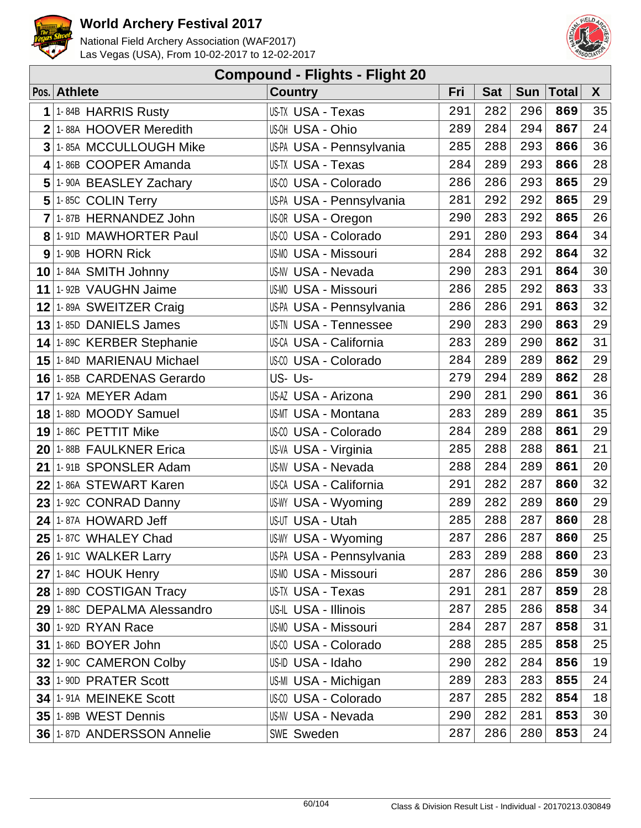



| <b>Compound - Flights - Flight 20</b> |                                     |                               |     |            |            |              |        |  |  |  |
|---------------------------------------|-------------------------------------|-------------------------------|-----|------------|------------|--------------|--------|--|--|--|
|                                       | Pos. Athlete                        | <b>Country</b>                | Fri | <b>Sat</b> | <b>Sun</b> | <b>Total</b> | X      |  |  |  |
| 1                                     | 1-84B HARRIS Rusty                  | US-TX USA - Texas             | 291 | 282        | 296        | 869          | 35     |  |  |  |
| $\overline{2}$                        | 1-88A HOOVER Meredith               | US-OH USA - Ohio              | 289 | 284        | 294        | 867          | 24     |  |  |  |
| 3                                     | 1-85A MCCULLOUGH Mike               | US-PA USA - Pennsylvania      | 285 | 288        | 293        | 866          | 36     |  |  |  |
| 4                                     | 1-86B COOPER Amanda                 | US-TX USA - Texas             | 284 | 289        | 293        | 866          | 28     |  |  |  |
| 5                                     | 1-90A BEASLEY Zachary               | US-00 USA - Colorado          | 286 | 286        | 293        | 865          | 29     |  |  |  |
|                                       | $5$ 1-85C COLIN Terry               | US-PA USA - Pennsylvania      | 281 | 292        | 292        | 865          | 29     |  |  |  |
| $\overline{7}$                        | 1-87B HERNANDEZ John                | US-OR USA - Oregon            | 290 | 283        | 292        | 865          | 26     |  |  |  |
|                                       | 8 1-91D MAWHORTER Paul              | US-00 USA - Colorado          | 291 | 280        | 293        | 864          | 34     |  |  |  |
|                                       | $9$ 1-90B HORN Rick                 | <b>US-MO USA - Missouri</b>   | 284 | 288        | 292        | 864          | 32     |  |  |  |
|                                       | $10$ 1-84A SMITH Johnny             | <b>US-NV USA - Nevada</b>     | 290 | 283        | 291        | 864          | 30     |  |  |  |
|                                       | 11 1-92B VAUGHN Jaime               | <b>US-MO USA - Missouri</b>   | 286 | 285        | 292        | 863          | 33     |  |  |  |
|                                       | 12 1-89A SWEITZER Craig             | US-PA USA - Pennsylvania      | 286 | 286        | 291        | 863          | 32     |  |  |  |
|                                       | $13$ 1-85D DANIELS James            | <b>US-TN USA - Tennessee</b>  | 290 | 283        | 290        | 863          | 29     |  |  |  |
|                                       | 14 1-89C KERBER Stephanie           | US-CA USA - California        | 283 | 289        | 290        | 862          | 31     |  |  |  |
|                                       | 15 1-84D MARIENAU Michael           | US-00 USA - Colorado          | 284 | 289        | 289        | 862          | 29     |  |  |  |
|                                       | 16 1-85B CARDENAS Gerardo           | US-Us-                        | 279 | 294        | 289        | 862          | 28     |  |  |  |
|                                       | 17 1-92A MEYER Adam                 | US-AZ USA - Arizona           | 290 | 281        | 290        | 861          | 36     |  |  |  |
|                                       | 18 1-88D MOODY Samuel               | US-MT USA - Montana           | 283 | 289        | 289        | 861          | 35     |  |  |  |
|                                       | $19$ 1-86C PETTIT Mike              | US-00 USA - Colorado          | 284 | 289        | 288        | 861          | 29     |  |  |  |
|                                       | 20 1-88B FAULKNER Erica             | US-VA USA - Virginia          | 285 | 288        | 288        | 861          | 21     |  |  |  |
|                                       | $21$ <sup>1-91B</sup> SPONSLER Adam | <b>US-NV USA - Nevada</b>     | 288 | 284        | 289        | 861          | 20     |  |  |  |
|                                       | 22 1-86A STEWART Karen              | <b>US-CA USA - California</b> | 291 | 282        | 287        | 860          | 32     |  |  |  |
|                                       | $23$ 1-92C CONRAD Danny             | <b>US-WY USA - Wyoming</b>    | 289 | 282        | 289        | 860          | 29     |  |  |  |
| 24                                    | 1-87A HOWARD Jeff                   | US-UT USA - Utah              | 285 | 288        | 287        | 860          | $2\,8$ |  |  |  |
|                                       | $25$ <sup>1-87C</sup> WHALEY Chad   | <b>US-WY USA - Wyoming</b>    | 287 | 286        | 287        | 860          | 25     |  |  |  |
|                                       | 26 1-91C WALKER Larry               | US-PA USA - Pennsylvania      | 283 | 289        | 288        | 860          | 23     |  |  |  |
|                                       | $27$ 1-84C HOUK Henry               | <b>US-MO USA - Missouri</b>   | 287 | 286        | 286        | 859          | 30     |  |  |  |
|                                       | 28 1-89D COSTIGAN Tracy             | US-TX USA - Texas             | 291 | 281        | 287        | 859          | 28     |  |  |  |
|                                       | 29 1-88C DEPALMA Alessandro         | US-IL USA - Illinois          | 287 | 285        | 286        | 858          | 34     |  |  |  |
|                                       | <b>30 1-92D RYAN Race</b>           | US-MO USA - Missouri          | 284 | 287        | 287        | 858          | 31     |  |  |  |
|                                       | 31 1-86D BOYER John                 | US-00 USA - Colorado          | 288 | 285        | 285        | 858          | 25     |  |  |  |
|                                       | 32 1-90C CAMERON Colby              | US-ID USA - Idaho             | 290 | 282        | 284        | 856          | 19     |  |  |  |
|                                       | 33 1-90D PRATER Scott               | US-MI USA - Michigan          | 289 | 283        | 283        | 855          | 24     |  |  |  |
|                                       | 34 1-91A MEINEKE Scott              | US-00 USA - Colorado          | 287 | 285        | 282        | 854          | 18     |  |  |  |
|                                       | 35 1-89B WEST Dennis                | <b>US-NV USA - Nevada</b>     | 290 | 282        | 281        | 853          | 30     |  |  |  |
|                                       | 36 1-87D ANDERSSON Annelie          | SWE Sweden                    | 287 | 286        | 280        | 853          | 24     |  |  |  |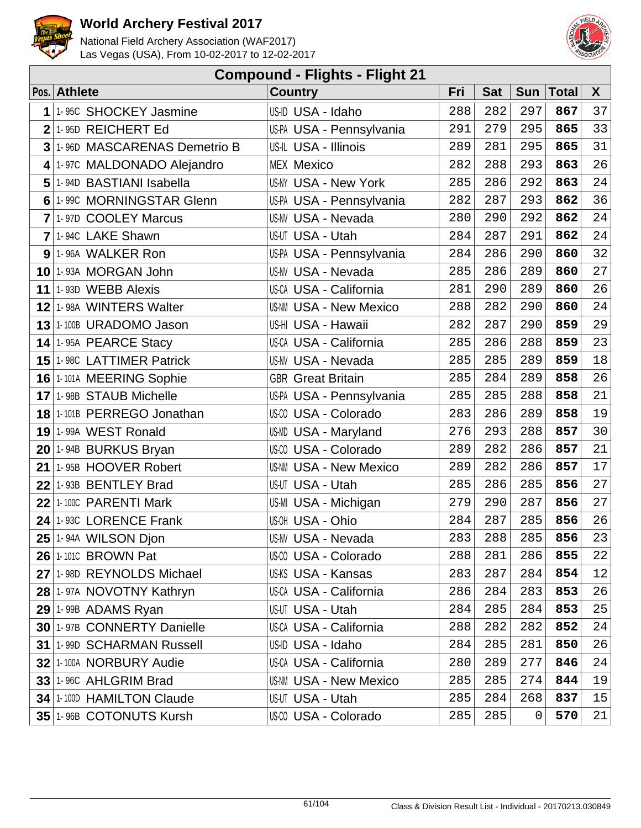



| <b>Compound - Flights - Flight 21</b> |                             |                               |     |            |            |              |    |  |  |  |
|---------------------------------------|-----------------------------|-------------------------------|-----|------------|------------|--------------|----|--|--|--|
|                                       | Pos. Athlete                | <b>Country</b>                | Fri | <b>Sat</b> | <b>Sun</b> | <b>Total</b> | X  |  |  |  |
| 1                                     | 1-95C SHOCKEY Jasmine       | US-ID USA - Idaho             | 288 | 282        | 297        | 867          | 37 |  |  |  |
| $\overline{2}$                        | 1-95D REICHERT Ed           | US-PA USA - Pennsylvania      | 291 | 279        | 295        | 865          | 33 |  |  |  |
| 3                                     | 1-96D MASCARENAS Demetrio B | US-IL USA - Illinois          | 289 | 281        | 295        | 865          | 31 |  |  |  |
| 4                                     | 1-97C MALDONADO Alejandro   | <b>MEX Mexico</b>             | 282 | 288        | 293        | 863          | 26 |  |  |  |
| 5                                     | 1-94D BASTIANI Isabella     | <b>US-NY USA - New York</b>   | 285 | 286        | 292        | 863          | 24 |  |  |  |
| 6                                     | 1-99C MORNINGSTAR Glenn     | US-PA USA - Pennsylvania      | 282 | 287        | 293        | 862          | 36 |  |  |  |
| $\overline{7}$                        | 1-97D COOLEY Marcus         | <b>US-NV USA - Nevada</b>     | 280 | 290        | 292        | 862          | 24 |  |  |  |
| $\overline{7}$                        | 1-94C LAKE Shawn            | US-UT USA - Utah              | 284 | 287        | 291        | 862          | 24 |  |  |  |
|                                       | 9 1-96A WALKER Ron          | US-PA USA - Pennsylvania      | 284 | 286        | 290        | 860          | 32 |  |  |  |
|                                       | 10 1-93A MORGAN John        | US-NV USA - Nevada            | 285 | 286        | 289        | 860          | 27 |  |  |  |
| 11                                    | 1-93D WEBB Alexis           | US-CA USA - California        | 281 | 290        | 289        | 860          | 26 |  |  |  |
|                                       | 12 1-98A WINTERS Walter     | <b>US-NM USA - New Mexico</b> | 288 | 282        | 290        | 860          | 24 |  |  |  |
|                                       | 13 1-100B URADOMO Jason     | US-HI USA - Hawaii            | 282 | 287        | 290        | 859          | 29 |  |  |  |
|                                       | $14$ 1-95A PEARCE Stacy     | <b>US-CA USA - California</b> | 285 | 286        | 288        | 859          | 23 |  |  |  |
|                                       | 15 1-98C LATTIMER Patrick   | <b>US-NV USA - Nevada</b>     | 285 | 285        | 289        | 859          | 18 |  |  |  |
|                                       | 16 1-101A MEERING Sophie    | <b>GBR</b> Great Britain      | 285 | 284        | 289        | 858          | 26 |  |  |  |
|                                       | 17 1-98B STAUB Michelle     | US-PA USA - Pennsylvania      | 285 | 285        | 288        | 858          | 21 |  |  |  |
|                                       | 18 1-101B PERREGO Jonathan  | US-00 USA - Colorado          | 283 | 286        | 289        | 858          | 19 |  |  |  |
|                                       | 19 1-99A WEST Ronald        | <b>US-MD USA - Maryland</b>   | 276 | 293        | 288        | 857          | 30 |  |  |  |
|                                       | 20 1-94B BURKUS Bryan       | US-CO USA - Colorado          | 289 | 282        | 286        | 857          | 21 |  |  |  |
| 21                                    | 1-95B HOOVER Robert         | <b>US-NM USA - New Mexico</b> | 289 | 282        | 286        | 857          | 17 |  |  |  |
| 22                                    | 1-93B BENTLEY Brad          | US-UT USA - Utah              | 285 | 286        | 285        | 856          | 27 |  |  |  |
|                                       | $22$ 1-100C PARENTI Mark    | US-MI USA - Michigan          | 279 | 290        | 287        | 856          | 27 |  |  |  |
| 24                                    | 1-93C LORENCE Frank         | US-OH USA - Ohio              | 284 | 287        | 285        | 856          | 26 |  |  |  |
|                                       | $25$ 1-94A WILSON Djon      | US-NV USA - Nevada            | 283 | 288        | 285        | 856          | 23 |  |  |  |
|                                       | <b>26 1-101C BROWN Pat</b>  | US-00 USA - Colorado          | 288 | 281        | 286        | 855          | 22 |  |  |  |
|                                       | 27 1-98D REYNOLDS Michael   | US-KS USA - Kansas            | 283 | 287        | 284        | 854          | 12 |  |  |  |
|                                       | 28 1-97A NOVOTNY Kathryn    | <b>US-CA USA - California</b> | 286 | 284        | 283        | 853          | 26 |  |  |  |
|                                       | 29 1-99B ADAMS Ryan         | US-UT USA - Utah              | 284 | 285        | 284        | 853          | 25 |  |  |  |
|                                       | 30 1-97B CONNERTY Danielle  | <b>US-CA USA - California</b> | 288 | 282        | 282        | 852          | 24 |  |  |  |
|                                       | 31 1-99D SCHARMAN Russell   | US-ID USA - Idaho             | 284 | 285        | 281        | 850          | 26 |  |  |  |
|                                       | 32 1-100A NORBURY Audie     | US-CA USA - California        | 280 | 289        | 277        | 846          | 24 |  |  |  |
|                                       | 33 1-96C AHLGRIM Brad       | <b>US-NM USA - New Mexico</b> | 285 | 285        | 274        | 844          | 19 |  |  |  |
|                                       | 34 1-100D HAMILTON Claude   | US-UT USA - Utah              | 285 | 284        | 268        | 837          | 15 |  |  |  |
|                                       | 35 1-96B COTONUTS Kursh     | US-CO USA - Colorado          | 285 | 285        | 0          | 570          | 21 |  |  |  |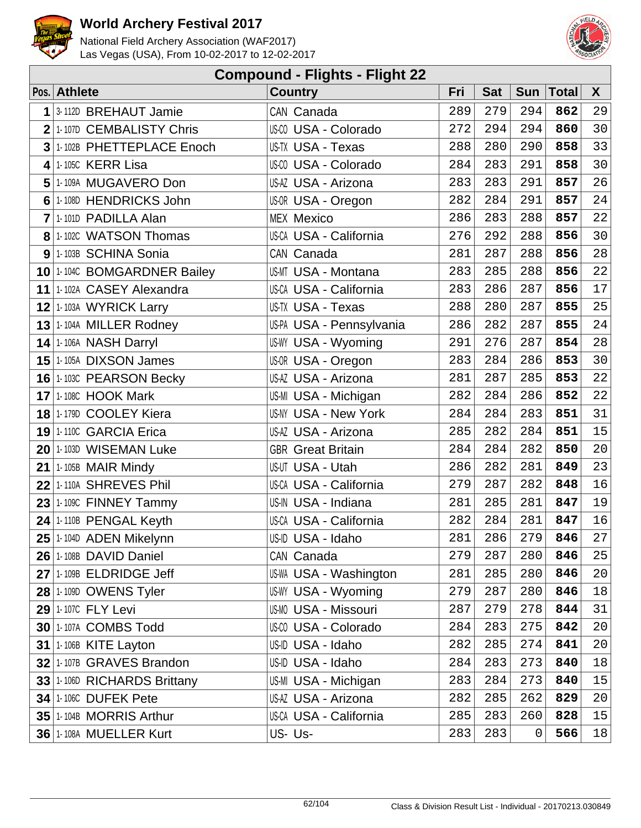



| <b>Compound - Flights - Flight 22</b> |                                   |                               |     |            |             |              |              |  |  |  |
|---------------------------------------|-----------------------------------|-------------------------------|-----|------------|-------------|--------------|--------------|--|--|--|
|                                       | Pos. Athlete                      | <b>Country</b>                | Fri | <b>Sat</b> | <b>Sun</b>  | <b>Total</b> | $\mathsf{X}$ |  |  |  |
| 1                                     | 3-112D BREHAUT Jamie              | CAN Canada                    | 289 | 279        | 294         | 862          | 29           |  |  |  |
| $\overline{2}$                        | 1-107D CEMBALISTY Chris           | US-CO USA - Colorado          | 272 | 294        | 294         | 860          | 30           |  |  |  |
| $\mathbf{3}$                          | 1-102B PHETTEPLACE Enoch          | US-TX USA - Texas             | 288 | 280        | 290         | 858          | 33           |  |  |  |
| 4                                     | 1-105C KERR Lisa                  | US-CO USA - Colorado          | 284 | 283        | 291         | 858          | 30           |  |  |  |
| 5                                     | 1-109A MUGAVERO Don               | US-AZ USA - Arizona           | 283 | 283        | 291         | 857          | 26           |  |  |  |
|                                       | 6 1-108D HENDRICKS John           | US-OR USA - Oregon            | 282 | 284        | 291         | 857          | 24           |  |  |  |
| 7                                     | 1-101D PADILLA Alan               | <b>MEX Mexico</b>             | 286 | 283        | 288         | 857          | 22           |  |  |  |
|                                       | 8 1-102C WATSON Thomas            | US-CA USA - California        | 276 | 292        | 288         | 856          | 30           |  |  |  |
|                                       | 9 1-103B SCHINA Sonia             | CAN Canada                    | 281 | 287        | 288         | 856          | 28           |  |  |  |
|                                       | 10 1-104C BOMGARDNER Bailey       | US-MT USA - Montana           | 283 | 285        | 288         | 856          | 22           |  |  |  |
|                                       | 11 1-102A CASEY Alexandra         | <b>US-CA USA - California</b> | 283 | 286        | 287         | 856          | 17           |  |  |  |
|                                       | 12 1-103A WYRICK Larry            | US-TX USA - Texas             | 288 | 280        | 287         | 855          | 25           |  |  |  |
|                                       | 13 1-104A MILLER Rodney           | US-PA USA - Pennsylvania      | 286 | 282        | 287         | 855          | 24           |  |  |  |
|                                       | 14 1-106A NASH Darryl             | US-WY USA - Wyoming           | 291 | 276        | 287         | 854          | 28           |  |  |  |
|                                       | 15 1-105A DIXSON James            | US-OR USA - Oregon            | 283 | 284        | 286         | 853          | 30           |  |  |  |
|                                       | 16 1-103C PEARSON Becky           | US-AZ USA - Arizona           | 281 | 287        | 285         | 853          | 22           |  |  |  |
|                                       | <b>17 1-108C HOOK Mark</b>        | US-MI USA - Michigan          | 282 | 284        | 286         | 852          | 22           |  |  |  |
|                                       | 18 1-179D COOLEY Kiera            | <b>US-NY USA - New York</b>   | 284 | 284        | 283         | 851          | 31           |  |  |  |
|                                       | 19 1-110C GARCIA Erica            | US-AZ USA - Arizona           | 285 | 282        | 284         | 851          | 15           |  |  |  |
|                                       | 20 1-103D WISEMAN Luke            | <b>GBR</b> Great Britain      | 284 | 284        | 282         | 850          | 20           |  |  |  |
|                                       | $21$ <sup>1.105B</sup> MAIR Mindy | US-UT USA - Utah              | 286 | 282        | 281         | 849          | 23           |  |  |  |
|                                       | 22 1-110A SHREVES Phil            | <b>US-CA USA - California</b> | 279 | 287        | 282         | 848          | 16           |  |  |  |
|                                       | $23$ 1-109C FINNEY Tammy          | US-IN USA - Indiana           | 281 | 285        | 281         | 847          | 19           |  |  |  |
|                                       | $24$ 1-110B PENGAL Keyth          | US-CA USA - California        | 282 | 284        | 281         | 847          | 16           |  |  |  |
|                                       | 25 1-104D ADEN Mikelynn           | US-ID USA - Idaho             | 281 | 286        | 279         | 846          | 27           |  |  |  |
|                                       | 26 1-108B DAVID Daniel            | CAN Canada                    | 279 | 287        | 280         | 846          | 25           |  |  |  |
|                                       | 27 1-109B ELDRIDGE Jeff           | US-WA USA - Washington        | 281 | 285        | 280         | 846          | 20           |  |  |  |
|                                       | <b>28 1-109D OWENS Tyler</b>      | US-WY USA - Wyoming           | 279 | 287        | 280         | 846          | 18           |  |  |  |
|                                       | 29 1-107C FLY Levi                | <b>US-MO USA - Missouri</b>   | 287 | 279        | 278         | 844          | 31           |  |  |  |
|                                       | <b>30 1-107A COMBS Todd</b>       | US-CO USA - Colorado          | 284 | 283        | 275         | 842          | 20           |  |  |  |
|                                       | 31 1-106B KITE Layton             | US-ID USA - Idaho             | 282 | 285        | 274         | 841          | 20           |  |  |  |
|                                       | 32 1-107B GRAVES Brandon          | US-ID USA - Idaho             | 284 | 283        | 273         | 840          | 18           |  |  |  |
|                                       | 33 1-106D RICHARDS Brittany       | US-MI USA - Michigan          | 283 | 284        | 273         | 840          | 15           |  |  |  |
|                                       | <b>34 1-106C DUFEK Pete</b>       | US-AZ USA - Arizona           | 282 | 285        | 262         | 829          | 20           |  |  |  |
|                                       | 35 1-104B MORRIS Arthur           | US-CA USA - California        | 285 | 283        | 260         | 828          | 15           |  |  |  |
|                                       | 36 1-108A MUELLER Kurt            | US-Us-                        | 283 | 283        | $\mathsf 0$ | 566          | 18           |  |  |  |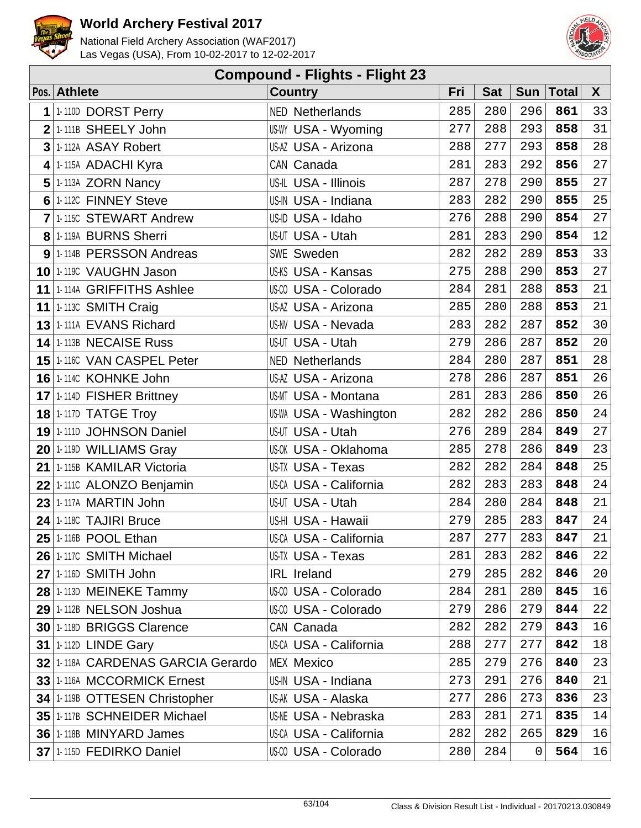



| <b>Compound - Flights - Flight 23</b> |                             |     |            |            |              |    |  |  |  |  |
|---------------------------------------|-----------------------------|-----|------------|------------|--------------|----|--|--|--|--|
| Pos. Athlete                          | <b>Country</b>              | Fri | <b>Sat</b> | <b>Sun</b> | <b>Total</b> | X  |  |  |  |  |
| 1 1-110D DORST Perry                  | <b>NED Netherlands</b>      | 285 | 280        | 296        | 861          | 33 |  |  |  |  |
| $2$ <sup>1.</sup> 111B SHEELY John    | US-WY USA - Wyoming         | 277 | 288        | 293        | 858          | 31 |  |  |  |  |
| 3 1-112A ASAY Robert                  | US-AZ USA - Arizona         | 288 | 277        | 293        | 858          | 28 |  |  |  |  |
| 4 1-115A ADACHI Kyra                  | CAN Canada                  | 281 | 283        | 292        | 856          | 27 |  |  |  |  |
| 5 1-113A ZORN Nancy                   | US-IL USA - Illinois        | 287 | 278        | 290        | 855          | 27 |  |  |  |  |
| 6 1-112C FINNEY Steve                 | US-IN USA - Indiana         | 283 | 282        | 290        | 855          | 25 |  |  |  |  |
| 7 1-115C STEWART Andrew               | US-ID USA - Idaho           | 276 | 288        | 290        | 854          | 27 |  |  |  |  |
| 8 1-119A BURNS Sherri                 | US-UT USA - Utah            | 281 | 283        | 290        | 854          | 12 |  |  |  |  |
| 9 1-114B PERSSON Andreas              | SWE Sweden                  | 282 | 282        | 289        | 853          | 33 |  |  |  |  |
| 10 1-119C VAUGHN Jason                | US-KS USA - Kansas          | 275 | 288        | 290        | 853          | 27 |  |  |  |  |
| 11 1-114A GRIFFITHS Ashlee            | US-00 USA - Colorado        | 284 | 281        | 288        | 853          | 21 |  |  |  |  |
| 11 1-113C SMITH Craig                 | US-AZ USA - Arizona         | 285 | 280        | 288        | 853          | 21 |  |  |  |  |
| 13 1-111A EVANS Richard               | US-NV USA - Nevada          | 283 | 282        | 287        | 852          | 30 |  |  |  |  |
| 14 1-113B NECAISE Russ                | US-UT USA - Utah            | 279 | 286        | 287        | 852          | 20 |  |  |  |  |
| 15 1-1160 VAN CASPEL Peter            | <b>NED Netherlands</b>      | 284 | 280        | 287        | 851          | 28 |  |  |  |  |
| 16 1-114C KOHNKE John                 | US-AZ USA - Arizona         | 278 | 286        | 287        | 851          | 26 |  |  |  |  |
| 17 1-114D FISHER Brittney             | US-MT USA - Montana         | 281 | 283        | 286        | 850          | 26 |  |  |  |  |
| 18 1-117D TATGE Troy                  | US-WA USA - Washington      | 282 | 282        | 286        | 850          | 24 |  |  |  |  |
| 19 1-111D JOHNSON Daniel              | US-UT USA - Utah            | 276 | 289        | 284        | 849          | 27 |  |  |  |  |
| $20$ 1-119D WILLIAMS Gray             | US-OK USA - Oklahoma        | 285 | 278        | 286        | 849          | 23 |  |  |  |  |
| 21 1-115B KAMILAR Victoria            | US-TX USA - Texas           | 282 | 282        | 284        | 848          | 25 |  |  |  |  |
| 22 1-1110 ALONZO Benjamin             | US-CA USA - California      | 282 | 283        | 283        | 848          | 24 |  |  |  |  |
| 23 1-117A MARTIN John                 | US-UT USA - Utah            | 284 | 280        | 284        | 848          | 21 |  |  |  |  |
| 24 1-118C TAJIRI Bruce                | US-HI USA - Hawaii          | 279 | 285        | 283        | 847          | 24 |  |  |  |  |
| 25 1-116B POOL Ethan                  | US-CA USA - California      | 287 | 277        | 283        | 847          | 21 |  |  |  |  |
| 26 1-117C SMITH Michael               | US-TX USA - Texas           | 281 | 283        | 282        | 846          | 22 |  |  |  |  |
| 27 1-116D SMITH John                  | <b>IRL</b> Ireland          | 279 | 285        | 282        | 846          | 20 |  |  |  |  |
| 28 1-113D MEINEKE Tammy               | US-CO USA - Colorado        | 284 | 281        | 280        | 845          | 16 |  |  |  |  |
| 29 1-112B NELSON Joshua               | US-CO USA - Colorado        | 279 | 286        | 279        | 844          | 22 |  |  |  |  |
| 30 1-118D BRIGGS Clarence             | CAN Canada                  | 282 | 282        | 279        | 843          | 16 |  |  |  |  |
| <b>31 1-112D LINDE Gary</b>           | US-CA USA - California      | 288 | 277        | 277        | 842          | 18 |  |  |  |  |
| 32 1-118A CARDENAS GARCIA Gerardo     | <b>MEX Mexico</b>           | 285 | 279        | 276        | 840          | 23 |  |  |  |  |
| 33 1-116A MCCORMICK Ernest            | US-IN USA - Indiana         | 273 | 291        | 276        | 840          | 21 |  |  |  |  |
| 34 1-119B OTTESEN Christopher         | US-AK USA - Alaska          | 277 | 286        | 273        | 836          | 23 |  |  |  |  |
| 35 1-117B SCHNEIDER Michael           | <b>US-NE USA - Nebraska</b> | 283 | 281        | 271        | 835          | 14 |  |  |  |  |
| 36 1-118B MINYARD James               | US-CA USA - California      | 282 | 282        | 265        | 829          | 16 |  |  |  |  |
| 37 1-1150 FEDIRKO Daniel              | US-CO USA - Colorado        | 280 | 284        | 0          | 564          | 16 |  |  |  |  |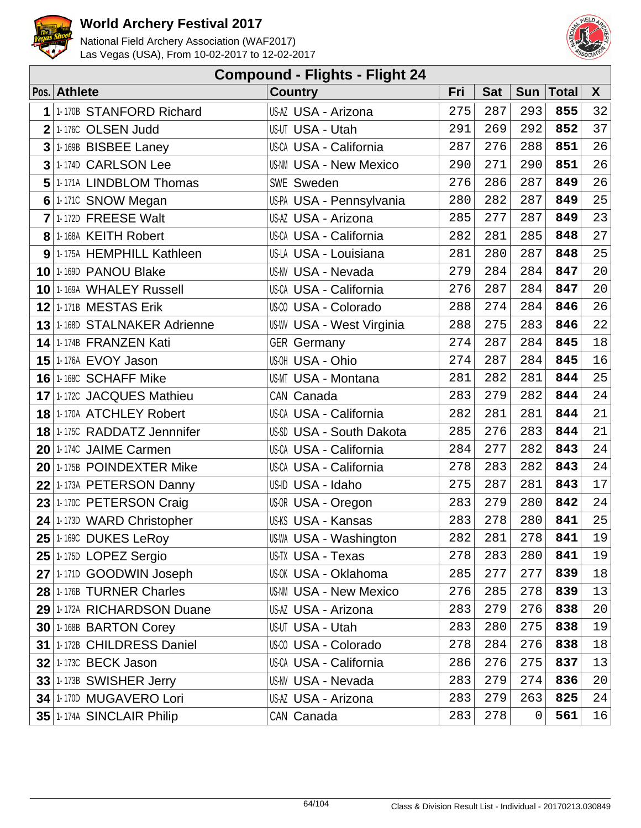



| <b>Compound - Flights - Flight 24</b> |                                         |                                  |     |            |             |              |    |  |  |
|---------------------------------------|-----------------------------------------|----------------------------------|-----|------------|-------------|--------------|----|--|--|
|                                       | Pos. Athlete                            | <b>Country</b>                   | Fri | <b>Sat</b> | Sun         | <b>Total</b> | X  |  |  |
| 1                                     | 1-170B STANFORD Richard                 | US-AZ USA - Arizona              | 275 | 287        | 293         | 855          | 32 |  |  |
| $\overline{2}$                        | 1-176C OLSEN Judd                       | US-UT USA - Utah                 | 291 | 269        | 292         | 852          | 37 |  |  |
|                                       | $3$ 1.169B BISBEE Laney                 | <b>US-CA USA - California</b>    | 287 | 276        | 288         | 851          | 26 |  |  |
| 3 <sup>1</sup>                        | 1-174D CARLSON Lee                      | <b>US-NM USA - New Mexico</b>    | 290 | 271        | 290         | 851          | 26 |  |  |
| 5                                     | 1-171A LINDBLOM Thomas                  | <b>SWE Sweden</b>                | 276 | 286        | 287         | 849          | 26 |  |  |
|                                       | 6 1-1710 SNOW Megan                     | US-PA USA - Pennsylvania         | 280 | 282        | 287         | 849          | 25 |  |  |
| $\overline{7}$                        | 1-172D FREESE Walt                      | US-AZ USA - Arizona              | 285 | 277        | 287         | 849          | 23 |  |  |
|                                       | 8 1-168A KEITH Robert                   | US-CA USA - California           | 282 | 281        | 285         | 848          | 27 |  |  |
|                                       | 9 1-175A HEMPHILL Kathleen              | US-LA USA - Louisiana            | 281 | 280        | 287         | 848          | 25 |  |  |
|                                       | 10 1-169D PANOU Blake                   | <b>US-NV USA - Nevada</b>        | 279 | 284        | 284         | 847          | 20 |  |  |
|                                       | 10 1-169A WHALEY Russell                | <b>US-CA USA - California</b>    | 276 | 287        | 284         | 847          | 20 |  |  |
|                                       | 12 1-171B MESTAS Erik                   | US-00 USA - Colorado             | 288 | 274        | 284         | 846          | 26 |  |  |
|                                       | 13 1-168D STALNAKER Adrienne            | <b>US-WV USA - West Virginia</b> | 288 | 275        | 283         | 846          | 22 |  |  |
|                                       | 14 1-174B FRANZEN Kati                  | <b>GER Germany</b>               | 274 | 287        | 284         | 845          | 18 |  |  |
|                                       | <b>15 1-176A EVOY Jason</b>             | US-OH USA - Ohio                 | 274 | 287        | 284         | 845          | 16 |  |  |
|                                       | 16 1-168C SCHAFF Mike                   | US-MT USA - Montana              | 281 | 282        | 281         | 844          | 25 |  |  |
|                                       | 17 1-172C JACQUES Mathieu               | CAN Canada                       | 283 | 279        | 282         | 844          | 24 |  |  |
|                                       | 18 1-170A ATCHLEY Robert                | <b>US-CA USA - California</b>    | 282 | 281        | 281         | 844          | 21 |  |  |
|                                       | 18 1-1750 RADDATZ Jennnifer             | US-SD USA - South Dakota         | 285 | 276        | 283         | 844          | 21 |  |  |
|                                       | 20 1-174C JAIME Carmen                  | US-CA USA - California           | 284 | 277        | 282         | 843          | 24 |  |  |
|                                       | 20 1-175B POINDEXTER Mike               | <b>US-CA USA - California</b>    | 278 | 283        | 282         | 843          | 24 |  |  |
|                                       | 22 1-173A PETERSON Danny                | US-ID USA - Idaho                | 275 | 287        | 281         | 843          | 17 |  |  |
|                                       | 23 1-170C PETERSON Craig                | US-OR USA - Oregon               | 283 | 279        | 280         | 842          | 24 |  |  |
|                                       | $24$ <sup>1-173D</sup> WARD Christopher | <b>US-KS USA - Kansas</b>        | 283 | 278        | 280         | 841          | 25 |  |  |
|                                       | $25$  1-169C DUKES LeRoy                | <b>US-WA USA - Washington</b>    | 282 | 281        | 278         | 841          | 19 |  |  |
|                                       | 25 1-1750 LOPEZ Sergio                  | US-TX USA - Texas                | 278 | 283        | 280         | 841          | 19 |  |  |
|                                       | 27 1-171D GOODWIN Joseph                | US-OK USA - Oklahoma             | 285 | 277        | 277         | 839          | 18 |  |  |
|                                       | 28 1-176B TURNER Charles                | <b>US-NM USA - New Mexico</b>    | 276 | 285        | 278         | 839          | 13 |  |  |
|                                       | 29 1-172A RICHARDSON Duane              | US-AZ USA - Arizona              | 283 | 279        | 276         | 838          | 20 |  |  |
|                                       | 30 1-168B BARTON Corey                  | US-UT USA - Utah                 | 283 | 280        | 275         | 838          | 19 |  |  |
|                                       | 31 1-172B CHILDRESS Daniel              | US-00 USA - Colorado             | 278 | 284        | 276         | 838          | 18 |  |  |
|                                       | <b>32 1-173C BECK Jason</b>             | US-CA USA - California           | 286 | 276        | 275         | 837          | 13 |  |  |
|                                       | 33 1-173B SWISHER Jerry                 | <b>US-NV USA - Nevada</b>        | 283 | 279        | 274         | 836          | 20 |  |  |
|                                       | 34 1-170D MUGAVERO Lori                 | US-AZ USA - Arizona              | 283 | 279        | 263         | 825          | 24 |  |  |
|                                       | 35 1-174A SINCLAIR Philip               | CAN Canada                       | 283 | 278        | $\mathbf 0$ | 561          | 16 |  |  |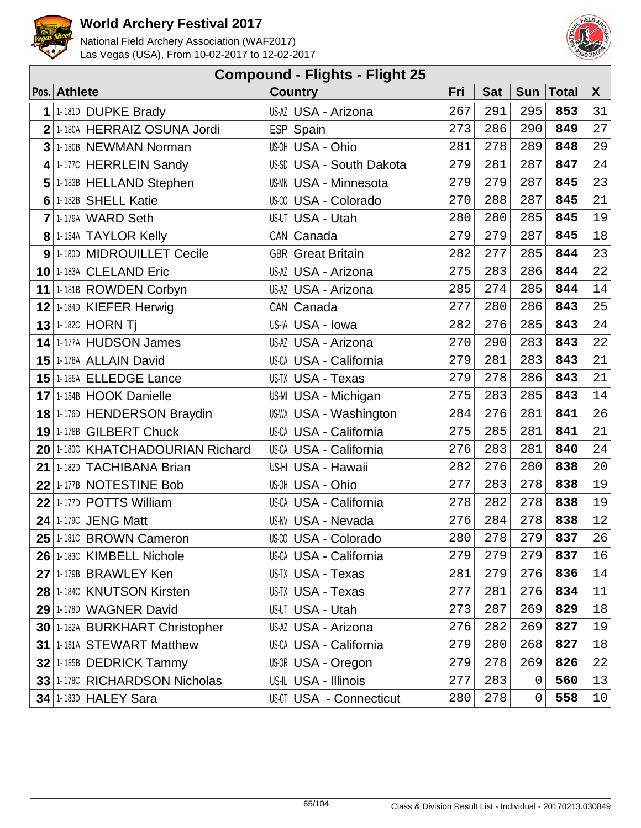



|                | <b>Compound - Flights - Flight 25</b> |                                |     |            |            |              |              |  |  |  |
|----------------|---------------------------------------|--------------------------------|-----|------------|------------|--------------|--------------|--|--|--|
|                | Pos. Athlete                          | <b>Country</b>                 | Fri | <b>Sat</b> | <b>Sun</b> | <b>Total</b> | $\mathsf{X}$ |  |  |  |
| 1              | 1-181D DUPKE Brady                    | US-AZ USA - Arizona            | 267 | 291        | 295        | 853          | 31           |  |  |  |
| $\overline{2}$ | 1-180A HERRAIZ OSUNA Jordi            | ESP Spain                      | 273 | 286        | 290        | 849          | 27           |  |  |  |
|                | 3 1-180B NEWMAN Norman                | US-OH USA - Ohio               | 281 | 278        | 289        | 848          | 29           |  |  |  |
|                | 4 1-177C HERRLEIN Sandy               | US-SD USA - South Dakota       | 279 | 281        | 287        | 847          | 24           |  |  |  |
| 5              | 1-183B HELLAND Stephen                | <b>US-MN USA - Minnesota</b>   | 279 | 279        | 287        | 845          | 23           |  |  |  |
| 6              | 1-182B SHELL Katie                    | US-00 USA - Colorado           | 270 | 288        | 287        | 845          | 21           |  |  |  |
| $\overline{7}$ | 1-179A WARD Seth                      | US-UT USA - Utah               | 280 | 280        | 285        | 845          | 19           |  |  |  |
|                | 8 1-184A TAYLOR Kelly                 | CAN Canada                     | 279 | 279        | 287        | 845          | 18           |  |  |  |
|                | 9 1-180D MIDROUILLET Cecile           | <b>GBR</b> Great Britain       | 282 | 277        | 285        | 844          | 23           |  |  |  |
|                | 10 1-183A CLELAND Eric                | US-AZ USA - Arizona            | 275 | 283        | 286        | 844          | 22           |  |  |  |
|                | 11 1-181B ROWDEN Corbyn               | US-AZ USA - Arizona            | 285 | 274        | 285        | 844          | 14           |  |  |  |
|                | 12 1-184D KIEFER Herwig               | CAN Canada                     | 277 | 280        | 286        | 843          | 25           |  |  |  |
|                | <b>13 1-182C HORN Tj</b>              | US-IA USA - Iowa               | 282 | 276        | 285        | 843          | 24           |  |  |  |
|                | 14 1-177A HUDSON James                | US-AZ USA - Arizona            | 270 | 290        | 283        | 843          | 22           |  |  |  |
|                | 15 1-178A ALLAIN David                | US-CA USA - California         | 279 | 281        | 283        | 843          | 21           |  |  |  |
|                | 15 1-185A ELLEDGE Lance               | <b>US-TX USA - Texas</b>       | 279 | 278        | 286        | 843          | 21           |  |  |  |
|                | 17 1-184B HOOK Danielle               | US-MI USA - Michigan           | 275 | 283        | 285        | 843          | 14           |  |  |  |
|                | 18 1-1760 HENDERSON Braydin           | US-WA USA - Washington         | 284 | 276        | 281        | 841          | 26           |  |  |  |
|                | 19 1-178B GILBERT Chuck               | US-CA USA - California         | 275 | 285        | 281        | 841          | 21           |  |  |  |
|                | 20 1-180C KHATCHADOURIAN Richard      | US-CA USA - California         | 276 | 283        | 281        | 840          | 24           |  |  |  |
|                | 21 1-182D TACHIBANA Brian             | US-HI USA - Hawaii             | 282 | 276        | 280        | 838          | 20           |  |  |  |
|                | 22 1-177B NOTESTINE Bob               | US-OH USA - Ohio               | 277 | 283        | 278        | 838          | 19           |  |  |  |
|                | 22 1-177D POTTS William               | US-CA USA - California         | 278 | 282        | 278        | 838          | 19           |  |  |  |
| 24             | 1-179C JENG Matt                      | US-NV USA - Nevada             | 276 | 284        | 278        | 838          | $12\,$       |  |  |  |
|                | 25 1-1810 BROWN Cameron               | US-00 USA - Colorado           | 280 | 278        | 279        | 837          | 26           |  |  |  |
|                | 26 1-183C KIMBELL Nichole             | US-CA USA - California         | 279 | 279        | 279        | 837          | 16           |  |  |  |
|                | 27 1-179B BRAWLEY Ken                 | US-TX USA - Texas              | 281 | 279        | 276        | 836          | 14           |  |  |  |
|                | 28 1-1840 KNUTSON Kirsten             | US-TX USA - Texas              | 277 | 281        | 276        | 834          | 11           |  |  |  |
|                | 29 1-178D WAGNER David                | US-UT USA - Utah               | 273 | 287        | 269        | 829          | 18           |  |  |  |
|                | 30 1-182A BURKHART Christopher        | US-AZ USA - Arizona            | 276 | 282        | 269        | 827          | 19           |  |  |  |
|                | 31 1-181A STEWART Matthew             | US-CA USA - California         | 279 | 280        | 268        | 827          | 18           |  |  |  |
|                | 32 1-185B DEDRICK Tammy               | US-OR USA - Oregon             | 279 | 278        | 269        | 826          | 22           |  |  |  |
|                | 33 1-178C RICHARDSON Nicholas         | US-IL USA - Illinois           | 277 | 283        | 0          | 560          | 13           |  |  |  |
|                | <b>34 1-183D HALEY Sara</b>           | <b>US-CT USA - Connecticut</b> | 280 | 278        | 0          | 558          | 10           |  |  |  |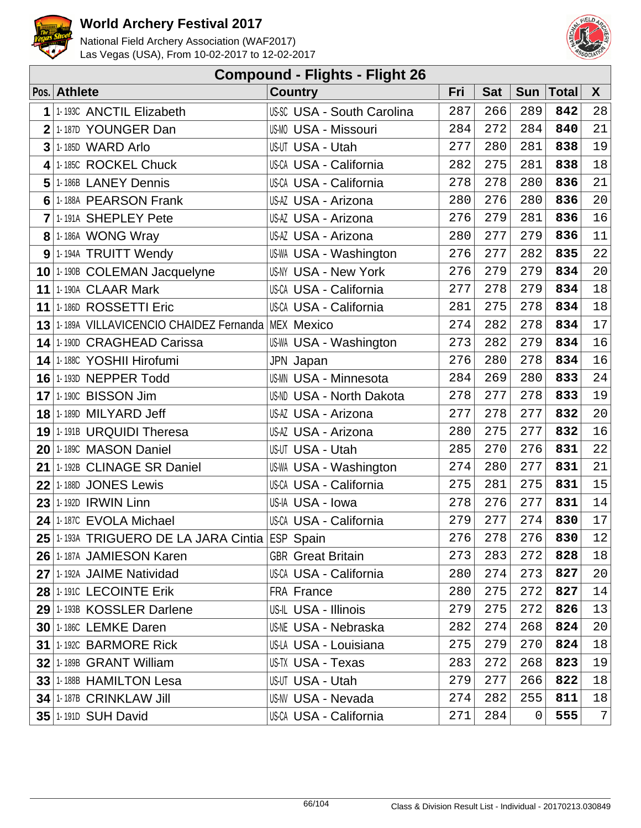



|                | <b>Compound - Flights - Flight 26</b>               |                                   |     |            |            |              |              |  |  |  |  |
|----------------|-----------------------------------------------------|-----------------------------------|-----|------------|------------|--------------|--------------|--|--|--|--|
|                | Pos. Athlete                                        | <b>Country</b>                    | Fri | <b>Sat</b> | <b>Sun</b> | <b>Total</b> | $\mathsf{X}$ |  |  |  |  |
| 1              | 1-193C ANCTIL Elizabeth                             | <b>US-SC USA - South Carolina</b> | 287 | 266        | 289        | 842          | 28           |  |  |  |  |
| $\overline{2}$ | 1-187D YOUNGER Dan                                  | US-MO USA - Missouri              | 284 | 272        | 284        | 840          | 21           |  |  |  |  |
| 3              | 1-185D WARD Arlo                                    | US-UT USA - Utah                  | 277 | 280        | 281        | 838          | 19           |  |  |  |  |
| 4              | 1-185C ROCKEL Chuck                                 | US-CA USA - California            | 282 | 275        | 281        | 838          | 18           |  |  |  |  |
| 5              | 1-186B LANEY Dennis                                 | US-CA USA - California            | 278 | 278        | 280        | 836          | 21           |  |  |  |  |
|                | 6 1-188A PEARSON Frank                              | US-AZ USA - Arizona               | 280 | 276        | 280        | 836          | 20           |  |  |  |  |
|                | 7 1-191A SHEPLEY Pete                               | US-AZ USA - Arizona               | 276 | 279        | 281        | 836          | 16           |  |  |  |  |
|                | 8 1-186A WONG Wray                                  | US-AZ USA - Arizona               | 280 | 277        | 279        | 836          | 11           |  |  |  |  |
|                | 9 1-194A TRUITT Wendy                               | US-WA USA - Washington            | 276 | 277        | 282        | 835          | 22           |  |  |  |  |
|                | 10 1-190B COLEMAN Jacquelyne                        | <b>US-NY USA - New York</b>       | 276 | 279        | 279        | 834          | $20\,$       |  |  |  |  |
|                | 11 1-190A CLAAR Mark                                | US-CA USA - California            | 277 | 278        | 279        | 834          | $18\,$       |  |  |  |  |
|                | 11 1-186D ROSSETTI Eric                             | US-CA USA - California            | 281 | 275        | 278        | 834          | 18           |  |  |  |  |
|                | 13 1-189A VILLAVICENCIO CHAIDEZ Fernanda MEX Mexico |                                   | 274 | 282        | 278        | 834          | 17           |  |  |  |  |
|                | 14 1-190D CRAGHEAD Carissa                          | US-WA USA - Washington            | 273 | 282        | 279        | 834          | 16           |  |  |  |  |
|                | 14 1-188C YOSHII Hirofumi                           | JPN Japan                         | 276 | 280        | 278        | 834          | 16           |  |  |  |  |
|                | <b>16 1-193D NEPPER Todd</b>                        | <b>US-MN USA - Minnesota</b>      | 284 | 269        | 280        | 833          | 24           |  |  |  |  |
|                | <b>17 1-190C BISSON Jim</b>                         | US-ND USA - North Dakota          | 278 | 277        | 278        | 833          | 19           |  |  |  |  |
|                | 18 1-189D MILYARD Jeff                              | US-AZ USA - Arizona               | 277 | 278        | 277        | 832          | 20           |  |  |  |  |
|                | 19 1-191B URQUIDI Theresa                           | US-AZ USA - Arizona               | 280 | 275        | 277        | 832          | 16           |  |  |  |  |
|                | 20 1-189C MASON Daniel                              | US-UT USA - Utah                  | 285 | 270        | 276        | 831          | 22           |  |  |  |  |
|                | 21 1-192B CLINAGE SR Daniel                         | US-WA USA - Washington            | 274 | 280        | 277        | 831          | 21           |  |  |  |  |
| 22             | 1-188D JONES Lewis                                  | US-CA USA - California            | 275 | 281        | 275        | 831          | 15           |  |  |  |  |
|                | 23 1-192D IRWIN Linn                                | US-IA USA - Iowa                  | 278 | 276        | 277        | 831          | 14           |  |  |  |  |
| 24             | 1-187C EVOLA Michael                                | US-CA USA - California            | 279 | 277        | 274        | 830          | $17$         |  |  |  |  |
|                | 25 1-193A TRIGUERO DE LA JARA Cintia ESP Spain      |                                   | 276 | 278        | 276        | 830          | 12           |  |  |  |  |
|                | 26 1-187A JAMIESON Karen                            | <b>GBR</b> Great Britain          | 273 | 283        | 272        | 828          | 18           |  |  |  |  |
|                | 27 1-192A JAIME Natividad                           | US-CA USA - California            | 280 | 274        | 273        | 827          | 20           |  |  |  |  |
|                | 28 1-1910 LECOINTE Erik                             | FRA France                        | 280 | 275        | 272        | 827          | 14           |  |  |  |  |
|                | 29 1-193B KOSSLER Darlene                           | US-IL USA - Illinois              | 279 | 275        | 272        | 826          | 13           |  |  |  |  |
|                | 30 1-186C LEMKE Daren                               | US-NE USA - Nebraska              | 282 | 274        | 268        | 824          | 20           |  |  |  |  |
|                | <b>31 1-192C BARMORE Rick</b>                       | US-LA USA - Louisiana             | 275 | 279        | 270        | 824          | 18           |  |  |  |  |
|                | 32 1-189B GRANT William                             | US-TX USA - Texas                 | 283 | 272        | 268        | 823          | 19           |  |  |  |  |
|                | 33 1-188B HAMILTON Lesa                             | US-UT USA - Utah                  | 279 | 277        | 266        | 822          | 18           |  |  |  |  |
|                | 34 1-187B CRINKLAW Jill                             | US-NV USA - Nevada                | 274 | 282        | 255        | 811          | 18           |  |  |  |  |
|                | <b>35 1-1910 SUH David</b>                          | US-CA USA - California            | 271 | 284        | 0          | 555          | $7\vert$     |  |  |  |  |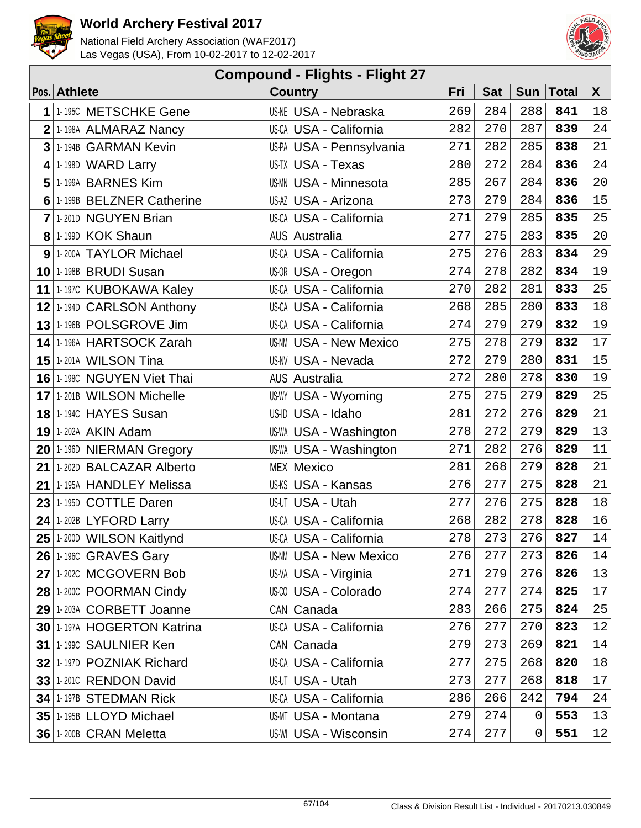



| <b>Compound - Flights - Flight 27</b> |                                   |                               |     |            |            |              |        |  |  |  |
|---------------------------------------|-----------------------------------|-------------------------------|-----|------------|------------|--------------|--------|--|--|--|
|                                       | Pos. Athlete                      | <b>Country</b>                | Fri | <b>Sat</b> | <b>Sun</b> | <b>Total</b> | X      |  |  |  |
| 1                                     | 1-195C METSCHKE Gene              | <b>US-NE USA - Nebraska</b>   | 269 | 284        | 288        | 841          | 18     |  |  |  |
| $\overline{2}$                        | 1-198A ALMARAZ Nancy              | <b>US-CA USA - California</b> | 282 | 270        | 287        | 839          | 24     |  |  |  |
| 3                                     | 1-194B GARMAN Kevin               | US-PA USA - Pennsylvania      | 271 | 282        | 285        | 838          | 21     |  |  |  |
| 4                                     | 1-198D WARD Larry                 | <b>US-TX USA - Texas</b>      | 280 | 272        | 284        | 836          | 24     |  |  |  |
| 5                                     | 1-199A BARNES Kim                 | <b>US-MN USA - Minnesota</b>  | 285 | 267        | 284        | 836          | 20     |  |  |  |
| 6                                     | 1-199B BELZNER Catherine          | US-AZ USA - Arizona           | 273 | 279        | 284        | 836          | 15     |  |  |  |
| 7                                     | 1-201D NGUYEN Brian               | US-CA USA - California        | 271 | 279        | 285        | 835          | 25     |  |  |  |
|                                       | 8 1-199D KOK Shaun                | <b>AUS Australia</b>          | 277 | 275        | 283        | 835          | 20     |  |  |  |
|                                       | 9 1-200A TAYLOR Michael           | US-CA USA - California        | 275 | 276        | 283        | 834          | 29     |  |  |  |
|                                       | 10 1-198B BRUDI Susan             | US-OR USA - Oregon            | 274 | 278        | 282        | 834          | 19     |  |  |  |
|                                       | 11 1-1970 KUBOKAWA Kaley          | <b>US-CA USA - California</b> | 270 | 282        | 281        | 833          | 25     |  |  |  |
|                                       | 12 1-194D CARLSON Anthony         | US-CA USA - California        | 268 | 285        | 280        | 833          | $18\,$ |  |  |  |
|                                       | 13 1-196B POLSGROVE Jim           | <b>US-CA USA - California</b> | 274 | 279        | 279        | 832          | 19     |  |  |  |
|                                       | 14 1-196A HARTSOCK Zarah          | <b>US-NM USA - New Mexico</b> | 275 | 278        | 279        | 832          | 17     |  |  |  |
|                                       | <b>15 1-201A WILSON Tina</b>      | <b>US-NV USA - Nevada</b>     | 272 | 279        | 280        | 831          | 15     |  |  |  |
|                                       | <b>16 1-198C NGUYEN Viet Thai</b> | <b>AUS Australia</b>          | 272 | 280        | 278        | 830          | 19     |  |  |  |
|                                       | 17 1-201B WILSON Michelle         | <b>US-WY USA - Wyoming</b>    | 275 | 275        | 279        | 829          | 25     |  |  |  |
|                                       | 18 1-1940 HAYES Susan             | US-ID USA - Idaho             | 281 | 272        | 276        | 829          | 21     |  |  |  |
|                                       | <b>19 1-202A AKIN Adam</b>        | US-WA USA - Washington        | 278 | 272        | 279        | 829          | 13     |  |  |  |
|                                       | 20 1-196D NIERMAN Gregory         | US-WA USA - Washington        | 271 | 282        | 276        | 829          | 11     |  |  |  |
|                                       | 21 1-202D BALCAZAR Alberto        | <b>MEX Mexico</b>             | 281 | 268        | 279        | 828          | 21     |  |  |  |
| 21                                    | 1-195A HANDLEY Melissa            | US-KS USA - Kansas            | 276 | 277        | 275        | 828          | 21     |  |  |  |
| 23                                    | 1-195D COTTLE Daren               | US-UT USA - Utah              | 277 | 276        | 275        | 828          | 18     |  |  |  |
| 24                                    | 1-202B LYFORD Larry               | <b>US-CA USA - California</b> | 268 | 282        | 278        | 828          | 16     |  |  |  |
|                                       | 25 1-200D WILSON Kaitlynd         | US-CA USA - California        | 278 | 273        | 276        | 827          | 14     |  |  |  |
|                                       | 26 1-1960 GRAVES Gary             | <b>US-NM USA - New Mexico</b> | 276 | 277        | 273        | 826          | 14     |  |  |  |
|                                       | 27 1-202C MCGOVERN Bob            | US-VA USA - Virginia          | 271 | 279        | 276        | 826          | 13     |  |  |  |
|                                       | 28 1-200C POORMAN Cindy           | US-00 USA - Colorado          | 274 | 277        | 274        | 825          | 17     |  |  |  |
|                                       | 29 1-203A CORBETT Joanne          | CAN Canada                    | 283 | 266        | 275        | 824          | 25     |  |  |  |
|                                       | 30 1-197A HOGERTON Katrina        | <b>US-CA USA - California</b> | 276 | 277        | 270        | 823          | 12     |  |  |  |
|                                       | 31 1-1990 SAULNIER Ken            | CAN Canada                    | 279 | 273        | 269        | 821          | 14     |  |  |  |
|                                       | 32 1-197D POZNIAK Richard         | <b>US-CA USA - California</b> | 277 | 275        | 268        | 820          | 18     |  |  |  |
|                                       | 33 1-2010 RENDON David            | US-UT USA - Utah              | 273 | 277        | 268        | 818          | 17     |  |  |  |
|                                       | 34 1-197B STEDMAN Rick            | <b>US-CA USA - California</b> | 286 | 266        | 242        | 794          | 24     |  |  |  |
|                                       | 35 1-195B LLOYD Michael           | US-MT USA - Montana           | 279 | 274        | 0          | 553          | 13     |  |  |  |
|                                       | 36 1-200B CRAN Meletta            | US-WI USA - Wisconsin         | 274 | 277        | 0          | 551          | 12     |  |  |  |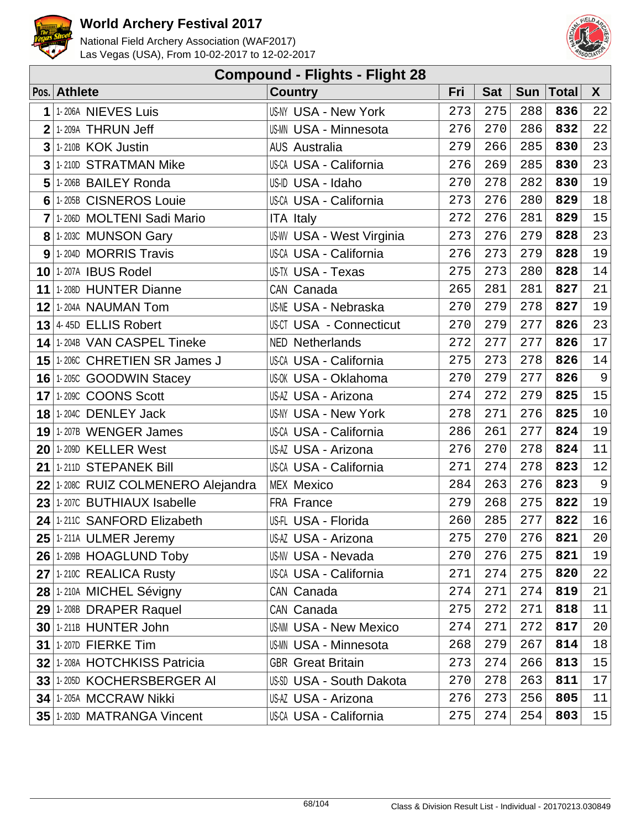



| <b>Compound - Flights - Flight 28</b> |                                    |                                |     |            |            |              |                |  |  |  |
|---------------------------------------|------------------------------------|--------------------------------|-----|------------|------------|--------------|----------------|--|--|--|
|                                       | Pos. Athlete                       | <b>Country</b>                 | Fri | <b>Sat</b> | <b>Sun</b> | <b>Total</b> | X              |  |  |  |
| 1                                     | 1-206A NIEVES Luis                 | <b>US-NY USA - New York</b>    | 273 | 275        | 288        | 836          | 22             |  |  |  |
| $\overline{2}$                        | 1-209A THRUN Jeff                  | US-MN USA - Minnesota          | 276 | 270        | 286        | 832          | 22             |  |  |  |
| 3                                     | 1-210B KOK Justin                  | <b>AUS Australia</b>           | 279 | 266        | 285        | 830          | 23             |  |  |  |
| 3                                     | 1-210D STRATMAN Mike               | <b>US-CA USA - California</b>  | 276 | 269        | 285        | 830          | 23             |  |  |  |
| 5                                     | 1-206B BAILEY Ronda                | US-ID USA - Idaho              | 270 | 278        | 282        | 830          | 19             |  |  |  |
| 6                                     | 1-205B CISNEROS Louie              | <b>US-CA USA - California</b>  | 273 | 276        | 280        | 829          | 18             |  |  |  |
|                                       | 7 1-206D MOLTENI Sadi Mario        | <b>ITA Italy</b>               | 272 | 276        | 281        | 829          | 15             |  |  |  |
|                                       | 8 1-203C MUNSON Gary               | US-WV USA - West Virginia      | 273 | 276        | 279        | 828          | 23             |  |  |  |
|                                       | $9$ 1-204D MORRIS Travis           | <b>US-CA USA - California</b>  | 276 | 273        | 279        | 828          | 19             |  |  |  |
|                                       | 10 1-207A IBUS Rodel               | US-TX USA - Texas              | 275 | 273        | 280        | 828          | 14             |  |  |  |
|                                       | 11 1-208D HUNTER Dianne            | CAN Canada                     | 265 | 281        | 281        | 827          | 21             |  |  |  |
|                                       | <b>12 1-204A NAUMAN Tom</b>        | <b>US-NE USA - Nebraska</b>    | 270 | 279        | 278        | 827          | 19             |  |  |  |
|                                       | $13$ 4-45D ELLIS Robert            | <b>US-CT USA - Connecticut</b> | 270 | 279        | 277        | 826          | 23             |  |  |  |
|                                       | 14 1-204B VAN CASPEL Tineke        | <b>NED Netherlands</b>         | 272 | 277        | 277        | 826          | 17             |  |  |  |
|                                       | 15 1-2060 CHRETIEN SR James J      | <b>US-CA USA - California</b>  | 275 | 273        | 278        | 826          | 14             |  |  |  |
|                                       | 16 1-205C GOODWIN Stacey           | US-OK USA - Oklahoma           | 270 | 279        | 277        | 826          | $\overline{9}$ |  |  |  |
|                                       | 17 1-209C COONS Scott              | US-AZ USA - Arizona            | 274 | 272        | 279        | 825          | 15             |  |  |  |
|                                       | <b>18 1-204C DENLEY Jack</b>       | <b>US-NY USA - New York</b>    | 278 | 271        | 276        | 825          | $10$           |  |  |  |
|                                       | 19 1-207B WENGER James             | <b>US-CA USA - California</b>  | 286 | 261        | 277        | 824          | 19             |  |  |  |
|                                       | <b>20 1-209D KELLER West</b>       | US-AZ USA - Arizona            | 276 | 270        | 278        | 824          | 11             |  |  |  |
|                                       | 21 1-211D STEPANEK Bill            | <b>US-CA USA - California</b>  | 271 | 274        | 278        | 823          | 12             |  |  |  |
|                                       | 22 1-2080 RUIZ COLMENERO Alejandra | <b>MEX Mexico</b>              | 284 | 263        | 276        | 823          | 9              |  |  |  |
|                                       | 23 1-207C BUTHIAUX Isabelle        | FRA France                     | 279 | 268        | 275        | 822          | 19             |  |  |  |
| 24                                    | 1-211C SANFORD Elizabeth           | US-FL USA - Florida            | 260 | 285        | 277        | 822          | 16             |  |  |  |
|                                       | 25 1-211A ULMER Jeremy             | US-AZ USA - Arizona            | 275 | 270        | 276        | 821          | 20             |  |  |  |
|                                       | 26 1-209B HOAGLUND Toby            | <b>US-NV USA - Nevada</b>      | 270 | 276        | 275        | 821          | 19             |  |  |  |
|                                       | 27 1-210C REALICA Rusty            | <b>US-CA USA - California</b>  | 271 | 274        | 275        | 820          | 22             |  |  |  |
|                                       | 28 1-210A MICHEL Sévigny           | CAN Canada                     | 274 | 271        | 274        | 819          | 21             |  |  |  |
|                                       | 29 1-208B DRAPER Raquel            | CAN Canada                     | 275 | 272        | 271        | 818          | 11             |  |  |  |
|                                       | 30 1-211B HUNTER John              | <b>US-NM USA - New Mexico</b>  | 274 | 271        | 272        | 817          | 20             |  |  |  |
|                                       | <b>31 1-207D FIERKE Tim</b>        | US-MN USA - Minnesota          | 268 | 279        | 267        | 814          | 18             |  |  |  |
|                                       | 32 1-208A HOTCHKISS Patricia       | <b>GBR</b> Great Britain       | 273 | 274        | 266        | 813          | 15             |  |  |  |
|                                       | 33 1-205D KOCHERSBERGER AI         | US-SD USA - South Dakota       | 270 | 278        | 263        | 811          | 17             |  |  |  |
|                                       | <b>34 1-205A MCCRAW Nikki</b>      | US-AZ USA - Arizona            | 276 | 273        | 256        | 805          | 11             |  |  |  |
|                                       | 35 1-203D MATRANGA Vincent         | US-CA USA - California         | 275 | 274        | 254        | 803          | 15             |  |  |  |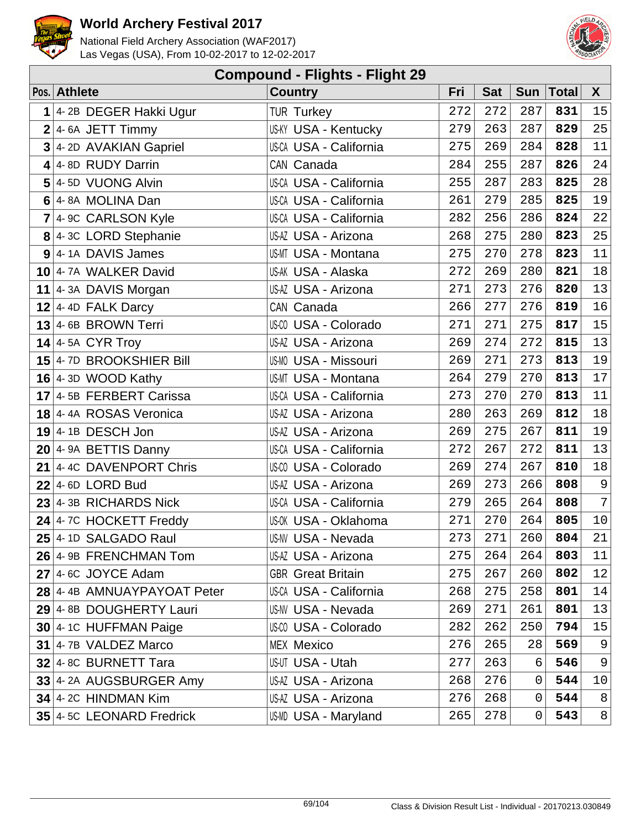



|                | <b>Compound - Flights - Flight 29</b> |                               |     |            |             |           |                |  |  |  |  |
|----------------|---------------------------------------|-------------------------------|-----|------------|-------------|-----------|----------------|--|--|--|--|
|                | Pos. Athlete                          | <b>Country</b>                | Fri | <b>Sat</b> |             | Sun Total | $\mathsf{X}$   |  |  |  |  |
|                | $1$ 4-2B DEGER Hakki Ugur             | <b>TUR Turkey</b>             | 272 | 272        | 287         | 831       | 15             |  |  |  |  |
| $\overline{2}$ | 4-6A JETT Timmy                       | <b>US-KY USA - Kentucky</b>   | 279 | 263        | 287         | 829       | 25             |  |  |  |  |
|                | 3 4-2D AVAKIAN Gapriel                | <b>US-CA USA - California</b> | 275 | 269        | 284         | 828       | 11             |  |  |  |  |
|                | 4 4-8D RUDY Darrin                    | CAN Canada                    | 284 | 255        | 287         | 826       | 24             |  |  |  |  |
|                | 5 4-5D VUONG Alvin                    | US-CA USA - California        | 255 | 287        | 283         | 825       | $2\,8$         |  |  |  |  |
|                | 6 4-8A MOLINA Dan                     | US-CA USA - California        | 261 | 279        | 285         | 825       | 19             |  |  |  |  |
|                | $7$ 4-9C CARLSON Kyle                 | US-CA USA - California        | 282 | 256        | 286         | 824       | 22             |  |  |  |  |
|                | 8 4-3C LORD Stephanie                 | US-AZ USA - Arizona           | 268 | 275        | 280         | 823       | 25             |  |  |  |  |
|                | $9$ 4-14 DAVIS James                  | US-MT USA - Montana           | 275 | 270        | 278         | 823       | 11             |  |  |  |  |
|                | 10 4-7A WALKER David                  | US-AK USA - Alaska            | 272 | 269        | 280         | 821       | 18             |  |  |  |  |
|                | 11 $ 4-3A$ DAVIS Morgan               | US-AZ USA - Arizona           | 271 | 273        | 276         | 820       | 13             |  |  |  |  |
|                | $12$ 4-4D FALK Darcy                  | CAN Canada                    | 266 | 277        | 276         | 819       | 16             |  |  |  |  |
|                | $13$ 4-6B BROWN Terri                 | US-CO USA - Colorado          | 271 | 271        | 275         | 817       | 15             |  |  |  |  |
|                | $14$ 4-5A CYR Troy                    | US-AZ USA - Arizona           | 269 | 274        | 272         | 815       | 13             |  |  |  |  |
|                | 15 $4$ -7D BROOKSHIER Bill            | <b>US-MO USA - Missouri</b>   | 269 | 271        | 273         | 813       | 19             |  |  |  |  |
|                | $16$ 4-3D WOOD Kathy                  | US-MT USA - Montana           | 264 | 279        | 270         | 813       | 17             |  |  |  |  |
|                | 17 4-5B FERBERT Carissa               | US-CA USA - California        | 273 | 270        | 270         | 813       | 11             |  |  |  |  |
|                | 18 4-4A ROSAS Veronica                | US-AZ USA - Arizona           | 280 | 263        | 269         | 812       | $18\,$         |  |  |  |  |
|                | $19$ 4-1B DESCH Jon                   | US-AZ USA - Arizona           | 269 | 275        | 267         | 811       | 19             |  |  |  |  |
|                | $20$ 4-9A BETTIS Danny                | US-CA USA - California        | 272 | 267        | 272         | 811       | 13             |  |  |  |  |
|                | 21 4-4C DAVENPORT Chris               | US-00 USA - Colorado          | 269 | 274        | 267         | 810       | 18             |  |  |  |  |
|                | $22$ 4-6D LORD Bud                    | US-AZ USA - Arizona           | 269 | 273        | 266         | 808       | $\overline{9}$ |  |  |  |  |
|                | $23$ 4-3B RICHARDS Nick               | US-CA USA - California        | 279 | 265        | 264         | 808       | $7\vert$       |  |  |  |  |
|                | 24 $4$ -7C HOCKETT Freddy             | US-0K USA - Oklahoma          | 271 | 270        | 264         | 805       | 10             |  |  |  |  |
|                | $25$ 4-1D SALGADO Raul                | US-NV USA - Nevada            | 273 | 271        | 260         | 804       | 21             |  |  |  |  |
|                | 26 4-9B FRENCHMAN Tom                 | US-AZ USA - Arizona           | 275 | 264        | 264         | 803       | 11             |  |  |  |  |
|                | $27$ 4-6C JOYCE Adam                  | <b>GBR</b> Great Britain      | 275 | 267        | 260         | 802       | 12             |  |  |  |  |
|                | 28 4-4B AMNUAYPAYOAT Peter            | <b>US-CA USA - California</b> | 268 | 275        | 258         | 801       | 14             |  |  |  |  |
|                | 29 4-8B DOUGHERTY Lauri               | <b>US-NV USA - Nevada</b>     | 269 | 271        | 261         | 801       | 13             |  |  |  |  |
|                | 30 4-1C HUFFMAN Paige                 | US-CO USA - Colorado          | 282 | 262        | 250         | 794       | 15             |  |  |  |  |
|                | $31$   4-7B VALDEZ Marco              | <b>MEX Mexico</b>             | 276 | 265        | 28          | 569       | 9              |  |  |  |  |
|                | 32 4-8C BURNETT Tara                  | US-UT USA - Utah              | 277 | 263        | 6           | 546       | $\overline{9}$ |  |  |  |  |
|                | 33 4-2A AUGSBURGER Amy                | US-AZ USA - Arizona           | 268 | 276        | 0           | 544       | 10             |  |  |  |  |
|                | 34 4-2C HINDMAN Kim                   | US-AZ USA - Arizona           | 276 | 268        | 0           | 544       | 8              |  |  |  |  |
|                | $35$ 4-5C LEONARD Fredrick            | US-MD USA - Maryland          | 265 | 278        | $\mathbf 0$ | 543       | 8 <sup>1</sup> |  |  |  |  |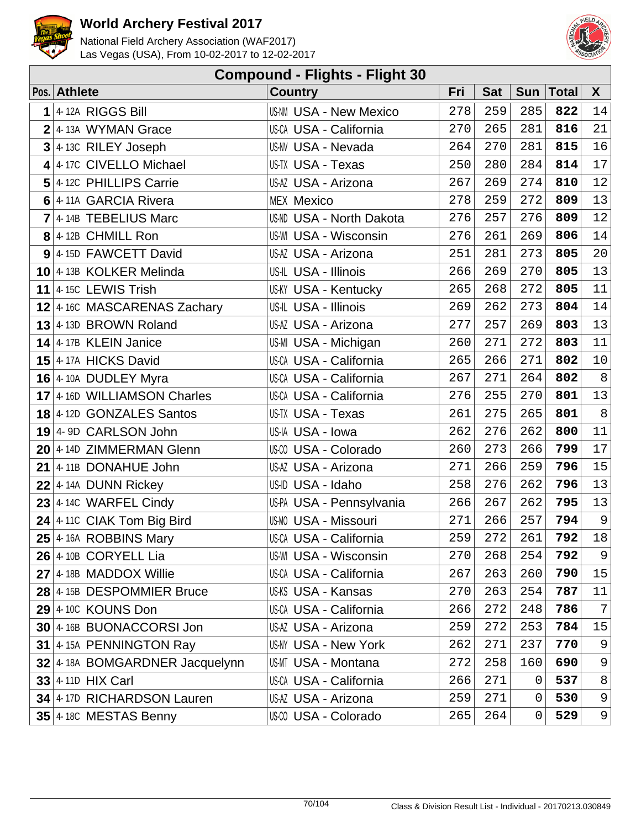



|                | <b>Compound - Flights - Flight 30</b> |                               |     |            |            |              |              |  |  |  |  |
|----------------|---------------------------------------|-------------------------------|-----|------------|------------|--------------|--------------|--|--|--|--|
|                | Pos. Athlete                          | <b>Country</b>                | Fri | <b>Sat</b> | <b>Sun</b> | <b>Total</b> | $\mathsf{X}$ |  |  |  |  |
| 1              | 4-12A RIGGS Bill                      | <b>US-NM USA - New Mexico</b> | 278 | 259        | 285        | 822          | 14           |  |  |  |  |
|                | $2$ 4-13A WYMAN Grace                 | <b>US-CA USA - California</b> | 270 | 265        | 281        | 816          | 21           |  |  |  |  |
| $\overline{3}$ | 4-13C RILEY Joseph                    | <b>US-NV USA - Nevada</b>     | 264 | 270        | 281        | 815          | 16           |  |  |  |  |
|                | 4 4-17C CIVELLO Michael               | US-TX USA - Texas             | 250 | 280        | 284        | 814          | $17$         |  |  |  |  |
|                | 5 4-12C PHILLIPS Carrie               | US-AZ USA - Arizona           | 267 | 269        | 274        | 810          | 12           |  |  |  |  |
|                | 6 4-11A GARCIA Rivera                 | <b>MEX Mexico</b>             | 278 | 259        | 272        | 809          | 13           |  |  |  |  |
|                | $7$ 4-14B TEBELIUS Marc               | US-ND USA - North Dakota      | 276 | 257        | 276        | 809          | 12           |  |  |  |  |
|                | $8$ 4-12B CHMILL Ron                  | <b>US-WI USA - Wisconsin</b>  | 276 | 261        | 269        | 806          | 14           |  |  |  |  |
|                | 9 4-15D FAWCETT David                 | US-AZ USA - Arizona           | 251 | 281        | 273        | 805          | $20\,$       |  |  |  |  |
|                | 10 4-13B KOLKER Melinda               | US-IL USA - Illinois          | 266 | 269        | 270        | 805          | $13\,$       |  |  |  |  |
|                | 11 $ 4 - 15C$ LEWIS Trish             | <b>US-KY USA - Kentucky</b>   | 265 | 268        | 272        | 805          | 11           |  |  |  |  |
|                | 12 4-16C MASCARENAS Zachary           | US-IL USA - Illinois          | 269 | 262        | 273        | 804          | 14           |  |  |  |  |
|                | 13 4-13D BROWN Roland                 | US-AZ USA - Arizona           | 277 | 257        | 269        | 803          | 13           |  |  |  |  |
|                | $14$ 4-17B KLEIN Janice               | US-MI USA - Michigan          | 260 | 271        | 272        | 803          | 11           |  |  |  |  |
|                | 15 4-17A HICKS David                  | <b>US-CA USA - California</b> | 265 | 266        | 271        | 802          | 10           |  |  |  |  |
|                | 16 4-10A DUDLEY Myra                  | US-CA USA - California        | 267 | 271        | 264        | 802          | $8\,$        |  |  |  |  |
|                | 17 4-16D WILLIAMSON Charles           | US-CA USA - California        | 276 | 255        | 270        | 801          | $13$         |  |  |  |  |
|                | <b>18</b> 4-12D GONZALES Santos       | US-TX USA - Texas             | 261 | 275        | 265        | 801          | $\bf 8$      |  |  |  |  |
|                | 19 4-9D CARLSON John                  | US-IA USA - Iowa              | 262 | 276        | 262        | 800          | 11           |  |  |  |  |
|                | 20 4-14D ZIMMERMAN Glenn              | US-00 USA - Colorado          | 260 | 273        | 266        | 799          | $17$         |  |  |  |  |
|                | 21 4-11B DONAHUE John                 | US-AZ USA - Arizona           | 271 | 266        | 259        | 796          | 15           |  |  |  |  |
|                | $22$ 4-14A DUNN Rickey                | US-ID USA - Idaho             | 258 | 276        | 262        | 796          | $13\,$       |  |  |  |  |
|                | $23$ 4-14C WARFEL Cindy               | US-PA USA - Pennsylvania      | 266 | 267        | 262        | 795          | 13           |  |  |  |  |
|                | $24$ 4-110 CIAK Tom Big Bird          | <b>US-MO USA - Missouri</b>   | 271 | 266        | 257        | 794          | 9            |  |  |  |  |
|                | $25$ 4-16A ROBBINS Mary               | US-CA USA - California        | 259 | 272        | 261        | 792          | 18           |  |  |  |  |
|                | $26$ 4-10B CORYELL Lia                | <b>US-WI USA - Wisconsin</b>  | 270 | 268        | 254        | 792          | 9            |  |  |  |  |
|                | $27$ 4-18B MADDOX Willie              | <b>US-CA USA - California</b> | 267 | 263        | 260        | 790          | 15           |  |  |  |  |
|                | 28 4-15B DESPOMMIER Bruce             | US-KS USA - Kansas            | 270 | 263        | 254        | 787          | 11           |  |  |  |  |
|                | 29 4-10C KOUNS Don                    | <b>US-CA USA - California</b> | 266 | 272        | 248        | 786          | 7            |  |  |  |  |
|                | 30 4-16B BUONACCORSI Jon              | US-AZ USA - Arizona           | 259 | 272        | 253        | 784          | 15           |  |  |  |  |
|                | 31 4-15A PENNINGTON Ray               | <b>US-NY USA - New York</b>   | 262 | 271        | 237        | 770          | 9            |  |  |  |  |
|                | 32 4-18A BOMGARDNER Jacquelynn        | US-MT USA - Montana           | 272 | 258        | 160        | 690          | 9            |  |  |  |  |
|                | 33 4-11D HIX Carl                     | <b>US-CA USA - California</b> | 266 | 271        | $\Omega$   | 537          | $\,8\,$      |  |  |  |  |
|                | 34 4-17D RICHARDSON Lauren            | US-AZ USA - Arizona           | 259 | 271        | 0          | 530          | 9            |  |  |  |  |
|                | 35 4-18C MESTAS Benny                 | US-00 USA - Colorado          | 265 | 264        | 0          | 529          | $9\vert$     |  |  |  |  |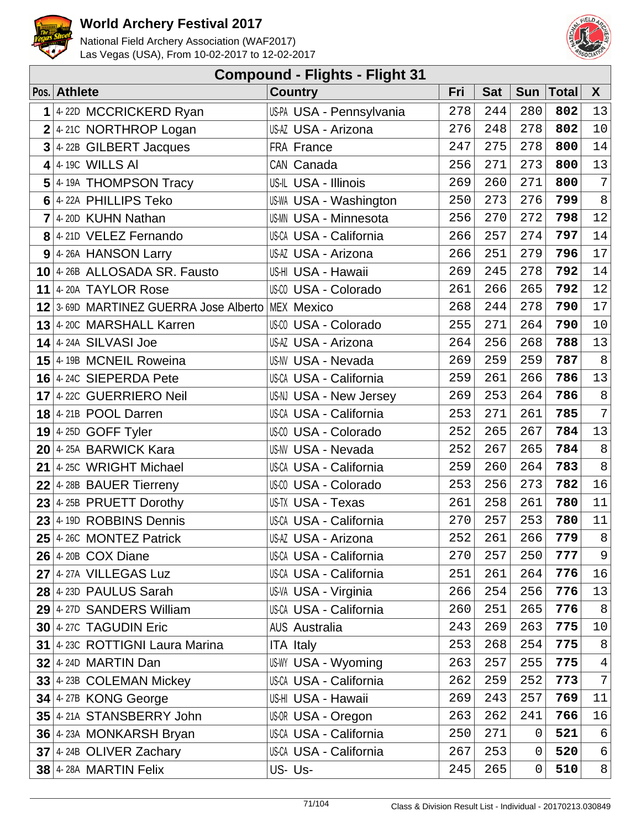



| <b>Compound - Flights - Flight 31</b> |                                       |                               |     |            |             |              |                |  |  |  |
|---------------------------------------|---------------------------------------|-------------------------------|-----|------------|-------------|--------------|----------------|--|--|--|
|                                       | Pos. Athlete                          | <b>Country</b>                | Fri | <b>Sat</b> | <b>Sun</b>  | <b>Total</b> | X              |  |  |  |
| 1                                     | 4-22D MCCRICKERD Ryan                 | US-PA USA - Pennsylvania      | 278 | 244        | 280         | 802          | 13             |  |  |  |
|                                       | $2$ 4-210 NORTHROP Logan              | US-AZ USA - Arizona           | 276 | 248        | 278         | 802          | 10             |  |  |  |
| 3                                     | 4-22B GILBERT Jacques                 | FRA France                    | 247 | 275        | 278         | 800          | 14             |  |  |  |
|                                       | $4$ 4-19C WILLS AI                    | CAN Canada                    | 256 | 271        | 273         | 800          | 13             |  |  |  |
|                                       | $5$ 4-19A THOMPSON Tracy              | US-IL USA - Illinois          | 269 | 260        | 271         | 800          | 7              |  |  |  |
|                                       | 6 4-22A PHILLIPS Teko                 | US-WA USA - Washington        | 250 | 273        | 276         | 799          | 8              |  |  |  |
|                                       | $7$ 4-20D KUHN Nathan                 | <b>US-MN USA - Minnesota</b>  | 256 | 270        | 272         | 798          | $12\,$         |  |  |  |
|                                       | 8 4-210 VELEZ Fernando                | <b>US-CA USA - California</b> | 266 | 257        | 274         | 797          | 14             |  |  |  |
|                                       | 9 4-26A HANSON Larry                  | US-AZ USA - Arizona           | 266 | 251        | 279         | 796          | $17$           |  |  |  |
|                                       | 10 4-26B ALLOSADA SR. Fausto          | US-HI USA - Hawaii            | 269 | 245        | 278         | 792          | 14             |  |  |  |
|                                       | 11 4-20A TAYLOR Rose                  | US-CO USA - Colorado          | 261 | 266        | 265         | 792          | 12             |  |  |  |
|                                       | 12 3-69D MARTINEZ GUERRA Jose Alberto | MEX Mexico                    | 268 | 244        | 278         | 790          | 17             |  |  |  |
|                                       | $13$ 4-20C MARSHALL Karren            | US-CO USA - Colorado          | 255 | 271        | 264         | 790          | $10$           |  |  |  |
|                                       | $14$ 4-24A SILVASI Joe                | US-AZ USA - Arizona           | 264 | 256        | 268         | 788          | 13             |  |  |  |
|                                       | 15 4-19B MCNEIL Roweina               | <b>US-NV USA - Nevada</b>     | 269 | 259        | 259         | 787          | $8\,$          |  |  |  |
|                                       | 16 $4$ -24C SIEPERDA Pete             | US-CA USA - California        | 259 | 261        | 266         | 786          | 13             |  |  |  |
|                                       | 17 4-22C GUERRIERO Neil               | US-NJ USA - New Jersey        | 269 | 253        | 264         | 786          | $\,8\,$        |  |  |  |
|                                       | $18$ 4-21B POOL Darren                | <b>US-CA USA - California</b> | 253 | 271        | 261         | 785          | $\overline{7}$ |  |  |  |
|                                       | $19$ 4-25D GOFF Tyler                 | US-CO USA - Colorado          | 252 | 265        | 267         | 784          | 13             |  |  |  |
|                                       | 20 4-25A BARWICK Kara                 | <b>US-NV USA - Nevada</b>     | 252 | 267        | 265         | 784          | $\,8\,$        |  |  |  |
|                                       | 21 4-25C WRIGHT Michael               | <b>US-CA USA - California</b> | 259 | 260        | 264         | 783          | $8\,$          |  |  |  |
|                                       | $22$ 4-28B BAUER Tierreny             | US-00 USA - Colorado          | 253 | 256        | 273         | 782          | $16\,$         |  |  |  |
|                                       | 23 4-25B PRUETT Dorothy               | US-TX USA - Texas             | 261 | 258        | 261         | 780          | 11             |  |  |  |
| 23                                    | 4-19D ROBBINS Dennis                  | US-CA USA - California        | 270 | 257        | 253         | 780          | $11\,$         |  |  |  |
|                                       | $25$ 4-26C MONTEZ Patrick             | US-AZ USA - Arizona           | 252 | 261        | 266         | 779          | $\,8\,$        |  |  |  |
|                                       | $26$ 4-20B COX Diane                  | <b>US-CA USA - California</b> | 270 | 257        | 250         | 777          | 9              |  |  |  |
|                                       | 27 4-27A VILLEGAS Luz                 | <b>US-CA USA - California</b> | 251 | 261        | 264         | 776          | 16             |  |  |  |
|                                       | $28$ 4-23D PAULUS Sarah               | US-VA USA - Virginia          | 266 | 254        | 256         | 776          | 13             |  |  |  |
|                                       | 29 4-27D SANDERS William              | US-CA USA - California        | 260 | 251        | 265         | 776          | 8              |  |  |  |
|                                       | 30 4-27C TAGUDIN Eric                 | <b>AUS Australia</b>          | 243 | 269        | 263         | 775          | 10             |  |  |  |
|                                       | 31 4-23C ROTTIGNI Laura Marina        | <b>ITA Italy</b>              | 253 | 268        | 254         | 775          | $\,8\,$        |  |  |  |
|                                       | $32$ 4-24D MARTIN Dan                 | <b>US-WY USA - Wyoming</b>    | 263 | 257        | 255         | 775          | $\overline{4}$ |  |  |  |
|                                       | $33$ 4-23B COLEMAN Mickey             | US-CA USA - California        | 262 | 259        | 252         | 773          | $\overline{7}$ |  |  |  |
|                                       | 34 4-27B KONG George                  | US-HI USA - Hawaii            | 269 | 243        | 257         | 769          | 11             |  |  |  |
|                                       | 35 4-21A STANSBERRY John              | US-OR USA - Oregon            | 263 | 262        | 241         | 766          | 16             |  |  |  |
|                                       | 36 4-23A MONKARSH Bryan               | US-CA USA - California        | 250 | 271        | 0           | 521          | 6              |  |  |  |
|                                       | $37$ 4-24B OLIVER Zachary             | US-CA USA - California        | 267 | 253        | $\mathbf 0$ | 520          | $\epsilon$     |  |  |  |
|                                       | 38 4-28A MARTIN Felix                 | US-Us-                        | 245 | 265        | 0           | 510          | 8              |  |  |  |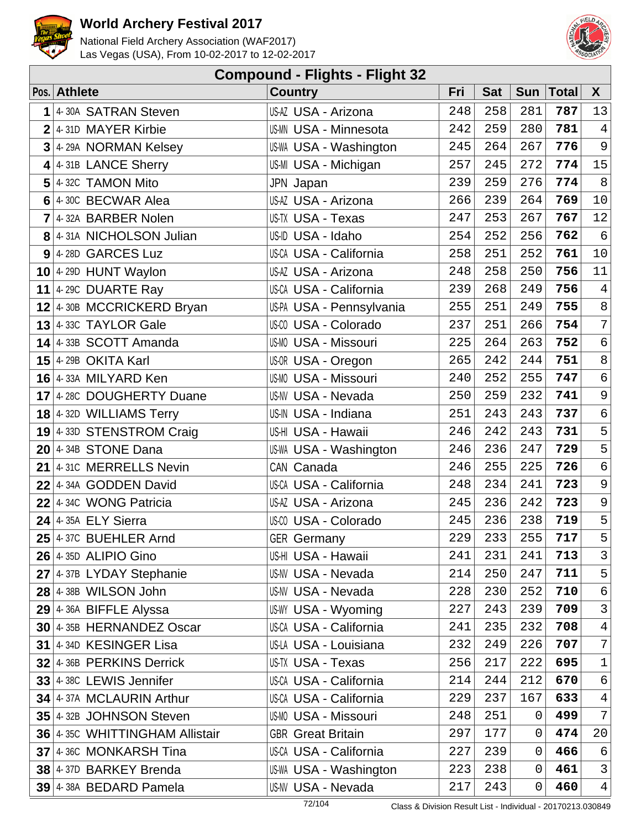



| <b>Compound - Flights - Flight 32</b> |                                |                               |     |            |            |              |                |  |  |  |
|---------------------------------------|--------------------------------|-------------------------------|-----|------------|------------|--------------|----------------|--|--|--|
|                                       | Pos. Athlete                   | <b>Country</b>                | Fri | <b>Sat</b> | <b>Sun</b> | <b>Total</b> | $\mathsf{X}$   |  |  |  |
| 1                                     | 4-30A SATRAN Steven            | US-AZ USA - Arizona           | 248 | 258        | 281        | 787          | 13             |  |  |  |
|                                       | 2 4-31D MAYER Kirbie           | <b>US-MN USA - Minnesota</b>  | 242 | 259        | 280        | 781          | $\overline{4}$ |  |  |  |
| 3                                     | 4-29A NORMAN Kelsey            | <b>US-WA USA - Washington</b> | 245 | 264        | 267        | 776          | 9              |  |  |  |
| 4                                     | 4-31B LANCE Sherry             | US-MI USA - Michigan          | 257 | 245        | 272        | 774          | 15             |  |  |  |
| 5                                     | 4-32C TAMON Mito               | JPN Japan                     | 239 | 259        | 276        | 774          | $8\,$          |  |  |  |
|                                       | 6 4-30C BECWAR Alea            | US-AZ USA - Arizona           | 266 | 239        | 264        | 769          | $10$           |  |  |  |
| $\overline{7}$                        | 4-32A BARBER Nolen             | US-TX USA - Texas             | 247 | 253        | 267        | 767          | 12             |  |  |  |
|                                       | 8 4-31A NICHOLSON Julian       | US-ID USA - Idaho             | 254 | 252        | 256        | 762          | $\epsilon$     |  |  |  |
|                                       | $9$ 4-28D GARCES Luz           | <b>US-CA USA - California</b> | 258 | 251        | 252        | 761          | 10             |  |  |  |
|                                       | $10$ 4-29D HUNT Waylon         | US-AZ USA - Arizona           | 248 | 258        | 250        | 756          | 11             |  |  |  |
|                                       | 11 4-29C DUARTE Ray            | <b>US-CA USA - California</b> | 239 | 268        | 249        | 756          | $\,4$          |  |  |  |
|                                       | 12 4-30B MCCRICKERD Bryan      | US-PA USA - Pennsylvania      | 255 | 251        | 249        | 755          | $\,8\,$        |  |  |  |
|                                       | $13$ 4-33C TAYLOR Gale         | US-CO USA - Colorado          | 237 | 251        | 266        | 754          | $\overline{7}$ |  |  |  |
|                                       | 14 4-33B SCOTT Amanda          | US-MO USA - Missouri          | 225 | 264        | 263        | 752          | $\epsilon$     |  |  |  |
|                                       | 15 4-29B OKITA Karl            | US-OR USA - Oregon            | 265 | 242        | 244        | 751          | $\,8\,$        |  |  |  |
|                                       | 16 4-33A MILYARD Ken           | US-MO USA - Missouri          | 240 | 252        | 255        | 747          | $\epsilon$     |  |  |  |
|                                       | 17 4-28C DOUGHERTY Duane       | <b>US-NV USA - Nevada</b>     | 250 | 259        | 232        | 741          | 9              |  |  |  |
|                                       | 18 $4 - 32D$ WILLIAMS Terry    | US-IN USA - Indiana           | 251 | 243        | 243        | 737          | $\epsilon$     |  |  |  |
|                                       | 19 4-33D STENSTROM Craig       | US-HI USA - Hawaii            | 246 | 242        | 243        | 731          | 5              |  |  |  |
|                                       | $20$ 4-34B STONE Dana          | <b>US-WA USA - Washington</b> | 246 | 236        | 247        | 729          | 5              |  |  |  |
| 21                                    | 4-31C MERRELLS Nevin           | CAN Canada                    | 246 | 255        | 225        | 726          | $\epsilon$     |  |  |  |
| 22                                    | 4-34A GODDEN David             | US-CA USA - California        | 248 | 234        | 241        | 723          | $\mathsf 9$    |  |  |  |
|                                       | 22 4-34C WONG Patricia         | US-AZ USA - Arizona           | 245 | 236        | 242        | 723          | 9              |  |  |  |
| 24                                    | 4-35A ELY Sierra               | US-00 USA - Colorado          | 245 | 236        | 238        | 719          | 5              |  |  |  |
|                                       | $25$ 4-37C BUEHLER Arnd        | <b>GER</b> Germany            | 229 | 233        | 255        | 717          | 5              |  |  |  |
|                                       | $26$ 4-35D ALIPIO Gino         | US-HI USA - Hawaii            | 241 | 231        | 241        | 713          | $\mathsf{3}$   |  |  |  |
|                                       | $27$ 4-37B LYDAY Stephanie     | <b>US-NV USA - Nevada</b>     | 214 | 250        | 247        | 711          | 5              |  |  |  |
|                                       | $28$ 4-38B WILSON John         | <b>US-NV USA - Nevada</b>     | 228 | 230        | 252        | 710          | $\sqrt{6}$     |  |  |  |
|                                       | $29$ 4-36A BIFFLE Alyssa       | US-WY USA - Wyoming           | 227 | 243        | 239        | 709          | $\mathsf{3}$   |  |  |  |
|                                       | 30 4-35B HERNANDEZ Oscar       | <b>US-CA USA - California</b> | 241 | 235        | 232        | 708          | $\overline{4}$ |  |  |  |
|                                       | 31 4-34D KESINGER Lisa         | US-LA USA - Louisiana         | 232 | 249        | 226        | 707          | 7 <sup>1</sup> |  |  |  |
|                                       | 32 4-36B PERKINS Derrick       | US-TX USA - Texas             | 256 | 217        | 222        | 695          | $\mathbf 1$    |  |  |  |
|                                       | $33$ 4-38C LEWIS Jennifer      | <b>US-CA USA - California</b> | 214 | 244        | 212        | 670          | 6              |  |  |  |
|                                       | 34 4-37A MCLAURIN Arthur       | <b>US-CA USA - California</b> | 229 | 237        | 167        | 633          | $4\,$          |  |  |  |
|                                       | 35 4-32B JOHNSON Steven        | US-MO USA - Missouri          | 248 | 251        | 0          | 499          | 7 <sup>1</sup> |  |  |  |
|                                       | 36 4-35C WHITTINGHAM Allistair | <b>GBR</b> Great Britain      | 297 | 177        | 0          | 474          | 20             |  |  |  |
|                                       | 37 4-36C MONKARSH Tina         | <b>US-CA USA - California</b> | 227 | 239        | 0          | 466          | $\sqrt{6}$     |  |  |  |
|                                       | 38 4-37D BARKEY Brenda         | US-WA USA - Washington        | 223 | 238        | 0          | 461          | 3              |  |  |  |
|                                       | 39 4-38A BEDARD Pamela         | US-NV USA - Nevada            | 217 | 243        | 0          | 460          | $4\vert$       |  |  |  |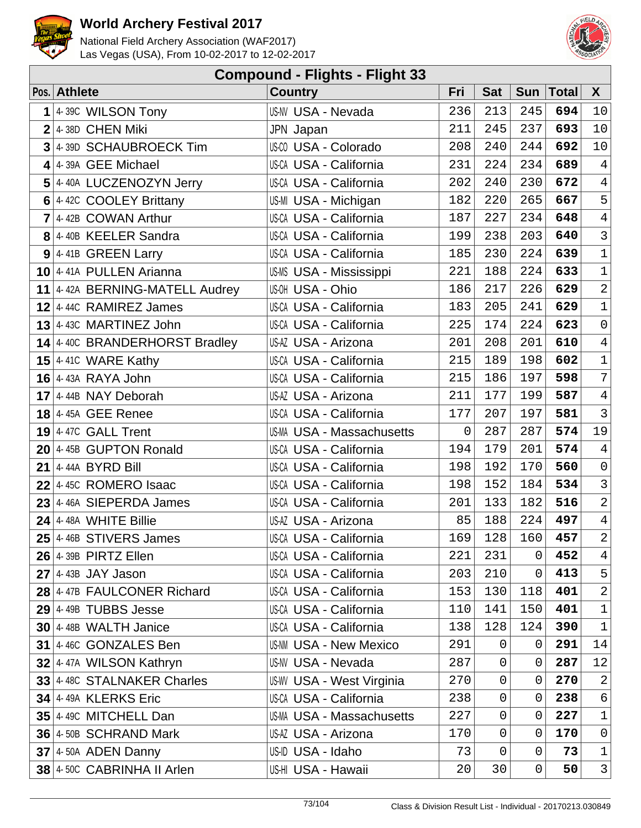



| <b>Compound - Flights - Flight 33</b> |                                |                                  |     |                |                |              |                     |  |  |  |
|---------------------------------------|--------------------------------|----------------------------------|-----|----------------|----------------|--------------|---------------------|--|--|--|
|                                       | Pos. Athlete                   | <b>Country</b>                   | Fri | <b>Sat</b>     | <b>Sun</b>     | <b>Total</b> | $\boldsymbol{X}$    |  |  |  |
| 1                                     | 4-39C WILSON Tony              | US-NV USA - Nevada               | 236 | 213            | 245            | 694          | 10                  |  |  |  |
|                                       | $2$ 4-38D CHEN Miki            | JPN Japan                        | 211 | 245            | 237            | 693          | 10                  |  |  |  |
| 3                                     | 4-39D SCHAUBROECK Tim          | US-CO USA - Colorado             | 208 | 240            | 244            | 692          | $10$                |  |  |  |
| 4                                     | 4-39A GEE Michael              | US-CA USA - California           | 231 | 224            | 234            | 689          | $\,4$               |  |  |  |
| 5                                     | 4-40A LUCZENOZYN Jerry         | US-CA USA - California           | 202 | 240            | 230            | 672          | $\overline{4}$      |  |  |  |
|                                       | 6 4-42C COOLEY Brittany        | US-MI USA - Michigan             | 182 | 220            | 265            | 667          | 5                   |  |  |  |
| $\overline{7}$                        | 4-42B COWAN Arthur             | <b>US-CA USA - California</b>    | 187 | 227            | 234            | 648          | $\overline{4}$      |  |  |  |
|                                       | 8 4-40B KEELER Sandra          | <b>US-CA USA - California</b>    | 199 | 238            | 203            | 640          | $\mathfrak{Z}$      |  |  |  |
|                                       | $9$ 4-41B GREEN Larry          | <b>US-CA USA - California</b>    | 185 | 230            | 224            | 639          | $\mathbf 1$         |  |  |  |
|                                       | $10$ 4-41A PULLEN Arianna      | US-MS USA - Mississippi          | 221 | 188            | 224            | 633          | $\mathbf 1$         |  |  |  |
|                                       | 11 4-42A BERNING-MATELL Audrey | US-OH USA - Ohio                 | 186 | 217            | 226            | 629          | $\overline{a}$      |  |  |  |
|                                       | $12$ 4-44C RAMIREZ James       | US-CA USA - California           | 183 | 205            | 241            | 629          | $\mathbf 1$         |  |  |  |
|                                       | $13$ 4-43C MARTINEZ John       | <b>US-CA USA - California</b>    | 225 | 174            | 224            | 623          | $\mathsf{O}\xspace$ |  |  |  |
|                                       | 14 4-40C BRANDERHORST Bradley  | US-AZ USA - Arizona              | 201 | 208            | 201            | 610          | $\overline{4}$      |  |  |  |
|                                       | 15 4-410 WARE Kathy            | <b>US-CA USA - California</b>    | 215 | 189            | 198            | 602          | $\mathbf 1$         |  |  |  |
|                                       | $16$ 4-43A RAYA John           | US-CA USA - California           | 215 | 186            | 197            | 598          | $\overline{7}$      |  |  |  |
|                                       | $17$ 4-44B NAY Deborah         | US-AZ USA - Arizona              | 211 | 177            | 199            | 587          | $\overline{4}$      |  |  |  |
|                                       | $18$ 4-45A GEE Renee           | <b>US-CA USA - California</b>    | 177 | 207            | 197            | 581          | $\mathfrak{Z}$      |  |  |  |
|                                       | $19$ 4-47C GALL Trent          | <b>US-MA USA - Massachusetts</b> | 0   | 287            | 287            | 574          | 19                  |  |  |  |
|                                       | 20 4-45B GUPTON Ronald         | <b>US-CA USA - California</b>    | 194 | 179            | 201            | 574          | $\overline{4}$      |  |  |  |
| 21                                    | 4-44A BYRD Bill                | <b>US-CA USA - California</b>    | 198 | 192            | 170            | 560          | $\mbox{O}$          |  |  |  |
|                                       | $22$ 4-45C ROMERO Isaac        | US-CA USA - California           | 198 | 152            | 184            | 534          | $\mathbf{3}$        |  |  |  |
|                                       | $23$ 4-46A SIEPERDA James      | US-CA USA - California           | 201 | 133            | 182            | 516          | $\overline{a}$      |  |  |  |
| 24                                    | 4-48A WHITE Billie             | US-AZ USA - Arizona              | 85  | 188            | 224            | 497          | $\overline{4}$      |  |  |  |
|                                       | $25$ 4-46B STIVERS James       | US-CA USA - California           | 169 |                | $128$ 160      | 457          | $\overline{2}$      |  |  |  |
|                                       | $26$ 4-39B PIRTZ Ellen         | <b>US-CA USA - California</b>    | 221 | 231            | 0              | 452          | $\overline{4}$      |  |  |  |
|                                       | $27$ 4-43B JAY Jason           | US-CA USA - California           | 203 | 210            | $\overline{0}$ | 413          | 5                   |  |  |  |
|                                       | 28 4-47B FAULCONER Richard     | <b>US-CA USA - California</b>    | 153 | 130            | 118            | 401          | $\sqrt{2}$          |  |  |  |
|                                       | $29$ 4-49B TUBBS Jesse         | US-CA USA - California           | 110 | 141            | 150            | 401          | $\mathbf 1$         |  |  |  |
|                                       | $30$   4-48B WALTH Janice      | US-CA USA - California           | 138 | 128            | 124            | 390          | $\mathbf{1}$        |  |  |  |
|                                       | 31 4-46C GONZALES Ben          | <b>US-NM USA - New Mexico</b>    | 291 | 0              | 0              | 291          | 14                  |  |  |  |
|                                       | 32 4-47A WILSON Kathryn        | US-NV USA - Nevada               | 287 | $\mathbf 0$    | $\mathbf 0$    | 287          | 12                  |  |  |  |
|                                       | 33 4-48C STALNAKER Charles     | US-WV USA - West Virginia        | 270 | $\mathsf 0$    | $\mathbf 0$    | 270          | $\sqrt{2}$          |  |  |  |
|                                       | 34 4-49A KLERKS Eric           | <b>US-CA USA - California</b>    | 238 | $\mathbf 0$    | $\overline{0}$ | 238          | $\epsilon$          |  |  |  |
|                                       | 35 4-49C MITCHELL Dan          | US-MA USA - Massachusetts        | 227 | $\overline{0}$ | $\overline{0}$ | 227          | $\mathbf 1$         |  |  |  |
|                                       | 36 4-50B SCHRAND Mark          | US-AZ USA - Arizona              | 170 | 0              | 0              | 170          | $\mathsf 0$         |  |  |  |
|                                       | $37$ 4-50A ADEN Danny          | US-ID USA - Idaho                | 73  | 0              | $\mathbf 0$    | 73           | $\mathbf 1$         |  |  |  |
|                                       | 38 4-50C CABRINHA II Arlen     | US-HI USA - Hawaii               | 20  | 30             | $\mathbf 0$    | 50           | 3                   |  |  |  |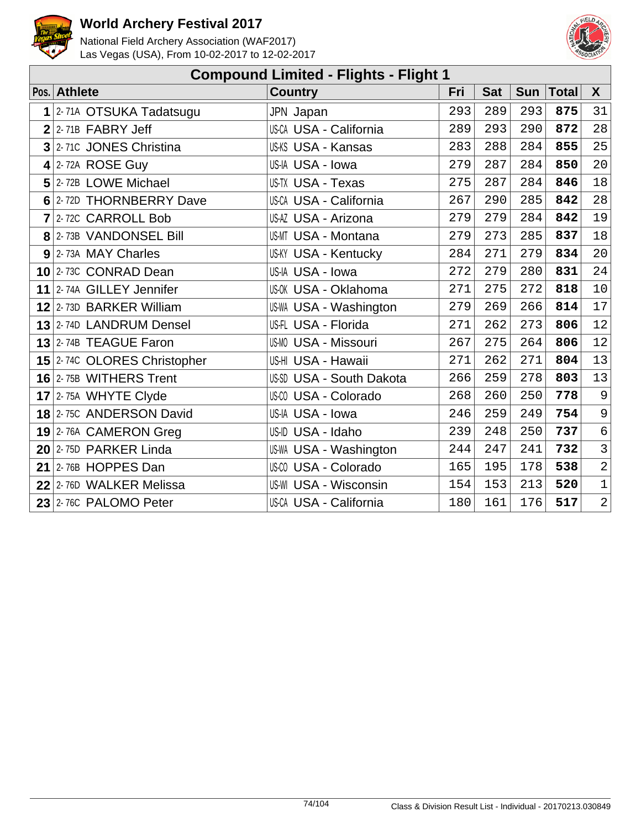



| <b>Compound Limited - Flights - Flight 1</b> |                               |     |            |            |              |                |  |  |  |  |
|----------------------------------------------|-------------------------------|-----|------------|------------|--------------|----------------|--|--|--|--|
| Pos. Athlete                                 | <b>Country</b>                | Fri | <b>Sat</b> | <b>Sun</b> | <b>Total</b> | $\mathsf{X}$   |  |  |  |  |
| 1 2-71A OTSUKA Tadatsugu                     | JPN Japan                     | 293 | 289        | 293        | 875          | 31             |  |  |  |  |
| $2$ 2-71B FABRY Jeff                         | US-CA USA - California        | 289 | 293        | 290        | 872          | 28             |  |  |  |  |
| $3$ 2-710 JONES Christina                    | US-KS USA - Kansas            | 283 | 288        | 284        | 855          | 25             |  |  |  |  |
| $4$ 2-72A ROSE Guy                           | US-IA USA - Iowa              | 279 | 287        | 284        | 850          | 20             |  |  |  |  |
| 5 2-72B LOWE Michael                         | US-TX USA - Texas             | 275 | 287        | 284        | 846          | $18\,$         |  |  |  |  |
| 6 2-72D THORNBERRY Dave                      | <b>US-CA USA - California</b> | 267 | 290        | 285        | 842          | $2\sqrt{8}$    |  |  |  |  |
| 7 2-72C CARROLL Bob                          | US-AZ USA - Arizona           | 279 | 279        | 284        | 842          | 19             |  |  |  |  |
| 8 2-73B VANDONSEL Bill                       | <b>US-MT USA - Montana</b>    | 279 | 273        | 285        | 837          | $18\,$         |  |  |  |  |
| $9$ 2-73A MAY Charles                        | <b>US-KY USA - Kentucky</b>   | 284 | 271        | 279        | 834          | 20             |  |  |  |  |
| 10 2-73C CONRAD Dean                         | US-IA USA - Iowa              | 272 | 279        | 280        | 831          | 24             |  |  |  |  |
| 11 2-74A GILLEY Jennifer                     | US-OK USA - Oklahoma          | 271 | 275        | 272        | 818          | $10\,$         |  |  |  |  |
| 12 2-73D BARKER William                      | US-WA USA - Washington        | 279 | 269        | 266        | 814          | $17$           |  |  |  |  |
| 13 2-74D LANDRUM Densel                      | US-FL USA - Florida           | 271 | 262        | 273        | 806          | 12             |  |  |  |  |
| 13 2-74B TEAGUE Faron                        | <b>US-MO USA - Missouri</b>   | 267 | 275        | 264        | 806          | 12             |  |  |  |  |
| 15 2-74C OLORES Christopher                  | US-HI USA - Hawaii            | 271 | 262        | 271        | 804          | 13             |  |  |  |  |
| 16 2-75B WITHERS Trent                       | US-SD USA - South Dakota      | 266 | 259        | 278        | 803          | 13             |  |  |  |  |
| 17 2-75A WHYTE Clyde                         | US-CO USA - Colorado          | 268 | 260        | 250        | 778          | $\mathsf 9$    |  |  |  |  |
| 18 2-75C ANDERSON David                      | US-IA USA - Iowa              | 246 | 259        | 249        | 754          | 9              |  |  |  |  |
| 19 2-76A CAMERON Greg                        | US-ID USA - Idaho             | 239 | 248        | 250        | 737          | $\sqrt{6}$     |  |  |  |  |
| 20 2-75D PARKER Linda                        | US-WA USA - Washington        | 244 | 247        | 241        | 732          | $\overline{3}$ |  |  |  |  |
| 21 $ 2-76B$ HOPPES Dan                       | US-CO USA - Colorado          | 165 | 195        | 178        | 538          | $\overline{2}$ |  |  |  |  |
| 22 2-76D WALKER Melissa                      | <b>US-WI USA - Wisconsin</b>  | 154 | 153        | 213        | 520          | $\mathbf{1}$   |  |  |  |  |
| 23 2-76C PALOMO Peter                        | <b>US-CA USA - California</b> | 180 | 161        | 176        | 517          | $\overline{2}$ |  |  |  |  |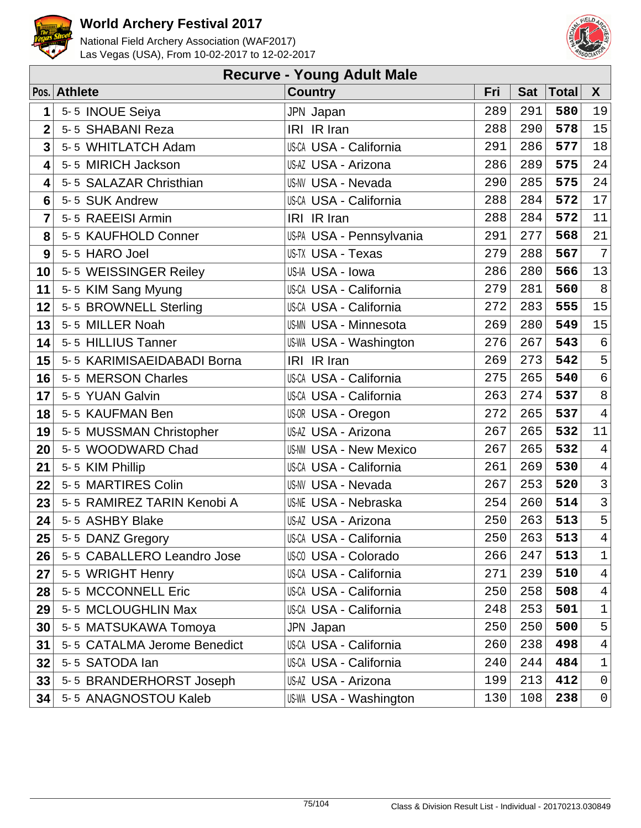



|                         | <b>Recurve - Young Adult Male</b> |                               |     |            |              |                |  |  |  |  |
|-------------------------|-----------------------------------|-------------------------------|-----|------------|--------------|----------------|--|--|--|--|
|                         | Pos. Athlete                      | <b>Country</b>                | Fri | <b>Sat</b> | <b>Total</b> | $\mathsf{X}$   |  |  |  |  |
| 1                       | 5-5 INOUE Seiya                   | JPN Japan                     | 289 | 291        | 580          | 19             |  |  |  |  |
| $\overline{2}$          | 5-5 SHABANI Reza                  | IRI IR Iran                   | 288 | 290        | 578          | 15             |  |  |  |  |
| $\overline{\mathbf{3}}$ | 5-5 WHITLATCH Adam                | US-CA USA - California        | 291 | 286        | 577          | 18             |  |  |  |  |
| 4                       | 5-5 MIRICH Jackson                | US-AZ USA - Arizona           | 286 | 289        | 575          | 24             |  |  |  |  |
| 4                       | 5-5 SALAZAR Christhian            | <b>US-NV USA - Nevada</b>     | 290 | 285        | 575          | 24             |  |  |  |  |
| 6                       | 5-5 SUK Andrew                    | <b>US-CA USA - California</b> | 288 | 284        | 572          | 17             |  |  |  |  |
| $\overline{7}$          | 5-5 RAEEISI Armin                 | IRI IR Iran                   | 288 | 284        | 572          | 11             |  |  |  |  |
| 8                       | 5-5 KAUFHOLD Conner               | US-PA USA - Pennsylvania      | 291 | 277        | 568          | 21             |  |  |  |  |
| 9                       | 5-5 HARO Joel                     | US-TX USA - Texas             | 279 | 288        | 567          | $\overline{7}$ |  |  |  |  |
| 10                      | 5-5 WEISSINGER Reiley             | US-IA USA - Iowa              | 286 | 280        | 566          | 13             |  |  |  |  |
| 11                      | 5-5 KIM Sang Myung                | US-CA USA - California        | 279 | 281        | 560          | $\,8\,$        |  |  |  |  |
| 12                      | 5-5 BROWNELL Sterling             | US-CA USA - California        | 272 | 283        | 555          | 15             |  |  |  |  |
| 13                      | 5-5 MILLER Noah                   | <b>US-MN USA - Minnesota</b>  | 269 | 280        | 549          | 15             |  |  |  |  |
| 14                      | 5-5 HILLIUS Tanner                | US-WA USA - Washington        | 276 | 267        | 543          | $\epsilon$     |  |  |  |  |
| 15                      | 5-5 KARIMISAEIDABADI Borna        | IRI IR Iran                   | 269 | 273        | 542          | 5              |  |  |  |  |
| 16                      | 5-5 MERSON Charles                | US-CA USA - California        | 275 | 265        | 540          | $\epsilon$     |  |  |  |  |
| 17                      | 5-5 YUAN Galvin                   | <b>US-CA USA - California</b> | 263 | 274        | 537          | $\,8\,$        |  |  |  |  |
| 18                      | 5-5 KAUFMAN Ben                   | US-OR USA - Oregon            | 272 | 265        | 537          | $\overline{4}$ |  |  |  |  |
| 19                      | 5-5 MUSSMAN Christopher           | <b>US-AZ USA - Arizona</b>    | 267 | 265        | 532          | 11             |  |  |  |  |
| 20                      | 5-5 WOODWARD Chad                 | <b>US-NM USA - New Mexico</b> | 267 | 265        | 532          | $\overline{4}$ |  |  |  |  |
| 21                      | 5-5 KIM Phillip                   | <b>US-CA USA - California</b> | 261 | 269        | 530          | $\sqrt{4}$     |  |  |  |  |
| 22                      | 5-5 MARTIRES Colin                | <b>US-NV USA - Nevada</b>     | 267 | 253        | 520          | $\mathsf 3$    |  |  |  |  |
| 23                      | 5-5 RAMIREZ TARIN Kenobi A        | <b>US-NE USA - Nebraska</b>   | 254 | 260        | 514          | $\overline{3}$ |  |  |  |  |
| 24                      | 5-5 ASHBY Blake                   | US-AZ USA - Arizona           | 250 | 263        | 513          | 5              |  |  |  |  |
| 25                      | 5-5 DANZ Gregory                  | US-CA USA - California        | 250 | 263        | 513          | $\overline{4}$ |  |  |  |  |
| 26                      | 5-5 CABALLERO Leandro Jose        | US-CO USA - Colorado          | 266 | 247        | 513          | $\mathbf 1$    |  |  |  |  |
| 27                      | 5-5 WRIGHT Henry                  | <b>US-CA USA - California</b> | 271 | 239        | 510          | $\overline{4}$ |  |  |  |  |
| 28                      | 5-5 MCCONNELL Eric                | <b>US-CA USA - California</b> | 250 | 258        | 508          | 4              |  |  |  |  |
| 29                      | 5-5 MCLOUGHLIN Max                | <b>US-CA USA - California</b> | 248 | 253        | 501          | $\mathbf 1$    |  |  |  |  |
| 30                      | 5-5 MATSUKAWA Tomoya              | JPN Japan                     | 250 | 250        | 500          | 5              |  |  |  |  |
| 31                      | 5-5 CATALMA Jerome Benedict       | <b>US-CA USA - California</b> | 260 | 238        | 498          | $\overline{4}$ |  |  |  |  |
| 32                      | 5-5 SATODA lan                    | <b>US-CA USA - California</b> | 240 | 244        | 484          | $\mathbf 1$    |  |  |  |  |
| 33                      | 5-5 BRANDERHORST Joseph           | US-AZ USA - Arizona           | 199 | 213        | 412          | 0              |  |  |  |  |
| 34                      | 5-5 ANAGNOSTOU Kaleb              | US-WA USA - Washington        | 130 | 108        | 238          | 0              |  |  |  |  |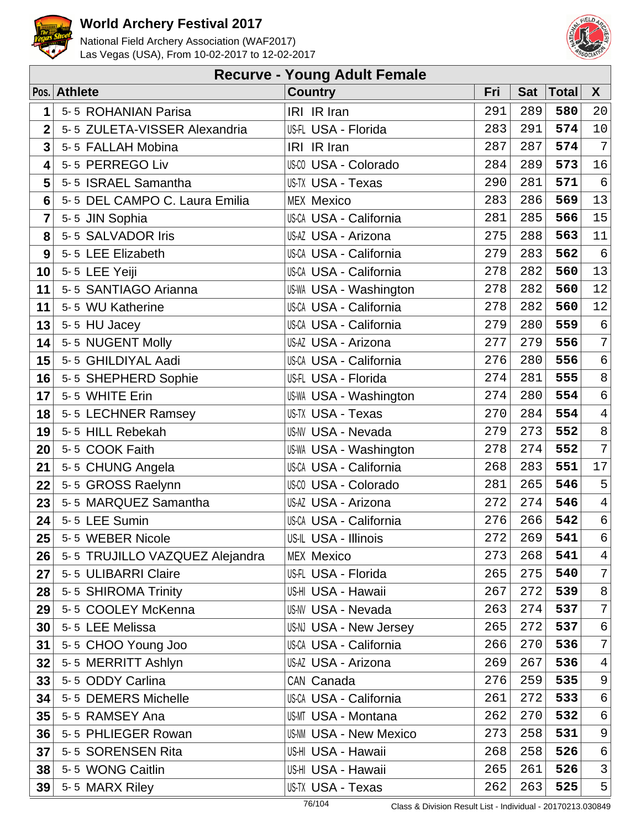



|                | <b>Recurve - Young Adult Female</b> |                               |     |            |              |                |  |  |  |  |
|----------------|-------------------------------------|-------------------------------|-----|------------|--------------|----------------|--|--|--|--|
|                | Pos. Athlete                        | <b>Country</b>                | Fri | <b>Sat</b> | <b>Total</b> | $\mathsf{X}$   |  |  |  |  |
| 1              | 5-5 ROHANIAN Parisa                 | IRI IR Iran                   | 291 | 289        | 580          | 20             |  |  |  |  |
| $\overline{2}$ | 5-5 ZULETA-VISSER Alexandria        | US-FL USA - Florida           | 283 | 291        | 574          | $10$           |  |  |  |  |
| 3              | 5-5 FALLAH Mobina                   | IRI IR Iran                   | 287 | 287        | 574          | $\overline{7}$ |  |  |  |  |
| 4              | 5-5 PERREGO Liv                     | US-CO USA - Colorado          | 284 | 289        | 573          | 16             |  |  |  |  |
| 5              | 5-5 ISRAEL Samantha                 | US-TX USA - Texas             | 290 | 281        | 571          | $\epsilon$     |  |  |  |  |
| 6              | 5-5 DEL CAMPO C. Laura Emilia       | <b>MEX Mexico</b>             | 283 | 286        | 569          | 13             |  |  |  |  |
| 7              | 5-5 JIN Sophia                      | US-CA USA - California        | 281 | 285        | 566          | 15             |  |  |  |  |
| 8              | 5-5 SALVADOR Iris                   | US-AZ USA - Arizona           | 275 | 288        | 563          | 11             |  |  |  |  |
| 9              | 5-5 LEE Elizabeth                   | <b>US-CA USA - California</b> | 279 | 283        | 562          | $\epsilon$     |  |  |  |  |
| 10             | 5-5 LEE Yeiji                       | <b>US-CA USA - California</b> | 278 | 282        | 560          | 13             |  |  |  |  |
| 11             | 5-5 SANTIAGO Arianna                | <b>US-WA USA - Washington</b> | 278 | 282        | 560          | 12             |  |  |  |  |
| 11             | 5-5 WU Katherine                    | <b>US-CA USA - California</b> | 278 | 282        | 560          | 12             |  |  |  |  |
| 13             | 5-5 HU Jacey                        | <b>US-CA USA - California</b> | 279 | 280        | 559          | $\epsilon$     |  |  |  |  |
| 14             | 5-5 NUGENT Molly                    | US-AZ USA - Arizona           | 277 | 279        | 556          | $\overline{7}$ |  |  |  |  |
| 15             | 5-5 GHILDIYAL Aadi                  | <b>US-CA USA - California</b> | 276 | 280        | 556          | $\epsilon$     |  |  |  |  |
| 16             | 5-5 SHEPHERD Sophie                 | US-FL USA - Florida           | 274 | 281        | 555          | $\,8\,$        |  |  |  |  |
| 17             | 5-5 WHITE Erin                      | <b>US-WA USA - Washington</b> | 274 | 280        | 554          | $\epsilon$     |  |  |  |  |
| 18             | 5-5 LECHNER Ramsey                  | US-TX USA - Texas             | 270 | 284        | 554          | $\overline{4}$ |  |  |  |  |
| 19             | 5-5 HILL Rebekah                    | <b>US-NV USA - Nevada</b>     | 279 | 273        | 552          | 8              |  |  |  |  |
| 20             | 5-5 COOK Faith                      | <b>US-WA USA - Washington</b> | 278 | 274        | 552          | $\overline{7}$ |  |  |  |  |
| 21             | 5-5 CHUNG Angela                    | US-CA USA - California        | 268 | 283        | 551          | $17$           |  |  |  |  |
| 22             | 5-5 GROSS Raelynn                   | US-CO USA - Colorado          | 281 | 265        | 546          | 5              |  |  |  |  |
| 23             | 5-5 MARQUEZ Samantha                | US-AZ USA - Arizona           | 272 | 274        | 546          | $\sqrt{4}$     |  |  |  |  |
| 24             | 5-5 LEE Sumin                       | US-CA USA - California        | 276 | 266        | 542          | $\epsilon$     |  |  |  |  |
| 25             | 5-5 WEBER Nicole                    | US-IL USA - Illinois          | 272 | 269        | 541          | $6 \mid$       |  |  |  |  |
| 26             | 5-5 TRUJILLO VAZQUEZ Alejandra      | <b>MEX Mexico</b>             | 273 | 268        | 541          | $\overline{4}$ |  |  |  |  |
| 27             | 5-5 ULIBARRI Claire                 | US-FL USA - Florida           | 265 | 275        | 540          | 7 <sup>1</sup> |  |  |  |  |
| 28             | 5-5 SHIROMA Trinity                 | US-HI USA - Hawaii            | 267 | 272        | 539          | 8              |  |  |  |  |
| 29             | 5-5 COOLEY McKenna                  | <b>US-NV USA - Nevada</b>     | 263 | 274        | 537          | $7\phantom{.}$ |  |  |  |  |
| 30             | 5-5 LEE Melissa                     | US-NJ USA - New Jersey        | 265 | 272        | 537          | $\epsilon$     |  |  |  |  |
| 31             | 5-5 CHOO Young Joo                  | <b>US-CA USA - California</b> | 266 | 270        | 536          | $7\phantom{.}$ |  |  |  |  |
| 32             | 5-5 MERRITT Ashlyn                  | US-AZ USA - Arizona           | 269 | 267        | 536          | $\overline{4}$ |  |  |  |  |
| 33             | 5-5 ODDY Carlina                    | CAN Canada                    | 276 | 259        | 535          | $\mathsf 9$    |  |  |  |  |
| 34             | 5-5 DEMERS Michelle                 | <b>US-CA USA - California</b> | 261 | 272        | 533          | $\epsilon$     |  |  |  |  |
| 35             | 5-5 RAMSEY Ana                      | <b>US-MT USA - Montana</b>    | 262 | 270        | 532          | $\sqrt{6}$     |  |  |  |  |
| 36             | 5-5 PHLIEGER Rowan                  | <b>US-NM USA - New Mexico</b> | 273 | 258        | 531          | 9              |  |  |  |  |
| 37             | 5-5 SORENSEN Rita                   | US-HI USA - Hawaii            | 268 | 258        | 526          | $\epsilon$     |  |  |  |  |
| 38             | 5-5 WONG Caitlin                    | US-HI USA - Hawaii            | 265 | 261        | 526          | 3              |  |  |  |  |
| 39             | 5-5 MARX Riley                      | US-TX USA - Texas             | 262 | 263        | 525          | 5 <sup>1</sup> |  |  |  |  |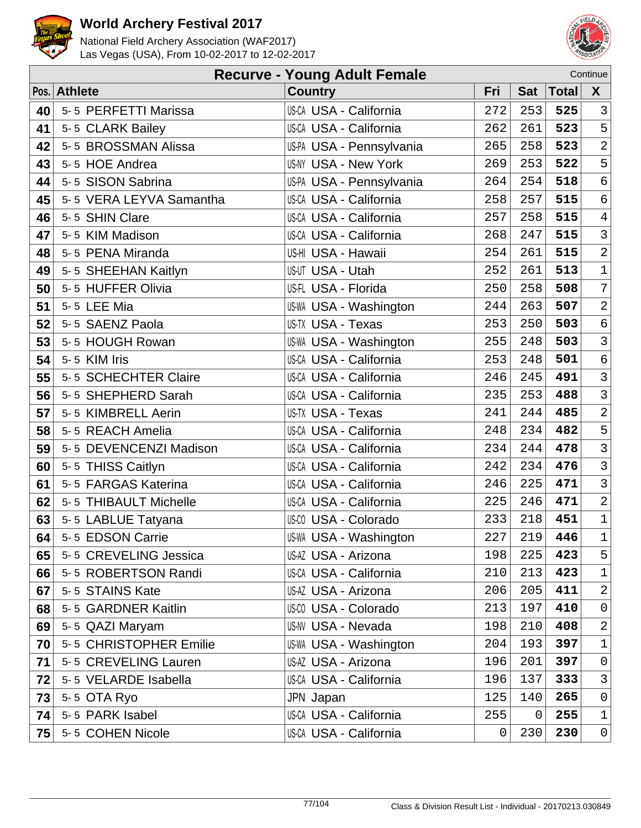



|    | Continue<br><b>Recurve - Young Adult Female</b> |                               |     |            |              |                            |  |  |  |
|----|-------------------------------------------------|-------------------------------|-----|------------|--------------|----------------------------|--|--|--|
|    | Pos. Athlete                                    | <b>Country</b>                | Fri | <b>Sat</b> | <b>Total</b> | $\mathsf{X}$               |  |  |  |
| 40 | 5-5 PERFETTI Marissa                            | <b>US-CA USA - California</b> | 272 | 253        | 525          | $\overline{3}$             |  |  |  |
| 41 | 5-5 CLARK Bailey                                | US-CA USA - California        | 262 | 261        | 523          | 5                          |  |  |  |
| 42 | 5-5 BROSSMAN Alissa                             | US-PA USA - Pennsylvania      | 265 | 258        | 523          | $\sqrt{2}$                 |  |  |  |
| 43 | 5-5 HOE Andrea                                  | <b>US-NY USA - New York</b>   | 269 | 253        | 522          | 5                          |  |  |  |
| 44 | 5-5 SISON Sabrina                               | US-PA USA - Pennsylvania      | 264 | 254        | 518          | $\sqrt{6}$                 |  |  |  |
| 45 | 5-5 VERA LEYVA Samantha                         | <b>US-CA USA - California</b> | 258 | 257        | 515          | $\epsilon$                 |  |  |  |
| 46 | 5-5 SHIN Clare                                  | <b>US-CA USA - California</b> | 257 | 258        | 515          | $\overline{4}$             |  |  |  |
| 47 | 5-5 KIM Madison                                 | <b>US-CA USA - California</b> | 268 | 247        | 515          | $\overline{3}$             |  |  |  |
| 48 | 5-5 PENA Miranda                                | US-HI USA - Hawaii            | 254 | 261        | 515          | $\sqrt{2}$                 |  |  |  |
| 49 | 5-5 SHEEHAN Kaitlyn                             | US-UT USA - Utah              | 252 | 261        | 513          | $\ensuremath{\mathbbm{1}}$ |  |  |  |
| 50 | 5-5 HUFFER Olivia                               | US-FL USA - Florida           | 250 | 258        | 508          | $7\overline{ }$            |  |  |  |
| 51 | 5-5 LEE Mia                                     | <b>US-WA USA - Washington</b> | 244 | 263        | 507          | $\overline{a}$             |  |  |  |
| 52 | 5-5 SAENZ Paola                                 | US-TX USA - Texas             | 253 | 250        | 503          | $\sigma$                   |  |  |  |
| 53 | 5-5 HOUGH Rowan                                 | <b>US-WA USA - Washington</b> | 255 | 248        | 503          | $\overline{3}$             |  |  |  |
| 54 | 5-5 KIM Iris                                    | US-CA USA - California        | 253 | 248        | 501          | $\sigma$                   |  |  |  |
| 55 | 5-5 SCHECHTER Claire                            | US-CA USA - California        | 246 | 245        | 491          | $\mathfrak{Z}$             |  |  |  |
| 56 | 5-5 SHEPHERD Sarah                              | <b>US-CA USA - California</b> | 235 | 253        | 488          | $\mathsf{3}$               |  |  |  |
| 57 | 5-5 KIMBRELL Aerin                              | US-TX USA - Texas             | 241 | 244        | 485          | $\overline{\mathbf{c}}$    |  |  |  |
| 58 | 5-5 REACH Amelia                                | <b>US-CA USA - California</b> | 248 | 234        | 482          | 5                          |  |  |  |
| 59 | 5-5 DEVENCENZI Madison                          | <b>US-CA USA - California</b> | 234 | 244        | 478          | $\mathbf{3}$               |  |  |  |
| 60 | 5-5 THISS Caitlyn                               | <b>US-CA USA - California</b> | 242 | 234        | 476          | $\mathbf{3}$               |  |  |  |
| 61 | 5-5 FARGAS Katerina                             | <b>US-CA USA - California</b> | 246 | 225        | 471          | $\mathsf{3}$               |  |  |  |
| 62 | 5-5 THIBAULT Michelle                           | US-CA USA - California        | 225 | 246        | 471          | $\overline{\mathbf{c}}$    |  |  |  |
| 63 | 5-5 LABLUE Tatyana                              | US-CO USA - Colorado          | 233 | 218        | 451          | $\ensuremath{\mathbbm{1}}$ |  |  |  |
| 64 | 5-5 EDSON Carrie                                | <b>US-WA USA - Washington</b> | 227 | 219        | 446          | $\ensuremath{\mathbbm{1}}$ |  |  |  |
| 65 | 5-5 CREVELING Jessica                           | US-AZ USA - Arizona           | 198 | 225        | 423          | 5 <sup>1</sup>             |  |  |  |
| 66 | 5-5 ROBERTSON Randi                             | <b>US-CA USA - California</b> | 210 | 213        | 423          | $\mathbf{1}$               |  |  |  |
| 67 | 5-5 STAINS Kate                                 | US-AZ USA - Arizona           | 206 | 205        | 411          | $\overline{a}$             |  |  |  |
| 68 | 5-5 GARDNER Kaitlin                             | <b>US-CO USA - Colorado</b>   | 213 | 197        | 410          | $\overline{0}$             |  |  |  |
| 69 | 5-5 QAZI Maryam                                 | <b>US-NV USA - Nevada</b>     | 198 | 210        | 408          | $\overline{a}$             |  |  |  |
| 70 | 5-5 CHRISTOPHER Emilie                          | US-WA USA - Washington        | 204 | 193        | 397          | $\mathbf{1}$               |  |  |  |
| 71 | 5-5 CREVELING Lauren                            | US-AZ USA - Arizona           | 196 | 201        | 397          | $\overline{0}$             |  |  |  |
| 72 | 5-5 VELARDE Isabella                            | US-CA USA - California        | 196 | 137        | 333          | $\mathbf{3}$               |  |  |  |
| 73 | 5-5 OTA Ryo                                     | JPN Japan                     | 125 | 140        | 265          | $\overline{0}$             |  |  |  |
| 74 | 5-5 PARK Isabel                                 | US-CA USA - California        | 255 | 0          | 255          | $\mathbf{1}$               |  |  |  |
| 75 | 5-5 COHEN Nicole                                | US-CA USA - California        | 0   | 230        | 230          | $\overline{0}$             |  |  |  |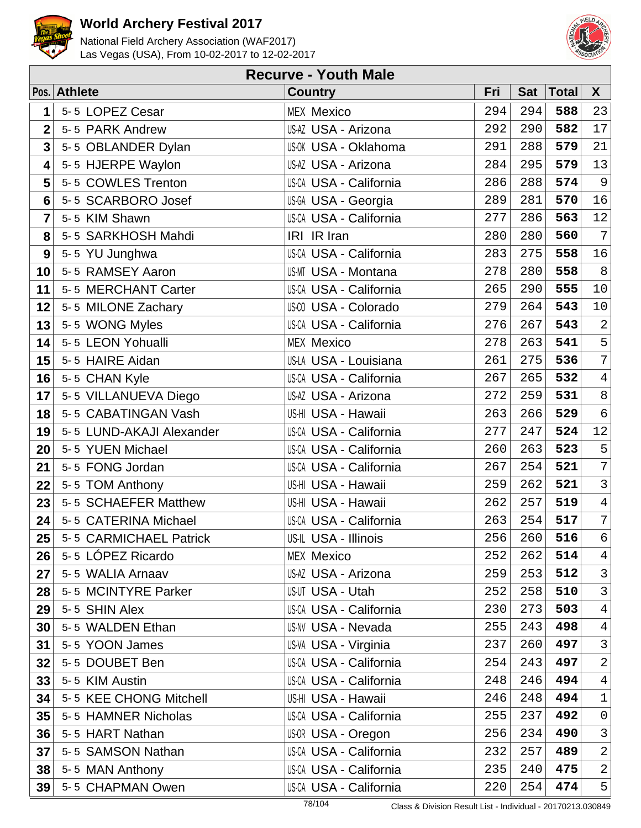



|                         | <b>Recurve - Youth Male</b> |                               |     |            |       |                  |  |  |  |  |
|-------------------------|-----------------------------|-------------------------------|-----|------------|-------|------------------|--|--|--|--|
|                         | Pos. Athlete                | <b>Country</b>                | Fri | <b>Sat</b> | Total | X                |  |  |  |  |
| 1                       | 5-5 LOPEZ Cesar             | <b>MEX Mexico</b>             | 294 | 294        | 588   | 23               |  |  |  |  |
| $\overline{2}$          | 5-5 PARK Andrew             | US-AZ USA - Arizona           | 292 | 290        | 582   | 17               |  |  |  |  |
| $\overline{\mathbf{3}}$ | 5-5 OBLANDER Dylan          | <b>US-OK USA - Oklahoma</b>   | 291 | 288        | 579   | 21               |  |  |  |  |
| 4                       | 5-5 HJERPE Waylon           | US-AZ USA - Arizona           | 284 | 295        | 579   | 13               |  |  |  |  |
| 5                       | 5-5 COWLES Trenton          | <b>US-CA USA - California</b> | 286 | 288        | 574   | $\overline{9}$   |  |  |  |  |
| $6\phantom{1}6$         | 5-5 SCARBORO Josef          | US-GA USA - Georgia           | 289 | 281        | 570   | 16               |  |  |  |  |
| 7                       | 5-5 KIM Shawn               | US-CA USA - California        | 277 | 286        | 563   | 12               |  |  |  |  |
| 8                       | 5-5 SARKHOSH Mahdi          | IRI IR Iran                   | 280 | 280        | 560   | $\overline{7}$   |  |  |  |  |
| 9                       | 5-5 YU Junghwa              | <b>US-CA USA - California</b> | 283 | 275        | 558   | 16               |  |  |  |  |
| 10                      | 5-5 RAMSEY Aaron            | <b>US-MT USA - Montana</b>    | 278 | 280        | 558   | $\, 8$           |  |  |  |  |
| 11                      | 5-5 MERCHANT Carter         | <b>US-CA USA - California</b> | 265 | 290        | 555   | $10$             |  |  |  |  |
| 12                      | 5-5 MILONE Zachary          | <b>US-CO USA - Colorado</b>   | 279 | 264        | 543   | $10$             |  |  |  |  |
| 13                      | 5-5 WONG Myles              | US-CA USA - California        | 276 | 267        | 543   | $\sqrt{2}$       |  |  |  |  |
| 14                      | 5-5 LEON Yohualli           | <b>MEX Mexico</b>             | 278 | 263        | 541   | 5                |  |  |  |  |
| 15                      | 5-5 HAIRE Aidan             | US-LA USA - Louisiana         | 261 | 275        | 536   | $\sqrt{ }$       |  |  |  |  |
| 16                      | 5-5 CHAN Kyle               | US-CA USA - California        | 267 | 265        | 532   | $\overline{4}$   |  |  |  |  |
| 17                      | 5-5 VILLANUEVA Diego        | US-AZ USA - Arizona           | 272 | 259        | 531   | $\,8\,$          |  |  |  |  |
| 18                      | 5-5 CABATINGAN Vash         | US-HI USA - Hawaii            | 263 | 266        | 529   | $\epsilon$       |  |  |  |  |
| 19                      | 5-5 LUND-AKAJI Alexander    | <b>US-CA USA - California</b> | 277 | 247        | 524   | $12\,$           |  |  |  |  |
| 20                      | 5-5 YUEN Michael            | <b>US-CA USA - California</b> | 260 | 263        | 523   | 5                |  |  |  |  |
| 21                      | 5-5 FONG Jordan             | US-CA USA - California        | 267 | 254        | 521   | $\boldsymbol{7}$ |  |  |  |  |
| 22                      | 5-5 TOM Anthony             | US-HI USA - Hawaii            | 259 | 262        | 521   | $\mathsf 3$      |  |  |  |  |
| 23                      | 5-5 SCHAEFER Matthew        | US-HI USA - Hawaii            | 262 | 257        | 519   | $\overline{4}$   |  |  |  |  |
| 24                      | 5-5 CATERINA Michael        | US-CA USA - California        | 263 | 254        | 517   | $\overline{7}$   |  |  |  |  |
| 25                      | 5-5 CARMICHAEL Patrick      | US-IL USA - Illinois          | 256 | 260        | 516   | $6 \mid$         |  |  |  |  |
| 26                      | 5-5 LÓPEZ Ricardo           | <b>MEX Mexico</b>             | 252 | 262        | 514   | $\overline{4}$   |  |  |  |  |
| 27                      | 5-5 WALIA Arnaav            | US-AZ USA - Arizona           | 259 | 253        | 512   | $\mathsf{3}$     |  |  |  |  |
| 28                      | 5-5 MCINTYRE Parker         | <b>US-UT USA - Utah</b>       | 252 | 258        | 510   | 3                |  |  |  |  |
| 29                      | 5-5 SHIN Alex               | <b>US-CA USA - California</b> | 230 | 273        | 503   | $\overline{4}$   |  |  |  |  |
| 30                      | 5-5 WALDEN Ethan            | US-NV USA - Nevada            | 255 | 243        | 498   | $\overline{4}$   |  |  |  |  |
| 31                      | 5-5 YOON James              | US-VA USA - Virginia          | 237 | 260        | 497   | $\mathsf{3}$     |  |  |  |  |
| 32                      | 5-5 DOUBET Ben              | <b>US-CA USA - California</b> | 254 | 243        | 497   | $\sqrt{2}$       |  |  |  |  |
| 33                      | 5-5 KIM Austin              | <b>US-CA USA - California</b> | 248 | 246        | 494   | $\overline{4}$   |  |  |  |  |
| 34                      | 5-5 KEE CHONG Mitchell      | US-HI USA - Hawaii            | 246 | 248        | 494   | $\mathbf 1$      |  |  |  |  |
| 35                      | 5-5 HAMNER Nicholas         | US-CA USA - California        | 255 | 237        | 492   | $\mathsf 0$      |  |  |  |  |
| 36                      | 5-5 HART Nathan             | US-OR USA - Oregon            | 256 | 234        | 490   | $\mathfrak{Z}$   |  |  |  |  |
| 37                      | 5-5 SAMSON Nathan           | <b>US-CA USA - California</b> | 232 | 257        | 489   | $\overline{a}$   |  |  |  |  |
| 38                      | 5-5 MAN Anthony             | <b>US-CA USA - California</b> | 235 | 240        | 475   | $\overline{a}$   |  |  |  |  |
| 39                      | 5-5 CHAPMAN Owen            | US-CA USA - California        | 220 | 254        | 474   | $5\vert$         |  |  |  |  |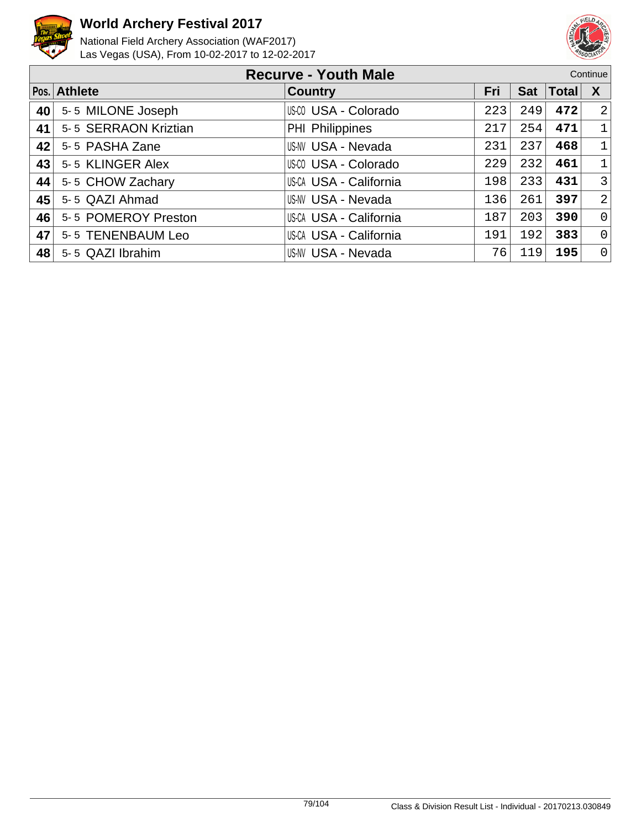



|    | <b>Recurve - Youth Male</b><br>Continue |                           |     |            |              |                |
|----|-----------------------------------------|---------------------------|-----|------------|--------------|----------------|
|    | Pos. Athlete                            | <b>Country</b>            | Fri | <b>Sat</b> | <b>Total</b> | X              |
| 40 | 5-5 MILONE Joseph                       | US-CO USA - Colorado      | 223 | 249        | 472          | 2              |
| 41 | 5-5 SERRAON Kriztian                    | PHI Philippines           | 217 | 254        | 471          | $\mathbf{1}$   |
| 42 | 5-5 PASHA Zane                          | <b>US-NV USA - Nevada</b> | 231 | 237        | 468          | $\mathbf{1}$   |
| 43 | 5-5 KLINGER Alex                        | US-00 USA - Colorado      | 229 | 232        | 461          | $\mathbf{1}$   |
| 44 | 5-5 CHOW Zachary                        | US-CA USA - California    | 198 | 233        | 431          | $\mathbf{3}$   |
| 45 | 5-5 QAZI Ahmad                          | <b>US-NV USA - Nevada</b> | 136 | 261        | 397          | 2              |
| 46 | 5-5 POMEROY Preston                     | US-CA USA - California    | 187 | 203        | 390          | $\mathsf{O}$   |
| 47 | 5-5 TENENBAUM Leo                       | US-CA USA - California    | 191 | 192        | 383          | $\overline{0}$ |
| 48 | 5-5 QAZI Ibrahim                        | US-NV USA - Nevada        | 76  | 119        | 195          | $\Omega$       |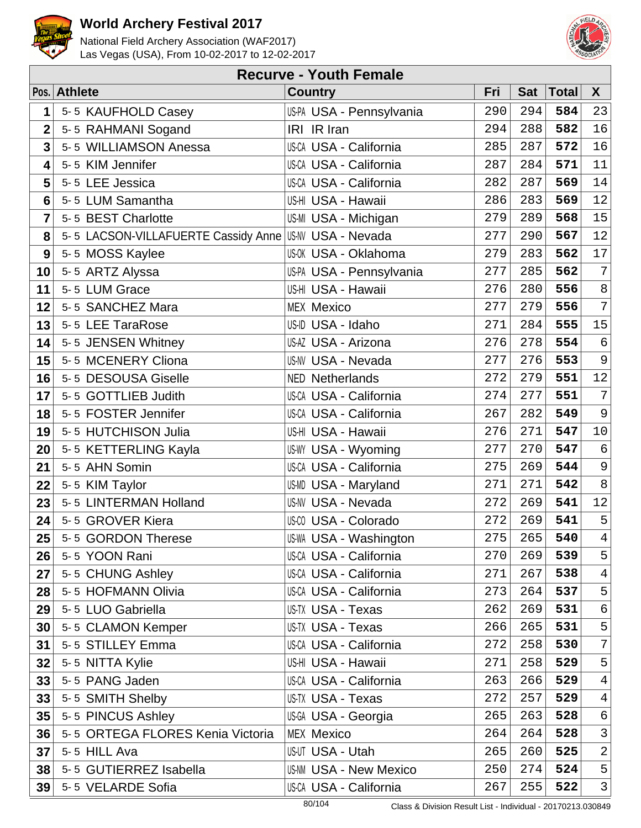



|                | <b>Recurve - Youth Female</b>                         |                               |     |            |              |                |  |  |  |  |
|----------------|-------------------------------------------------------|-------------------------------|-----|------------|--------------|----------------|--|--|--|--|
|                | Pos. Athlete                                          | <b>Country</b>                | Fri | <b>Sat</b> | <b>Total</b> | X              |  |  |  |  |
| 1              | 5-5 KAUFHOLD Casey                                    | US-PA USA - Pennsylvania      | 290 | 294        | 584          | 23             |  |  |  |  |
| $\overline{2}$ | 5-5 RAHMANI Sogand                                    | IRI IR Iran                   | 294 | 288        | 582          | 16             |  |  |  |  |
| 3              | 5-5 WILLIAMSON Anessa                                 | US-CA USA - California        | 285 | 287        | 572          | 16             |  |  |  |  |
| 4              | 5-5 KIM Jennifer                                      | US-CA USA - California        | 287 | 284        | 571          | 11             |  |  |  |  |
| 5              | 5-5 LEE Jessica                                       | <b>US-CA USA - California</b> | 282 | 287        | 569          | 14             |  |  |  |  |
| 6              | 5-5 LUM Samantha                                      | US-HI USA - Hawaii            | 286 | 283        | 569          | 12             |  |  |  |  |
| 7              | 5-5 BEST Charlotte                                    | US-MI USA - Michigan          | 279 | 289        | 568          | 15             |  |  |  |  |
| 8              | 5-5 LACSON-VILLAFUERTE Cassidy Anne USAN USA - Nevada |                               | 277 | 290        | 567          | 12             |  |  |  |  |
| 9              | 5-5 MOSS Kaylee                                       | US-OK USA - Oklahoma          | 279 | 283        | 562          | $17$           |  |  |  |  |
| 10             | 5-5 ARTZ Alyssa                                       | US-PA USA - Pennsylvania      | 277 | 285        | 562          | $\sqrt{ }$     |  |  |  |  |
| 11             | 5-5 LUM Grace                                         | US-HI USA - Hawaii            | 276 | 280        | 556          | $\,8\,$        |  |  |  |  |
| 12             | 5-5 SANCHEZ Mara                                      | <b>MEX Mexico</b>             | 277 | 279        | 556          | $\overline{7}$ |  |  |  |  |
| 13             | 5-5 LEE TaraRose                                      | US-ID USA - Idaho             | 271 | 284        | 555          | 15             |  |  |  |  |
| 14             | 5-5 JENSEN Whitney                                    | US-AZ USA - Arizona           | 276 | 278        | 554          | $\epsilon$     |  |  |  |  |
| 15             | 5-5 MCENERY Cliona                                    | <b>US-NV USA - Nevada</b>     | 277 | 276        | 553          | $\mathsf 9$    |  |  |  |  |
| 16             | 5-5 DESOUSA Giselle                                   | <b>NED Netherlands</b>        | 272 | 279        | 551          | 12             |  |  |  |  |
| 17             | 5-5 GOTTLIEB Judith                                   | US-CA USA - California        | 274 | 277        | 551          | $\overline{7}$ |  |  |  |  |
| 18             | 5-5 FOSTER Jennifer                                   | <b>US-CA USA - California</b> | 267 | 282        | 549          | 9              |  |  |  |  |
| 19             | 5-5 HUTCHISON Julia                                   | US-HI USA - Hawaii            | 276 | 271        | 547          | $10$           |  |  |  |  |
| 20             | 5-5 KETTERLING Kayla                                  | <b>US-WY USA - Wyoming</b>    | 277 | 270        | 547          | $\epsilon$     |  |  |  |  |
| 21             | 5-5 AHN Somin                                         | US-CA USA - California        | 275 | 269        | 544          | $\mathsf 9$    |  |  |  |  |
| 22             | 5-5 KIM Taylor                                        | US-MD USA - Maryland          | 271 | 271        | 542          | $\, 8$         |  |  |  |  |
| 23             | 5-5 LINTERMAN Holland                                 | <b>US-NV USA - Nevada</b>     | 272 | 269        | 541          | $12\,$         |  |  |  |  |
| 24             | 5-5 GROVER Kiera                                      | US-CO USA - Colorado          | 272 | 269        | 541          | 5              |  |  |  |  |
| 25             | 5-5 GORDON Therese                                    | <b>US-WA USA - Washington</b> | 275 | 265        | 540          | $4\vert$       |  |  |  |  |
| 26             | 5-5 YOON Rani                                         | US-CA USA - California        | 270 | 269        | 539          | 5              |  |  |  |  |
| 27             | 5-5 CHUNG Ashley                                      | US-CA USA - California        | 271 | 267        | 538          | $\overline{4}$ |  |  |  |  |
| 28             | 5-5 HOFMANN Olivia                                    | <b>US-CA USA - California</b> | 273 | 264        | 537          | 5              |  |  |  |  |
| 29             | 5-5 LUO Gabriella                                     | US-TX USA - Texas             | 262 | 269        | 531          | $\epsilon$     |  |  |  |  |
| 30             | 5-5 CLAMON Kemper                                     | <b>US-TX USA - Texas</b>      | 266 | 265        | 531          | 5              |  |  |  |  |
| 31             | 5-5 STILLEY Emma                                      | <b>US-CA USA - California</b> | 272 | 258        | 530          | $\overline{7}$ |  |  |  |  |
| 32             | 5-5 NITTA Kylie                                       | US-HI USA - Hawaii            | 271 | 258        | 529          | 5              |  |  |  |  |
| 33             | 5-5 PANG Jaden                                        | <b>US-CA USA - California</b> | 263 | 266        | 529          | $\overline{4}$ |  |  |  |  |
| 33             | 5-5 SMITH Shelby                                      | US-TX USA - Texas             | 272 | 257        | 529          | $\overline{4}$ |  |  |  |  |
| 35             | 5-5 PINCUS Ashley                                     | US-GA USA - Georgia           | 265 | 263        | 528          | $\epsilon$     |  |  |  |  |
| 36             | 5-5 ORTEGA FLORES Kenia Victoria                      | <b>MEX Mexico</b>             | 264 | 264        | 528          | $\mathsf{3}$   |  |  |  |  |
| 37             | 5-5 HILL Ava                                          | US-UT USA - Utah              | 265 | 260        | 525          | $\overline{a}$ |  |  |  |  |
| 38             | 5-5 GUTIERREZ Isabella                                | <b>US-NM USA - New Mexico</b> | 250 | 274        | 524          | 5 <sup>1</sup> |  |  |  |  |
| 39             | 5-5 VELARDE Sofia                                     | US-CA USA - California        | 267 | 255        | 522          | 3              |  |  |  |  |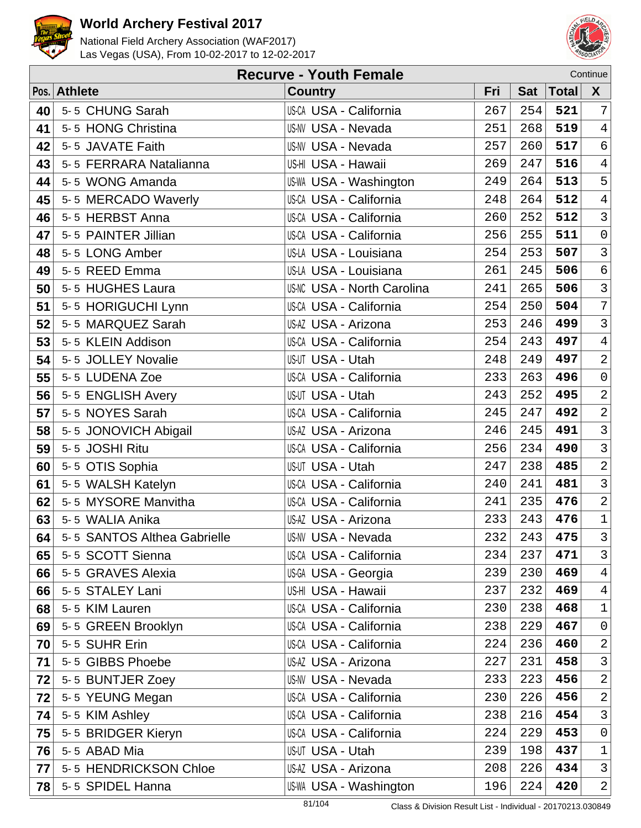



|    | Continue<br><b>Recurve - Youth Female</b> |                                   |     |            |              |                     |  |  |  |
|----|-------------------------------------------|-----------------------------------|-----|------------|--------------|---------------------|--|--|--|
|    | Pos. Athlete                              | <b>Country</b>                    | Fri | <b>Sat</b> | <b>Total</b> | $\boldsymbol{X}$    |  |  |  |
| 40 | 5-5 CHUNG Sarah                           | <b>US-CA USA - California</b>     | 267 | 254        | 521          | $\overline{7}$      |  |  |  |
| 41 | 5-5 HONG Christina                        | <b>US-NV USA - Nevada</b>         | 251 | 268        | 519          | $\overline{4}$      |  |  |  |
| 42 | 5-5 JAVATE Faith                          | <b>US-NV USA - Nevada</b>         | 257 | 260        | 517          | $\sigma$            |  |  |  |
| 43 | 5-5 FERRARA Natalianna                    | US-HI USA - Hawaii                | 269 | 247        | 516          | $\overline{4}$      |  |  |  |
| 44 | 5-5 WONG Amanda                           | <b>US-WA USA - Washington</b>     | 249 | 264        | 513          | 5                   |  |  |  |
| 45 | 5-5 MERCADO Waverly                       | <b>US-CA USA - California</b>     | 248 | 264        | 512          | $\overline{4}$      |  |  |  |
| 46 | 5-5 HERBST Anna                           | <b>US-CA USA - California</b>     | 260 | 252        | 512          | $\overline{3}$      |  |  |  |
| 47 | 5-5 PAINTER Jillian                       | <b>US-CA USA - California</b>     | 256 | 255        | 511          | $\mathsf{O}\xspace$ |  |  |  |
| 48 | 5-5 LONG Amber                            | US-LA USA - Louisiana             | 254 | 253        | 507          | $\overline{3}$      |  |  |  |
| 49 | 5-5 REED Emma                             | US-LA USA - Louisiana             | 261 | 245        | 506          | $\epsilon$          |  |  |  |
| 50 | 5-5 HUGHES Laura                          | <b>US-NC USA - North Carolina</b> | 241 | 265        | 506          | $\mathsf{3}$        |  |  |  |
| 51 | 5-5 HORIGUCHI Lynn                        | <b>US-CA USA - California</b>     | 254 | 250        | 504          | $\overline{7}$      |  |  |  |
| 52 | 5-5 MARQUEZ Sarah                         | US-AZ USA - Arizona               | 253 | 246        | 499          | $\mathbf{3}$        |  |  |  |
| 53 | 5-5 KLEIN Addison                         | <b>US-CA USA - California</b>     | 254 | 243        | 497          | $\overline{4}$      |  |  |  |
| 54 | 5-5 JOLLEY Novalie                        | US-UT USA - Utah                  | 248 | 249        | 497          | $\overline{a}$      |  |  |  |
| 55 | 5-5 LUDENA Zoe                            | <b>US-CA USA - California</b>     | 233 | 263        | 496          | $\mathsf{O}\xspace$ |  |  |  |
| 56 | 5-5 ENGLISH Avery                         | US-UT USA - Utah                  | 243 | 252        | 495          | $\overline{a}$      |  |  |  |
| 57 | 5-5 NOYES Sarah                           | US-CA USA - California            | 245 | 247        | 492          | $\overline{a}$      |  |  |  |
| 58 | 5-5 JONOVICH Abigail                      | US-AZ USA - Arizona               | 246 | 245        | 491          | $\overline{3}$      |  |  |  |
| 59 | 5-5 JOSHI Ritu                            | <b>US-CA USA - California</b>     | 256 | 234        | 490          | $\mathbf{3}$        |  |  |  |
| 60 | 5-5 OTIS Sophia                           | US-UT USA - Utah                  | 247 | 238        | 485          | $\overline{a}$      |  |  |  |
| 61 | 5-5 WALSH Katelyn                         | <b>US-CA USA - California</b>     | 240 | 241        | 481          | $\mathsf{3}$        |  |  |  |
| 62 | 5-5 MYSORE Manvitha                       | <b>US-CA USA - California</b>     | 241 | 235        | 476          | $\overline{a}$      |  |  |  |
| 63 | 5-5 WALIA Anika                           | US-AZ USA - Arizona               | 233 | 243        | 476          | $\mathbf 1$         |  |  |  |
| 64 | 5-5 SANTOS Althea Gabrielle               | US-NV USA - Nevada                | 232 | 243        | 475          | $\mathfrak{Z}$      |  |  |  |
| 65 | 5-5 SCOTT Sienna                          | <b>US-CA USA - California</b>     | 234 | 237        | 471          | $\mathfrak{Z}$      |  |  |  |
| 66 | 5-5 GRAVES Alexia                         | US-GA USA - Georgia               | 239 | 230        | 469          | $\overline{4}$      |  |  |  |
| 66 | 5-5 STALEY Lani                           | US-HI USA - Hawaii                | 237 | 232        | 469          | $\overline{4}$      |  |  |  |
| 68 | 5-5 KIM Lauren                            | <b>US-CA USA - California</b>     | 230 | 238        | 468          | $\mathbf 1$         |  |  |  |
| 69 | 5-5 GREEN Brooklyn                        | US-CA USA - California            | 238 | 229        | 467          | $\mathsf{O}$        |  |  |  |
| 70 | 5-5 SUHR Erin                             | US-CA USA - California            | 224 | 236        | 460          | $\overline{2}$      |  |  |  |
| 71 | 5-5 GIBBS Phoebe                          | US-AZ USA - Arizona               | 227 | 231        | 458          | $\mathfrak{Z}$      |  |  |  |
| 72 | 5-5 BUNTJER Zoey                          | <b>US-NV USA - Nevada</b>         | 233 | 223        | 456          | $\overline{2}$      |  |  |  |
| 72 | 5-5 YEUNG Megan                           | <b>US-CA USA - California</b>     | 230 | 226        | 456          | $\overline{2}$      |  |  |  |
| 74 | 5-5 KIM Ashley                            | <b>US-CA USA - California</b>     | 238 | 216        | 454          | 3                   |  |  |  |
| 75 | 5-5 BRIDGER Kieryn                        | US-CA USA - California            | 224 | 229        | 453          | $\mathsf{O}$        |  |  |  |
| 76 | 5-5 ABAD Mia                              | US-UT USA - Utah                  | 239 | 198        | 437          | $\mathbf 1$         |  |  |  |
| 77 | 5-5 HENDRICKSON Chloe                     | US-AZ USA - Arizona               | 208 | 226        | 434          | 3                   |  |  |  |
| 78 | 5-5 SPIDEL Hanna                          | US-WA USA - Washington            | 196 | 224        | 420          | $\overline{2}$      |  |  |  |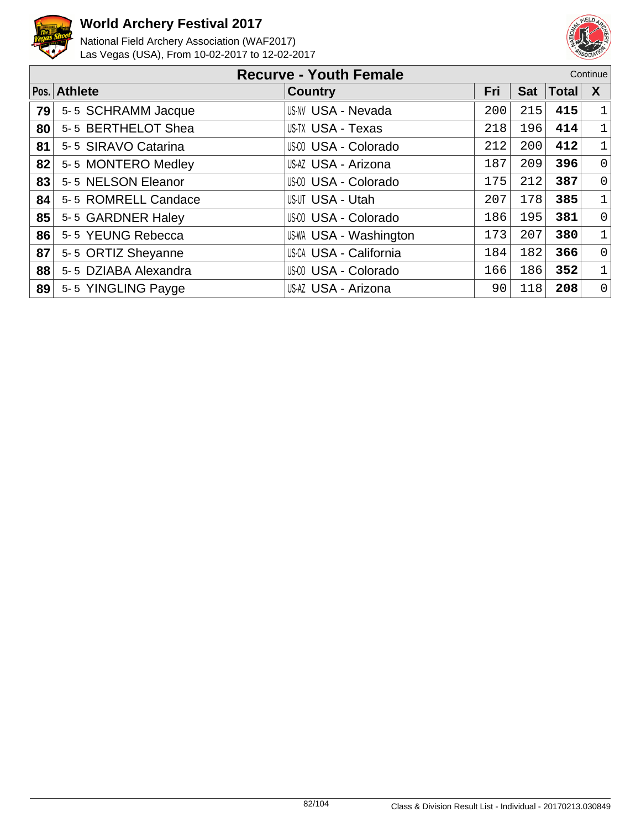



|      | <b>Recurve - Youth Female</b><br>Continue |                        |     |            |              |              |  |
|------|-------------------------------------------|------------------------|-----|------------|--------------|--------------|--|
| Pos. | <b>Athlete</b>                            | <b>Country</b>         | Fri | <b>Sat</b> | <b>Total</b> | X            |  |
| 79   | 5-5 SCHRAMM Jacque                        | US-NV USA - Nevada     | 200 | 215        | 415          | $\mathbf 1$  |  |
| 80   | 5-5 BERTHELOT Shea                        | US-TX USA - Texas      | 218 | 196        | 414          | $\mathbf 1$  |  |
| 81   | 5-5 SIRAVO Catarina                       | US-CO USA - Colorado   | 212 | 200        | 412          | $\mathbf 1$  |  |
| 82   | 5-5 MONTERO Medley                        | US-AZ USA - Arizona    | 187 | 209        | 396          | $\mathbf 0$  |  |
| 83   | 5-5 NELSON Eleanor                        | US-CO USA - Colorado   | 175 | 212        | 387          | $\mathbf 0$  |  |
| 84   | 5-5 ROMRELL Candace                       | US-UT USA - Utah       | 207 | 178        | 385          | $\mathbf{1}$ |  |
| 85   | 5-5 GARDNER Haley                         | US-CO USA - Colorado   | 186 | 195        | 381          | $\mathsf{O}$ |  |
| 86   | 5-5 YEUNG Rebecca                         | US-WA USA - Washington | 173 | 207        | 380          | $\mathbf 1$  |  |
| 87   | 5-5 ORTIZ Sheyanne                        | US-CA USA - California | 184 | 182        | 366          | $\mathbf 0$  |  |
| 88   | 5-5 DZIABA Alexandra                      | US-CO USA - Colorado   | 166 | 186        | 352          | 1            |  |
| 89   | 5-5 YINGLING Payge                        | US-AZ USA - Arizona    | 90  | 118        | 208          | $\mathbf 0$  |  |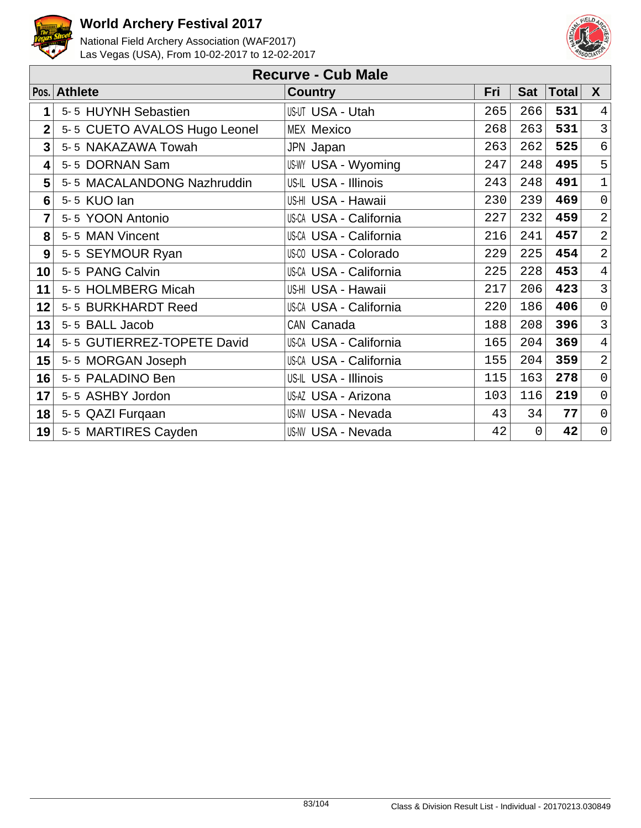



|             | <b>Recurve - Cub Male</b>    |                               |     |            |              |                     |  |  |  |  |
|-------------|------------------------------|-------------------------------|-----|------------|--------------|---------------------|--|--|--|--|
|             | Pos. Athlete                 | <b>Country</b>                | Fri | <b>Sat</b> | <b>Total</b> | X                   |  |  |  |  |
| 1           | 5-5 HUYNH Sebastien          | US-UT USA - Utah              | 265 | 266        | 531          | $\overline{4}$      |  |  |  |  |
| $\mathbf 2$ | 5-5 CUETO AVALOS Hugo Leonel | <b>MEX Mexico</b>             | 268 | 263        | 531          | $\mathfrak{Z}$      |  |  |  |  |
| 3           | 5-5 NAKAZAWA Towah           | JPN Japan                     | 263 | 262        | 525          | 6                   |  |  |  |  |
| 4           | 5-5 DORNAN Sam               | US-WY USA - Wyoming           | 247 | 248        | 495          | 5                   |  |  |  |  |
| 5           | 5-5 MACALANDONG Nazhruddin   | US-IL USA - Illinois          | 243 | 248        | 491          | $\mathbf{1}$        |  |  |  |  |
| 6           | 5-5 KUO lan                  | US-HI USA - Hawaii            | 230 | 239        | 469          | $\mathsf{O}\xspace$ |  |  |  |  |
| 7           | 5-5 YOON Antonio             | <b>US-CA USA - California</b> | 227 | 232        | 459          | $\overline{a}$      |  |  |  |  |
| 8           | 5-5 MAN Vincent              | US-CA USA - California        | 216 | 241        | 457          | $\overline{2}$      |  |  |  |  |
| 9           | 5-5 SEYMOUR Ryan             | <b>US-CO USA - Colorado</b>   | 229 | 225        | 454          | $\overline{2}$      |  |  |  |  |
| 10          | 5-5 PANG Calvin              | <b>US-CA USA - California</b> | 225 | 228        | 453          | $\overline{4}$      |  |  |  |  |
| 11          | 5-5 HOLMBERG Micah           | US-HI USA - Hawaii            | 217 | 206        | 423          | $\mathfrak{Z}$      |  |  |  |  |
| 12          | 5-5 BURKHARDT Reed           | <b>US-CA USA - California</b> | 220 | 186        | 406          | $\overline{0}$      |  |  |  |  |
| 13          | 5-5 BALL Jacob               | CAN Canada                    | 188 | 208        | 396          | $\overline{3}$      |  |  |  |  |
| 14          | 5-5 GUTIERREZ-TOPETE David   | US-CA USA - California        | 165 | 204        | 369          | $\overline{4}$      |  |  |  |  |
| 15          | 5-5 MORGAN Joseph            | <b>US-CA USA - California</b> | 155 | 204        | 359          | 2                   |  |  |  |  |
| 16          | 5-5 PALADINO Ben             | US-IL USA - Illinois          | 115 | 163        | 278          | $\mathsf{O}\xspace$ |  |  |  |  |
| 17          | 5-5 ASHBY Jordon             | US-AZ USA - Arizona           | 103 | 116        | 219          | $\overline{0}$      |  |  |  |  |
| 18          | 5-5 QAZI Furqaan             | <b>US-NV USA - Nevada</b>     | 43  | 34         | 77           | $\mathsf{O}\xspace$ |  |  |  |  |
| 19          | 5-5 MARTIRES Cayden          | <b>US-NV USA - Nevada</b>     | 42  | 0          | 42           | $\overline{0}$      |  |  |  |  |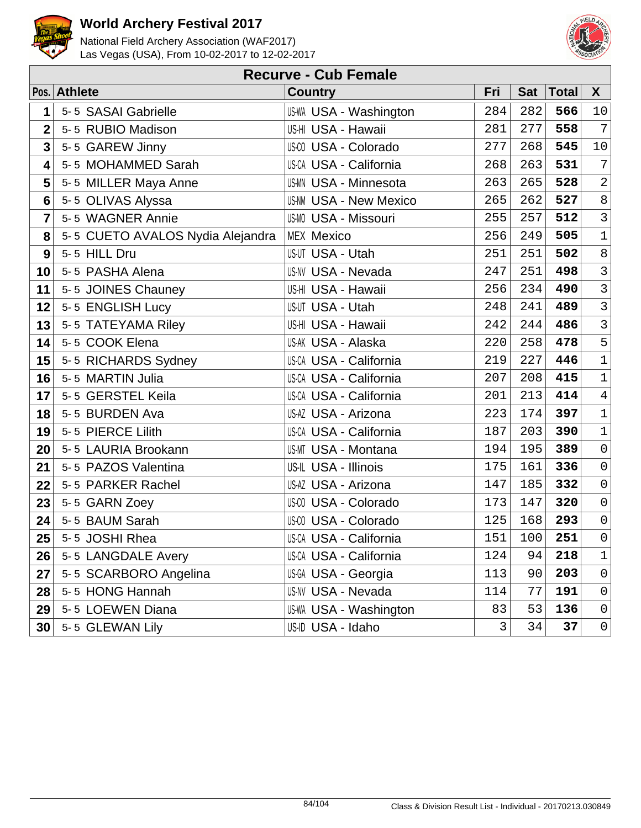



|                 | <b>Recurve - Cub Female</b>      |                               |     |            |              |                     |  |  |  |  |
|-----------------|----------------------------------|-------------------------------|-----|------------|--------------|---------------------|--|--|--|--|
|                 | Pos. Athlete                     | <b>Country</b>                | Fri | <b>Sat</b> | <b>Total</b> | $\mathsf{X}$        |  |  |  |  |
| 1               | 5-5 SASAI Gabrielle              | <b>US-WA USA - Washington</b> | 284 | 282        | 566          | 10                  |  |  |  |  |
| $\overline{2}$  | 5-5 RUBIO Madison                | US-HI USA - Hawaii            | 281 | 277        | 558          | $\overline{7}$      |  |  |  |  |
| 3               | 5-5 GAREW Jinny                  | <b>US-CO USA - Colorado</b>   | 277 | 268        | 545          | $10$                |  |  |  |  |
| 4               | 5-5 MOHAMMED Sarah               | <b>US-CA USA - California</b> | 268 | 263        | 531          | 7                   |  |  |  |  |
| 5               | 5-5 MILLER Maya Anne             | <b>US-MN USA - Minnesota</b>  | 263 | 265        | 528          | $\overline{a}$      |  |  |  |  |
| $6\phantom{1}6$ | 5-5 OLIVAS Alyssa                | <b>US-NM USA - New Mexico</b> | 265 | 262        | 527          | $\,8\,$             |  |  |  |  |
| 7               | 5-5 WAGNER Annie                 | <b>US-MO USA - Missouri</b>   | 255 | 257        | 512          | $\mathbf{3}$        |  |  |  |  |
| 8               | 5-5 CUETO AVALOS Nydia Alejandra | <b>MEX Mexico</b>             | 256 | 249        | 505          | $\mathbf 1$         |  |  |  |  |
| 9               | 5-5 HILL Dru                     | US-UT USA - Utah              | 251 | 251        | 502          | $\,8\,$             |  |  |  |  |
| 10              | 5-5 PASHA Alena                  | <b>US-NV USA - Nevada</b>     | 247 | 251        | 498          | $\mathsf{3}$        |  |  |  |  |
| 11              | 5-5 JOINES Chauney               | US-HI USA - Hawaii            | 256 | 234        | 490          | $\overline{3}$      |  |  |  |  |
| 12              | 5-5 ENGLISH Lucy                 | <b>US-UT USA - Utah</b>       | 248 | 241        | 489          | $\overline{3}$      |  |  |  |  |
| 13              | 5-5 TATEYAMA Riley               | US-HI USA - Hawaii            | 242 | 244        | 486          | $\mathsf{3}$        |  |  |  |  |
| 14              | 5-5 COOK Elena                   | US-AK USA - Alaska            | 220 | 258        | 478          | 5                   |  |  |  |  |
| 15              | 5-5 RICHARDS Sydney              | <b>US-CA USA - California</b> | 219 | 227        | 446          | $\mathbf{1}$        |  |  |  |  |
| 16              | 5-5 MARTIN Julia                 | US-CA USA - California        | 207 | 208        | 415          | $\mathbf 1$         |  |  |  |  |
| 17              | 5-5 GERSTEL Keila                | <b>US-CA USA - California</b> | 201 | 213        | 414          | $\sqrt{4}$          |  |  |  |  |
| 18              | 5-5 BURDEN Ava                   | US-AZ USA - Arizona           | 223 | 174        | 397          | $\mathbf 1$         |  |  |  |  |
| 19              | 5-5 PIERCE Lilith                | <b>US-CA USA - California</b> | 187 | 203        | 390          | $\mathbf 1$         |  |  |  |  |
| 20              | 5-5 LAURIA Brookann              | <b>US-MT USA - Montana</b>    | 194 | 195        | 389          | $\mathsf{O}\xspace$ |  |  |  |  |
| 21              | 5-5 PAZOS Valentina              | US-IL USA - Illinois          | 175 | 161        | 336          | $\mathsf{O}$        |  |  |  |  |
| 22              | 5-5 PARKER Rachel                | US-AZ USA - Arizona           | 147 | 185        | 332          | $\mathsf{O}\xspace$ |  |  |  |  |
| 23              | 5-5 GARN Zoey                    | <b>US-CO USA - Colorado</b>   | 173 | 147        | 320          | $\mathsf 0$         |  |  |  |  |
| 24              | 5-5 BAUM Sarah                   | US-CO USA - Colorado          | 125 | 168        | 293          | $\mathsf{O}\xspace$ |  |  |  |  |
| 25              | 5-5 JOSHI Rhea                   | US-CA USA - California        | 151 | 100        | 251          | $\mathsf{O}\xspace$ |  |  |  |  |
| 26              | 5-5 LANGDALE Avery               | <b>US-CA USA - California</b> | 124 | 94         | 218          | $1\,$               |  |  |  |  |
| 27              | 5-5 SCARBORO Angelina            | US-GA USA - Georgia           | 113 | 90         | 203          | $\mathsf 0$         |  |  |  |  |
| 28              | 5-5 HONG Hannah                  | <b>US-NV USA - Nevada</b>     | 114 | 77         | 191          | 0                   |  |  |  |  |
| 29              | 5-5 LOEWEN Diana                 | US-WA USA - Washington        | 83  | 53         | 136          | 0                   |  |  |  |  |
| 30              | 5-5 GLEWAN Lily                  | US-ID USA - Idaho             | 3   | 34         | 37           | 0                   |  |  |  |  |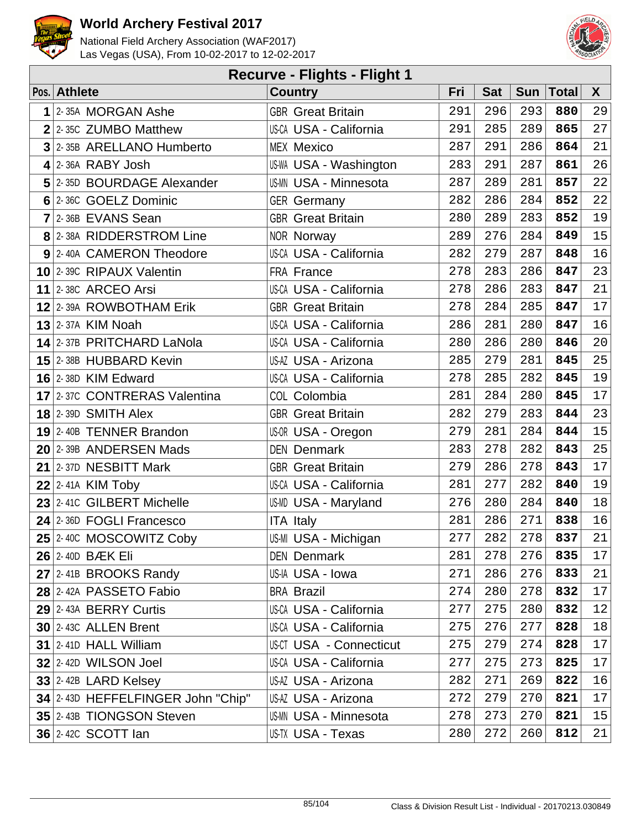



| <b>Recurve - Flights - Flight 1</b> |                                   |                                |     |            |            |              |    |  |  |  |
|-------------------------------------|-----------------------------------|--------------------------------|-----|------------|------------|--------------|----|--|--|--|
|                                     | Pos. Athlete                      | <b>Country</b>                 | Fri | <b>Sat</b> | <b>Sun</b> | <b>Total</b> | X  |  |  |  |
| 1                                   | 2-35A MORGAN Ashe                 | <b>GBR</b> Great Britain       | 291 | 296        | 293        | 880          | 29 |  |  |  |
| $\overline{2}$                      | 2-35C ZUMBO Matthew               | US-CA USA - California         | 291 | 285        | 289        | 865          | 27 |  |  |  |
| 3                                   | 2-35B ARELLANO Humberto           | <b>MEX Mexico</b>              | 287 | 291        | 286        | 864          | 21 |  |  |  |
|                                     | $4$ 2-36A RABY Josh               | <b>US-WA USA - Washington</b>  | 283 | 291        | 287        | 861          | 26 |  |  |  |
|                                     | 5 2-35D BOURDAGE Alexander        | <b>US-MN USA - Minnesota</b>   | 287 | 289        | 281        | 857          | 22 |  |  |  |
|                                     | 6 2-36C GOELZ Dominic             | <b>GER Germany</b>             | 282 | 286        | 284        | 852          | 22 |  |  |  |
| $\overline{7}$                      | 2-36B EVANS Sean                  | <b>GBR</b> Great Britain       | 280 | 289        | 283        | 852          | 19 |  |  |  |
|                                     | 8 2-38A RIDDERSTROM Line          | NOR Norway                     | 289 | 276        | 284        | 849          | 15 |  |  |  |
|                                     | 9 2-40A CAMERON Theodore          | US-CA USA - California         | 282 | 279        | 287        | 848          | 16 |  |  |  |
|                                     | 10 2-39C RIPAUX Valentin          | FRA France                     | 278 | 283        | 286        | 847          | 23 |  |  |  |
|                                     | 11 2-380 ARCEO Arsi               | <b>US-CA USA - California</b>  | 278 | 286        | 283        | 847          | 21 |  |  |  |
|                                     | 12 2-39A ROWBOTHAM Erik           | <b>GBR</b> Great Britain       | 278 | 284        | 285        | 847          | 17 |  |  |  |
|                                     | <b>13 2-37A KIM Noah</b>          | <b>US-CA USA - California</b>  | 286 | 281        | 280        | 847          | 16 |  |  |  |
|                                     | 14 2-37B PRITCHARD LaNola         | <b>US-CA USA - California</b>  | 280 | 286        | 280        | 846          | 20 |  |  |  |
|                                     | 15 2-38B HUBBARD Kevin            | US-AZ USA - Arizona            | 285 | 279        | 281        | 845          | 25 |  |  |  |
|                                     | $16$ 2-38D KIM Edward             | US-CA USA - California         | 278 | 285        | 282        | 845          | 19 |  |  |  |
|                                     | 17 2-37C CONTRERAS Valentina      | COL Colombia                   | 281 | 284        | 280        | 845          | 17 |  |  |  |
|                                     | $18$ 2-39D SMITH Alex             | <b>GBR</b> Great Britain       | 282 | 279        | 283        | 844          | 23 |  |  |  |
|                                     | 19 2-40B TENNER Brandon           | US-OR USA - Oregon             | 279 | 281        | 284        | 844          | 15 |  |  |  |
|                                     | 20 2-39B ANDERSEN Mads            | <b>DEN Denmark</b>             | 283 | 278        | 282        | 843          | 25 |  |  |  |
|                                     | 21 2-37D NESBITT Mark             | <b>GBR</b> Great Britain       | 279 | 286        | 278        | 843          | 17 |  |  |  |
|                                     | $22$ 2-41A KIM Toby               | US-CA USA - California         | 281 | 277        | 282        | 840          | 19 |  |  |  |
|                                     | $23$ 2-410 GILBERT Michelle       | US-MD USA - Maryland           | 276 | 280        | 284        | 840          | 18 |  |  |  |
|                                     | 24 2-36D FOGLI Francesco          | <b>ITA Italy</b>               | 281 | 286        | 271        | 838          | 16 |  |  |  |
|                                     | 25 2-40C MOSCOWITZ Coby           | US-MI USA - Michigan           | 277 | 282        | 278        | 837          | 21 |  |  |  |
|                                     | <b>26 2-40D BÆK Eli</b>           | <b>DEN Denmark</b>             | 281 | 278        | 276        | 835          | 17 |  |  |  |
|                                     | 27 2-41B BROOKS Randy             | US-IA USA - Iowa               | 271 | 286        | 276        | 833          | 21 |  |  |  |
|                                     | 28 2-42A PASSETO Fabio            | <b>BRA Brazil</b>              | 274 | 280        | 278        | 832          | 17 |  |  |  |
|                                     | 29 2-43A BERRY Curtis             | US-CA USA - California         | 277 | 275        | 280        | 832          | 12 |  |  |  |
|                                     | $30$ 2-43C ALLEN Brent            | <b>US-CA USA - California</b>  | 275 | 276        | 277        | 828          | 18 |  |  |  |
|                                     | 31 2-41D HALL William             | <b>US-CT USA - Connecticut</b> | 275 | 279        | 274        | 828          | 17 |  |  |  |
|                                     | $32$ 2-42D WILSON Joel            | US-CA USA - California         | 277 | 275        | 273        | 825          | 17 |  |  |  |
|                                     | $33$ 2-42B LARD Kelsey            | US-AZ USA - Arizona            | 282 | 271        | 269        | 822          | 16 |  |  |  |
|                                     | 34 2-43D HEFFELFINGER John "Chip" | US-AZ USA - Arizona            | 272 | 279        | 270        | 821          | 17 |  |  |  |
|                                     | 35 2-43B TIONGSON Steven          | US-MN USA - Minnesota          | 278 | 273        | 270        | 821          | 15 |  |  |  |
|                                     | <b>36 2-42C SCOTT lan</b>         | US-TX USA - Texas              | 280 | 272        | 260        | 812          | 21 |  |  |  |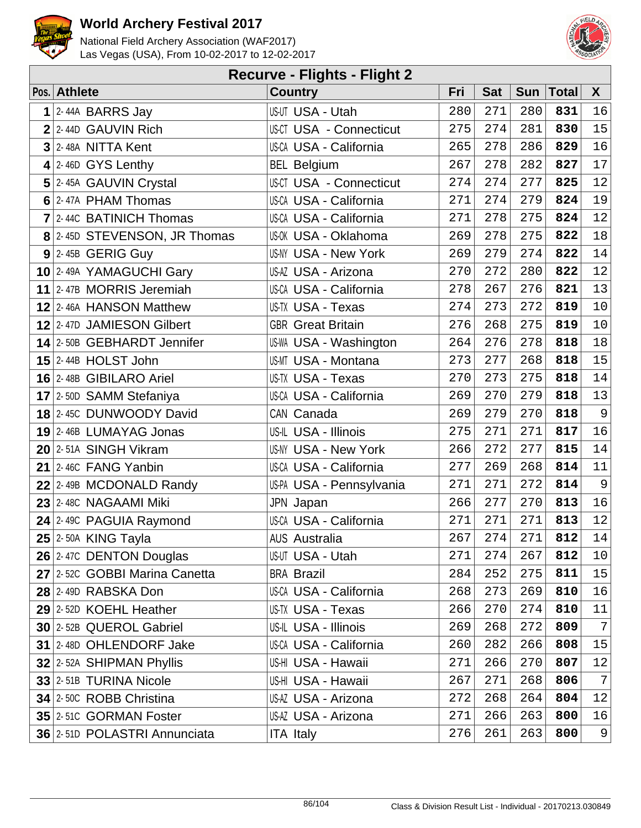



| <b>Recurve - Flights - Flight 2</b> |                               |                                |     |            |            |              |                  |  |  |  |  |
|-------------------------------------|-------------------------------|--------------------------------|-----|------------|------------|--------------|------------------|--|--|--|--|
|                                     | Pos. Athlete                  | <b>Country</b>                 | Fri | <b>Sat</b> | <b>Sun</b> | <b>Total</b> | X                |  |  |  |  |
|                                     | $1$ 2-44A BARRS Jay           | US-UT USA - Utah               | 280 | 271        | 280        | 831          | 16               |  |  |  |  |
|                                     | 2 2-44D GAUVIN Rich           | <b>US-CT USA - Connecticut</b> | 275 | 274        | 281        | 830          | 15               |  |  |  |  |
|                                     | $3$ 2-48A NITTA Kent          | US-CA USA - California         | 265 | 278        | 286        | 829          | 16               |  |  |  |  |
|                                     | $4$ 2-46D GYS Lenthy          | <b>BEL Belgium</b>             | 267 | 278        | 282        | 827          | 17               |  |  |  |  |
|                                     | 5 2-45A GAUVIN Crystal        | <b>US-CT USA - Connecticut</b> | 274 | 274        | 277        | 825          | 12               |  |  |  |  |
|                                     | 6 2-47A PHAM Thomas           | US-CA USA - California         | 271 | 274        | 279        | 824          | 19               |  |  |  |  |
|                                     | $7$ 2-440 BATINICH Thomas     | <b>US-CA USA - California</b>  | 271 | 278        | 275        | 824          | 12               |  |  |  |  |
|                                     | 8 2-45D STEVENSON, JR Thomas  | US-OK USA - Oklahoma           | 269 | 278        | 275        | 822          | 18               |  |  |  |  |
|                                     | $9$ 2-45B GERIG Guy           | <b>US-NY USA - New York</b>    | 269 | 279        | 274        | 822          | 14               |  |  |  |  |
|                                     | 10 2-49A YAMAGUCHI Gary       | US-AZ USA - Arizona            | 270 | 272        | 280        | 822          | 12               |  |  |  |  |
|                                     | 11 2-47B MORRIS Jeremiah      | US-CA USA - California         | 278 | 267        | 276        | 821          | 13               |  |  |  |  |
|                                     | 12 2-46A HANSON Matthew       | US-TX USA - Texas              | 274 | 273        | 272        | 819          | 10               |  |  |  |  |
|                                     | 12 2-47D JAMIESON Gilbert     | <b>GBR</b> Great Britain       | 276 | 268        | 275        | 819          | 10               |  |  |  |  |
|                                     | 14 2-50B GEBHARDT Jennifer    | US-WA USA - Washington         | 264 | 276        | 278        | 818          | 18               |  |  |  |  |
|                                     | $15$ 2-44B HOLST John         | <b>US-MT USA - Montana</b>     | 273 | 277        | 268        | 818          | $15$             |  |  |  |  |
|                                     | 16 2-48B GIBILARO Ariel       | US-TX USA - Texas              | 270 | 273        | 275        | 818          | 14               |  |  |  |  |
|                                     | 17 2-50D SAMM Stefaniya       | US-CA USA - California         | 269 | 270        | 279        | 818          | 13               |  |  |  |  |
|                                     | 18 2-45C DUNWOODY David       | CAN Canada                     | 269 | 279        | 270        | 818          | $\overline{9}$   |  |  |  |  |
|                                     | $19$ 2-46B LUMAYAG Jonas      | US-IL USA - Illinois           | 275 | 271        | 271        | 817          | 16               |  |  |  |  |
|                                     | 20 2-51A SINGH Vikram         | <b>US-NY USA - New York</b>    | 266 | 272        | 277        | 815          | 14               |  |  |  |  |
|                                     | 21 $ 2-46C$ FANG Yanbin       | US-CA USA - California         | 277 | 269        | 268        | 814          | 11               |  |  |  |  |
|                                     | 22 2-49B MCDONALD Randy       | US-PA USA - Pennsylvania       | 271 | 271        | 272        | 814          | $\overline{9}$   |  |  |  |  |
|                                     | 23 2-48C NAGAAMI Miki         | JPN Japan                      | 266 | 277        | 270        | 813          | 16               |  |  |  |  |
|                                     | $24$ 2-49C PAGUIA Raymond     | US-CA USA - California         | 271 | 271        | 271        | 813          | $12\,$           |  |  |  |  |
|                                     | $25$ 2-50A KING Tayla         | <b>AUS Australia</b>           | 267 | 274        | 271        | 812          | 14               |  |  |  |  |
|                                     | 26 2-47C DENTON Douglas       | US-UT USA - Utah               | 271 | 274        | 267        | 812          | 10               |  |  |  |  |
|                                     | 27 2-52C GOBBI Marina Canetta | <b>BRA Brazil</b>              | 284 | 252        | 275        | 811          | 15               |  |  |  |  |
|                                     | 28 2-49D RABSKA Don           | <b>US-CA USA - California</b>  | 268 | 273        | 269        | 810          | 16               |  |  |  |  |
|                                     | 29 2-52D KOEHL Heather        | US-TX USA - Texas              | 266 | 270        | 274        | 810          | 11               |  |  |  |  |
|                                     | 30 2-52B QUEROL Gabriel       | US-IL USA - Illinois           | 269 | 268        | 272        | 809          | $7\phantom{.0}$  |  |  |  |  |
|                                     | 31 2-48D OHLENDORF Jake       | US-CA USA - California         | 260 | 282        | 266        | 808          | 15               |  |  |  |  |
|                                     | 32 2-52A SHIPMAN Phyllis      | US-HI USA - Hawaii             | 271 | 266        | 270        | 807          | 12               |  |  |  |  |
|                                     | 33 2-51B TURINA Nicole        | US-HI USA - Hawaii             | 267 | 271        | 268        | 806          | $\boldsymbol{7}$ |  |  |  |  |
|                                     | 34 2-50C ROBB Christina       | US-AZ USA - Arizona            | 272 | 268        | 264        | 804          | 12               |  |  |  |  |
|                                     | 35 2-51C GORMAN Foster        | US-AZ USA - Arizona            | 271 | 266        | 263        | 800          | 16               |  |  |  |  |
|                                     | 36 2-51D POLASTRI Annunciata  | <b>ITA Italy</b>               | 276 | 261        | 263        | 800          | 9                |  |  |  |  |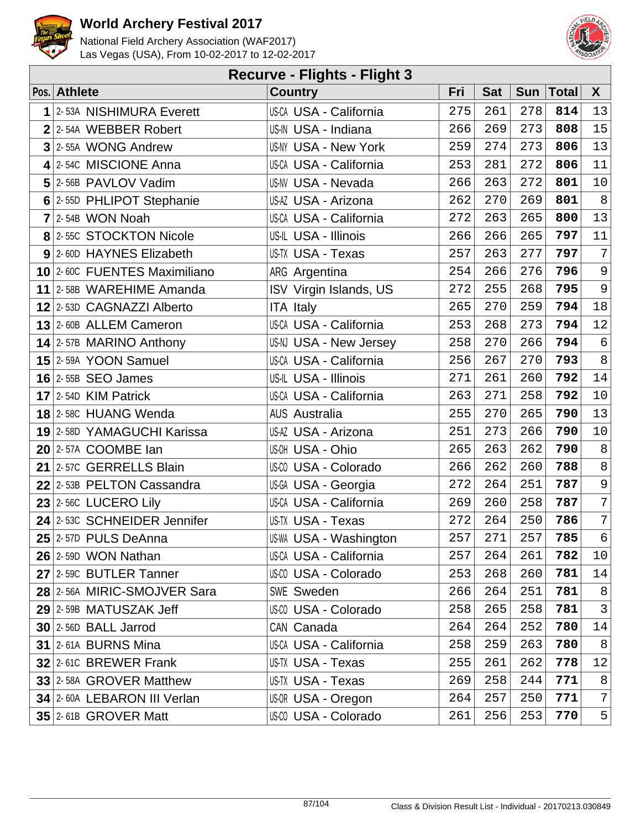



|   | <b>Recurve - Flights - Flight 3</b> |                               |     |            |     |              |                |  |  |  |  |  |
|---|-------------------------------------|-------------------------------|-----|------------|-----|--------------|----------------|--|--|--|--|--|
|   | Pos. Athlete                        | <b>Country</b>                | Fri | <b>Sat</b> | Sun | <b>Total</b> | $\mathsf{X}$   |  |  |  |  |  |
| 1 | 2-53A NISHIMURA Everett             | <b>US-CA USA - California</b> | 275 | 261        | 278 | 814          | 13             |  |  |  |  |  |
|   | $2$ 2-54A WEBBER Robert             | US-IN USA - Indiana           | 266 | 269        | 273 | 808          | 15             |  |  |  |  |  |
|   | $3$ 2-55A WONG Andrew               | <b>US-NY USA - New York</b>   | 259 | 274        | 273 | 806          | 13             |  |  |  |  |  |
|   | 4 2-54C MISCIONE Anna               | US-CA USA - California        | 253 | 281        | 272 | 806          | 11             |  |  |  |  |  |
|   | 5 2-56B PAVLOV Vadim                | US-NV USA - Nevada            | 266 | 263        | 272 | 801          | 10             |  |  |  |  |  |
|   | 6 2-55D PHLIPOT Stephanie           | US-AZ USA - Arizona           | 262 | 270        | 269 | 801          | 8              |  |  |  |  |  |
|   | $7$ 2-54B WON Noah                  | <b>US-CA USA - California</b> | 272 | 263        | 265 | 800          | 13             |  |  |  |  |  |
|   | 8 2-55C STOCKTON Nicole             | US-IL USA - Illinois          | 266 | 266        | 265 | 797          | 11             |  |  |  |  |  |
|   | 9 2-60D HAYNES Elizabeth            | US-TX USA - Texas             | 257 | 263        | 277 | 797          | $\overline{7}$ |  |  |  |  |  |
|   | 10 2-60C FUENTES Maximiliano        | ARG Argentina                 | 254 | 266        | 276 | 796          | $\mathsf 9$    |  |  |  |  |  |
|   | 11 2-58B WAREHIME Amanda            | ISV Virgin Islands, US        | 272 | 255        | 268 | 795          | 9              |  |  |  |  |  |
|   | 12 2-53D CAGNAZZI Alberto           | <b>ITA Italy</b>              | 265 | 270        | 259 | 794          | 18             |  |  |  |  |  |
|   | 13 2-60B ALLEM Cameron              | <b>US-CA USA - California</b> | 253 | 268        | 273 | 794          | 12             |  |  |  |  |  |
|   | 14 2-57B MARINO Anthony             | US-NJ USA - New Jersey        | 258 | 270        | 266 | 794          | $\epsilon$     |  |  |  |  |  |
|   | 15 2-59A YOON Samuel                | <b>US-CA USA - California</b> | 256 | 267        | 270 | 793          | $8\,$          |  |  |  |  |  |
|   | $16$ 2-55B SEO James                | US-IL USA - Illinois          | 271 | 261        | 260 | 792          | 14             |  |  |  |  |  |
|   | $17$ 2-54D KIM Patrick              | <b>US-CA USA - California</b> | 263 | 271        | 258 | 792          | 10             |  |  |  |  |  |
|   | 18 2-58C HUANG Wenda                | <b>AUS Australia</b>          | 255 | 270        | 265 | 790          | 13             |  |  |  |  |  |
|   | 19 2-58D YAMAGUCHI Karissa          | US-AZ USA - Arizona           | 251 | 273        | 266 | 790          | $10$           |  |  |  |  |  |
|   | 20 2-57A COOMBE Ian                 | US-OH USA - Ohio              | 265 | 263        | 262 | 790          | $\,8\,$        |  |  |  |  |  |
|   | 21 2-57C GERRELLS Blain             | US-00 USA - Colorado          | 266 | 262        | 260 | 788          | $\,8\,$        |  |  |  |  |  |
|   | 22 2-53B PELTON Cassandra           | US-GA USA - Georgia           | 272 | 264        | 251 | 787          | $\mathsf 9$    |  |  |  |  |  |
|   | $23$ 2-56C LUCERO Lily              | US-CA USA - California        | 269 | 260        | 258 | 787          | 7              |  |  |  |  |  |
|   | 24 2-53C SCHNEIDER Jennifer         | US-TX USA - Texas             | 272 | 264        | 250 | 786          | $\overline{7}$ |  |  |  |  |  |
|   | $25$ 2-57D PULS DeAnna              | US-WA USA - Washington        | 257 | 271        | 257 | 785          | 6              |  |  |  |  |  |
|   | $26$ 2-59D WON Nathan               | US-CA USA - California        | 257 | 264        | 261 | 782          | 10             |  |  |  |  |  |
|   | 27 2-59C BUTLER Tanner              | US-CO USA - Colorado          | 253 | 268        | 260 | 781          | 14             |  |  |  |  |  |
|   | 28 2-56A MIRIC-SMOJVER Sara         | SWE Sweden                    | 266 | 264        | 251 | 781          | 8              |  |  |  |  |  |
|   | 29 2-59B MATUSZAK Jeff              | US-00 USA - Colorado          | 258 | 265        | 258 | 781          | $\mathfrak{Z}$ |  |  |  |  |  |
|   | $30$ 2-56D BALL Jarrod              | CAN Canada                    | 264 | 264        | 252 | 780          | 14             |  |  |  |  |  |
|   | $31$ 2-61A BURNS Mina               | <b>US-CA USA - California</b> | 258 | 259        | 263 | 780          | 8              |  |  |  |  |  |
|   | 32 2-61C BREWER Frank               | US-TX USA - Texas             | 255 | 261        | 262 | 778          | 12             |  |  |  |  |  |
|   | 33 2-58A GROVER Matthew             | US-TX USA - Texas             | 269 | 258        | 244 | 771          | $\,8\,$        |  |  |  |  |  |
|   | 34 2-60A LEBARON III Verlan         | US-OR USA - Oregon            | 264 | 257        | 250 | 771          | 7              |  |  |  |  |  |
|   | 35 2-61B GROVER Matt                | US-00 USA - Colorado          | 261 | 256        | 253 | 770          | $\overline{5}$ |  |  |  |  |  |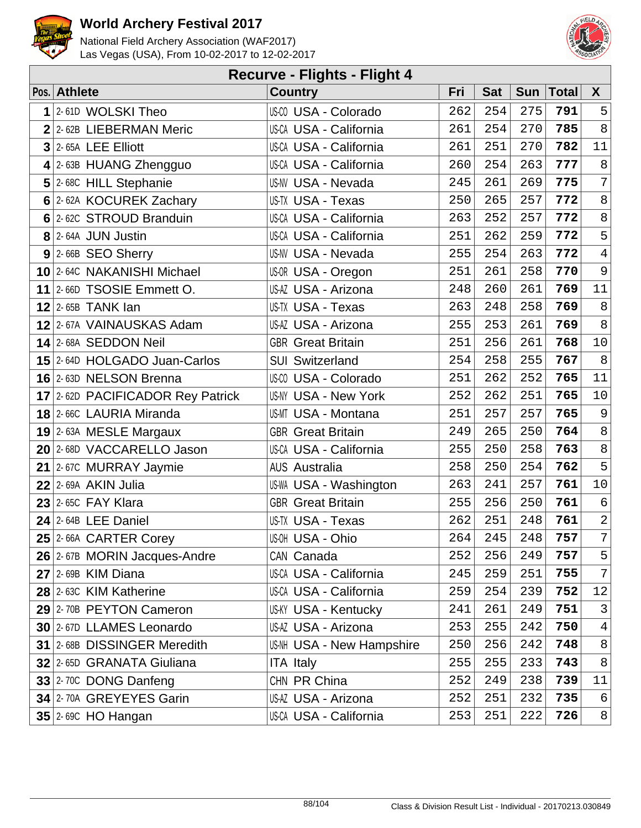



| <b>Recurve - Flights - Flight 4</b> |                                  |                                  |     |            |            |       |                |  |  |  |
|-------------------------------------|----------------------------------|----------------------------------|-----|------------|------------|-------|----------------|--|--|--|
|                                     | Pos. Athlete                     | <b>Country</b>                   | Fri | <b>Sat</b> | <b>Sun</b> | Total | $\mathsf{X}$   |  |  |  |
| 1                                   | 2-61D WOLSKI Theo                | US-00 USA - Colorado             | 262 | 254        | 275        | 791   | 5              |  |  |  |
| $\overline{2}$                      | 2-62B LIEBERMAN Meric            | <b>US-CA USA - California</b>    | 261 | 254        | 270        | 785   | $\,8\,$        |  |  |  |
| $\overline{3}$                      | 2-65A LEE Elliott                | US-CA USA - California           | 261 | 251        | 270        | 782   | 11             |  |  |  |
|                                     | $4$ 2-63B HUANG Zhengguo         | US-CA USA - California           | 260 | 254        | 263        | 777   | $\, 8$         |  |  |  |
|                                     | 5 2-68C HILL Stephanie           | <b>US-NV USA - Nevada</b>        | 245 | 261        | 269        | 775   | 7              |  |  |  |
|                                     | 6 2-62A KOCUREK Zachary          | US-TX USA - Texas                | 250 | 265        | 257        | 772   | $\,8\,$        |  |  |  |
|                                     | 6 2-62C STROUD Branduin          | <b>US-CA USA - California</b>    | 263 | 252        | 257        | 772   | $\,8\,$        |  |  |  |
|                                     | 8 2-64A JUN Justin               | <b>US-CA USA - California</b>    | 251 | 262        | 259        | 772   | 5              |  |  |  |
|                                     | $9$ 2-66B SEO Sherry             | <b>US-NV USA - Nevada</b>        | 255 | 254        | 263        | 772   | $\bf 4$        |  |  |  |
|                                     | 10 2-64C NAKANISHI Michael       | US-OR USA - Oregon               | 251 | 261        | 258        | 770   | $\mathsf 9$    |  |  |  |
|                                     | 11 $ 2-66D$ TSOSIE Emmett O.     | US-AZ USA - Arizona              | 248 | 260        | 261        | 769   | 11             |  |  |  |
|                                     | $12$ 2-65B TANK lan              | <b>US-TX USA - Texas</b>         | 263 | 248        | 258        | 769   | $\,8\,$        |  |  |  |
|                                     | 12 2-67A VAINAUSKAS Adam         | US-AZ USA - Arizona              | 255 | 253        | 261        | 769   | $\,8\,$        |  |  |  |
|                                     | 14 2-68A SEDDON Neil             | <b>GBR</b> Great Britain         | 251 | 256        | 261        | 768   | $10$           |  |  |  |
|                                     | 15 2-64D HOLGADO Juan-Carlos     | <b>SUI Switzerland</b>           | 254 | 258        | 255        | 767   | $\,8\,$        |  |  |  |
|                                     | 16 2-63D NELSON Brenna           | US-00 USA - Colorado             | 251 | 262        | 252        | 765   | 11             |  |  |  |
|                                     | 17 2-62D PACIFICADOR Rey Patrick | <b>US-NY USA - New York</b>      | 252 | 262        | 251        | 765   | $10$           |  |  |  |
|                                     | 18 2-66C LAURIA Miranda          | US-MT USA - Montana              | 251 | 257        | 257        | 765   | $\mathsf 9$    |  |  |  |
|                                     | $19$ 2-63A MESLE Margaux         | <b>GBR</b> Great Britain         | 249 | 265        | 250        | 764   | $\,8\,$        |  |  |  |
|                                     | 20 2-68D VACCARELLO Jason        | <b>US-CA USA - California</b>    | 255 | 250        | 258        | 763   | $\,8\,$        |  |  |  |
|                                     | $21$ 2-67C MURRAY Jaymie         | <b>AUS Australia</b>             | 258 | 250        | 254        | 762   | 5              |  |  |  |
|                                     | $22$ 2-69A AKIN Julia            | <b>US-WA USA - Washington</b>    | 263 | 241        | 257        | 761   | $10$           |  |  |  |
|                                     | 23 2-65C FAY Klara               | <b>GBR</b> Great Britain         | 255 | 256        | 250        | 761   | $\epsilon$     |  |  |  |
|                                     | $24$ 2-64B LEE Daniel            | US-TX USA - Texas                | 262 | 251        | 248        | 761   | $\overline{a}$ |  |  |  |
|                                     | 25 2-66A CARTER Corey            | US-OH USA - Ohio                 | 264 | 245        | 248        | 757   | 7 <sup>1</sup> |  |  |  |
|                                     | 26 2-67B MORIN Jacques-Andre     | CAN Canada                       | 252 | 256        | 249        | 757   | 5              |  |  |  |
|                                     | $27$ 2-69B KIM Diana             | US-CA USA - California           | 245 | 259        | 251        | 755   | $\overline{7}$ |  |  |  |
|                                     | 28 2-63C KIM Katherine           | <b>US-CA USA - California</b>    | 259 | 254        | 239        | 752   | 12             |  |  |  |
|                                     | 29 2-70B PEYTON Cameron          | <b>US-KY USA - Kentucky</b>      | 241 | 261        | 249        | 751   | 3              |  |  |  |
|                                     | 30 2-67D LLAMES Leonardo         | US-AZ USA - Arizona              | 253 | 255        | 242        | 750   | $\overline{4}$ |  |  |  |
|                                     | 31 2-68B DISSINGER Meredith      | <b>US-NH USA - New Hampshire</b> | 250 | 256        | 242        | 748   | 8              |  |  |  |
|                                     | 32 2-65D GRANATA Giuliana        | <b>ITA Italy</b>                 | 255 | 255        | 233        | 743   | $\,8\,$        |  |  |  |
|                                     | 33 2-70C DONG Danfeng            | CHN PR China                     | 252 | 249        | 238        | 739   | 11             |  |  |  |
|                                     | 34 2-70A GREYEYES Garin          | US-AZ USA - Arizona              | 252 | 251        | 232        | 735   | 6              |  |  |  |
|                                     | $35$ 2-69C HO Hangan             | US-CA USA - California           | 253 | 251        | 222        | 726   | 8              |  |  |  |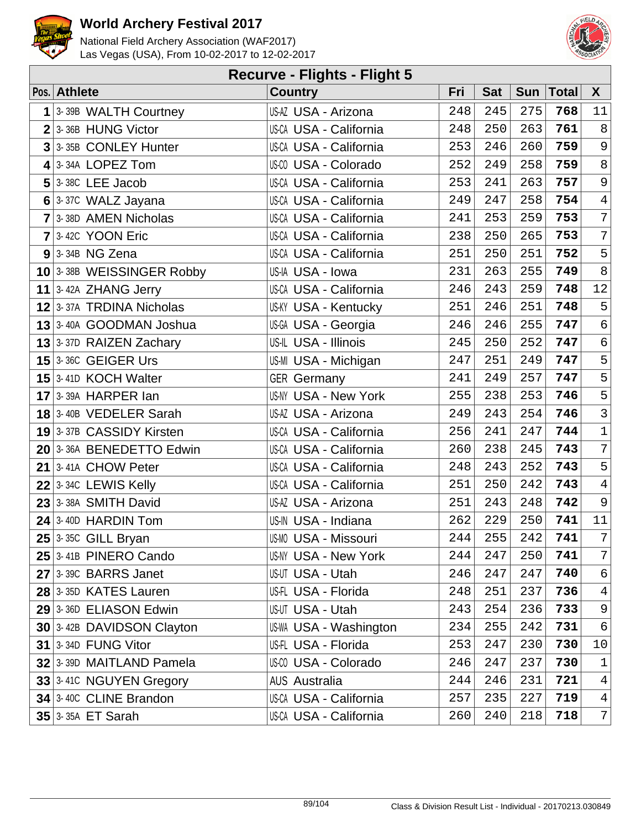



| <b>Recurve - Flights - Flight 5</b> |                            |                               |     |            |     |              |                           |  |  |  |
|-------------------------------------|----------------------------|-------------------------------|-----|------------|-----|--------------|---------------------------|--|--|--|
|                                     | Pos. Athlete               | <b>Country</b>                | Fri | <b>Sat</b> | Sun | <b>Total</b> | $\mathsf{X}$              |  |  |  |
| 1                                   | 3-39B WALTH Courtney       | US-AZ USA - Arizona           | 248 | 245        | 275 | 768          | 11                        |  |  |  |
|                                     | $2 3-36B$ HUNG Victor      | <b>US-CA USA - California</b> | 248 | 250        | 263 | 761          | 8 <sup>°</sup>            |  |  |  |
| $\overline{3}$                      | 3-35B CONLEY Hunter        | <b>US-CA USA - California</b> | 253 | 246        | 260 | 759          | $\overline{9}$            |  |  |  |
|                                     | $4$ 3-34A LOPEZ Tom        | US-CO USA - Colorado          | 252 | 249        | 258 | 759          | 8 <sup>°</sup>            |  |  |  |
|                                     | $5$ 3-38C LEE Jacob        | <b>US-CA USA - California</b> | 253 | 241        | 263 | 757          | 9 <sup>°</sup>            |  |  |  |
|                                     | $6$ 3-37C WALZ Jayana      | US-CA USA - California        | 249 | 247        | 258 | 754          | $\sqrt{4}$                |  |  |  |
|                                     | 7 3-38D AMEN Nicholas      | <b>US-CA USA - California</b> | 241 | 253        | 259 | 753          | $\overline{7}$            |  |  |  |
|                                     | $7$ 3-42C YOON Eric        | <b>US-CA USA - California</b> | 238 | 250        | 265 | 753          | $7\overline{ }$           |  |  |  |
|                                     | $9$ 3-34B NG Zena          | <b>US-CA USA - California</b> | 251 | 250        | 251 | 752          | 5 <sup>1</sup>            |  |  |  |
|                                     | 10 3-38B WEISSINGER Robby  | US-IA USA - Iowa              | 231 | 263        | 255 | 749          | 8 <sup>°</sup>            |  |  |  |
|                                     | 11 $ 3-42A$ ZHANG Jerry    | US-CA USA - California        | 246 | 243        | 259 | 748          | 12                        |  |  |  |
|                                     | 12 3-37A TRDINA Nicholas   | <b>US-KY USA - Kentucky</b>   | 251 | 246        | 251 | 748          | 5                         |  |  |  |
|                                     | $13$ 3-40A GOODMAN Joshua  | US-GA USA - Georgia           | 246 | 246        | 255 | 747          | $6\overline{6}$           |  |  |  |
|                                     | 13 3-37D RAIZEN Zachary    | US-IL USA - Illinois          | 245 | 250        | 252 | 747          | $6\overline{6}$           |  |  |  |
|                                     | <b>15 3-36C GEIGER Urs</b> | US-MI USA - Michigan          | 247 | 251        | 249 | 747          | 5 <sup>1</sup>            |  |  |  |
|                                     | 15 3-41D KOCH Walter       | <b>GER</b> Germany            | 241 | 249        | 257 | 747          | 5                         |  |  |  |
|                                     | $17$ 3-39A HARPER Ian      | <b>US-NY USA - New York</b>   | 255 | 238        | 253 | 746          | 5                         |  |  |  |
|                                     | 18 3-40B VEDELER Sarah     | US-AZ USA - Arizona           | 249 | 243        | 254 | 746          | $\overline{3}$            |  |  |  |
|                                     | 19 3-37B CASSIDY Kirsten   | <b>US-CA USA - California</b> | 256 | 241        | 247 | 744          | $\ensuremath{\mathsf{1}}$ |  |  |  |
|                                     | 20 3-36A BENEDETTO Edwin   | <b>US-CA USA - California</b> | 260 | 238        | 245 | 743          | $7\overline{ }$           |  |  |  |
|                                     | $21$ 3-41A CHOW Peter      | <b>US-CA USA - California</b> | 248 | 243        | 252 | 743          | 5 <sup>1</sup>            |  |  |  |
|                                     | $22$ 3-34C LEWIS Kelly     | <b>US-CA USA - California</b> | 251 | 250        | 242 | 743          | $\overline{4}$            |  |  |  |
|                                     | $23$ 3-38A SMITH David     | US-AZ USA - Arizona           | 251 | 243        | 248 | 742          | $\overline{9}$            |  |  |  |
|                                     | $24$ 3-40D HARDIN Tom      | US-IN USA - Indiana           | 262 | 229        | 250 | 741          | 11                        |  |  |  |
|                                     | $25$ 3-35C GILL Bryan      | US-MO USA - Missouri          | 244 | 255        | 242 | 741          | $7\overline{ }$           |  |  |  |
|                                     | 25 3-41B PINERO Cando      | <b>US-NY USA - New York</b>   | 244 | 247        | 250 | 741          | 7 <sup>1</sup>            |  |  |  |
|                                     | $27$ 3-39C BARRS Janet     | US-UT USA - Utah              | 246 | 247        | 247 | 740          | 6                         |  |  |  |
|                                     | 28 3-35D KATES Lauren      | US-FL USA - Florida           | 248 | 251        | 237 | 736          | 4                         |  |  |  |
|                                     | 29 3-36D ELIASON Edwin     | <b>US-UT USA - Utah</b>       | 243 | 254        | 236 | 733          | $\overline{9}$            |  |  |  |
|                                     | 30 3-42B DAVIDSON Clayton  | US-WA USA - Washington        | 234 | 255        | 242 | 731          | 6                         |  |  |  |
|                                     | $31$ 3-34D FUNG Vitor      | US-FL USA - Florida           | 253 | 247        | 230 | 730          | 10                        |  |  |  |
|                                     | 32 3-39D MAITLAND Pamela   | US-00 USA - Colorado          | 246 | 247        | 237 | 730          | $\mathbf{1}$              |  |  |  |
|                                     | 33 3-41C NGUYEN Gregory    | AUS Australia                 | 244 | 246        | 231 | 721          | $\overline{4}$            |  |  |  |
|                                     | 34 3-40C CLINE Brandon     | <b>US-CA USA - California</b> | 257 | 235        | 227 | 719          | $\overline{4}$            |  |  |  |
|                                     | $35$ 3-35A ET Sarah        | <b>US-CA USA - California</b> | 260 | 240        | 218 | 718          | $7\phantom{.}$            |  |  |  |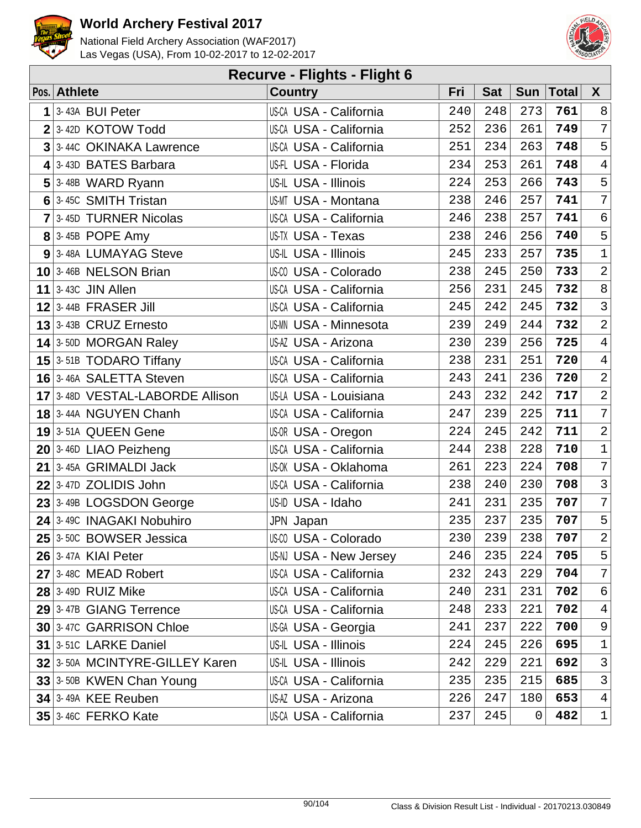



|   | <b>Recurve - Flights - Flight 6</b> |                               |     |            |     |             |                 |  |  |  |  |
|---|-------------------------------------|-------------------------------|-----|------------|-----|-------------|-----------------|--|--|--|--|
|   | Pos. Athlete                        | <b>Country</b>                | Fri | <b>Sat</b> |     | Sun   Total | $\mathsf{X}$    |  |  |  |  |
| 1 | 3-43A BUI Peter                     | <b>US-CA USA - California</b> | 240 | 248        | 273 | 761         | 8               |  |  |  |  |
|   | $2 3$ -42D KOTOW Todd               | <b>US-CA USA - California</b> | 252 | 236        | 261 | 749         | $\overline{7}$  |  |  |  |  |
|   | 3 3-44C OKINAKA Lawrence            | <b>US-CA USA - California</b> | 251 | 234        | 263 | 748         | 5               |  |  |  |  |
|   | 4 3-43D BATES Barbara               | US-FL USA - Florida           | 234 | 253        | 261 | 748         | $\overline{4}$  |  |  |  |  |
|   | $5$ 3-48B WARD Ryann                | US-IL USA - Illinois          | 224 | 253        | 266 | 743         | 5               |  |  |  |  |
|   | 6 3-45C SMITH Tristan               | <b>US-MT USA - Montana</b>    | 238 | 246        | 257 | 741         | $\overline{7}$  |  |  |  |  |
|   | 7 3-45D TURNER Nicolas              | <b>US-CA USA - California</b> | 246 | 238        | 257 | 741         | $6\overline{6}$ |  |  |  |  |
|   | $8$ 3-45B POPE Amy                  | US-TX USA - Texas             | 238 | 246        | 256 | 740         | 5               |  |  |  |  |
|   | 9 3-48A LUMAYAG Steve               | US-IL USA - Illinois          | 245 | 233        | 257 | 735         | $\mathbf{1}$    |  |  |  |  |
|   | 10 3-46B NELSON Brian               | US-CO USA - Colorado          | 238 | 245        | 250 | 733         | $\overline{2}$  |  |  |  |  |
|   | 11 $\vert$ 3-43C JIN Allen          | <b>US-CA USA - California</b> | 256 | 231        | 245 | 732         | 8               |  |  |  |  |
|   | $12$ 3-44B FRASER Jill              | <b>US-CA USA - California</b> | 245 | 242        | 245 | 732         | $\overline{3}$  |  |  |  |  |
|   | $13$ 3-43B CRUZ Ernesto             | <b>US-MN USA - Minnesota</b>  | 239 | 249        | 244 | 732         | $\overline{a}$  |  |  |  |  |
|   | $14$ 3-50D MORGAN Raley             | US-AZ USA - Arizona           | 230 | 239        | 256 | 725         | $\overline{4}$  |  |  |  |  |
|   | $15$ 3-51B TODARO Tiffany           | <b>US-CA USA - California</b> | 238 | 231        | 251 | 720         | $\overline{4}$  |  |  |  |  |
|   | 16 3-46A SALETTA Steven             | US-CA USA - California        | 243 | 241        | 236 | 720         | $\overline{2}$  |  |  |  |  |
|   | 17 3-48D VESTAL-LABORDE Allison     | US-LA USA - Louisiana         | 243 | 232        | 242 | 717         | $\overline{a}$  |  |  |  |  |
|   | 18 3-44A NGUYEN Chanh               | <b>US-CA USA - California</b> | 247 | 239        | 225 | 711         | $\overline{7}$  |  |  |  |  |
|   | 19 3-51A QUEEN Gene                 | US-OR USA - Oregon            | 224 | 245        | 242 | 711         | $\overline{a}$  |  |  |  |  |
|   | $20$ 3-46D LIAO Peizheng            | <b>US-CA USA - California</b> | 244 | 238        | 228 | 710         | $\mathbf 1$     |  |  |  |  |
|   | $21$ 3-45A GRIMALDI Jack            | US-0K USA - Oklahoma          | 261 | 223        | 224 | 708         | $\overline{7}$  |  |  |  |  |
|   | $22$ 3-47D ZOLIDIS John             | US-CA USA - California        | 238 | 240        | 230 | 708         | $\mathfrak{Z}$  |  |  |  |  |
|   | 23 3-49B LOGSDON George             | US-ID USA - Idaho             | 241 | 231        | 235 | 707         | 7               |  |  |  |  |
|   | 24 3-49C INAGAKI Nobuhiro           | JPN Japan                     | 235 | 237        | 235 | 707         | 5               |  |  |  |  |
|   | 25 3-50C BOWSER Jessica             | US-00 USA - Colorado          | 230 | 239        | 238 | 707         | $\overline{a}$  |  |  |  |  |
|   | <b>26 3-47A KIAI Peter</b>          | US-NJ USA - New Jersey        | 246 | 235        | 224 | 705         | 5               |  |  |  |  |
|   | 27 3-48C MEAD Robert                | <b>US-CA USA - California</b> | 232 | 243        | 229 | 704         | 7               |  |  |  |  |
|   | <b>28 3-49D RUIZ Mike</b>           | <b>US-CA USA - California</b> | 240 | 231        | 231 | 702         | 6               |  |  |  |  |
|   | 29 3-47B GIANG Terrence             | <b>US-CA USA - California</b> | 248 | 233        | 221 | 702         | 4               |  |  |  |  |
|   | 30 3-47C GARRISON Chloe             | US-GA USA - Georgia           | 241 | 237        | 222 | 700         | 9               |  |  |  |  |
|   | 31 3-51C LARKE Daniel               | US-IL USA - Illinois          | 224 | 245        | 226 | 695         | $\mathbf{1}$    |  |  |  |  |
|   | 32 3-50A MCINTYRE-GILLEY Karen      | US-IL USA - Illinois          | 242 | 229        | 221 | 692         | $\mathsf{3}$    |  |  |  |  |
|   | 33 3-50B KWEN Chan Young            | US-CA USA - California        | 235 | 235        | 215 | 685         | 3               |  |  |  |  |
|   | $34$ 3-49A KEE Reuben               | US-AZ USA - Arizona           | 226 | 247        | 180 | 653         | $\overline{4}$  |  |  |  |  |
|   | <b>35 3-46C FERKO Kate</b>          | <b>US-CA USA - California</b> | 237 | 245        | 0   | 482         | $\mathbf{1}$    |  |  |  |  |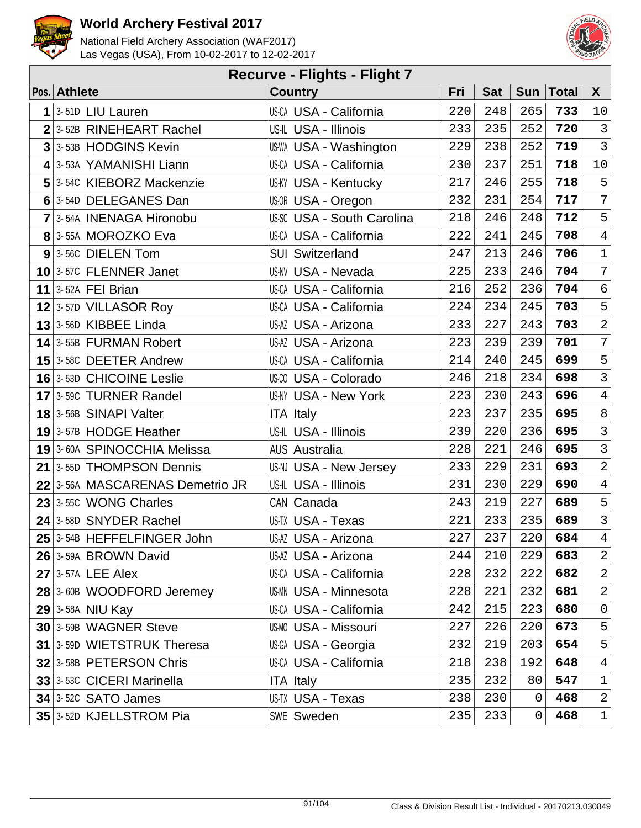



| <b>Recurve - Flights - Flight 7</b> |                                 |                                   |     |            |             |       |                 |  |  |  |
|-------------------------------------|---------------------------------|-----------------------------------|-----|------------|-------------|-------|-----------------|--|--|--|
|                                     | Pos. Athlete                    | <b>Country</b>                    | Fri | <b>Sat</b> | Sum         | Total | $\mathsf{X}$    |  |  |  |
| 1                                   | 3-51D LIU Lauren                | <b>US-CA USA - California</b>     | 220 | 248        | 265         | 733   | 10              |  |  |  |
| $\overline{2}$                      | 3-52B RINEHEART Rachel          | US-IL USA - Illinois              | 233 | 235        | 252         | 720   | $\mathbf{3}$    |  |  |  |
| $\overline{3}$                      | 3-53B HODGINS Kevin             | <b>US-WA USA - Washington</b>     | 229 | 238        | 252         | 719   | $\mathbf{3}$    |  |  |  |
|                                     | 4 3-53A YAMANISHI Liann         | US-CA USA - California            | 230 | 237        | 251         | 718   | $10\,$          |  |  |  |
|                                     | 5 3-54C KIEBORZ Mackenzie       | <b>US-KY USA - Kentucky</b>       | 217 | 246        | 255         | 718   | 5               |  |  |  |
|                                     | 6 3-54D DELEGANES Dan           | US-OR USA - Oregon                | 232 | 231        | 254         | 717   | $\overline{7}$  |  |  |  |
|                                     | 7 3-54A INENAGA Hironobu        | <b>US-SC USA - South Carolina</b> | 218 | 246        | 248         | 712   | 5               |  |  |  |
|                                     | 8 3-55A MOROZKO Eva             | <b>US-CA USA - California</b>     | 222 | 241        | 245         | 708   | $\overline{4}$  |  |  |  |
|                                     | 9 3-56C DIELEN Tom              | <b>SUI Switzerland</b>            | 247 | 213        | 246         | 706   | $\mathbf 1$     |  |  |  |
|                                     | 10 3-57C FLENNER Janet          | <b>US-NV USA - Nevada</b>         | 225 | 233        | 246         | 704   | $7\phantom{.}$  |  |  |  |
|                                     | 11 3-52A FEI Brian              | <b>US-CA USA - California</b>     | 216 | 252        | 236         | 704   | $\epsilon$      |  |  |  |
|                                     | $12$ 3-57D VILLASOR Roy         | US-CA USA - California            | 224 | 234        | 245         | 703   | 5               |  |  |  |
|                                     | $13$ 3-56D KIBBEE Linda         | US-AZ USA - Arizona               | 233 | 227        | 243         | 703   | $\overline{2}$  |  |  |  |
|                                     | 14 3-55B FURMAN Robert          | US-AZ USA - Arizona               | 223 | 239        | 239         | 701   | $\overline{7}$  |  |  |  |
|                                     | $15$ 3-58C DEETER Andrew        | <b>US-CA USA - California</b>     | 214 | 240        | 245         | 699   | 5               |  |  |  |
|                                     | 16 3-53D CHICOINE Leslie        | US-00 USA - Colorado              | 246 | 218        | 234         | 698   | $\mathbf{3}$    |  |  |  |
|                                     | 17 3-59C TURNER Randel          | <b>US-NY USA - New York</b>       | 223 | 230        | 243         | 696   | $\overline{4}$  |  |  |  |
|                                     | 18 3-56B SINAPI Valter          | <b>ITA Italy</b>                  | 223 | 237        | 235         | 695   | 8               |  |  |  |
|                                     | 19 3-57B HODGE Heather          | US-IL USA - Illinois              | 239 | 220        | 236         | 695   | $\mathbf{3}$    |  |  |  |
|                                     | 19 3-60A SPINOCCHIA Melissa     | <b>AUS Australia</b>              | 228 | 221        | 246         | 695   | $\mathbf{3}$    |  |  |  |
|                                     | 21 3-55D THOMPSON Dennis        | US-NJ USA - New Jersey            | 233 | 229        | 231         | 693   | $\overline{a}$  |  |  |  |
|                                     | 22 3-56A MASCARENAS Demetrio JR | US-IL USA - Illinois              | 231 | 230        | 229         | 690   | $\,4$           |  |  |  |
|                                     | 23 3-55C WONG Charles           | CAN Canada                        | 243 | 219        | 227         | 689   | 5               |  |  |  |
|                                     | 24 3-58D SNYDER Rachel          | US-TX USA - Texas                 | 221 | 233        | 235         | 689   | $\overline{3}$  |  |  |  |
|                                     | 25 3-54B HEFFELFINGER John      | US-AZ USA - Arizona               | 227 | 237        | 220         | 684   | $\vert 4 \vert$ |  |  |  |
|                                     | 26 3-59A BROWN David            | US-AZ USA - Arizona               | 244 | 210        | 229         | 683   | $\overline{a}$  |  |  |  |
|                                     | $27$ 3-57A LEE Alex             | <b>US-CA USA - California</b>     | 228 | 232        | 222         | 682   | $\sqrt{2}$      |  |  |  |
|                                     | 28 3-60B WOODFORD Jeremey       | <b>US-MN USA - Minnesota</b>      | 228 | 221        | 232         | 681   | $\overline{c}$  |  |  |  |
|                                     | $29$ 3-58A NIU Kay              | US-CA USA - California            | 242 | 215        | 223         | 680   | $\mathsf 0$     |  |  |  |
|                                     | 30 3-59B WAGNER Steve           | <b>US-MO USA - Missouri</b>       | 227 | 226        | 220         | 673   | 5               |  |  |  |
|                                     | 31 3-59D WIETSTRUK Theresa      | US-GA USA - Georgia               | 232 | 219        | 203         | 654   | 5               |  |  |  |
|                                     | 32 3-58B PETERSON Chris         | US-CA USA - California            | 218 | 238        | 192         | 648   | $\overline{4}$  |  |  |  |
|                                     | 33 3-53C CICERI Marinella       | <b>ITA Italy</b>                  | 235 | 232        | 80          | 547   | $\mathbf 1$     |  |  |  |
|                                     | $34$ 3-52C SATO James           | US-TX USA - Texas                 | 238 | 230        | $\mathbf 0$ | 468   | $\overline{a}$  |  |  |  |
|                                     | 35 3-52D KJELLSTROM Pia         | <b>SWE Sweden</b>                 | 235 | 233        | 0           | 468   | 1               |  |  |  |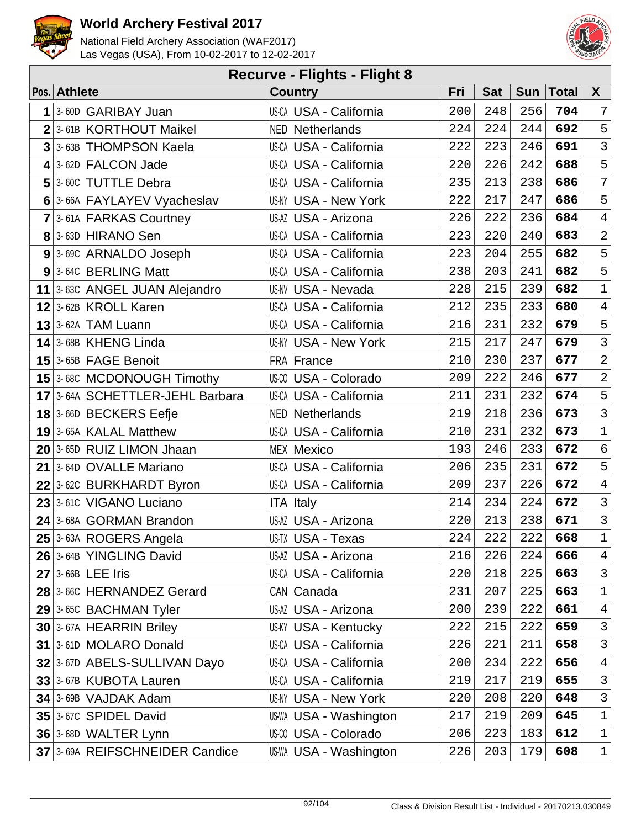



| <b>Recurve - Flights - Flight 8</b> |                               |     |            |     |              |                  |  |  |  |  |
|-------------------------------------|-------------------------------|-----|------------|-----|--------------|------------------|--|--|--|--|
| Pos. Athlete                        | <b>Country</b>                | Fri | <b>Sat</b> | Sun | <b>Total</b> | $\boldsymbol{X}$ |  |  |  |  |
| 1 3-60D GARIBAY Juan                | <b>US-CA USA - California</b> | 200 | 248        | 256 | 704          | 7                |  |  |  |  |
| $2$ 3-61B KORTHOUT Maikel           | <b>NED Netherlands</b>        | 224 | 224        | 244 | 692          | 5                |  |  |  |  |
| 3 3-63B THOMPSON Kaela              | <b>US-CA USA - California</b> | 222 | 223        | 246 | 691          | $\overline{3}$   |  |  |  |  |
| 4 3-62D FALCON Jade                 | US-CA USA - California        | 220 | 226        | 242 | 688          | 5                |  |  |  |  |
| 5 3-60C TUTTLE Debra                | US-CA USA - California        | 235 | 213        | 238 | 686          | $\overline{7}$   |  |  |  |  |
| 6 3-66A FAYLAYEV Vyacheslav         | US-NY USA - New York          | 222 | 217        | 247 | 686          | 5                |  |  |  |  |
| $7$ 3-61A FARKAS Courtney           | US-AZ USA - Arizona           | 226 | 222        | 236 | 684          | $\overline{4}$   |  |  |  |  |
| 8 3-63D HIRANO Sen                  | <b>US-CA USA - California</b> | 223 | 220        | 240 | 683          | $\overline{2}$   |  |  |  |  |
| 9 3-69C ARNALDO Joseph              | <b>US-CA USA - California</b> | 223 | 204        | 255 | 682          | 5                |  |  |  |  |
| 9 3-64C BERLING Matt                | US-CA USA - California        | 238 | 203        | 241 | 682          | 5                |  |  |  |  |
| 11 3-63C ANGEL JUAN Alejandro       | US-NV USA - Nevada            | 228 | 215        | 239 | 682          | $\mathbf{1}$     |  |  |  |  |
| 12 3-62B KROLL Karen                | <b>US-CA USA - California</b> | 212 | 235        | 233 | 680          | $\overline{4}$   |  |  |  |  |
| $13$ 3-62A TAM Luann                | <b>US-CA USA - California</b> | 216 | 231        | 232 | 679          | 5                |  |  |  |  |
| 14 3-68B KHENG Linda                | <b>US-NY USA - New York</b>   | 215 | 217        | 247 | 679          | $\overline{3}$   |  |  |  |  |
| 15 3-65B FAGE Benoit                | FRA France                    | 210 | 230        | 237 | 677          | $\overline{a}$   |  |  |  |  |
| 15 3-68C MCDONOUGH Timothy          | US-CO USA - Colorado          | 209 | 222        | 246 | 677          | $\overline{2}$   |  |  |  |  |
| 17 3-64A SCHETTLER-JEHL Barbara     | US-CA USA - California        | 211 | 231        | 232 | 674          | 5                |  |  |  |  |
| $18$ 3-66D BECKERS Eefje            | <b>NED Netherlands</b>        | 219 | 218        | 236 | 673          | $\mathbf{3}$     |  |  |  |  |
| 19 3-65A KALAL Matthew              | <b>US-CA USA - California</b> | 210 | 231        | 232 | 673          | $\mathbf 1$      |  |  |  |  |
| $20$ 3-65D RUIZ LIMON Jhaan         | <b>MEX Mexico</b>             | 193 | 246        | 233 | 672          | $\epsilon$       |  |  |  |  |
| 21 3-64D OVALLE Mariano             | US-CA USA - California        | 206 | 235        | 231 | 672          | 5                |  |  |  |  |
| 22 3-62C BURKHARDT Byron            | US-CA USA - California        | 209 | 237        | 226 | 672          | $\overline{4}$   |  |  |  |  |
| 23 3-61C VIGANO Luciano             | <b>ITA Italy</b>              | 214 | 234        | 224 | 672          | $\mathsf{3}$     |  |  |  |  |
| 24 3-68A GORMAN Brandon             | US-AZ USA - Arizona           | 220 | 213        | 238 | 671          | $\mathbf{3}$     |  |  |  |  |
| 25 3-63A ROGERS Angela              | US-TX USA - Texas             | 224 | 222        | 222 | 668          | $\mathbf 1$      |  |  |  |  |
| 26 3-64B YINGLING David             | US-AZ USA - Arizona           | 216 | 226        | 224 | 666          | $\overline{4}$   |  |  |  |  |
| $27$ 3-66B LEE Iris                 | US-CA USA - California        | 220 | 218        | 225 | 663          | $\mathsf{3}$     |  |  |  |  |
| 28 3-66C HERNANDEZ Gerard           | CAN Canada                    | 231 | 207        | 225 | 663          | $\mathbf 1$      |  |  |  |  |
| 29 3-65C BACHMAN Tyler              | US-AZ USA - Arizona           | 200 | 239        | 222 | 661          | $\overline{4}$   |  |  |  |  |
| 30 3-67A HEARRIN Briley             | <b>US-KY USA - Kentucky</b>   | 222 | 215        | 222 | 659          | 3                |  |  |  |  |
| 31 3-61D MOLARO Donald              | US-CA USA - California        | 226 | 221        | 211 | 658          | 3                |  |  |  |  |
| 32 3-67D ABELS-SULLIVAN Dayo        | <b>US-CA USA - California</b> | 200 | 234        | 222 | 656          | $\overline{4}$   |  |  |  |  |
| 33 3-67B KUBOTA Lauren              | US-CA USA - California        | 219 | 217        | 219 | 655          | $\mathsf{3}$     |  |  |  |  |
| 34 3-69B VAJDAK Adam                | US-NY USA - New York          | 220 | 208        | 220 | 648          | 3                |  |  |  |  |
| 35 3-67C SPIDEL David               | US-WA USA - Washington        | 217 | 219        | 209 | 645          | $\mathbf 1$      |  |  |  |  |
| 36 3-68D WALTER Lynn                | US-00 USA - Colorado          | 206 | 223        | 183 | 612          | $\mathbf 1$      |  |  |  |  |
| 37 3-69A REIFSCHNEIDER Candice      | US-WA USA - Washington        | 226 | 203        | 179 | 608          | $\mathbf 1$      |  |  |  |  |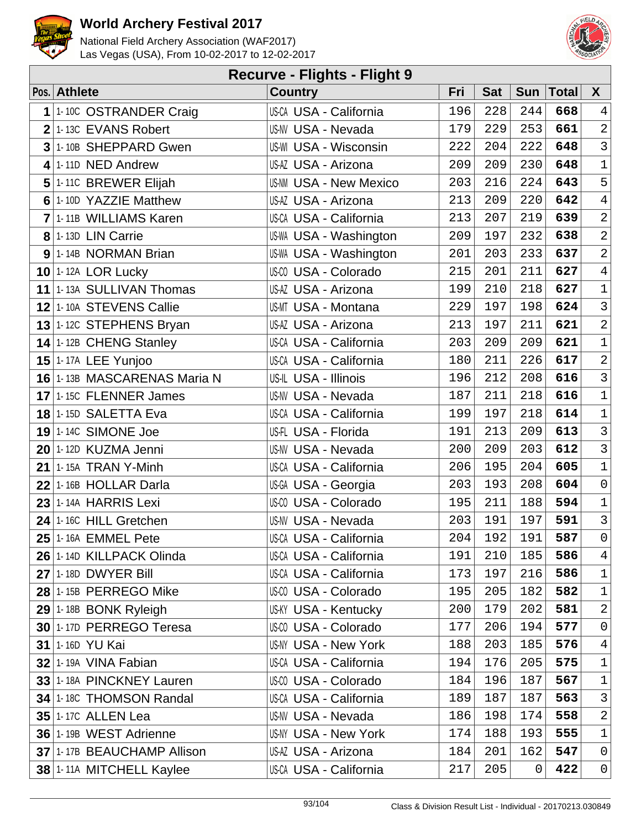



|                | <b>Recurve - Flights - Flight 9</b> |                               |     |            |     |              |                |  |  |  |  |
|----------------|-------------------------------------|-------------------------------|-----|------------|-----|--------------|----------------|--|--|--|--|
|                | Pos. Athlete                        | <b>Country</b>                | Fri | <b>Sat</b> | Sun | <b>Total</b> | $\mathsf{X}$   |  |  |  |  |
| 1              | 1-10C OSTRANDER Craig               | <b>US-CA USA - California</b> | 196 | 228        | 244 | 668          | $\overline{4}$ |  |  |  |  |
|                | $2$ 1-13C EVANS Robert              | <b>US-NV USA - Nevada</b>     | 179 | 229        | 253 | 661          | $\overline{a}$ |  |  |  |  |
| $\overline{3}$ | 1-10B SHEPPARD Gwen                 | <b>US-WI USA - Wisconsin</b>  | 222 | 204        | 222 | 648          | $\overline{3}$ |  |  |  |  |
|                | $4$ 1-11D NED Andrew                | US-AZ USA - Arizona           | 209 | 209        | 230 | 648          | $\mathbf{1}$   |  |  |  |  |
|                | 5 1-11C BREWER Elijah               | <b>US-NM USA - New Mexico</b> | 203 | 216        | 224 | 643          | 5              |  |  |  |  |
|                | 6 1-10D YAZZIE Matthew              | US-AZ USA - Arizona           | 213 | 209        | 220 | 642          | $\overline{4}$ |  |  |  |  |
|                | 7 1-11B WILLIAMS Karen              | <b>US-CA USA - California</b> | 213 | 207        | 219 | 639          | $\overline{a}$ |  |  |  |  |
|                | 8 1-13D LIN Carrie                  | <b>US-WA USA - Washington</b> | 209 | 197        | 232 | 638          | $\overline{a}$ |  |  |  |  |
|                | 9 1-14B NORMAN Brian                | <b>US-WA USA - Washington</b> | 201 | 203        | 233 | 637          | $\overline{a}$ |  |  |  |  |
|                | $10$ 1-12A LOR Lucky                | US-CO USA - Colorado          | 215 | 201        | 211 | 627          | $\overline{4}$ |  |  |  |  |
|                | 11 1-13A SULLIVAN Thomas            | US-AZ USA - Arizona           | 199 | 210        | 218 | 627          | $\mathbf 1$    |  |  |  |  |
|                | 12 1-10A STEVENS Callie             | <b>US-MT USA - Montana</b>    | 229 | 197        | 198 | 624          | $\overline{3}$ |  |  |  |  |
|                | 13 $1.12C$ STEPHENS Bryan           | US-AZ USA - Arizona           | 213 | 197        | 211 | 621          | $\overline{a}$ |  |  |  |  |
|                | 14 1-12B CHENG Stanley              | <b>US-CA USA - California</b> | 203 | 209        | 209 | 621          | $\mathbf{1}$   |  |  |  |  |
|                | $15$ <sup>1-17A</sup> LEE Yunjoo    | <b>US-CA USA - California</b> | 180 | 211        | 226 | 617          | $\overline{2}$ |  |  |  |  |
|                | 16 1-13B MASCARENAS Maria N         | US-IL USA - Illinois          | 196 | 212        | 208 | 616          | $\mathsf{3}$   |  |  |  |  |
|                | 17 1-15C FLENNER James              | US-NV USA - Nevada            | 187 | 211        | 218 | 616          | $\mathbf{1}$   |  |  |  |  |
|                | 18 1-15D SALETTA Eva                | <b>US-CA USA - California</b> | 199 | 197        | 218 | 614          | $\mathbf{1}$   |  |  |  |  |
|                | <b>19 1-14C SIMONE Joe</b>          | US-FL USA - Florida           | 191 | 213        | 209 | 613          | $\mathbf{3}$   |  |  |  |  |
|                | 20 1-12D KUZMA Jenni                | <b>US-NV USA - Nevada</b>     | 200 | 209        | 203 | 612          | $\overline{3}$ |  |  |  |  |
|                | <b>21 1-15A TRAN Y-Minh</b>         | <b>US-CA USA - California</b> | 206 | 195        | 204 | 605          | $\mathbf 1$    |  |  |  |  |
|                | 22 1-16B HOLLAR Darla               | US-GA USA - Georgia           | 203 | 193        | 208 | 604          | $\mathsf{O}$   |  |  |  |  |
|                | 23 1-14A HARRIS Lexi                | <b>US-CO USA - Colorado</b>   | 195 | 211        | 188 | 594          | $\mathbf 1$    |  |  |  |  |
|                | 24 1-16C HILL Gretchen              | <b>US-NV USA - Nevada</b>     | 203 | 191        | 197 | 591          | $\overline{3}$ |  |  |  |  |
|                | 25 1-16A EMMEL Pete                 | US-CA USA - California        | 204 | 192        | 191 | 587          | $\overline{0}$ |  |  |  |  |
|                | 26 1-14D KILLPACK Olinda            | <b>US-CA USA - California</b> | 191 | 210        | 185 | 586          | $\overline{4}$ |  |  |  |  |
|                | <b>27 1-18D DWYER Bill</b>          | US-CA USA - California        | 173 | 197        | 216 | 586          | $\mathbf{1}$   |  |  |  |  |
|                | 28 1-15B PERREGO Mike               | <b>US-CO USA - Colorado</b>   | 195 | 205        | 182 | 582          | $\mathbf{1}$   |  |  |  |  |
|                | 29 1-18B BONK Ryleigh               | <b>US-KY USA - Kentucky</b>   | 200 | 179        | 202 | 581          | $\overline{a}$ |  |  |  |  |
|                | 30 1-17D PERREGO Teresa             | US-00 USA - Colorado          | 177 | 206        | 194 | 577          | $\mathsf{O}$   |  |  |  |  |
|                | <b>31 1-16D YU Kai</b>              | <b>US-NY USA - New York</b>   | 188 | 203        | 185 | 576          | $\overline{4}$ |  |  |  |  |
|                | $32$ 1-19A VINA Fabian              | <b>US-CA USA - California</b> | 194 | 176        | 205 | 575          | $\mathbf{1}$   |  |  |  |  |
|                | 33 1-18A PINCKNEY Lauren            | US-00 USA - Colorado          | 184 | 196        | 187 | 567          | $\mathbf{1}$   |  |  |  |  |
|                | 34 1-18C THOMSON Randal             | <b>US-CA USA - California</b> | 189 | 187        | 187 | 563          | $\mathsf{3}$   |  |  |  |  |
|                | 35 1-17C ALLEN Lea                  | <b>US-NV USA - Nevada</b>     | 186 | 198        | 174 | 558          | $\overline{a}$ |  |  |  |  |
|                | 36 1-19B WEST Adrienne              | <b>US-NY USA - New York</b>   | 174 | 188        | 193 | 555          | $\mathbf 1$    |  |  |  |  |
|                | 37 1-17B BEAUCHAMP Allison          | US-AZ USA - Arizona           | 184 | 201        | 162 | 547          | $\overline{0}$ |  |  |  |  |
|                | 38 1-11A MITCHELL Kaylee            | <b>US-CA USA - California</b> | 217 | 205        | 0   | 422          | $\overline{0}$ |  |  |  |  |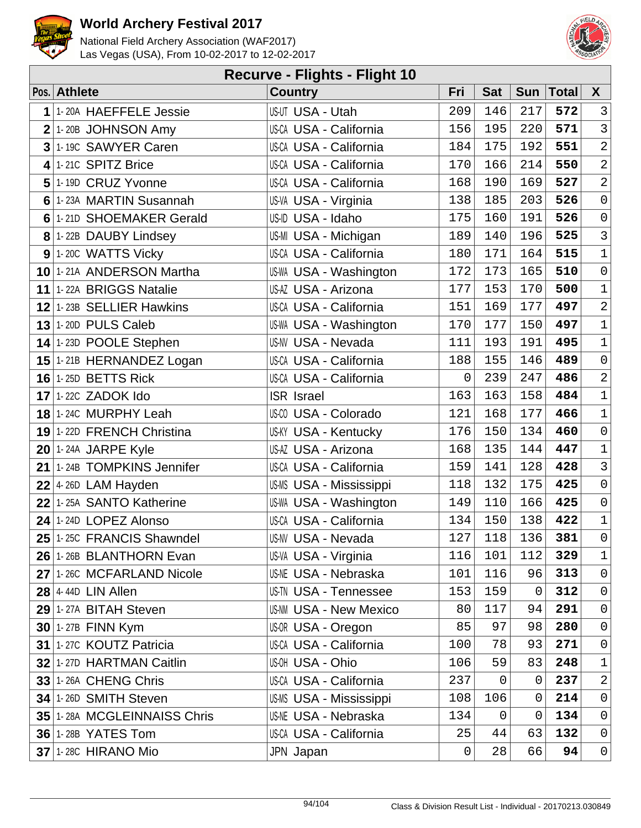



|                | <b>Recurve - Flights - Flight 10</b> |                               |                |                |             |              |                     |  |  |  |  |
|----------------|--------------------------------------|-------------------------------|----------------|----------------|-------------|--------------|---------------------|--|--|--|--|
|                | Pos. Athlete                         | <b>Country</b>                | Fri            | <b>Sat</b>     | <b>Sun</b>  | <b>Total</b> | $\mathsf{X}$        |  |  |  |  |
| 1              | 1-20A HAEFFELE Jessie                | US-UT USA - Utah              | 209            | 146            | 217         | 572          | $\mathbf{3}$        |  |  |  |  |
| $\overline{2}$ | 1-20B JOHNSON Amy                    | <b>US-CA USA - California</b> | 156            | 195            | 220         | 571          | $\mathbf{3}$        |  |  |  |  |
| $\overline{3}$ | 1-19C SAWYER Caren                   | <b>US-CA USA - California</b> | 184            | 175            | 192         | 551          | $\overline{a}$      |  |  |  |  |
| 4              | 1-21C SPITZ Brice                    | US-CA USA - California        | 170            | 166            | 214         | 550          | $\overline{2}$      |  |  |  |  |
| 5              | 1-19D CRUZ Yvonne                    | <b>US-CA USA - California</b> | 168            | 190            | 169         | 527          | $\overline{2}$      |  |  |  |  |
| 6              | 1-23A MARTIN Susannah                | US-VA USA - Virginia          | 138            | 185            | 203         | 526          | $\mathsf{O}\xspace$ |  |  |  |  |
| 6              | 1-21D SHOEMAKER Gerald               | US-ID USA - Idaho             | 175            | 160            | 191         | 526          | $\mathsf{O}$        |  |  |  |  |
|                | 8 1-22B DAUBY Lindsey                | US-MI USA - Michigan          | 189            | 140            | 196         | 525          | $\mathbf{3}$        |  |  |  |  |
|                | $9$ 1-20C WATTS Vicky                | <b>US-CA USA - California</b> | 180            | 171            | 164         | 515          | $\mathbf{1}$        |  |  |  |  |
|                | 10 1-21A ANDERSON Martha             | <b>US-WA USA - Washington</b> | 172            | 173            | 165         | 510          | $\mathsf{O}$        |  |  |  |  |
|                | 11 1-22A BRIGGS Natalie              | US-AZ USA - Arizona           | 177            | 153            | 170         | 500          | $1\,$               |  |  |  |  |
|                | 12 1-23B SELLIER Hawkins             | <b>US-CA USA - California</b> | 151            | 169            | 177         | 497          | $\overline{a}$      |  |  |  |  |
|                | $13$ 1-20D PULS Caleb                | <b>US-WA USA - Washington</b> | 170            | 177            | 150         | 497          | $\mathbf{1}$        |  |  |  |  |
|                | 14 1-23D POOLE Stephen               | <b>US-NV USA - Nevada</b>     | 111            | 193            | 191         | 495          | $\mathbf 1$         |  |  |  |  |
|                | 15 1-21B HERNANDEZ Logan             | <b>US-CA USA - California</b> | 188            | 155            | 146         | 489          | $\mathsf{O}\xspace$ |  |  |  |  |
|                | <b>16 1-25D BETTS Rick</b>           | US-CA USA - California        | 0              | 239            | 247         | 486          | $\overline{2}$      |  |  |  |  |
|                | $17$ 1-22C ZADOK Ido                 | <b>ISR Israel</b>             | 163            | 163            | 158         | 484          | $\mathbf 1$         |  |  |  |  |
|                | 18 1-24C MURPHY Leah                 | US-CO USA - Colorado          | 121            | 168            | 177         | 466          | $\mathbf 1$         |  |  |  |  |
|                | 19 1-22D FRENCH Christina            | <b>US-KY USA - Kentucky</b>   | 176            | 150            | 134         | 460          | $\mathsf{O}$        |  |  |  |  |
|                | $20$ 1-24A JARPE Kyle                | US-AZ USA - Arizona           | 168            | 135            | 144         | 447          | $1\,$               |  |  |  |  |
|                | 21 1-24B TOMPKINS Jennifer           | US-CA USA - California        | 159            | 141            | 128         | 428          | $\overline{3}$      |  |  |  |  |
|                | $22$ 4-26D LAM Hayden                | US-MS USA - Mississippi       | 118            | 132            | 175         | 425          | $\mathsf{O}\xspace$ |  |  |  |  |
|                | $22$ 1-25A SANTO Katherine           | <b>US-WA USA - Washington</b> | 149            | 110            | 166         | 425          | $\mathsf 0$         |  |  |  |  |
| 24             | 1-24D LOPEZ Alonso                   | US-CA USA - California        | 134            | 150            | 138         | 422          | $\mathbf 1$         |  |  |  |  |
|                | 25 1-25C FRANCIS Shawndel            | US-NV USA - Nevada            | 127            | 118            | 136         | 381          | $\overline{0}$      |  |  |  |  |
|                | 26 1-26B BLANTHORN Evan              | US-VA USA - Virginia          | 116            | 101            | 112         | 329          | $\mathbf{1}$        |  |  |  |  |
|                | 27 1-26C MCFARLAND Nicole            | <b>US-NE USA - Nebraska</b>   | 101            | 116            | 96          | 313          | $\mathbf 0$         |  |  |  |  |
|                | $28$ 4-44D LIN Allen                 | <b>US-TN USA - Tennessee</b>  | 153            | 159            | $\mathbf 0$ | 312          | 0                   |  |  |  |  |
|                | 29 1-27A BITAH Steven                | <b>US-NM USA - New Mexico</b> | 80             | 117            | 94          | 291          | $\overline{0}$      |  |  |  |  |
|                | 30 1-27B FINN Kym                    | US-OR USA - Oregon            | 85             | 97             | 98          | 280          | $\mathsf{O}$        |  |  |  |  |
|                | 31 1-27C KOUTZ Patricia              | <b>US-CA USA - California</b> | 100            | 78             | 93          | 271          | $\mathsf{O}$        |  |  |  |  |
|                | 32 1-27D HARTMAN Caitlin             | US-OH USA - Ohio              | 106            | 59             | 83          | 248          | $\mathbf{1}$        |  |  |  |  |
|                | <b>33 1-26A CHENG Chris</b>          | <b>US-CA USA - California</b> | 237            | $\overline{0}$ | $\mathbf 0$ | 237          | $\overline{2}$      |  |  |  |  |
|                | 34 1-26D SMITH Steven                | US-MS USA - Mississippi       | 108            | 106            | 0           | 214          | $\mathsf{O}$        |  |  |  |  |
|                | 35 1-28A MCGLEINNAISS Chris          | <b>US-NE USA - Nebraska</b>   | 134            | $\mathbf 0$    | 0           | 134          | $\mathsf{O}$        |  |  |  |  |
|                | <b>36 1-28B YATES Tom</b>            | US-CA USA - California        | 25             | 44             | 63          | 132          | $\mathsf{O}$        |  |  |  |  |
|                | <b>37 1-28C HIRANO Mio</b>           | JPN Japan                     | $\overline{0}$ | 28             | 66          | 94           | $\mathsf{O}$        |  |  |  |  |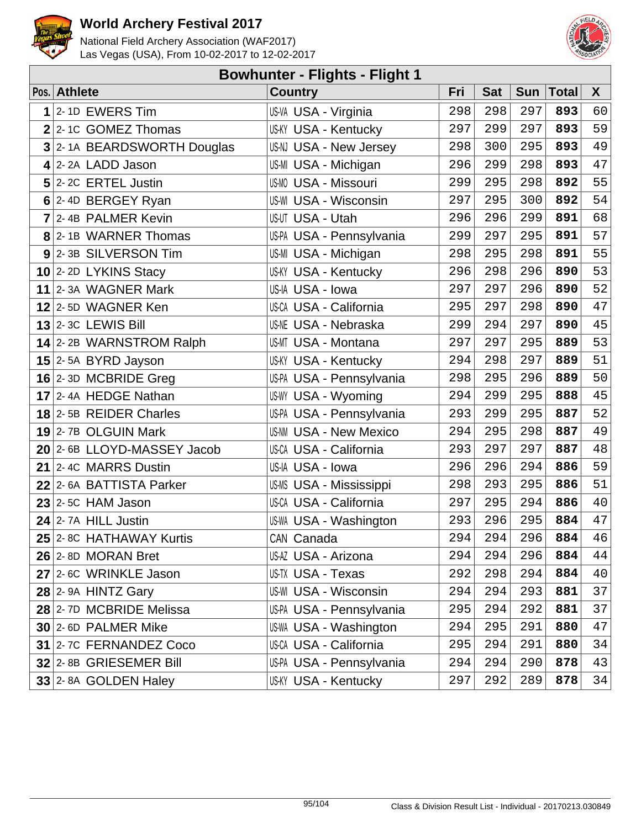



| <b>Bowhunter - Flights - Flight 1</b> |                            |                               |     |            |            |              |    |  |  |  |
|---------------------------------------|----------------------------|-------------------------------|-----|------------|------------|--------------|----|--|--|--|
|                                       | Pos. Athlete               | <b>Country</b>                | Fri | <b>Sat</b> | <b>Sun</b> | <b>Total</b> | X  |  |  |  |
| 1                                     | 2-1D EWERS Tim             | US-VA USA - Virginia          | 298 | 298        | 297        | 893          | 60 |  |  |  |
|                                       | $2$ 2-10 GOMEZ Thomas      | <b>US-KY USA - Kentucky</b>   | 297 | 299        | 297        | 893          | 59 |  |  |  |
| 3                                     | 2-1A BEARDSWORTH Douglas   | US-NJ USA - New Jersey        | 298 | 300        | 295        | 893          | 49 |  |  |  |
|                                       | $4$  2-2A LADD Jason       | US-MI USA - Michigan          | 296 | 299        | 298        | 893          | 47 |  |  |  |
|                                       | $5$ 2-2C ERTEL Justin      | <b>US-MO USA - Missouri</b>   | 299 | 295        | 298        | 892          | 55 |  |  |  |
|                                       | 6 2-4D BERGEY Ryan         | US-WI USA - Wisconsin         | 297 | 295        | 300        | 892          | 54 |  |  |  |
|                                       | 7 2-4B PALMER Kevin        | US-UT USA - Utah              | 296 | 296        | 299        | 891          | 68 |  |  |  |
|                                       | 8 2-1B WARNER Thomas       | US-PA USA - Pennsylvania      | 299 | 297        | 295        | 891          | 57 |  |  |  |
|                                       | 9 2-3B SILVERSON Tim       | US-MI USA - Michigan          | 298 | 295        | 298        | 891          | 55 |  |  |  |
|                                       | 10 2-2D LYKINS Stacy       | <b>US-KY USA - Kentucky</b>   | 296 | 298        | 296        | 890          | 53 |  |  |  |
|                                       | 11 2-3A WAGNER Mark        | US-IA USA - Iowa              | 297 | 297        | 296        | 890          | 52 |  |  |  |
|                                       | 12 2-5D WAGNER Ken         | <b>US-CA USA - California</b> | 295 | 297        | 298        | 890          | 47 |  |  |  |
|                                       | $13$ 2-3C LEWIS Bill       | <b>US-NE USA - Nebraska</b>   | 299 | 294        | 297        | 890          | 45 |  |  |  |
|                                       | 14 2-2B WARNSTROM Ralph    | <b>US-MT USA - Montana</b>    | 297 | 297        | 295        | 889          | 53 |  |  |  |
|                                       | $15$ 2-5A BYRD Jayson      | <b>US-KY USA - Kentucky</b>   | 294 | 298        | 297        | 889          | 51 |  |  |  |
|                                       | 16 $2$ -3D MCBRIDE Greg    | US-PA USA - Pennsylvania      | 298 | 295        | 296        | 889          | 50 |  |  |  |
|                                       | $17$ 2-4A HEDGE Nathan     | US-WY USA - Wyoming           | 294 | 299        | 295        | 888          | 45 |  |  |  |
|                                       | 18 2-5B REIDER Charles     | US-PA USA - Pennsylvania      | 293 | 299        | 295        | 887          | 52 |  |  |  |
|                                       | 19 2-7B OLGUIN Mark        | <b>US-NM USA - New Mexico</b> | 294 | 295        | 298        | 887          | 49 |  |  |  |
|                                       | 20 2-6B LLOYD-MASSEY Jacob | <b>US-CA USA - California</b> | 293 | 297        | 297        | 887          | 48 |  |  |  |
|                                       | 21 2-4C MARRS Dustin       | US-IA USA - Iowa              | 296 | 296        | 294        | 886          | 59 |  |  |  |
|                                       | 22 2-6A BATTISTA Parker    | US-MS USA - Mississippi       | 298 | 293        | 295        | 886          | 51 |  |  |  |
|                                       | $23$ 2-5C HAM Jason        | <b>US-CA USA - California</b> | 297 | 295        | 294        | 886          | 40 |  |  |  |
|                                       | $24$ 2-7A HILL Justin      | <b>US-WA USA - Washington</b> | 293 | 296        | 295        | 884          | 47 |  |  |  |
|                                       | 25 2-8C HATHAWAY Kurtis    | CAN Canada                    | 294 | 294        | 296        | 884          | 46 |  |  |  |
|                                       | 26 2-8D MORAN Bret         | US-AZ USA - Arizona           | 294 | 294        | 296        | 884          | 44 |  |  |  |
|                                       | 27 2-6C WRINKLE Jason      | US-TX USA - Texas             | 292 | 298        | 294        | 884          | 40 |  |  |  |
|                                       | $28$ 2-9A HINTZ Gary       | <b>US-WI USA - Wisconsin</b>  | 294 | 294        | 293        | 881          | 37 |  |  |  |
|                                       | 28 2-7D MCBRIDE Melissa    | US-PA USA - Pennsylvania      | 295 | 294        | 292        | 881          | 37 |  |  |  |
|                                       | 30 2-6D PALMER Mike        | US-WA USA - Washington        | 294 | 295        | 291        | 880          | 47 |  |  |  |
|                                       | 31 2-7C FERNANDEZ Coco     | US-CA USA - California        | 295 | 294        | 291        | 880          | 34 |  |  |  |
|                                       | 32 2-8B GRIESEMER Bill     | US-PA USA - Pennsylvania      | 294 | 294        | 290        | 878          | 43 |  |  |  |
|                                       | 33 2-8A GOLDEN Haley       | <b>US-KY USA - Kentucky</b>   | 297 | 292        | 289        | 878          | 34 |  |  |  |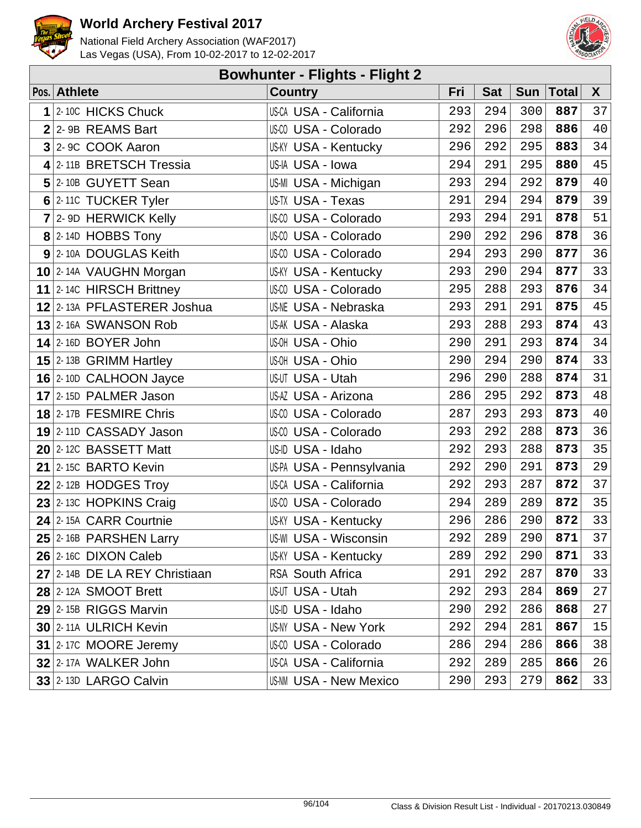



| <b>Bowhunter - Flights - Flight 2</b> |                               |                               |     |            |     |             |              |  |  |  |  |
|---------------------------------------|-------------------------------|-------------------------------|-----|------------|-----|-------------|--------------|--|--|--|--|
|                                       | Pos. Athlete                  | <b>Country</b>                | Fri | <b>Sat</b> |     | Sun   Total | $\mathsf{X}$ |  |  |  |  |
| 1                                     | 2-10C HICKS Chuck             | <b>US-CA USA - California</b> | 293 | 294        | 300 | 887         | 37           |  |  |  |  |
|                                       | $2$ 2-9B REAMS Bart           | US-00 USA - Colorado          | 292 | 296        | 298 | 886         | 40           |  |  |  |  |
|                                       | 3 2- 9C COOK Aaron            | <b>US-KY USA - Kentucky</b>   | 296 | 292        | 295 | 883         | 34           |  |  |  |  |
|                                       | 4 2-11B BRETSCH Tressia       | US-IA USA - Iowa              | 294 | 291        | 295 | 880         | 45           |  |  |  |  |
|                                       | 5 2-10B GUYETT Sean           | US-MI USA - Michigan          | 293 | 294        | 292 | 879         | 40           |  |  |  |  |
|                                       | 6 2-110 TUCKER Tyler          | US-TX USA - Texas             | 291 | 294        | 294 | 879         | 39           |  |  |  |  |
|                                       | 7 2- 9D HERWICK Kelly         | US-00 USA - Colorado          | 293 | 294        | 291 | 878         | 51           |  |  |  |  |
|                                       | $8$ 2-14D HOBBS Tony          | US-CO USA - Colorado          | 290 | 292        | 296 | 878         | 36           |  |  |  |  |
|                                       | 9 2-10A DOUGLAS Keith         | US-CO USA - Colorado          | 294 | 293        | 290 | 877         | 36           |  |  |  |  |
|                                       | 10 2-14A VAUGHN Morgan        | <b>US-KY USA - Kentucky</b>   | 293 | 290        | 294 | 877         | 33           |  |  |  |  |
|                                       | 11 $ 2-14C$ HIRSCH Brittney   | US-00 USA - Colorado          | 295 | 288        | 293 | 876         | 34           |  |  |  |  |
|                                       | 12 2-13A PFLASTERER Joshua    | <b>US-NE USA - Nebraska</b>   | 293 | 291        | 291 | 875         | 45           |  |  |  |  |
|                                       | 13 2-16A SWANSON Rob          | US-AK USA - Alaska            | 293 | 288        | 293 | 874         | 43           |  |  |  |  |
|                                       | $14$ 2-16D BOYER John         | US-OH USA - Ohio              | 290 | 291        | 293 | 874         | 34           |  |  |  |  |
|                                       | 15 $2$ -13B GRIMM Hartley     | US-OH USA - Ohio              | 290 | 294        | 290 | 874         | 33           |  |  |  |  |
|                                       | 16 2-10D CALHOON Jayce        | US-UT USA - Utah              | 296 | 290        | 288 | 874         | 31           |  |  |  |  |
|                                       | 17 2-15D PALMER Jason         | US-AZ USA - Arizona           | 286 | 295        | 292 | 873         | 48           |  |  |  |  |
|                                       | 18 2-17B FESMIRE Chris        | US-00 USA - Colorado          | 287 | 293        | 293 | 873         | 40           |  |  |  |  |
|                                       | 19 2-11D CASSADY Jason        | US-00 USA - Colorado          | 293 | 292        | 288 | 873         | 36           |  |  |  |  |
|                                       | 20 2-12C BASSETT Matt         | US-ID USA - Idaho             | 292 | 293        | 288 | 873         | 35           |  |  |  |  |
|                                       | 21 2-15C BARTO Kevin          | US-PA USA - Pennsylvania      | 292 | 290        | 291 | 873         | 29           |  |  |  |  |
|                                       | $22$ 2-12B HODGES Troy        | US-CA USA - California        | 292 | 293        | 287 | 872         | 37           |  |  |  |  |
|                                       | $23$ 2-13C HOPKINS Craig      | US-00 USA - Colorado          | 294 | 289        | 289 | 872         | 35           |  |  |  |  |
|                                       | 24 2-15A CARR Courtnie        | <b>US-KY USA - Kentucky</b>   | 296 | 286        | 290 | 872         | 33           |  |  |  |  |
|                                       | $25$ 2-16B PARSHEN Larry      | US-WI USA - Wisconsin         | 292 | 289        | 290 | 871         | 37           |  |  |  |  |
|                                       | $26$  2-16C DIXON Caleb       | US-KY USA - Kentucky          | 289 | 292        | 290 | 871         | 33           |  |  |  |  |
|                                       | 27 2-14B DE LA REY Christiaan | <b>RSA South Africa</b>       | 291 | 292        | 287 | 870         | 33           |  |  |  |  |
|                                       | 28 2-12A SMOOT Brett          | US-UT USA - Utah              | 292 | 293        | 284 | 869         | 27           |  |  |  |  |
|                                       | 29 2-15B RIGGS Marvin         | US-ID USA - Idaho             | 290 | 292        | 286 | 868         | 27           |  |  |  |  |
|                                       | 30 2-11A ULRICH Kevin         | <b>US-NY USA - New York</b>   | 292 | 294        | 281 | 867         | 15           |  |  |  |  |
|                                       | 31 2-17C MOORE Jeremy         | US-00 USA - Colorado          | 286 | 294        | 286 | 866         | 38           |  |  |  |  |
|                                       | 32 2-17A WALKER John          | US-CA USA - California        | 292 | 289        | 285 | 866         | 26           |  |  |  |  |
|                                       | $33$ 2-13D LARGO Calvin       | <b>US-NM USA - New Mexico</b> | 290 | 293        | 279 | 862         | 33           |  |  |  |  |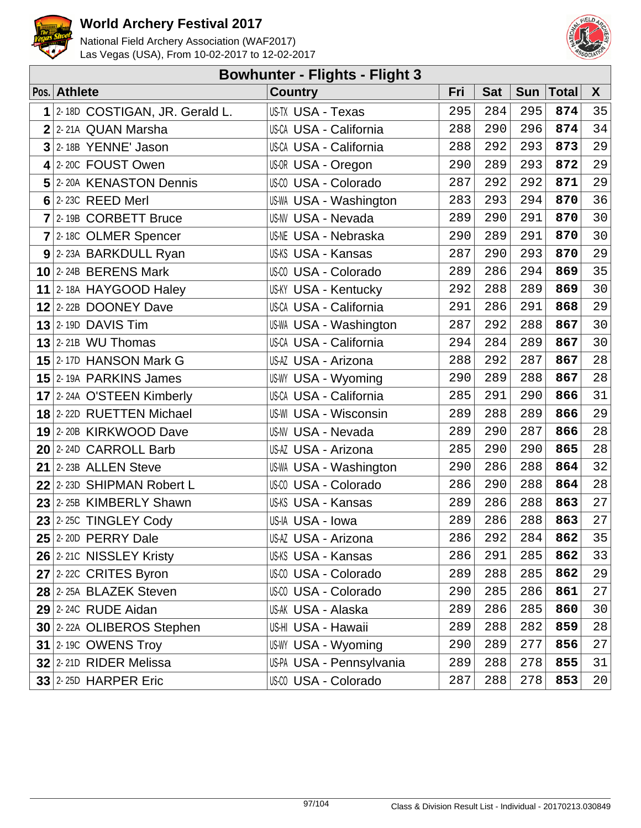



| <b>Bowhunter - Flights - Flight 3</b> |                               |                               |     |            |            |              |    |  |
|---------------------------------------|-------------------------------|-------------------------------|-----|------------|------------|--------------|----|--|
|                                       | Pos. Athlete                  | <b>Country</b>                | Fri | <b>Sat</b> | <b>Sun</b> | <b>Total</b> | X  |  |
| 1                                     | 2-18D COSTIGAN, JR. Gerald L. | US-TX USA - Texas             | 295 | 284        | 295        | 874          | 35 |  |
|                                       | 2 2-21A QUAN Marsha           | <b>US-CA USA - California</b> | 288 | 290        | 296        | 874          | 34 |  |
|                                       | $3$ 2-18B YENNE' Jason        | <b>US-CA USA - California</b> | 288 | 292        | 293        | 873          | 29 |  |
|                                       | 4 2-20C FOUST Owen            | US-OR USA - Oregon            | 290 | 289        | 293        | 872          | 29 |  |
|                                       | 5 2-20A KENASTON Dennis       | US-CO USA - Colorado          | 287 | 292        | 292        | 871          | 29 |  |
|                                       | $6$ 2-23C REED Merl           | US-WA USA - Washington        | 283 | 293        | 294        | 870          | 36 |  |
|                                       | 7 2-19B CORBETT Bruce         | <b>US-NV USA - Nevada</b>     | 289 | 290        | 291        | 870          | 30 |  |
|                                       | 7 2-180 OLMER Spencer         | <b>US-NE USA - Nebraska</b>   | 290 | 289        | 291        | 870          | 30 |  |
|                                       | 9 2-23A BARKDULL Ryan         | US-KS USA - Kansas            | 287 | 290        | 293        | 870          | 29 |  |
|                                       | $10$ 2-24B BERENS Mark        | US-CO USA - Colorado          | 289 | 286        | 294        | 869          | 35 |  |
|                                       | 11 2-18A HAYGOOD Haley        | <b>US-KY USA - Kentucky</b>   | 292 | 288        | 289        | 869          | 30 |  |
|                                       | 12 2-22B DOONEY Dave          | US-CA USA - California        | 291 | 286        | 291        | 868          | 29 |  |
|                                       | $13$ 2-19D DAVIS Tim          | US-WA USA - Washington        | 287 | 292        | 288        | 867          | 30 |  |
|                                       | $13$ 2-21B WU Thomas          | <b>US-CA USA - California</b> | 294 | 284        | 289        | 867          | 30 |  |
|                                       | 15 2-17D HANSON Mark G        | US-AZ USA - Arizona           | 288 | 292        | 287        | 867          | 28 |  |
|                                       | 15 2-19A PARKINS James        | <b>US-WY USA - Wyoming</b>    | 290 | 289        | 288        | 867          | 28 |  |
|                                       | 17 2-24A O'STEEN Kimberly     | US-CA USA - California        | 285 | 291        | 290        | 866          | 31 |  |
|                                       | 18 2-22D RUETTEN Michael      | <b>US-WI USA - Wisconsin</b>  | 289 | 288        | 289        | 866          | 29 |  |
|                                       | 19 2-20B KIRKWOOD Dave        | <b>US-NV USA - Nevada</b>     | 289 | 290        | 287        | 866          | 28 |  |
|                                       | 20 2-24D CARROLL Barb         | US-AZ USA - Arizona           | 285 | 290        | 290        | 865          | 28 |  |
|                                       | $21$ 2-23B ALLEN Steve        | <b>US-WA USA - Washington</b> | 290 | 286        | 288        | 864          | 32 |  |
|                                       | $22$ 2-23D SHIPMAN Robert L   | US-00 USA - Colorado          | 286 | 290        | 288        | 864          | 28 |  |
|                                       | $23$ 2-25B KIMBERLY Shawn     | US-KS USA - Kansas            | 289 | 286        | 288        | 863          | 27 |  |
|                                       | $23$ 2-25C TINGLEY Cody       | US-IA USA - Iowa              | 289 | 286        | 288        | 863          | 27 |  |
|                                       | $25$ 2-20D PERRY Dale         | US-AZ USA - Arizona           | 286 | 292        | 284        | 862          | 35 |  |
|                                       | 26 2-210 NISSLEY Kristy       | US-KS USA - Kansas            | 286 | 291        | 285        | 862          | 33 |  |
|                                       | $27$ 2-22C CRITES Byron       | US-00 USA - Colorado          | 289 | 288        | 285        | 862          | 29 |  |
|                                       | 28 2-25A BLAZEK Steven        | US-00 USA - Colorado          | 290 | 285        | 286        | 861          | 27 |  |
|                                       | $29$ 2-24C RUDE Aidan         | US-AK USA - Alaska            | 289 | 286        | 285        | 860          | 30 |  |
|                                       | 30 2-22A OLIBEROS Stephen     | US-HI USA - Hawaii            | 289 | 288        | 282        | 859          | 28 |  |
|                                       | <b>31 2-19C OWENS Troy</b>    | US-WY USA - Wyoming           | 290 | 289        | 277        | 856          | 27 |  |
|                                       | 32 2-21D RIDER Melissa        | US-PA USA - Pennsylvania      | 289 | 288        | 278        | 855          | 31 |  |
|                                       | <b>33 2-250 HARPER Eric</b>   | US-CO USA - Colorado          | 287 | 288        | 278        | 853          | 20 |  |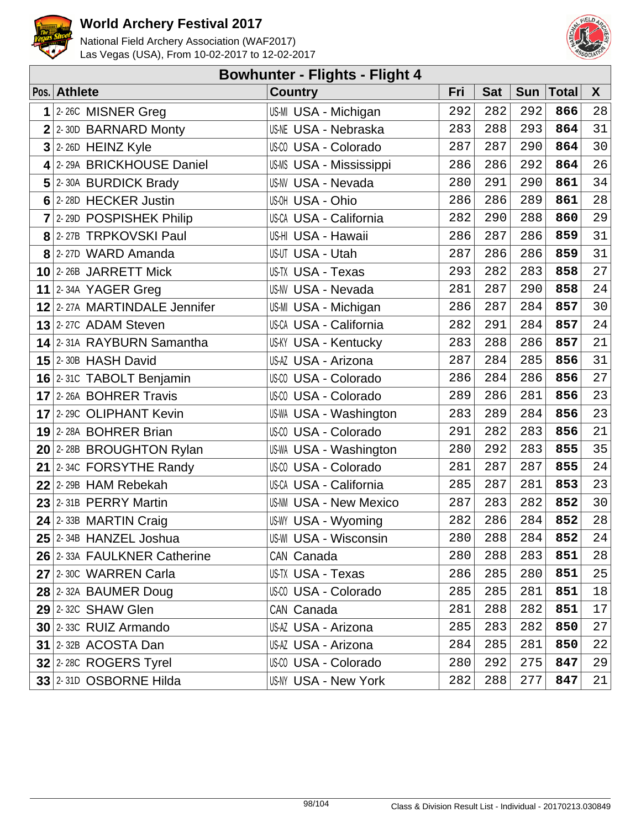



| <b>Bowhunter - Flights - Flight 4</b> |                              |                                |     |            |            |              |    |  |  |
|---------------------------------------|------------------------------|--------------------------------|-----|------------|------------|--------------|----|--|--|
|                                       | Pos. Athlete                 | <b>Country</b>                 | Fri | <b>Sat</b> | <b>Sun</b> | <b>Total</b> | X  |  |  |
|                                       | $1$ 2-26C MISNER Greg        | US-MI USA - Michigan           | 292 | 282        | 292        | 866          | 28 |  |  |
|                                       | $2$ 2-30D BARNARD Monty      | <b>US-NE USA - Nebraska</b>    | 283 | 288        | 293        | 864          | 31 |  |  |
|                                       | $3$ 2-26D HEINZ Kyle         | US-CO USA - Colorado           | 287 | 287        | 290        | 864          | 30 |  |  |
|                                       | 4 2-29A BRICKHOUSE Daniel    | <b>US-MS USA - Mississippi</b> | 286 | 286        | 292        | 864          | 26 |  |  |
|                                       | 5 2-30A BURDICK Brady        | <b>US-NV USA - Nevada</b>      | 280 | 291        | 290        | 861          | 34 |  |  |
|                                       | 6 2-28D HECKER Justin        | US-OH USA - Ohio               | 286 | 286        | 289        | 861          | 28 |  |  |
|                                       | $7$ 2-29D POSPISHEK Philip   | <b>US-CA USA - California</b>  | 282 | 290        | 288        | 860          | 29 |  |  |
|                                       | 8 2-27B TRPKOVSKI Paul       | US-HI USA - Hawaii             | 286 | 287        | 286        | 859          | 31 |  |  |
|                                       | 8 2-27D WARD Amanda          | US-UT USA - Utah               | 287 | 286        | 286        | 859          | 31 |  |  |
|                                       | 10 2-26B JARRETT Mick        | US-TX USA - Texas              | 293 | 282        | 283        | 858          | 27 |  |  |
|                                       | 11 2-34A YAGER Greg          | <b>US-NV USA - Nevada</b>      | 281 | 287        | 290        | 858          | 24 |  |  |
|                                       | 12 2-27A MARTINDALE Jennifer | US-MI USA - Michigan           | 286 | 287        | 284        | 857          | 30 |  |  |
|                                       | $13$ 2-27C ADAM Steven       | <b>US-CA USA - California</b>  | 282 | 291        | 284        | 857          | 24 |  |  |
|                                       | 14 2-31A RAYBURN Samantha    | <b>US-KY USA - Kentucky</b>    | 283 | 288        | 286        | 857          | 21 |  |  |
|                                       | $15$ 2-30B HASH David        | US-AZ USA - Arizona            | 287 | 284        | 285        | 856          | 31 |  |  |
|                                       | 16 2-31C TABOLT Benjamin     | US-00 USA - Colorado           | 286 | 284        | 286        | 856          | 27 |  |  |
|                                       | 17 2-26A BOHRER Travis       | US-CO USA - Colorado           | 289 | 286        | 281        | 856          | 23 |  |  |
|                                       | 17 2-29C OLIPHANT Kevin      | US-WA USA - Washington         | 283 | 289        | 284        | 856          | 23 |  |  |
|                                       | 19 2-28A BOHRER Brian        | US-00 USA - Colorado           | 291 | 282        | 283        | 856          | 21 |  |  |
|                                       | 20 2-28B BROUGHTON Rylan     | <b>US-WA USA - Washington</b>  | 280 | 292        | 283        | 855          | 35 |  |  |
|                                       | 21 $ 2-34C$ FORSYTHE Randy   | US-CO USA - Colorado           | 281 | 287        | 287        | 855          | 24 |  |  |
|                                       | 22 2-29B HAM Rebekah         | <b>US-CA USA - California</b>  | 285 | 287        | 281        | 853          | 23 |  |  |
|                                       | $23$ 2-31B PERRY Martin      | <b>US-NM USA - New Mexico</b>  | 287 | 283        | 282        | 852          | 30 |  |  |
|                                       | 24 2-33B MARTIN Craig        | US-WY USA - Wyoming            | 282 | 286        | 284        | 852          | 28 |  |  |
|                                       | $25$ 2-34B HANZEL Joshua     | US-WI USA - Wisconsin          | 280 | 288        | 284        | 852          | 24 |  |  |
|                                       | 26 2-33A FAULKNER Catherine  | CAN Canada                     | 280 | 288        | 283        | 851          | 28 |  |  |
|                                       | 27 2-30C WARREN Carla        | US-TX USA - Texas              | 286 | 285        | 280        | 851          | 25 |  |  |
|                                       | 28 2-32A BAUMER Doug         | US-00 USA - Colorado           | 285 | 285        | 281        | 851          | 18 |  |  |
|                                       | $29$ 2-32C SHAW Glen         | CAN Canada                     | 281 | 288        | 282        | 851          | 17 |  |  |
|                                       | $30$ 2-330 RUIZ Armando      | US-AZ USA - Arizona            | 285 | 283        | 282        | 850          | 27 |  |  |
|                                       | $31$ 2-32B ACOSTA Dan        | US-AZ USA - Arizona            | 284 | 285        | 281        | 850          | 22 |  |  |
|                                       | 32 2-28C ROGERS Tyrel        | US-CO USA - Colorado           | 280 | 292        | 275        | 847          | 29 |  |  |
|                                       | 33 2-31D OSBORNE Hilda       | <b>US-NY USA - New York</b>    | 282 | 288        | 277        | 847          | 21 |  |  |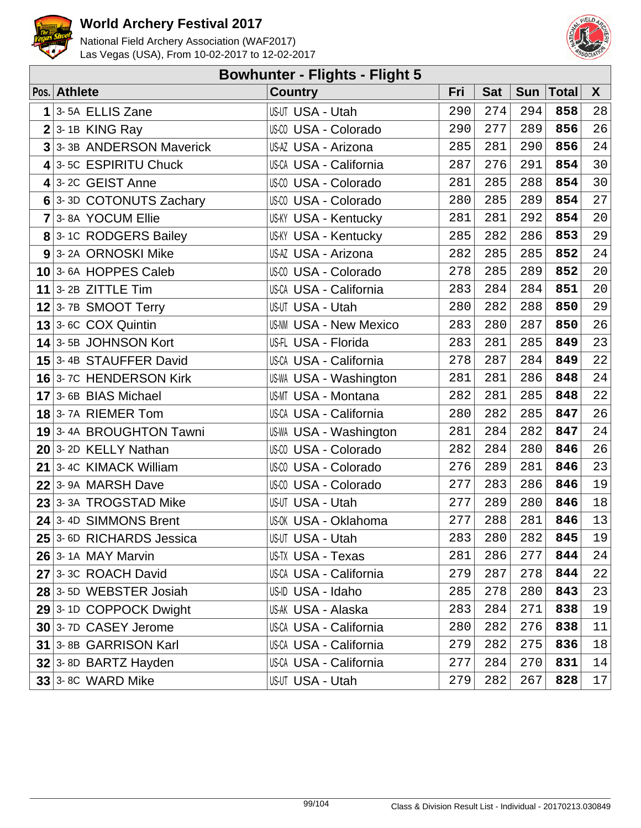



| <b>Bowhunter - Flights - Flight 5</b> |                          |                               |     |            |     |        |              |  |  |
|---------------------------------------|--------------------------|-------------------------------|-----|------------|-----|--------|--------------|--|--|
|                                       | Pos. Athlete             | <b>Country</b>                | Fri | <b>Sat</b> | Sun | ∣Total | $\mathsf{X}$ |  |  |
| 1                                     | 3-5A ELLIS Zane          | US-UT USA - Utah              | 290 | 274        | 294 | 858    | 28           |  |  |
|                                       | $2 3$ -1B KING Ray       | US-CO USA - Colorado          | 290 | 277        | 289 | 856    | 26           |  |  |
|                                       | 3 3-3B ANDERSON Maverick | US-AZ USA - Arizona           | 285 | 281        | 290 | 856    | 24           |  |  |
|                                       | 4 3-5C ESPIRITU Chuck    | US-CA USA - California        | 287 | 276        | 291 | 854    | 30           |  |  |
|                                       | $4$ 3-2C GEIST Anne      | US-00 USA - Colorado          | 281 | 285        | 288 | 854    | 30           |  |  |
|                                       | 6 3-3D COTONUTS Zachary  | US-00 USA - Colorado          | 280 | 285        | 289 | 854    | 27           |  |  |
|                                       | 7 3-8A YOCUM Ellie       | <b>US-KY USA - Kentucky</b>   | 281 | 281        | 292 | 854    | 20           |  |  |
|                                       | 8 3-1C RODGERS Bailey    | <b>US-KY USA - Kentucky</b>   | 285 | 282        | 286 | 853    | 29           |  |  |
|                                       | 9 3-2A ORNOSKI Mike      | US-AZ USA - Arizona           | 282 | 285        | 285 | 852    | 24           |  |  |
|                                       | 10 3-6A HOPPES Caleb     | US-00 USA - Colorado          | 278 | 285        | 289 | 852    | 20           |  |  |
|                                       | 11 3-2B ZITTLE Tim       | <b>US-CA USA - California</b> | 283 | 284        | 284 | 851    | 20           |  |  |
|                                       | $12$ 3-7B SMOOT Terry    | US-UT USA - Utah              | 280 | 282        | 288 | 850    | 29           |  |  |
|                                       | $13$ 3-6C COX Quintin    | <b>US-NM USA - New Mexico</b> | 283 | 280        | 287 | 850    | 26           |  |  |
|                                       | 14 3-5B JOHNSON Kort     | US-FL USA - Florida           | 283 | 281        | 285 | 849    | 23           |  |  |
|                                       | 15 3-4B STAUFFER David   | US-CA USA - California        | 278 | 287        | 284 | 849    | 22           |  |  |
|                                       | 16 3-7C HENDERSON Kirk   | US-WA USA - Washington        | 281 | 281        | 286 | 848    | 24           |  |  |
|                                       | 17 3-6B BIAS Michael     | <b>US-MT USA - Montana</b>    | 282 | 281        | 285 | 848    | 22           |  |  |
|                                       | 18 3-7A RIEMER Tom       | US-CA USA - California        | 280 | 282        | 285 | 847    | 26           |  |  |
|                                       | 19 3-4A BROUGHTON Tawni  | US-WA USA - Washington        | 281 | 284        | 282 | 847    | 24           |  |  |
|                                       | 20 3-2D KELLY Nathan     | US-00 USA - Colorado          | 282 | 284        | 280 | 846    | 26           |  |  |
|                                       | 21 3-4C KIMACK William   | US-CO USA - Colorado          | 276 | 289        | 281 | 846    | 23           |  |  |
|                                       | 22 3-9A MARSH Dave       | US-00 USA - Colorado          | 277 | 283        | 286 | 846    | 19           |  |  |
|                                       | 23 3-3A TROGSTAD Mike    | US-UT USA - Utah              | 277 | 289        | 280 | 846    | 18           |  |  |
|                                       | 24 3-4D SIMMONS Brent    | US-OK USA - Oklahoma          | 277 | 288        | 281 | 846    | 13           |  |  |
|                                       | 25 3-6D RICHARDS Jessica | <b>US-UT USA - Utah</b>       | 283 | 280        | 282 | 845    | 19           |  |  |
|                                       | $26$ 3-14 MAY Marvin     | US-TX USA - Texas             | 281 | 286        | 277 | 844    | 24           |  |  |
|                                       | 27 3-3C ROACH David      | <b>US-CA USA - California</b> | 279 | 287        | 278 | 844    | 22           |  |  |
|                                       | 28 3-5D WEBSTER Josiah   | US-ID USA - Idaho             | 285 | 278        | 280 | 843    | 23           |  |  |
|                                       | 29 3-1D COPPOCK Dwight   | US-AK USA - Alaska            | 283 | 284        | 271 | 838    | 19           |  |  |
|                                       | 30 3-7D CASEY Jerome     | <b>US-CA USA - California</b> | 280 | 282        | 276 | 838    | 11           |  |  |
|                                       | 31 3-8B GARRISON Karl    | US-CA USA - California        | 279 | 282        | 275 | 836    | 18           |  |  |
|                                       | 32 3-8D BARTZ Hayden     | US-CA USA - California        | 277 | 284        | 270 | 831    | 14           |  |  |
|                                       | $33$ 3-8C WARD Mike      | US-UT USA - Utah              | 279 | 282        | 267 | 828    | 17           |  |  |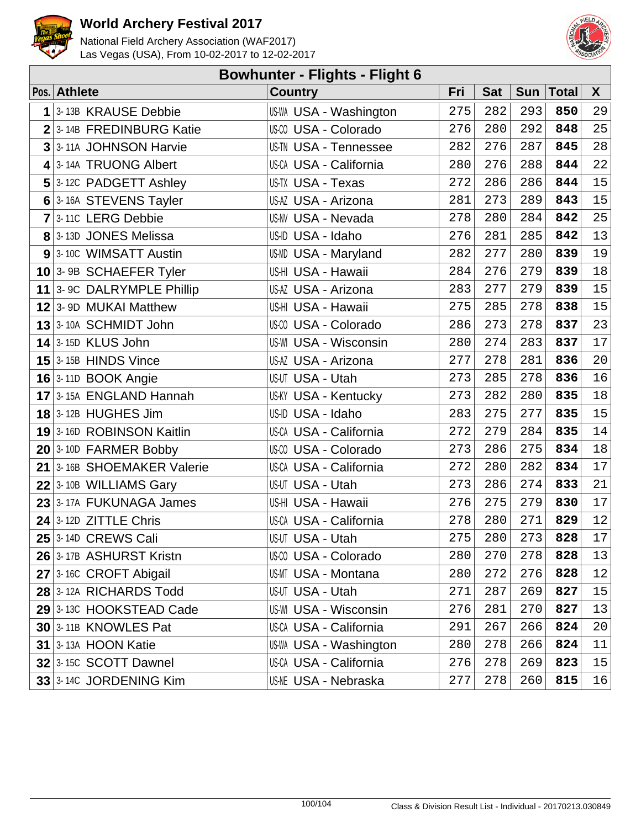



| <b>Bowhunter - Flights - Flight 6</b> |                            |                               |     |            |            |              |        |  |
|---------------------------------------|----------------------------|-------------------------------|-----|------------|------------|--------------|--------|--|
|                                       | Pos. Athlete               | <b>Country</b>                | Fri | <b>Sat</b> | <b>Sun</b> | <b>Total</b> | X      |  |
| 1                                     | 3-13B KRAUSE Debbie        | US-WA USA - Washington        | 275 | 282        | 293        | 850          | 29     |  |
|                                       | 2 3-14B FREDINBURG Katie   | US-CO USA - Colorado          | 276 | 280        | 292        | 848          | 25     |  |
|                                       | 3 3-11A JOHNSON Harvie     | <b>US-TN USA - Tennessee</b>  | 282 | 276        | 287        | 845          | 28     |  |
|                                       | 4 3-14A TRUONG Albert      | US-CA USA - California        | 280 | 276        | 288        | 844          | 22     |  |
|                                       | 5 3-12C PADGETT Ashley     | <b>US-TX USA - Texas</b>      | 272 | 286        | 286        | 844          | 15     |  |
|                                       | 6 3-16A STEVENS Tayler     | US-AZ USA - Arizona           | 281 | 273        | 289        | 843          | 15     |  |
|                                       | $7$ 3-110 LERG Debbie      | US-NV USA - Nevada            | 278 | 280        | 284        | 842          | 25     |  |
|                                       | 8 3-13D JONES Melissa      | US-ID USA - Idaho             | 276 | 281        | 285        | 842          | 13     |  |
|                                       | 9 3-10C WIMSATT Austin     | <b>US-MD USA - Maryland</b>   | 282 | 277        | 280        | 839          | 19     |  |
|                                       | $10$ 3-9B SCHAEFER Tyler   | US-HI USA - Hawaii            | 284 | 276        | 279        | 839          | $18\,$ |  |
|                                       | 11 3- 9C DALRYMPLE Phillip | US-AZ USA - Arizona           | 283 | 277        | 279        | 839          | 15     |  |
|                                       | 12 3-9D MUKAI Matthew      | US-HI USA - Hawaii            | 275 | 285        | 278        | 838          | 15     |  |
|                                       | 13 3-10A SCHMIDT John      | US-00 USA - Colorado          | 286 | 273        | 278        | 837          | 23     |  |
|                                       | $14$ 3-15D KLUS John       | <b>US-WI USA - Wisconsin</b>  | 280 | 274        | 283        | 837          | 17     |  |
|                                       | $15$ 3-15B HINDS Vince     | US-AZ USA - Arizona           | 277 | 278        | 281        | 836          | 20     |  |
|                                       | <b>16</b> 3-11D BOOK Angie | US-UT USA - Utah              | 273 | 285        | 278        | 836          | 16     |  |
|                                       | $17$ 3-15A ENGLAND Hannah  | <b>US-KY USA - Kentucky</b>   | 273 | 282        | 280        | 835          | $18\,$ |  |
|                                       | <b>18</b> 3-12B HUGHES Jim | US-ID USA - Idaho             | 283 | 275        | 277        | 835          | 15     |  |
|                                       | 19 3-16D ROBINSON Kaitlin  | <b>US-CA USA - California</b> | 272 | 279        | 284        | 835          | $14\,$ |  |
|                                       | $20$ 3-10D FARMER Bobby    | US-00 USA - Colorado          | 273 | 286        | 275        | 834          | 18     |  |
|                                       | 21 3-16B SHOEMAKER Valerie | <b>US-CA USA - California</b> | 272 | 280        | 282        | 834          | $17$   |  |
|                                       | $22$ 3-10B WILLIAMS Gary   | US-UT USA - Utah              | 273 | 286        | 274        | 833          | 21     |  |
|                                       | 23 3-17A FUKUNAGA James    | US-HI USA - Hawaii            | 276 | 275        | 279        | 830          | 17     |  |
|                                       | $24$ 3-12D ZITTLE Chris    | US-CA USA - California        | 278 | 280        | 271        | 829          | $12\,$ |  |
|                                       | $25$ 3-14D CREWS Cali      | US-UT USA - Utah              | 275 | 280        | 273        | 828          | 17     |  |
|                                       | 26 3-17B ASHURST Kristn    | US-00 USA - Colorado          | 280 | 270        | 278        | 828          | 13     |  |
|                                       | 27 3-16C CROFT Abigail     | <b>US-MT USA - Montana</b>    | 280 | 272        | 276        | 828          | 12     |  |
|                                       | 28 3-12A RICHARDS Todd     | US-UT USA - Utah              | 271 | 287        | 269        | 827          | 15     |  |
|                                       | 29 3-13C HOOKSTEAD Cade    | <b>US-WI USA - Wisconsin</b>  | 276 | 281        | 270        | 827          | 13     |  |
|                                       | 30 3-11B KNOWLES Pat       | <b>US-CA USA - California</b> | 291 | 267        | 266        | 824          | 20     |  |
|                                       | <b>31 3-13A HOON Katie</b> | US-WA USA - Washington        | 280 | 278        | 266        | 824          | 11     |  |
|                                       | $32$ 3-15C SCOTT Dawnel    | US-CA USA - California        | 276 | 278        | 269        | 823          | 15     |  |
|                                       | 33 3-14C JORDENING Kim     | <b>US-NE USA - Nebraska</b>   | 277 | 278        | 260        | 815          | 16     |  |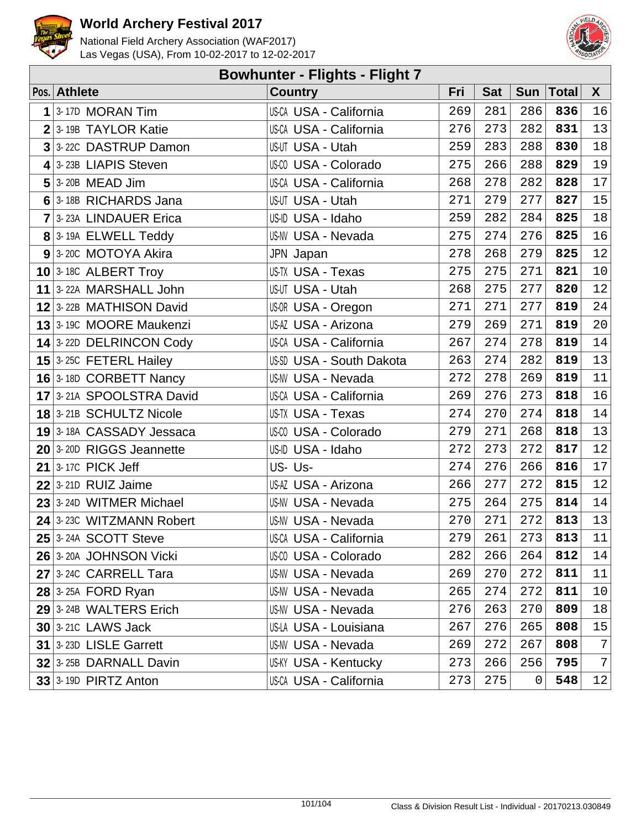



| <b>Bowhunter - Flights - Flight 7</b> |                                    |                               |     |            |     |             |              |  |  |
|---------------------------------------|------------------------------------|-------------------------------|-----|------------|-----|-------------|--------------|--|--|
|                                       | Pos. Athlete                       | <b>Country</b>                | Fri | <b>Sat</b> |     | Sun   Total | $\mathsf{X}$ |  |  |
| 1                                     | 3-17D MORAN Tim                    | <b>US-CA USA - California</b> | 269 | 281        | 286 | 836         | 16           |  |  |
|                                       | $2$ 3-19B TAYLOR Katie             | US-CA USA - California        | 276 | 273        | 282 | 831         | 13           |  |  |
|                                       | 3 3-22C DASTRUP Damon              | US-UT USA - Utah              | 259 | 283        | 288 | 830         | 18           |  |  |
|                                       | 4 3-23B LIAPIS Steven              | US-00 USA - Colorado          | 275 | 266        | 288 | 829         | 19           |  |  |
|                                       | $5$ 3-20B MEAD Jim                 | <b>US-CA USA - California</b> | 268 | 278        | 282 | 828         | 17           |  |  |
|                                       | 6 3-18B RICHARDS Jana              | US-UT USA - Utah              | 271 | 279        | 277 | 827         | 15           |  |  |
|                                       | 7 3-23A LINDAUER Erica             | US-ID USA - Idaho             | 259 | 282        | 284 | 825         | 18           |  |  |
|                                       | 8 3-19A ELWELL Teddy               | <b>US-NV USA - Nevada</b>     | 275 | 274        | 276 | 825         | 16           |  |  |
|                                       | $9$ 3-200 MOTOYA Akira             | JPN Japan                     | 278 | 268        | 279 | 825         | 12           |  |  |
|                                       | $10$ 3-18C ALBERT Troy             | US-TX USA - Texas             | 275 | 275        | 271 | 821         | 10           |  |  |
|                                       | 11 3-22A MARSHALL John             | US-UT USA - Utah              | 268 | 275        | 277 | 820         | 12           |  |  |
|                                       | 12 3-22B MATHISON David            | US-OR USA - Oregon            | 271 | 271        | 277 | 819         | 24           |  |  |
|                                       | 13 <sup>3</sup> 190 MOORE Maukenzi | US-AZ USA - Arizona           | 279 | 269        | 271 | 819         | 20           |  |  |
|                                       | 14 3-22D DELRINCON Cody            | <b>US-CA USA - California</b> | 267 | 274        | 278 | 819         | 14           |  |  |
|                                       | $15$ 3-25C FETERL Hailey           | US-SD USA - South Dakota      | 263 | 274        | 282 | 819         | 13           |  |  |
|                                       | 16 3-18D CORBETT Nancy             | <b>US-NV USA - Nevada</b>     | 272 | 278        | 269 | 819         | 11           |  |  |
|                                       | 17 3-21A SPOOLSTRA David           | <b>US-CA USA - California</b> | 269 | 276        | 273 | 818         | 16           |  |  |
|                                       | 18 3-21B SCHULTZ Nicole            | <b>US-TX USA - Texas</b>      | 274 | 270        | 274 | 818         | 14           |  |  |
|                                       | 19 3-18A CASSADY Jessaca           | US-00 USA - Colorado          | 279 | 271        | 268 | 818         | 13           |  |  |
|                                       | 20 3-20D RIGGS Jeannette           | US-ID USA - Idaho             | 272 | 273        | 272 | 817         | 12           |  |  |
|                                       | $21$ 3-17C PICK Jeff               | US-Us-                        | 274 | 276        | 266 | 816         | 17           |  |  |
|                                       | $22$ 3-21D RUIZ Jaime              | US-AZ USA - Arizona           | 266 | 277        | 272 | 815         | 12           |  |  |
|                                       | 23 3-24D WITMER Michael            | <b>US-NV USA - Nevada</b>     | 275 | 264        | 275 | 814         | 14           |  |  |
|                                       | 24 3-23C WITZMANN Robert           | US-NV USA - Nevada            | 270 | 271        | 272 | 813         | 13           |  |  |
|                                       | $25$ 3-24A SCOTT Steve             | US-CA USA - California        | 279 | 261        | 273 | 813         | 11           |  |  |
|                                       | 26 3-20A JOHNSON Vicki             | US-00 USA - Colorado          | 282 | 266        | 264 | 812         | 14           |  |  |
|                                       | 27 3-24C CARRELL Tara              | US-NV USA - Nevada            | 269 | 270        | 272 | 811         | 11           |  |  |
|                                       | $28$ 3-25A FORD Ryan               | <b>US-NV USA - Nevada</b>     | 265 | 274        | 272 | 811         | $10 \,$      |  |  |
|                                       | 29 3-24B WALTERS Erich             | <b>US-NV USA - Nevada</b>     | 276 | 263        | 270 | 809         | 18           |  |  |
|                                       | <b>30 3-210 LAWS Jack</b>          | US-LA USA - Louisiana         | 267 | 276        | 265 | 808         | 15           |  |  |
|                                       | 31 3-23D LISLE Garrett             | <b>US-NV USA - Nevada</b>     | 269 | 272        | 267 | 808         | 7            |  |  |
|                                       | 32 3-25B DARNALL Davin             | <b>US-KY USA - Kentucky</b>   | 273 | 266        | 256 | 795         | 7            |  |  |
|                                       | $33$ 3-19D PIRTZ Anton             | US-CA USA - California        | 273 | 275        | 0   | 548         | 12           |  |  |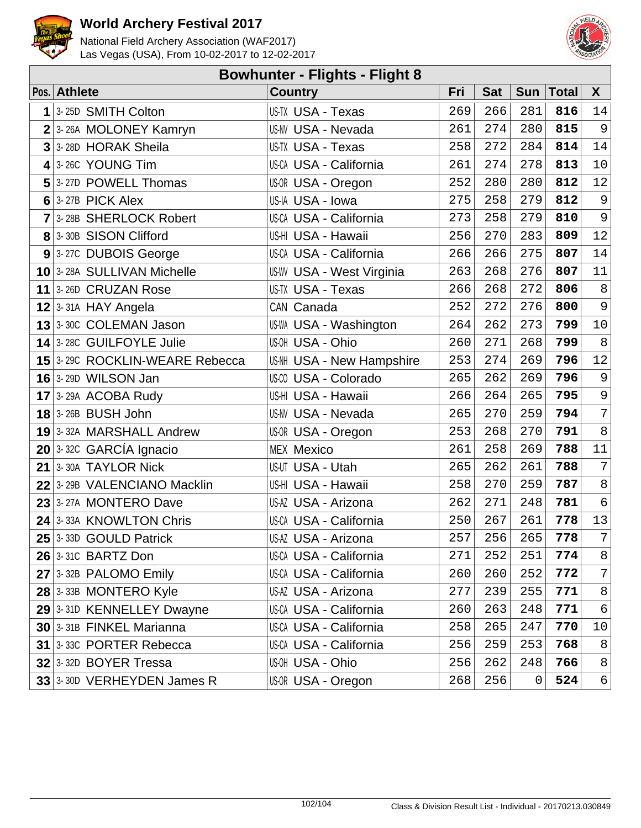



| <b>Bowhunter - Flights - Flight 8</b> |                                |                                  |     |            |             |              |                 |  |  |
|---------------------------------------|--------------------------------|----------------------------------|-----|------------|-------------|--------------|-----------------|--|--|
|                                       | Pos. Athlete                   | <b>Country</b>                   | Fri | <b>Sat</b> | <b>Sun</b>  | <b>Total</b> | $\mathsf{X}$    |  |  |
| 1                                     | 3-25D SMITH Colton             | US-TX USA - Texas                | 269 | 266        | 281         | 816          | 14              |  |  |
| $\overline{2}$                        | 3-26A MOLONEY Kamryn           | <b>US-NV USA - Nevada</b>        | 261 | 274        | 280         | 815          | $\overline{9}$  |  |  |
| 3                                     | 3-28D HORAK Sheila             | US-TX USA - Texas                | 258 | 272        | 284         | 814          | 14              |  |  |
|                                       | $4$ 3-26C YOUNG Tim            | <b>US-CA USA - California</b>    | 261 | 274        | 278         | 813          | $10$            |  |  |
|                                       | 5 3-27D POWELL Thomas          | US-OR USA - Oregon               | 252 | 280        | 280         | 812          | 12              |  |  |
|                                       | $6$ 3-27B PICK Alex            | US-IA USA - Iowa                 | 275 | 258        | 279         | 812          | $\overline{9}$  |  |  |
|                                       | $7$ 3-28B SHERLOCK Robert      | <b>US-CA USA - California</b>    | 273 | 258        | 279         | 810          | $\overline{9}$  |  |  |
|                                       | 8 3-30B SISON Clifford         | US-HI USA - Hawaii               | 256 | 270        | 283         | 809          | 12              |  |  |
|                                       | 9 3-27C DUBOIS George          | <b>US-CA USA - California</b>    | 266 | 266        | 275         | 807          | 14              |  |  |
|                                       | 10 3-28A SULLIVAN Michelle     | <b>US-WV USA - West Virginia</b> | 263 | 268        | 276         | 807          | 11              |  |  |
|                                       | 11 3-26D CRUZAN Rose           | <b>US-TX USA - Texas</b>         | 266 | 268        | 272         | 806          | $\,8\,$         |  |  |
|                                       | 12 3-31A HAY Angela            | CAN Canada                       | 252 | 272        | 276         | 800          | 9               |  |  |
|                                       | 13 3-30C COLEMAN Jason         | US-WA USA - Washington           | 264 | 262        | 273         | 799          | 10              |  |  |
|                                       | 14 3-28C GUILFOYLE Julie       | US-OH USA - Ohio                 | 260 | 271        | 268         | 799          | $\,8\,$         |  |  |
|                                       | 15 3-29C ROCKLIN-WEARE Rebecca | <b>US-NH USA - New Hampshire</b> | 253 | 274        | 269         | 796          | 12              |  |  |
|                                       | <b>16</b> 3-29D WILSON Jan     | US-00 USA - Colorado             | 265 | 262        | 269         | 796          | 9               |  |  |
|                                       | $17$ 3-29A ACOBA Rudy          | US-HI USA - Hawaii               | 266 | 264        | 265         | 795          | $\mathsf 9$     |  |  |
|                                       | $18$ 3-26B BUSH John           | <b>US-NV USA - Nevada</b>        | 265 | 270        | 259         | 794          | $\overline{7}$  |  |  |
|                                       | 19 3-32A MARSHALL Andrew       | US-OR USA - Oregon               | 253 | 268        | 270         | 791          | 8               |  |  |
|                                       | $20$ 3-32C GARCIA Ignacio      | <b>MEX Mexico</b>                | 261 | 258        | 269         | 788          | $11\,$          |  |  |
|                                       | $21$ 3-30A TAYLOR Nick         | US-UT USA - Utah                 | 265 | 262        | 261         | 788          | $\overline{7}$  |  |  |
|                                       | 22 3-29B VALENCIANO Macklin    | US-HI USA - Hawaii               | 258 | 270        | 259         | 787          | $\,8\,$         |  |  |
|                                       | 23 3-27A MONTERO Dave          | US-AZ USA - Arizona              | 262 | 271        | 248         | 781          | $\epsilon$      |  |  |
|                                       | 24 3-33A KNOWLTON Chris        | US-CA USA - California           | 250 | 267        | 261         | 778          | 13              |  |  |
|                                       | 25 3-33D GOULD Patrick         | US-AZ USA - Arizona              | 257 | 256        | 265         | 778          | $7\overline{ }$ |  |  |
|                                       | <b>26 3-31C BARTZ Don</b>      | US-CA USA - California           | 271 | 252        | 251         | 774          | 8               |  |  |
|                                       | 27 3-32B PALOMO Emily          | US-CA USA - California           | 260 | 260        | 252         | 772          | $\sqrt{ }$      |  |  |
|                                       | $28$ 3-33B MONTERO Kyle        | US-AZ USA - Arizona              | 277 | 239        | 255         | 771          | 8               |  |  |
|                                       | 29 3-31D KENNELLEY Dwayne      | US-CA USA - California           | 260 | 263        | 248         | 771          | 6               |  |  |
|                                       | 30 3-31B FINKEL Marianna       | <b>US-CA USA - California</b>    | 258 | 265        | 247         | 770          | 10              |  |  |
|                                       | 31 3-33C PORTER Rebecca        | <b>US-CA USA - California</b>    | 256 | 259        | 253         | 768          | 8               |  |  |
|                                       | 32 3-32D BOYER Tressa          | US-OH USA - Ohio                 | 256 | 262        | 248         | 766          | 8               |  |  |
|                                       | 33 3-30D VERHEYDEN James R     | US-OR USA - Oregon               | 268 | 256        | $\mathbf 0$ | 524          | $6 \mid$        |  |  |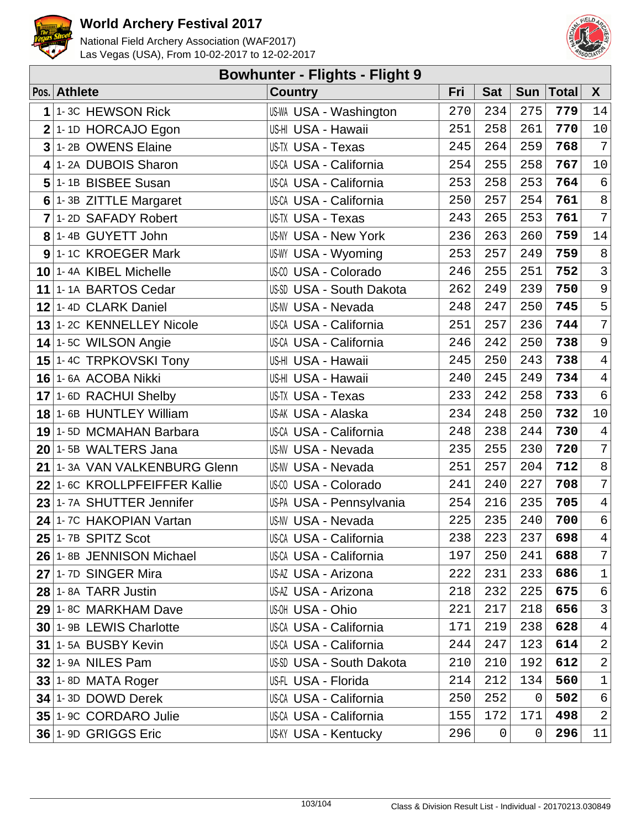



|             | <b>Bowhunter - Flights - Flight 9</b> |                                 |     |            |     |              |                  |  |  |  |
|-------------|---------------------------------------|---------------------------------|-----|------------|-----|--------------|------------------|--|--|--|
|             | Pos. Athlete                          | <b>Country</b>                  | Fri | <b>Sat</b> | Sun | <b>Total</b> | X                |  |  |  |
| $\mathbf 1$ | 1-3C HEWSON Rick                      | <b>US-WA USA - Washington</b>   | 270 | 234        | 275 | 779          | 14               |  |  |  |
|             | $2$ 1-1D HORCAJO Egon                 | US-HI USA - Hawaii              | 251 | 258        | 261 | 770          | $10$             |  |  |  |
|             | 3 1-2B OWENS Elaine                   | <b>US-TX USA - Texas</b>        | 245 | 264        | 259 | 768          | $\overline{7}$   |  |  |  |
|             | 4 1-2A DUBOIS Sharon                  | US-CA USA - California          | 254 | 255        | 258 | 767          | $10$             |  |  |  |
|             | 5 1-1B BISBEE Susan                   | US-CA USA - California          | 253 | 258        | 253 | 764          | $\epsilon$       |  |  |  |
|             | 6 1-3B ZITTLE Margaret                | <b>US-CA USA - California</b>   | 250 | 257        | 254 | 761          | $\,8\,$          |  |  |  |
|             | 7 1-2D SAFADY Robert                  | <b>US-TX USA - Texas</b>        | 243 | 265        | 253 | 761          | $\overline{7}$   |  |  |  |
|             | $8$ 1-4B GUYETT John                  | <b>US-NY USA - New York</b>     | 236 | 263        | 260 | 759          | $14\,$           |  |  |  |
|             | 9 1-1C KROEGER Mark                   | <b>US-WY USA - Wyoming</b>      | 253 | 257        | 249 | 759          | $\,8\,$          |  |  |  |
|             | 10 1-4A KIBEL Michelle                | US-CO USA - Colorado            | 246 | 255        | 251 | 752          | $\mathsf{3}$     |  |  |  |
|             | 11 1-1A BARTOS Cedar                  | <b>US-SD USA - South Dakota</b> | 262 | 249        | 239 | 750          | $\overline{9}$   |  |  |  |
|             | 12 1-4D CLARK Daniel                  | <b>US-NV USA - Nevada</b>       | 248 | 247        | 250 | 745          | $\overline{5}$   |  |  |  |
|             | 13 1-2C KENNELLEY Nicole              | US-CA USA - California          | 251 | 257        | 236 | 744          | $\boldsymbol{7}$ |  |  |  |
|             | $14$ 1-5C WILSON Angie                | <b>US-CA USA - California</b>   | 246 | 242        | 250 | 738          | $\mathsf 9$      |  |  |  |
|             | 15 1-4C TRPKOVSKI Tony                | US-HI USA - Hawaii              | 245 | 250        | 243 | 738          | $\overline{4}$   |  |  |  |
|             | 16 1-6A ACOBA Nikki                   | US-HI USA - Hawaii              | 240 | 245        | 249 | 734          | $\sqrt{4}$       |  |  |  |
|             | 17 1-6D RACHUI Shelby                 | <b>US-TX USA - Texas</b>        | 233 | 242        | 258 | 733          | $\epsilon$       |  |  |  |
|             | 18 1-6B HUNTLEY William               | US-AK USA - Alaska              | 234 | 248        | 250 | 732          | $10\,$           |  |  |  |
|             | 19 1-5D MCMAHAN Barbara               | US-CA USA - California          | 248 | 238        | 244 | 730          | $\overline{4}$   |  |  |  |
|             | 20 1-5B WALTERS Jana                  | <b>US-NV USA - Nevada</b>       | 235 | 255        | 230 | 720          | $\sqrt{ }$       |  |  |  |
|             | 21 1-3A VAN VALKENBURG Glenn          | US-NV USA - Nevada              | 251 | 257        | 204 | 712          | $\,8\,$          |  |  |  |
|             | 22 1-6C KROLLPFEIFFER Kallie          | US-00 USA - Colorado            | 241 | 240        | 227 | 708          | $\sqrt{ }$       |  |  |  |
|             | 23 1-7A SHUTTER Jennifer              | US-PA USA - Pennsylvania        | 254 | 216        | 235 | 705          | $\overline{4}$   |  |  |  |
|             | 24 1-7C HAKOPIAN Vartan               | <b>US-NV USA - Nevada</b>       | 225 | 235        | 240 | 700          | $\epsilon$       |  |  |  |
|             | $25$ <sup>1-7B</sup> SPITZ Scot       | US-CA USA - California          | 238 | 223        | 237 | 698          | $\overline{4}$   |  |  |  |
|             | 26 1-8B JENNISON Michael              | US-CA USA - California          | 197 | 250        | 241 | 688          | $\boldsymbol{7}$ |  |  |  |
|             | 27 1-7D SINGER Mira                   | US-AZ USA - Arizona             | 222 | 231        | 233 | 686          | $\mathbf 1$      |  |  |  |
|             | 28 1-8A TARR Justin                   | US-AZ USA - Arizona             | 218 | 232        | 225 | 675          | 6                |  |  |  |
|             | 29 1-8C MARKHAM Dave                  | US-OH USA - Ohio                | 221 | 217        | 218 | 656          | $\mathsf{3}$     |  |  |  |
|             | 30 1-9B LEWIS Charlotte               | US-CA USA - California          | 171 | 219        | 238 | 628          | $\overline{4}$   |  |  |  |
|             | 31 1-5A BUSBY Kevin                   | US-CA USA - California          | 244 | 247        | 123 | 614          | $\mathbf{2}$     |  |  |  |
|             | <b>32 1-9A NILES Pam</b>              | US-SD USA - South Dakota        | 210 | 210        | 192 | 612          | $\sqrt{2}$       |  |  |  |
|             | $33$ 1-8D MATA Roger                  | US-FL USA - Florida             | 214 | 212        | 134 | 560          | $1\,$            |  |  |  |
|             | 34 1-3D DOWD Derek                    | US-CA USA - California          | 250 | 252        | 0   | 502          | 6                |  |  |  |
|             | 35 1- 9C CORDARO Julie                | US-CA USA - California          | 155 | 172        | 171 | 498          | $\mathbf{2}$     |  |  |  |
|             | 36 1-9D GRIGGS Eric                   | <b>US-KY USA - Kentucky</b>     | 296 | 0          | 0   | 296          | 11               |  |  |  |